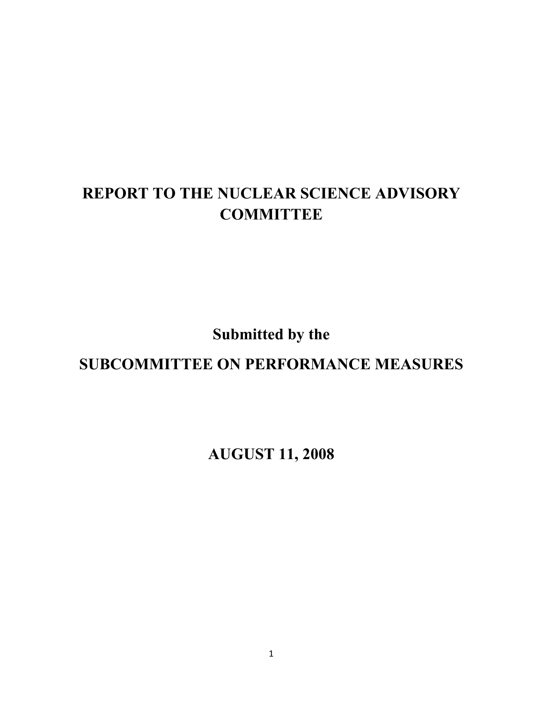# **REPORT TO THE NUCLEAR SCIENCE ADVISORY COMMITTEE**

**Submitted by the** 

**SUBCOMMITTEE ON PERFORMANCE MEASURES** 

**AUGUST 11, 2008**

1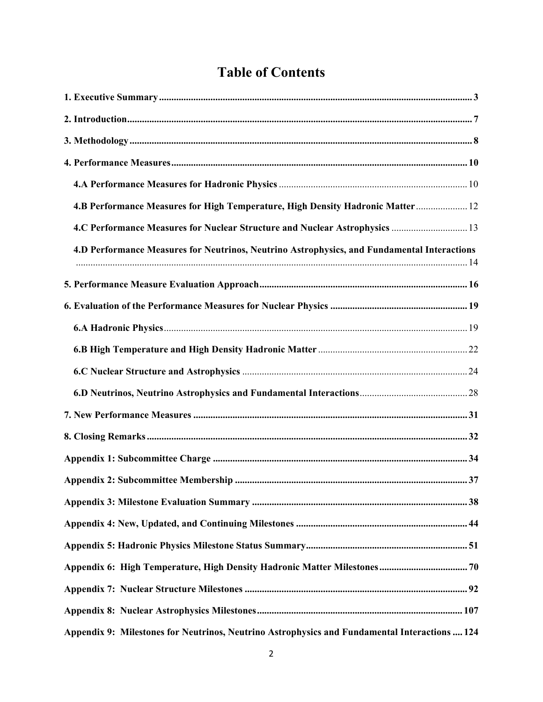# **Table of Contents**

| 4.B Performance Measures for High Temperature, High Density Hadronic Matter 12                |  |
|-----------------------------------------------------------------------------------------------|--|
| 4.C Performance Measures for Nuclear Structure and Nuclear Astrophysics  13                   |  |
| 4.D Performance Measures for Neutrinos, Neutrino Astrophysics, and Fundamental Interactions   |  |
|                                                                                               |  |
|                                                                                               |  |
|                                                                                               |  |
|                                                                                               |  |
|                                                                                               |  |
|                                                                                               |  |
|                                                                                               |  |
|                                                                                               |  |
|                                                                                               |  |
|                                                                                               |  |
|                                                                                               |  |
|                                                                                               |  |
|                                                                                               |  |
|                                                                                               |  |
|                                                                                               |  |
|                                                                                               |  |
| Appendix 9: Milestones for Neutrinos, Neutrino Astrophysics and Fundamental Interactions  124 |  |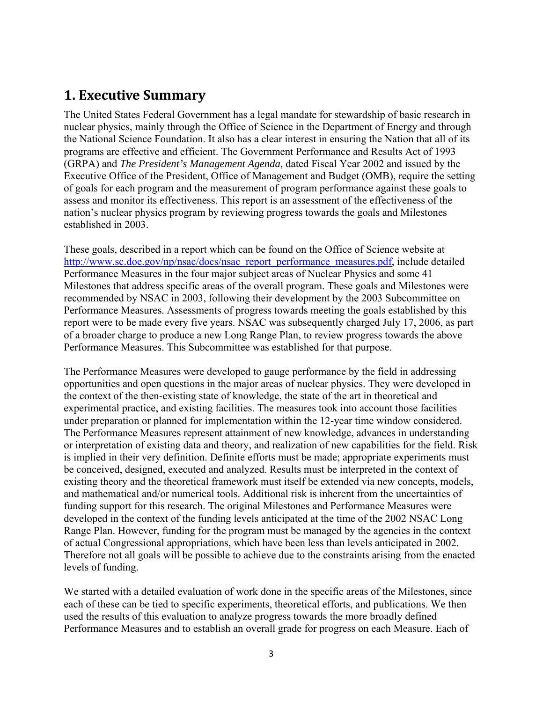## **1. Executive Summary**

The United States Federal Government has a legal mandate for stewardship of basic research in nuclear physics, mainly through the Office of Science in the Department of Energy and through the National Science Foundation. It also has a clear interest in ensuring the Nation that all of its programs are effective and efficient. The Government Performance and Results Act of 1993 (GRPA) and *The President's Management Agenda,* dated Fiscal Year 2002 and issued by the Executive Office of the President, Office of Management and Budget (OMB), require the setting of goals for each program and the measurement of program performance against these goals to assess and monitor its effectiveness. This report is an assessment of the effectiveness of the nation's nuclear physics program by reviewing progress towards the goals and Milestones established in 2003.

These goals, described in a report which can be found on the Office of Science website at http://www.sc.doe.gov/np/nsac/docs/nsac\_report\_performance\_measures.pdf, include detailed Performance Measures in the four major subject areas of Nuclear Physics and some 41 Milestones that address specific areas of the overall program. These goals and Milestones were recommended by NSAC in 2003, following their development by the 2003 Subcommittee on Performance Measures. Assessments of progress towards meeting the goals established by this report were to be made every five years. NSAC was subsequently charged July 17, 2006, as part of a broader charge to produce a new Long Range Plan, to review progress towards the above Performance Measures. This Subcommittee was established for that purpose.

The Performance Measures were developed to gauge performance by the field in addressing opportunities and open questions in the major areas of nuclear physics. They were developed in the context of the then-existing state of knowledge, the state of the art in theoretical and experimental practice, and existing facilities. The measures took into account those facilities under preparation or planned for implementation within the 12-year time window considered. The Performance Measures represent attainment of new knowledge, advances in understanding or interpretation of existing data and theory, and realization of new capabilities for the field. Risk is implied in their very definition. Definite efforts must be made; appropriate experiments must be conceived, designed, executed and analyzed. Results must be interpreted in the context of existing theory and the theoretical framework must itself be extended via new concepts, models, and mathematical and/or numerical tools. Additional risk is inherent from the uncertainties of funding support for this research. The original Milestones and Performance Measures were developed in the context of the funding levels anticipated at the time of the 2002 NSAC Long Range Plan. However, funding for the program must be managed by the agencies in the context of actual Congressional appropriations, which have been less than levels anticipated in 2002. Therefore not all goals will be possible to achieve due to the constraints arising from the enacted levels of funding.

We started with a detailed evaluation of work done in the specific areas of the Milestones, since each of these can be tied to specific experiments, theoretical efforts, and publications. We then used the results of this evaluation to analyze progress towards the more broadly defined Performance Measures and to establish an overall grade for progress on each Measure. Each of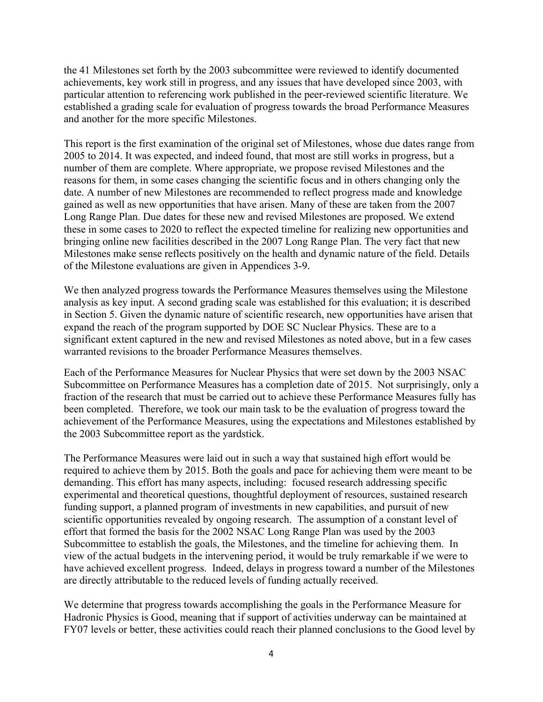the 41 Milestones set forth by the 2003 subcommittee were reviewed to identify documented achievements, key work still in progress, and any issues that have developed since 2003, with particular attention to referencing work published in the peer-reviewed scientific literature. We established a grading scale for evaluation of progress towards the broad Performance Measures and another for the more specific Milestones.

This report is the first examination of the original set of Milestones, whose due dates range from 2005 to 2014. It was expected, and indeed found, that most are still works in progress, but a number of them are complete. Where appropriate, we propose revised Milestones and the reasons for them, in some cases changing the scientific focus and in others changing only the date. A number of new Milestones are recommended to reflect progress made and knowledge gained as well as new opportunities that have arisen. Many of these are taken from the 2007 Long Range Plan. Due dates for these new and revised Milestones are proposed. We extend these in some cases to 2020 to reflect the expected timeline for realizing new opportunities and bringing online new facilities described in the 2007 Long Range Plan. The very fact that new Milestones make sense reflects positively on the health and dynamic nature of the field. Details of the Milestone evaluations are given in Appendices 3-9.

We then analyzed progress towards the Performance Measures themselves using the Milestone analysis as key input. A second grading scale was established for this evaluation; it is described in Section 5. Given the dynamic nature of scientific research, new opportunities have arisen that expand the reach of the program supported by DOE SC Nuclear Physics. These are to a significant extent captured in the new and revised Milestones as noted above, but in a few cases warranted revisions to the broader Performance Measures themselves.

Each of the Performance Measures for Nuclear Physics that were set down by the 2003 NSAC Subcommittee on Performance Measures has a completion date of 2015. Not surprisingly, only a fraction of the research that must be carried out to achieve these Performance Measures fully has been completed. Therefore, we took our main task to be the evaluation of progress toward the achievement of the Performance Measures, using the expectations and Milestones established by the 2003 Subcommittee report as the yardstick.

The Performance Measures were laid out in such a way that sustained high effort would be required to achieve them by 2015. Both the goals and pace for achieving them were meant to be demanding. This effort has many aspects, including: focused research addressing specific experimental and theoretical questions, thoughtful deployment of resources, sustained research funding support, a planned program of investments in new capabilities, and pursuit of new scientific opportunities revealed by ongoing research. The assumption of a constant level of effort that formed the basis for the 2002 NSAC Long Range Plan was used by the 2003 Subcommittee to establish the goals, the Milestones, and the timeline for achieving them. In view of the actual budgets in the intervening period, it would be truly remarkable if we were to have achieved excellent progress. Indeed, delays in progress toward a number of the Milestones are directly attributable to the reduced levels of funding actually received.

We determine that progress towards accomplishing the goals in the Performance Measure for Hadronic Physics is Good, meaning that if support of activities underway can be maintained at FY07 levels or better, these activities could reach their planned conclusions to the Good level by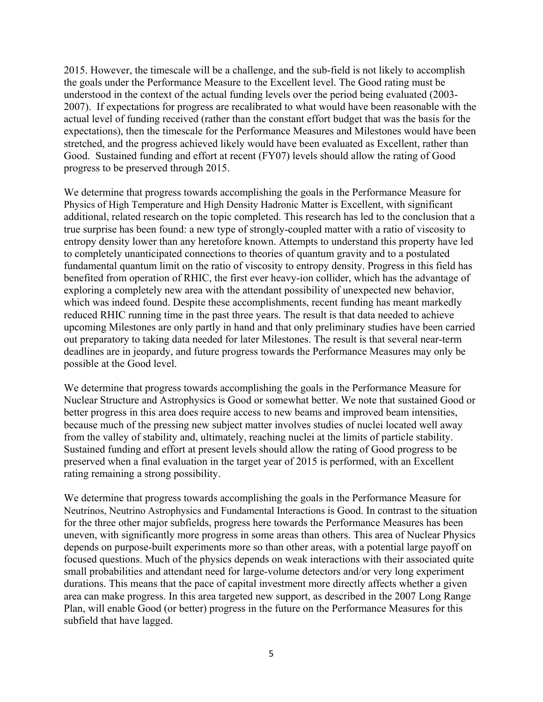2015. However, the timescale will be a challenge, and the sub-field is not likely to accomplish the goals under the Performance Measure to the Excellent level. The Good rating must be understood in the context of the actual funding levels over the period being evaluated (2003- 2007). If expectations for progress are recalibrated to what would have been reasonable with the actual level of funding received (rather than the constant effort budget that was the basis for the expectations), then the timescale for the Performance Measures and Milestones would have been stretched, and the progress achieved likely would have been evaluated as Excellent, rather than Good. Sustained funding and effort at recent (FY07) levels should allow the rating of Good progress to be preserved through 2015.

We determine that progress towards accomplishing the goals in the Performance Measure for Physics of High Temperature and High Density Hadronic Matter is Excellent, with significant additional, related research on the topic completed. This research has led to the conclusion that a true surprise has been found: a new type of strongly-coupled matter with a ratio of viscosity to entropy density lower than any heretofore known. Attempts to understand this property have led to completely unanticipated connections to theories of quantum gravity and to a postulated fundamental quantum limit on the ratio of viscosity to entropy density. Progress in this field has benefited from operation of RHIC, the first ever heavy-ion collider, which has the advantage of exploring a completely new area with the attendant possibility of unexpected new behavior, which was indeed found. Despite these accomplishments, recent funding has meant markedly reduced RHIC running time in the past three years. The result is that data needed to achieve upcoming Milestones are only partly in hand and that only preliminary studies have been carried out preparatory to taking data needed for later Milestones. The result is that several near-term deadlines are in jeopardy, and future progress towards the Performance Measures may only be possible at the Good level.

We determine that progress towards accomplishing the goals in the Performance Measure for Nuclear Structure and Astrophysics is Good or somewhat better. We note that sustained Good or better progress in this area does require access to new beams and improved beam intensities, because much of the pressing new subject matter involves studies of nuclei located well away from the valley of stability and, ultimately, reaching nuclei at the limits of particle stability. Sustained funding and effort at present levels should allow the rating of Good progress to be preserved when a final evaluation in the target year of 2015 is performed, with an Excellent rating remaining a strong possibility.

We determine that progress towards accomplishing the goals in the Performance Measure for Neutrinos, Neutrino Astrophysics and Fundamental Interactions is Good. In contrast to the situation for the three other major subfields, progress here towards the Performance Measures has been uneven, with significantly more progress in some areas than others. This area of Nuclear Physics depends on purpose-built experiments more so than other areas, with a potential large payoff on focused questions. Much of the physics depends on weak interactions with their associated quite small probabilities and attendant need for large-volume detectors and/or very long experiment durations. This means that the pace of capital investment more directly affects whether a given area can make progress. In this area targeted new support, as described in the 2007 Long Range Plan, will enable Good (or better) progress in the future on the Performance Measures for this subfield that have lagged.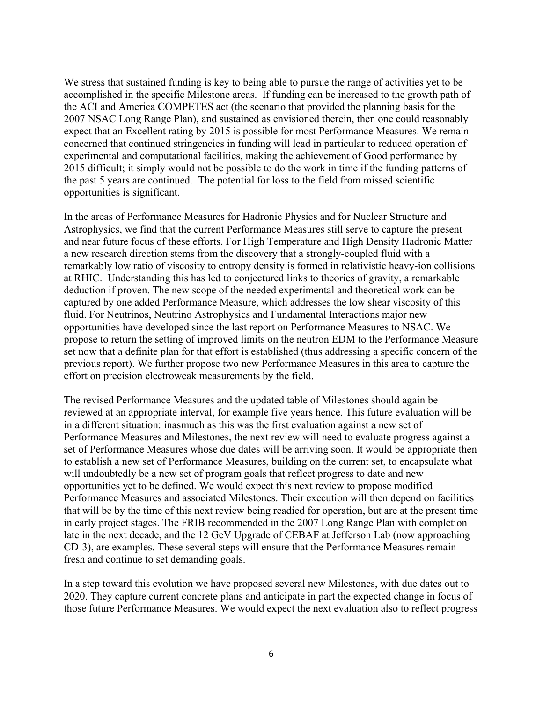We stress that sustained funding is key to being able to pursue the range of activities yet to be accomplished in the specific Milestone areas. If funding can be increased to the growth path of the ACI and America COMPETES act (the scenario that provided the planning basis for the 2007 NSAC Long Range Plan), and sustained as envisioned therein, then one could reasonably expect that an Excellent rating by 2015 is possible for most Performance Measures. We remain concerned that continued stringencies in funding will lead in particular to reduced operation of experimental and computational facilities, making the achievement of Good performance by 2015 difficult; it simply would not be possible to do the work in time if the funding patterns of the past 5 years are continued. The potential for loss to the field from missed scientific opportunities is significant.

In the areas of Performance Measures for Hadronic Physics and for Nuclear Structure and Astrophysics, we find that the current Performance Measures still serve to capture the present and near future focus of these efforts. For High Temperature and High Density Hadronic Matter a new research direction stems from the discovery that a strongly-coupled fluid with a remarkably low ratio of viscosity to entropy density is formed in relativistic heavy-ion collisions at RHIC. Understanding this has led to conjectured links to theories of gravity, a remarkable deduction if proven. The new scope of the needed experimental and theoretical work can be captured by one added Performance Measure, which addresses the low shear viscosity of this fluid. For Neutrinos, Neutrino Astrophysics and Fundamental Interactions major new opportunities have developed since the last report on Performance Measures to NSAC. We propose to return the setting of improved limits on the neutron EDM to the Performance Measure set now that a definite plan for that effort is established (thus addressing a specific concern of the previous report). We further propose two new Performance Measures in this area to capture the effort on precision electroweak measurements by the field.

The revised Performance Measures and the updated table of Milestones should again be reviewed at an appropriate interval, for example five years hence. This future evaluation will be in a different situation: inasmuch as this was the first evaluation against a new set of Performance Measures and Milestones, the next review will need to evaluate progress against a set of Performance Measures whose due dates will be arriving soon. It would be appropriate then to establish a new set of Performance Measures, building on the current set, to encapsulate what will undoubtedly be a new set of program goals that reflect progress to date and new opportunities yet to be defined. We would expect this next review to propose modified Performance Measures and associated Milestones. Their execution will then depend on facilities that will be by the time of this next review being readied for operation, but are at the present time in early project stages. The FRIB recommended in the 2007 Long Range Plan with completion late in the next decade, and the 12 GeV Upgrade of CEBAF at Jefferson Lab (now approaching CD-3), are examples. These several steps will ensure that the Performance Measures remain fresh and continue to set demanding goals.

In a step toward this evolution we have proposed several new Milestones, with due dates out to 2020. They capture current concrete plans and anticipate in part the expected change in focus of those future Performance Measures. We would expect the next evaluation also to reflect progress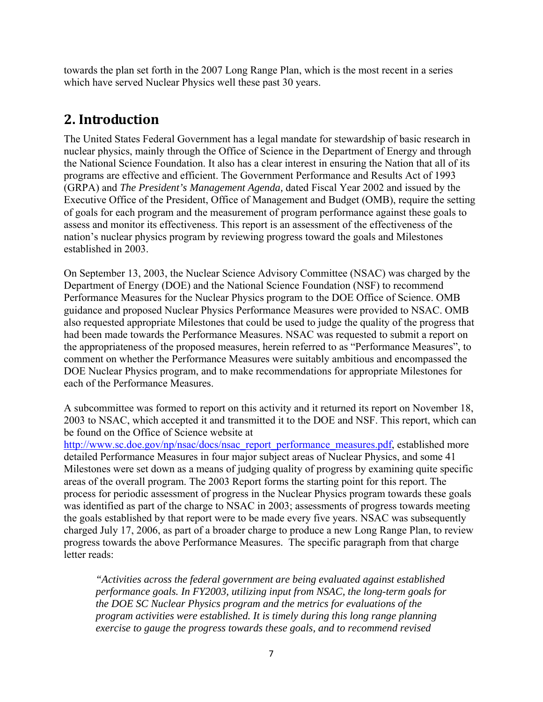towards the plan set forth in the 2007 Long Range Plan, which is the most recent in a series which have served Nuclear Physics well these past 30 years.

### **2. Introduction**

The United States Federal Government has a legal mandate for stewardship of basic research in nuclear physics, mainly through the Office of Science in the Department of Energy and through the National Science Foundation. It also has a clear interest in ensuring the Nation that all of its programs are effective and efficient. The Government Performance and Results Act of 1993 (GRPA) and *The President's Management Agenda,* dated Fiscal Year 2002 and issued by the Executive Office of the President, Office of Management and Budget (OMB), require the setting of goals for each program and the measurement of program performance against these goals to assess and monitor its effectiveness. This report is an assessment of the effectiveness of the nation's nuclear physics program by reviewing progress toward the goals and Milestones established in 2003.

On September 13, 2003, the Nuclear Science Advisory Committee (NSAC) was charged by the Department of Energy (DOE) and the National Science Foundation (NSF) to recommend Performance Measures for the Nuclear Physics program to the DOE Office of Science. OMB guidance and proposed Nuclear Physics Performance Measures were provided to NSAC. OMB also requested appropriate Milestones that could be used to judge the quality of the progress that had been made towards the Performance Measures. NSAC was requested to submit a report on the appropriateness of the proposed measures, herein referred to as "Performance Measures", to comment on whether the Performance Measures were suitably ambitious and encompassed the DOE Nuclear Physics program, and to make recommendations for appropriate Milestones for each of the Performance Measures.

A subcommittee was formed to report on this activity and it returned its report on November 18, 2003 to NSAC, which accepted it and transmitted it to the DOE and NSF. This report, which can be found on the Office of Science website at

http://www.sc.doe.gov/np/nsac/docs/nsac\_report\_performance\_measures.pdf, established more detailed Performance Measures in four major subject areas of Nuclear Physics, and some 41 Milestones were set down as a means of judging quality of progress by examining quite specific areas of the overall program. The 2003 Report forms the starting point for this report. The process for periodic assessment of progress in the Nuclear Physics program towards these goals was identified as part of the charge to NSAC in 2003; assessments of progress towards meeting the goals established by that report were to be made every five years. NSAC was subsequently charged July 17, 2006, as part of a broader charge to produce a new Long Range Plan, to review progress towards the above Performance Measures. The specific paragraph from that charge letter reads:

*"Activities across the federal government are being evaluated against established performance goals. In FY2003, utilizing input from NSAC, the long-term goals for the DOE SC Nuclear Physics program and the metrics for evaluations of the program activities were established. It is timely during this long range planning exercise to gauge the progress towards these goals, and to recommend revised*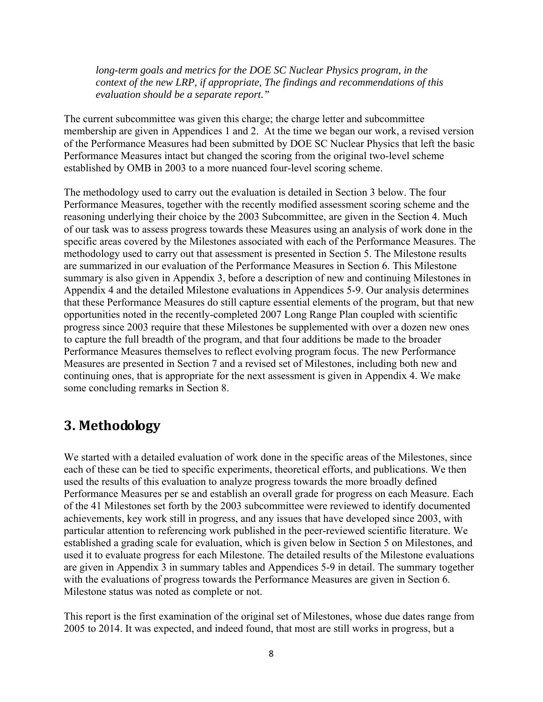*long-term goals and metrics for the DOE SC Nuclear Physics program, in the context of the new LRP, if appropriate, The findings and recommendations of this evaluation should be a separate report."* 

The current subcommittee was given this charge; the charge letter and subcommittee membership are given in Appendices 1 and 2. At the time we began our work, a revised version of the Performance Measures had been submitted by DOE SC Nuclear Physics that left the basic Performance Measures intact but changed the scoring from the original two-level scheme established by OMB in 2003 to a more nuanced four-level scoring scheme.

The methodology used to carry out the evaluation is detailed in Section 3 below. The four Performance Measures, together with the recently modified assessment scoring scheme and the reasoning underlying their choice by the 2003 Subcommittee, are given in the Section 4. Much of our task was to assess progress towards these Measures using an analysis of work done in the specific areas covered by the Milestones associated with each of the Performance Measures. The methodology used to carry out that assessment is presented in Section 5. The Milestone results are summarized in our evaluation of the Performance Measures in Section 6. This Milestone summary is also given in Appendix 3, before a description of new and continuing Milestones in Appendix 4 and the detailed Milestone evaluations in Appendices 5-9. Our analysis determines that these Performance Measures do still capture essential elements of the program, but that new opportunities noted in the recently-completed 2007 Long Range Plan coupled with scientific progress since 2003 require that these Milestones be supplemented with over a dozen new ones to capture the full breadth of the program, and that four additions be made to the broader Performance Measures themselves to reflect evolving program focus. The new Performance Measures are presented in Section 7 and a revised set of Milestones, including both new and continuing ones, that is appropriate for the next assessment is given in Appendix 4. We make some concluding remarks in Section 8.

### **3. Methodology**

We started with a detailed evaluation of work done in the specific areas of the Milestones, since each of these can be tied to specific experiments, theoretical efforts, and publications. We then used the results of this evaluation to analyze progress towards the more broadly defined Performance Measures per se and establish an overall grade for progress on each Measure. Each of the 41 Milestones set forth by the 2003 subcommittee were reviewed to identify documented achievements, key work still in progress, and any issues that have developed since 2003, with particular attention to referencing work published in the peer-reviewed scientific literature. We established a grading scale for evaluation, which is given below in Section 5 on Milestones, and used it to evaluate progress for each Milestone. The detailed results of the Milestone evaluations are given in Appendix 3 in summary tables and Appendices 5-9 in detail. The summary together with the evaluations of progress towards the Performance Measures are given in Section 6. Milestone status was noted as complete or not.

This report is the first examination of the original set of Milestones, whose due dates range from 2005 to 2014. It was expected, and indeed found, that most are still works in progress, but a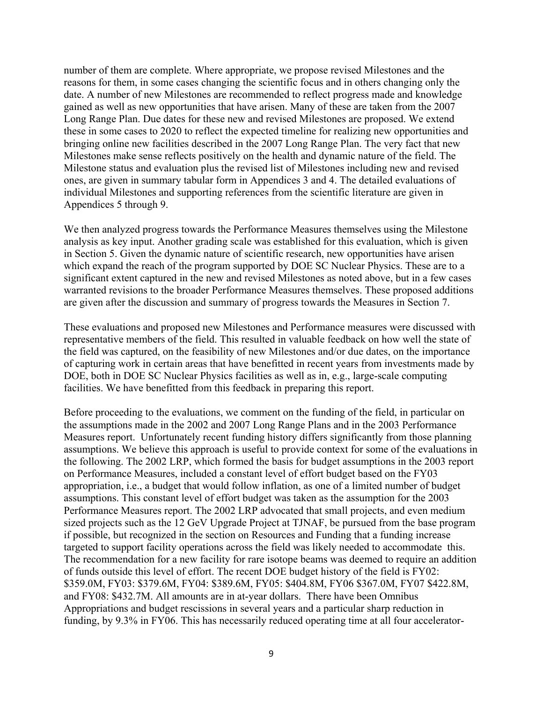number of them are complete. Where appropriate, we propose revised Milestones and the reasons for them, in some cases changing the scientific focus and in others changing only the date. A number of new Milestones are recommended to reflect progress made and knowledge gained as well as new opportunities that have arisen. Many of these are taken from the 2007 Long Range Plan. Due dates for these new and revised Milestones are proposed. We extend these in some cases to 2020 to reflect the expected timeline for realizing new opportunities and bringing online new facilities described in the 2007 Long Range Plan. The very fact that new Milestones make sense reflects positively on the health and dynamic nature of the field. The Milestone status and evaluation plus the revised list of Milestones including new and revised ones, are given in summary tabular form in Appendices 3 and 4. The detailed evaluations of individual Milestones and supporting references from the scientific literature are given in Appendices 5 through 9.

We then analyzed progress towards the Performance Measures themselves using the Milestone analysis as key input. Another grading scale was established for this evaluation, which is given in Section 5. Given the dynamic nature of scientific research, new opportunities have arisen which expand the reach of the program supported by DOE SC Nuclear Physics. These are to a significant extent captured in the new and revised Milestones as noted above, but in a few cases warranted revisions to the broader Performance Measures themselves. These proposed additions are given after the discussion and summary of progress towards the Measures in Section 7.

These evaluations and proposed new Milestones and Performance measures were discussed with representative members of the field. This resulted in valuable feedback on how well the state of the field was captured, on the feasibility of new Milestones and/or due dates, on the importance of capturing work in certain areas that have benefitted in recent years from investments made by DOE, both in DOE SC Nuclear Physics facilities as well as in, e.g., large-scale computing facilities. We have benefitted from this feedback in preparing this report.

Before proceeding to the evaluations, we comment on the funding of the field, in particular on the assumptions made in the 2002 and 2007 Long Range Plans and in the 2003 Performance Measures report. Unfortunately recent funding history differs significantly from those planning assumptions. We believe this approach is useful to provide context for some of the evaluations in the following. The 2002 LRP, which formed the basis for budget assumptions in the 2003 report on Performance Measures, included a constant level of effort budget based on the FY03 appropriation, i.e., a budget that would follow inflation, as one of a limited number of budget assumptions. This constant level of effort budget was taken as the assumption for the 2003 Performance Measures report. The 2002 LRP advocated that small projects, and even medium sized projects such as the 12 GeV Upgrade Project at TJNAF, be pursued from the base program if possible, but recognized in the section on Resources and Funding that a funding increase targeted to support facility operations across the field was likely needed to accommodate this. The recommendation for a new facility for rare isotope beams was deemed to require an addition of funds outside this level of effort. The recent DOE budget history of the field is FY02: \$359.0M, FY03: \$379.6M, FY04: \$389.6M, FY05: \$404.8M, FY06 \$367.0M, FY07 \$422.8M, and FY08: \$432.7M. All amounts are in at-year dollars. There have been Omnibus Appropriations and budget rescissions in several years and a particular sharp reduction in funding, by 9.3% in FY06. This has necessarily reduced operating time at all four accelerator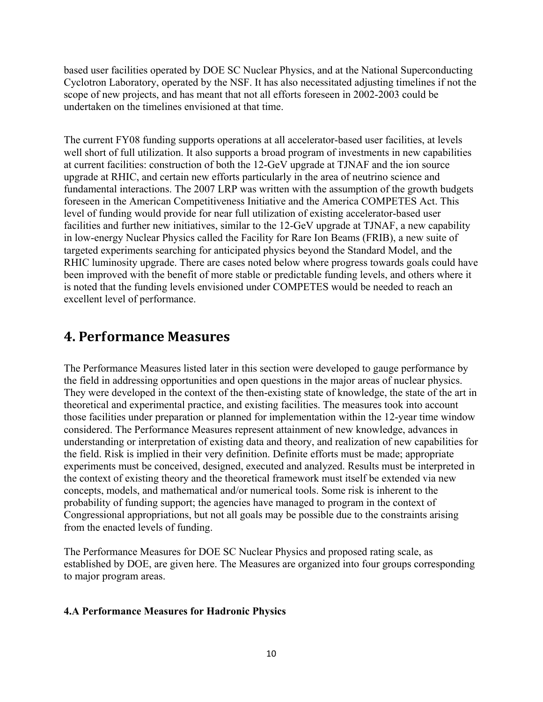based user facilities operated by DOE SC Nuclear Physics, and at the National Superconducting Cyclotron Laboratory, operated by the NSF. It has also necessitated adjusting timelines if not the scope of new projects, and has meant that not all efforts foreseen in 2002-2003 could be undertaken on the timelines envisioned at that time.

The current FY08 funding supports operations at all accelerator-based user facilities, at levels well short of full utilization. It also supports a broad program of investments in new capabilities at current facilities: construction of both the 12-GeV upgrade at TJNAF and the ion source upgrade at RHIC, and certain new efforts particularly in the area of neutrino science and fundamental interactions. The 2007 LRP was written with the assumption of the growth budgets foreseen in the American Competitiveness Initiative and the America COMPETES Act. This level of funding would provide for near full utilization of existing accelerator-based user facilities and further new initiatives, similar to the 12-GeV upgrade at TJNAF, a new capability in low-energy Nuclear Physics called the Facility for Rare Ion Beams (FRIB), a new suite of targeted experiments searching for anticipated physics beyond the Standard Model, and the RHIC luminosity upgrade. There are cases noted below where progress towards goals could have been improved with the benefit of more stable or predictable funding levels, and others where it is noted that the funding levels envisioned under COMPETES would be needed to reach an excellent level of performance.

### **4. Performance Measures**

The Performance Measures listed later in this section were developed to gauge performance by the field in addressing opportunities and open questions in the major areas of nuclear physics. They were developed in the context of the then-existing state of knowledge, the state of the art in theoretical and experimental practice, and existing facilities. The measures took into account those facilities under preparation or planned for implementation within the 12-year time window considered. The Performance Measures represent attainment of new knowledge, advances in understanding or interpretation of existing data and theory, and realization of new capabilities for the field. Risk is implied in their very definition. Definite efforts must be made; appropriate experiments must be conceived, designed, executed and analyzed. Results must be interpreted in the context of existing theory and the theoretical framework must itself be extended via new concepts, models, and mathematical and/or numerical tools. Some risk is inherent to the probability of funding support; the agencies have managed to program in the context of Congressional appropriations, but not all goals may be possible due to the constraints arising from the enacted levels of funding.

The Performance Measures for DOE SC Nuclear Physics and proposed rating scale, as established by DOE, are given here. The Measures are organized into four groups corresponding to major program areas.

#### **4.A Performance Measures for Hadronic Physics**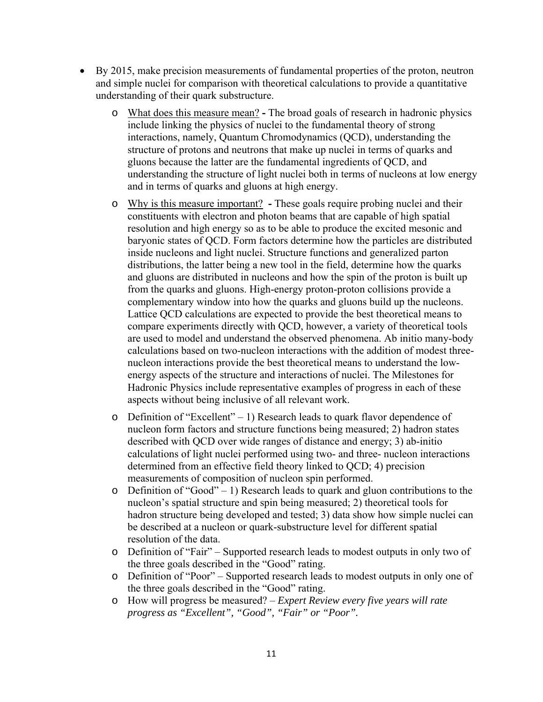- By 2015, make precision measurements of fundamental properties of the proton, neutron and simple nuclei for comparison with theoretical calculations to provide a quantitative understanding of their quark substructure.
	- o What does this measure mean? The broad goals of research in hadronic physics include linking the physics of nuclei to the fundamental theory of strong interactions, namely, Quantum Chromodynamics (QCD), understanding the structure of protons and neutrons that make up nuclei in terms of quarks and gluons because the latter are the fundamental ingredients of QCD, and understanding the structure of light nuclei both in terms of nucleons at low energy and in terms of quarks and gluons at high energy.
	- o Why is this measure important? These goals require probing nuclei and their constituents with electron and photon beams that are capable of high spatial resolution and high energy so as to be able to produce the excited mesonic and baryonic states of QCD. Form factors determine how the particles are distributed inside nucleons and light nuclei. Structure functions and generalized parton distributions, the latter being a new tool in the field, determine how the quarks and gluons are distributed in nucleons and how the spin of the proton is built up from the quarks and gluons. High-energy proton-proton collisions provide a complementary window into how the quarks and gluons build up the nucleons. Lattice QCD calculations are expected to provide the best theoretical means to compare experiments directly with QCD, however, a variety of theoretical tools are used to model and understand the observed phenomena. Ab initio many-body calculations based on two-nucleon interactions with the addition of modest threenucleon interactions provide the best theoretical means to understand the lowenergy aspects of the structure and interactions of nuclei. The Milestones for Hadronic Physics include representative examples of progress in each of these aspects without being inclusive of all relevant work.
	- o Definition of "Excellent" 1) Research leads to quark flavor dependence of nucleon form factors and structure functions being measured; 2) hadron states described with QCD over wide ranges of distance and energy; 3) ab-initio calculations of light nuclei performed using two- and three- nucleon interactions determined from an effective field theory linked to QCD; 4) precision measurements of composition of nucleon spin performed.
	- o Definition of "Good" 1) Research leads to quark and gluon contributions to the nucleon's spatial structure and spin being measured; 2) theoretical tools for hadron structure being developed and tested; 3) data show how simple nuclei can be described at a nucleon or quark-substructure level for different spatial resolution of the data.
	- o Definition of "Fair" Supported research leads to modest outputs in only two of the three goals described in the "Good" rating.
	- o Definition of "Poor" Supported research leads to modest outputs in only one of the three goals described in the "Good" rating.
	- o How will progress be measured? *Expert Review every five years will rate progress as "Excellent", "Good", "Fair" or "Poor".*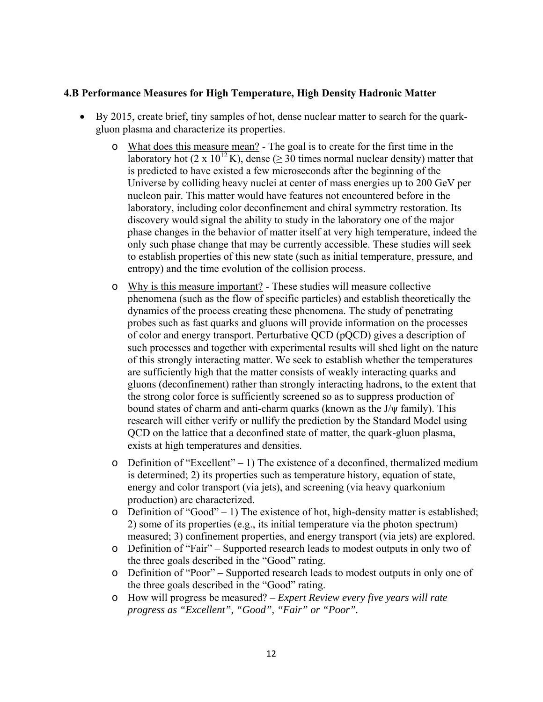#### **4.B Performance Measures for High Temperature, High Density Hadronic Matter**

- By 2015, create brief, tiny samples of hot, dense nuclear matter to search for the quarkgluon plasma and characterize its properties.
	- o What does this measure mean? The goal is to create for the first time in the laboratory hot (2 x 10<sup>12</sup> K), dense ( $\geq$  30 times normal nuclear density) matter that is predicted to have existed a few microseconds after the beginning of the Universe by colliding heavy nuclei at center of mass energies up to 200 GeV per nucleon pair. This matter would have features not encountered before in the laboratory, including color deconfinement and chiral symmetry restoration. Its discovery would signal the ability to study in the laboratory one of the major phase changes in the behavior of matter itself at very high temperature, indeed the only such phase change that may be currently accessible. These studies will seek to establish properties of this new state (such as initial temperature, pressure, and entropy) and the time evolution of the collision process.
	- o Why is this measure important? These studies will measure collective phenomena (such as the flow of specific particles) and establish theoretically the dynamics of the process creating these phenomena. The study of penetrating probes such as fast quarks and gluons will provide information on the processes of color and energy transport. Perturbative QCD (pQCD) gives a description of such processes and together with experimental results will shed light on the nature of this strongly interacting matter. We seek to establish whether the temperatures are sufficiently high that the matter consists of weakly interacting quarks and gluons (deconfinement) rather than strongly interacting hadrons, to the extent that the strong color force is sufficiently screened so as to suppress production of bound states of charm and anti-charm quarks (known as the J/ψ family). This research will either verify or nullify the prediction by the Standard Model using QCD on the lattice that a deconfined state of matter, the quark-gluon plasma, exists at high temperatures and densities.
	- o Definition of "Excellent" 1) The existence of a deconfined, thermalized medium is determined; 2) its properties such as temperature history, equation of state, energy and color transport (via jets), and screening (via heavy quarkonium production) are characterized.
	- $\circ$  Definition of "Good" 1) The existence of hot, high-density matter is established; 2) some of its properties (e.g., its initial temperature via the photon spectrum) measured; 3) confinement properties, and energy transport (via jets) are explored.
	- o Definition of "Fair" Supported research leads to modest outputs in only two of the three goals described in the "Good" rating.
	- o Definition of "Poor" Supported research leads to modest outputs in only one of the three goals described in the "Good" rating.
	- o How will progress be measured? *Expert Review every five years will rate progress as "Excellent", "Good", "Fair" or "Poor".*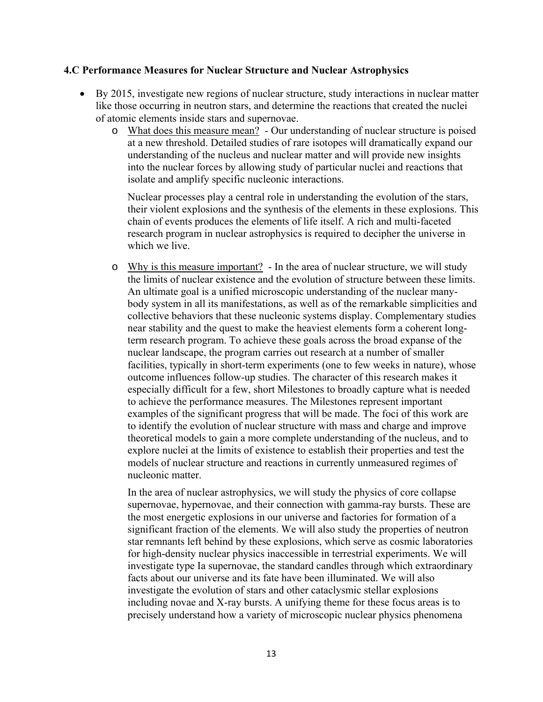#### **4.C Performance Measures for Nuclear Structure and Nuclear Astrophysics**

- By 2015, investigate new regions of nuclear structure, study interactions in nuclear matter like those occurring in neutron stars, and determine the reactions that created the nuclei of atomic elements inside stars and supernovae.
	- o What does this measure mean? Our understanding of nuclear structure is poised at a new threshold. Detailed studies of rare isotopes will dramatically expand our understanding of the nucleus and nuclear matter and will provide new insights into the nuclear forces by allowing study of particular nuclei and reactions that isolate and amplify specific nucleonic interactions.

Nuclear processes play a central role in understanding the evolution of the stars, their violent explosions and the synthesis of the elements in these explosions. This chain of events produces the elements of life itself. A rich and multi-faceted research program in nuclear astrophysics is required to decipher the universe in which we live.

o Why is this measure important? - In the area of nuclear structure, we will study the limits of nuclear existence and the evolution of structure between these limits. An ultimate goal is a unified microscopic understanding of the nuclear manybody system in all its manifestations, as well as of the remarkable simplicities and collective behaviors that these nucleonic systems display. Complementary studies near stability and the quest to make the heaviest elements form a coherent longterm research program. To achieve these goals across the broad expanse of the nuclear landscape, the program carries out research at a number of smaller facilities, typically in short-term experiments (one to few weeks in nature), whose outcome influences follow-up studies. The character of this research makes it especially difficult for a few, short Milestones to broadly capture what is needed to achieve the performance measures. The Milestones represent important examples of the significant progress that will be made. The foci of this work are to identify the evolution of nuclear structure with mass and charge and improve theoretical models to gain a more complete understanding of the nucleus, and to explore nuclei at the limits of existence to establish their properties and test the models of nuclear structure and reactions in currently unmeasured regimes of nucleonic matter.

In the area of nuclear astrophysics, we will study the physics of core collapse supernovae, hypernovae, and their connection with gamma-ray bursts. These are the most energetic explosions in our universe and factories for formation of a significant fraction of the elements. We will also study the properties of neutron star remnants left behind by these explosions, which serve as cosmic laboratories for high-density nuclear physics inaccessible in terrestrial experiments. We will investigate type Ia supernovae, the standard candles through which extraordinary facts about our universe and its fate have been illuminated. We will also investigate the evolution of stars and other cataclysmic stellar explosions including novae and X-ray bursts. A unifying theme for these focus areas is to precisely understand how a variety of microscopic nuclear physics phenomena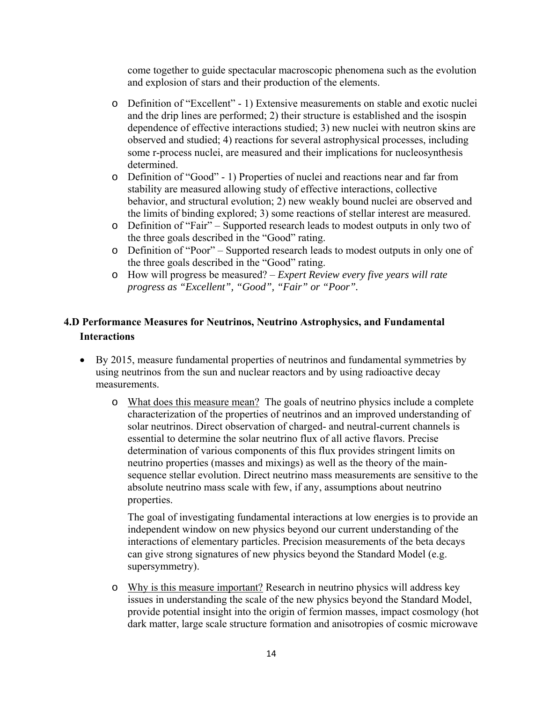come together to guide spectacular macroscopic phenomena such as the evolution and explosion of stars and their production of the elements.

- o Definition of "Excellent" 1) Extensive measurements on stable and exotic nuclei and the drip lines are performed; 2) their structure is established and the isospin dependence of effective interactions studied; 3) new nuclei with neutron skins are observed and studied; 4) reactions for several astrophysical processes, including some r-process nuclei, are measured and their implications for nucleosynthesis determined.
- o Definition of "Good" 1) Properties of nuclei and reactions near and far from stability are measured allowing study of effective interactions, collective behavior, and structural evolution; 2) new weakly bound nuclei are observed and the limits of binding explored; 3) some reactions of stellar interest are measured.
- o Definition of "Fair" Supported research leads to modest outputs in only two of the three goals described in the "Good" rating.
- o Definition of "Poor" Supported research leads to modest outputs in only one of the three goals described in the "Good" rating.
- o How will progress be measured? *Expert Review every five years will rate progress as "Excellent", "Good", "Fair" or "Poor".*

### **4.D Performance Measures for Neutrinos, Neutrino Astrophysics, and Fundamental Interactions**

- By 2015, measure fundamental properties of neutrinos and fundamental symmetries by using neutrinos from the sun and nuclear reactors and by using radioactive decay measurements.
	- o What does this measure mean? The goals of neutrino physics include a complete characterization of the properties of neutrinos and an improved understanding of solar neutrinos. Direct observation of charged- and neutral-current channels is essential to determine the solar neutrino flux of all active flavors. Precise determination of various components of this flux provides stringent limits on neutrino properties (masses and mixings) as well as the theory of the mainsequence stellar evolution. Direct neutrino mass measurements are sensitive to the absolute neutrino mass scale with few, if any, assumptions about neutrino properties.

The goal of investigating fundamental interactions at low energies is to provide an independent window on new physics beyond our current understanding of the interactions of elementary particles. Precision measurements of the beta decays can give strong signatures of new physics beyond the Standard Model (e.g. supersymmetry).

o Why is this measure important? Research in neutrino physics will address key issues in understanding the scale of the new physics beyond the Standard Model, provide potential insight into the origin of fermion masses, impact cosmology (hot dark matter, large scale structure formation and anisotropies of cosmic microwave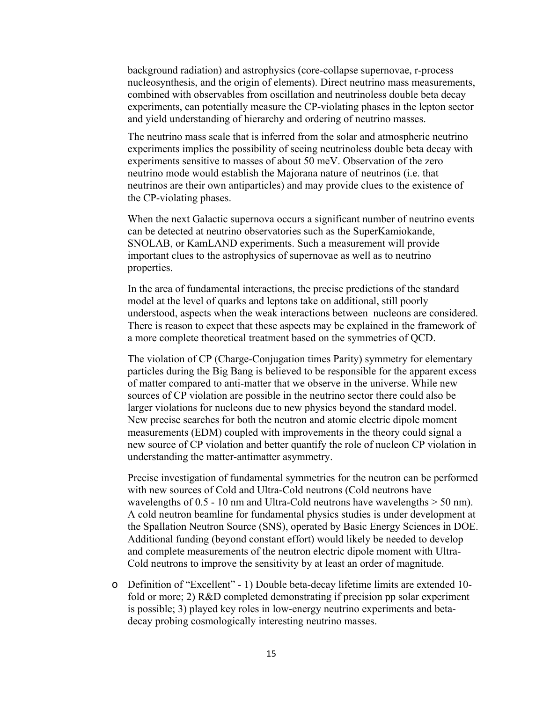background radiation) and astrophysics (core-collapse supernovae, r-process nucleosynthesis, and the origin of elements). Direct neutrino mass measurements, combined with observables from oscillation and neutrinoless double beta decay experiments, can potentially measure the CP-violating phases in the lepton sector and yield understanding of hierarchy and ordering of neutrino masses.

The neutrino mass scale that is inferred from the solar and atmospheric neutrino experiments implies the possibility of seeing neutrinoless double beta decay with experiments sensitive to masses of about 50 meV. Observation of the zero neutrino mode would establish the Majorana nature of neutrinos (i.e. that neutrinos are their own antiparticles) and may provide clues to the existence of the CP-violating phases.

When the next Galactic supernova occurs a significant number of neutrino events can be detected at neutrino observatories such as the SuperKamiokande, SNOLAB, or KamLAND experiments. Such a measurement will provide important clues to the astrophysics of supernovae as well as to neutrino properties.

In the area of fundamental interactions, the precise predictions of the standard model at the level of quarks and leptons take on additional, still poorly understood, aspects when the weak interactions between nucleons are considered. There is reason to expect that these aspects may be explained in the framework of a more complete theoretical treatment based on the symmetries of QCD.

The violation of CP (Charge-Conjugation times Parity) symmetry for elementary particles during the Big Bang is believed to be responsible for the apparent excess of matter compared to anti-matter that we observe in the universe. While new sources of CP violation are possible in the neutrino sector there could also be larger violations for nucleons due to new physics beyond the standard model. New precise searches for both the neutron and atomic electric dipole moment measurements (EDM) coupled with improvements in the theory could signal a new source of CP violation and better quantify the role of nucleon CP violation in understanding the matter-antimatter asymmetry.

Precise investigation of fundamental symmetries for the neutron can be performed with new sources of Cold and Ultra-Cold neutrons (Cold neutrons have wavelengths of  $0.5 - 10$  nm and Ultra-Cold neutrons have wavelengths  $> 50$  nm). A cold neutron beamline for fundamental physics studies is under development at the Spallation Neutron Source (SNS), operated by Basic Energy Sciences in DOE. Additional funding (beyond constant effort) would likely be needed to develop and complete measurements of the neutron electric dipole moment with Ultra-Cold neutrons to improve the sensitivity by at least an order of magnitude.

o Definition of "Excellent" - 1) Double beta-decay lifetime limits are extended 10 fold or more; 2) R&D completed demonstrating if precision pp solar experiment is possible; 3) played key roles in low-energy neutrino experiments and betadecay probing cosmologically interesting neutrino masses.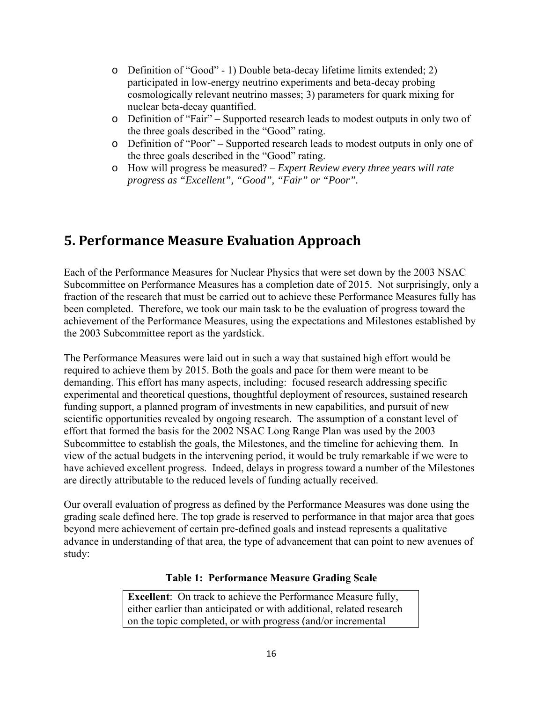- o Definition of "Good" 1) Double beta-decay lifetime limits extended; 2) participated in low-energy neutrino experiments and beta-decay probing cosmologically relevant neutrino masses; 3) parameters for quark mixing for nuclear beta-decay quantified.
- o Definition of "Fair" Supported research leads to modest outputs in only two of the three goals described in the "Good" rating.
- o Definition of "Poor" Supported research leads to modest outputs in only one of the three goals described in the "Good" rating.
- o How will progress be measured? *Expert Review every three years will rate progress as "Excellent", "Good", "Fair" or "Poor".*

## **5. Performance Measure Evaluation Approach**

Each of the Performance Measures for Nuclear Physics that were set down by the 2003 NSAC Subcommittee on Performance Measures has a completion date of 2015. Not surprisingly, only a fraction of the research that must be carried out to achieve these Performance Measures fully has been completed. Therefore, we took our main task to be the evaluation of progress toward the achievement of the Performance Measures, using the expectations and Milestones established by the 2003 Subcommittee report as the yardstick.

The Performance Measures were laid out in such a way that sustained high effort would be required to achieve them by 2015. Both the goals and pace for them were meant to be demanding. This effort has many aspects, including: focused research addressing specific experimental and theoretical questions, thoughtful deployment of resources, sustained research funding support, a planned program of investments in new capabilities, and pursuit of new scientific opportunities revealed by ongoing research. The assumption of a constant level of effort that formed the basis for the 2002 NSAC Long Range Plan was used by the 2003 Subcommittee to establish the goals, the Milestones, and the timeline for achieving them. In view of the actual budgets in the intervening period, it would be truly remarkable if we were to have achieved excellent progress. Indeed, delays in progress toward a number of the Milestones are directly attributable to the reduced levels of funding actually received.

Our overall evaluation of progress as defined by the Performance Measures was done using the grading scale defined here. The top grade is reserved to performance in that major area that goes beyond mere achievement of certain pre-defined goals and instead represents a qualitative advance in understanding of that area, the type of advancement that can point to new avenues of study:

#### **Table 1: Performance Measure Grading Scale**

**Excellent**: On track to achieve the Performance Measure fully, either earlier than anticipated or with additional, related research on the topic completed, or with progress (and/or incremental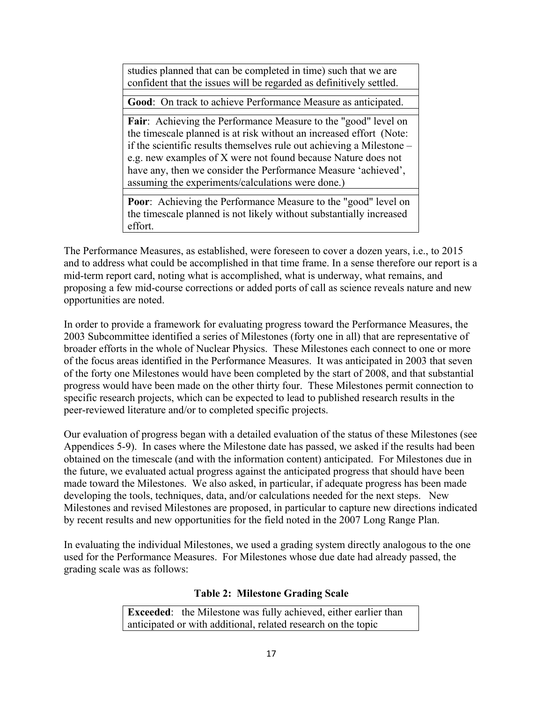studies planned that can be completed in time) such that we are confident that the issues will be regarded as definitively settled.

**Good**: On track to achieve Performance Measure as anticipated.

Fair: Achieving the Performance Measure to the "good" level on the timescale planned is at risk without an increased effort (Note: if the scientific results themselves rule out achieving a Milestone – e.g. new examples of X were not found because Nature does not have any, then we consider the Performance Measure 'achieved', assuming the experiments/calculations were done.)

**Poor**: Achieving the Performance Measure to the "good" level on the timescale planned is not likely without substantially increased effort.

The Performance Measures, as established, were foreseen to cover a dozen years, i.e., to 2015 and to address what could be accomplished in that time frame. In a sense therefore our report is a mid-term report card, noting what is accomplished, what is underway, what remains, and proposing a few mid-course corrections or added ports of call as science reveals nature and new opportunities are noted.

In order to provide a framework for evaluating progress toward the Performance Measures, the 2003 Subcommittee identified a series of Milestones (forty one in all) that are representative of broader efforts in the whole of Nuclear Physics. These Milestones each connect to one or more of the focus areas identified in the Performance Measures. It was anticipated in 2003 that seven of the forty one Milestones would have been completed by the start of 2008, and that substantial progress would have been made on the other thirty four. These Milestones permit connection to specific research projects, which can be expected to lead to published research results in the peer-reviewed literature and/or to completed specific projects.

Our evaluation of progress began with a detailed evaluation of the status of these Milestones (see Appendices 5-9). In cases where the Milestone date has passed, we asked if the results had been obtained on the timescale (and with the information content) anticipated. For Milestones due in the future, we evaluated actual progress against the anticipated progress that should have been made toward the Milestones. We also asked, in particular, if adequate progress has been made developing the tools, techniques, data, and/or calculations needed for the next steps. New Milestones and revised Milestones are proposed, in particular to capture new directions indicated by recent results and new opportunities for the field noted in the 2007 Long Range Plan.

In evaluating the individual Milestones, we used a grading system directly analogous to the one used for the Performance Measures. For Milestones whose due date had already passed, the grading scale was as follows:

#### **Table 2: Milestone Grading Scale**

**Exceeded**: the Milestone was fully achieved, either earlier than anticipated or with additional, related research on the topic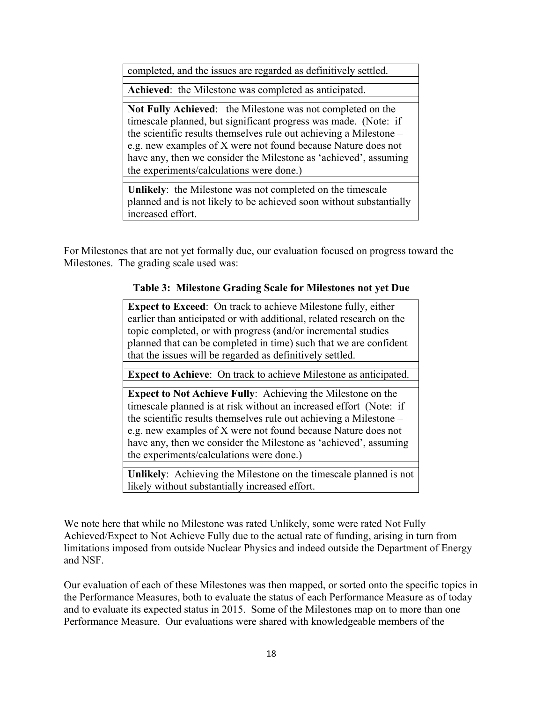completed, and the issues are regarded as definitively settled.

**Achieved**: the Milestone was completed as anticipated.

**Not Fully Achieved**: the Milestone was not completed on the timescale planned, but significant progress was made. (Note: if the scientific results themselves rule out achieving a Milestone – e.g. new examples of X were not found because Nature does not have any, then we consider the Milestone as 'achieved', assuming the experiments/calculations were done.)

**Unlikely**: the Milestone was not completed on the timescale planned and is not likely to be achieved soon without substantially increased effort.

For Milestones that are not yet formally due, our evaluation focused on progress toward the Milestones. The grading scale used was:

#### **Table 3: Milestone Grading Scale for Milestones not yet Due**

**Expect to Exceed**: On track to achieve Milestone fully, either earlier than anticipated or with additional, related research on the topic completed, or with progress (and/or incremental studies planned that can be completed in time) such that we are confident that the issues will be regarded as definitively settled.

**Expect to Achieve**: On track to achieve Milestone as anticipated.

**Expect to Not Achieve Fully**: Achieving the Milestone on the timescale planned is at risk without an increased effort (Note: if the scientific results themselves rule out achieving a Milestone – e.g. new examples of X were not found because Nature does not have any, then we consider the Milestone as 'achieved', assuming the experiments/calculations were done.)

**Unlikely**: Achieving the Milestone on the timescale planned is not likely without substantially increased effort.

We note here that while no Milestone was rated Unlikely, some were rated Not Fully Achieved/Expect to Not Achieve Fully due to the actual rate of funding, arising in turn from limitations imposed from outside Nuclear Physics and indeed outside the Department of Energy and NSF.

Our evaluation of each of these Milestones was then mapped, or sorted onto the specific topics in the Performance Measures, both to evaluate the status of each Performance Measure as of today and to evaluate its expected status in 2015. Some of the Milestones map on to more than one Performance Measure. Our evaluations were shared with knowledgeable members of the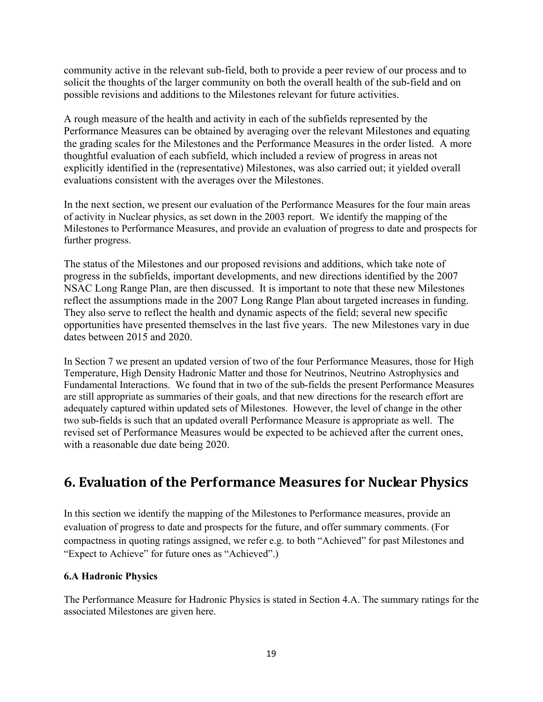community active in the relevant sub-field, both to provide a peer review of our process and to solicit the thoughts of the larger community on both the overall health of the sub-field and on possible revisions and additions to the Milestones relevant for future activities.

A rough measure of the health and activity in each of the subfields represented by the Performance Measures can be obtained by averaging over the relevant Milestones and equating the grading scales for the Milestones and the Performance Measures in the order listed. A more thoughtful evaluation of each subfield, which included a review of progress in areas not explicitly identified in the (representative) Milestones, was also carried out; it yielded overall evaluations consistent with the averages over the Milestones.

In the next section, we present our evaluation of the Performance Measures for the four main areas of activity in Nuclear physics, as set down in the 2003 report. We identify the mapping of the Milestones to Performance Measures, and provide an evaluation of progress to date and prospects for further progress.

The status of the Milestones and our proposed revisions and additions, which take note of progress in the subfields, important developments, and new directions identified by the 2007 NSAC Long Range Plan, are then discussed. It is important to note that these new Milestones reflect the assumptions made in the 2007 Long Range Plan about targeted increases in funding. They also serve to reflect the health and dynamic aspects of the field; several new specific opportunities have presented themselves in the last five years. The new Milestones vary in due dates between 2015 and 2020.

In Section 7 we present an updated version of two of the four Performance Measures, those for High Temperature, High Density Hadronic Matter and those for Neutrinos, Neutrino Astrophysics and Fundamental Interactions. We found that in two of the sub-fields the present Performance Measures are still appropriate as summaries of their goals, and that new directions for the research effort are adequately captured within updated sets of Milestones. However, the level of change in the other two sub-fields is such that an updated overall Performance Measure is appropriate as well. The revised set of Performance Measures would be expected to be achieved after the current ones, with a reasonable due date being 2020.

### **6. Evaluation of the Performance Measures for Nuclear Physics**

In this section we identify the mapping of the Milestones to Performance measures, provide an evaluation of progress to date and prospects for the future, and offer summary comments. (For compactness in quoting ratings assigned, we refer e.g. to both "Achieved" for past Milestones and "Expect to Achieve" for future ones as "Achieved".)

#### **6.A Hadronic Physics**

The Performance Measure for Hadronic Physics is stated in Section 4.A. The summary ratings for the associated Milestones are given here.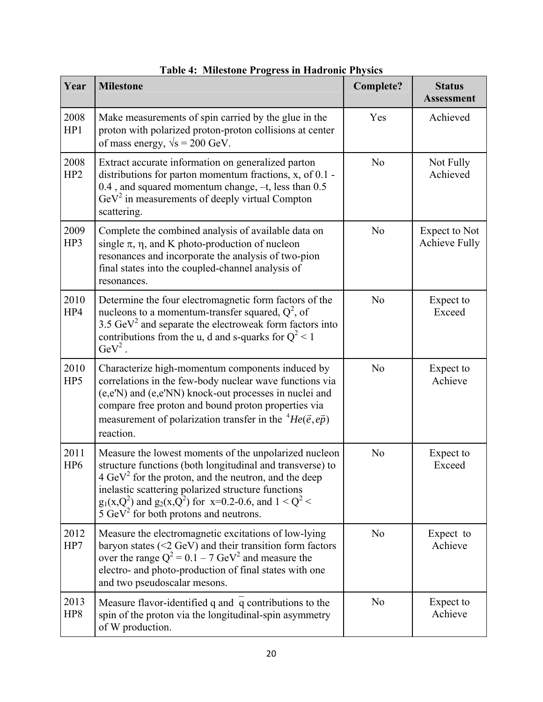| Year                    | <b>Milestone</b>                                                                                                                                                                                                                                                                                                                                           | <b>Complete?</b> | <b>Status</b><br><b>Assessment</b>    |
|-------------------------|------------------------------------------------------------------------------------------------------------------------------------------------------------------------------------------------------------------------------------------------------------------------------------------------------------------------------------------------------------|------------------|---------------------------------------|
| 2008<br>HP1             | Make measurements of spin carried by the glue in the<br>proton with polarized proton-proton collisions at center<br>of mass energy, $\sqrt{s} = 200$ GeV.                                                                                                                                                                                                  | Yes              | Achieved                              |
| 2008<br>HP <sub>2</sub> | Extract accurate information on generalized parton<br>distributions for parton momentum fractions, x, of 0.1 -<br>0.4, and squared momentum change, -t, less than 0.5<br>$\text{GeV}^2$ in measurements of deeply virtual Compton<br>scattering.                                                                                                           | N <sub>o</sub>   | Not Fully<br>Achieved                 |
| 2009<br>HP3             | Complete the combined analysis of available data on<br>single $\pi$ , $\eta$ , and K photo-production of nucleon<br>resonances and incorporate the analysis of two-pion<br>final states into the coupled-channel analysis of<br>resonances.                                                                                                                | N <sub>o</sub>   | Expect to Not<br><b>Achieve Fully</b> |
| 2010<br>HP4             | Determine the four electromagnetic form factors of the<br>nucleons to a momentum-transfer squared, $Q^2$ , of<br>3.5 $\text{GeV}^2$ and separate the electroweak form factors into<br>contributions from the u, d and s-quarks for $Q^2 < 1$<br>$\text{GeV}^2$ .                                                                                           | N <sub>o</sub>   | Expect to<br>Exceed                   |
| 2010<br>HP5             | Characterize high-momentum components induced by<br>correlations in the few-body nuclear wave functions via<br>(e,e'N) and (e,e'NN) knock-out processes in nuclei and<br>compare free proton and bound proton properties via<br>measurement of polarization transfer in the ${}^{4}He(\vec{e}, e\vec{p})$<br>reaction.                                     | N <sub>o</sub>   | Expect to<br>Achieve                  |
| 2011<br>HP <sub>6</sub> | Measure the lowest moments of the unpolarized nucleon<br>structure functions (both longitudinal and transverse) to<br>$4 \text{ GeV}^2$ for the proton, and the neutron, and the deep<br>inelastic scattering polarized structure functions<br>$g_1(x,Q^2)$ and $g_2(x,Q^2)$ for $x=0.2-0.6$ , and $1 < Q^2 <$<br>5 $GeV^2$ for both protons and neutrons. | N <sub>o</sub>   | Expect to<br>Exceed                   |
| 2012<br>HP7             | Measure the electromagnetic excitations of low-lying<br>baryon states $(<2 GeV)$ and their transition form factors<br>over the range $Q^2 = 0.1 - 7 \text{ GeV}^2$ and measure the<br>electro- and photo-production of final states with one<br>and two pseudoscalar mesons.                                                                               | N <sub>0</sub>   | Expect to<br>Achieve                  |
| 2013<br>HP8             | Measure flavor-identified q and q contributions to the<br>spin of the proton via the longitudinal-spin asymmetry<br>of W production.                                                                                                                                                                                                                       | N <sub>o</sub>   | Expect to<br>Achieve                  |

**Table 4: Milestone Progress in Hadronic Physics**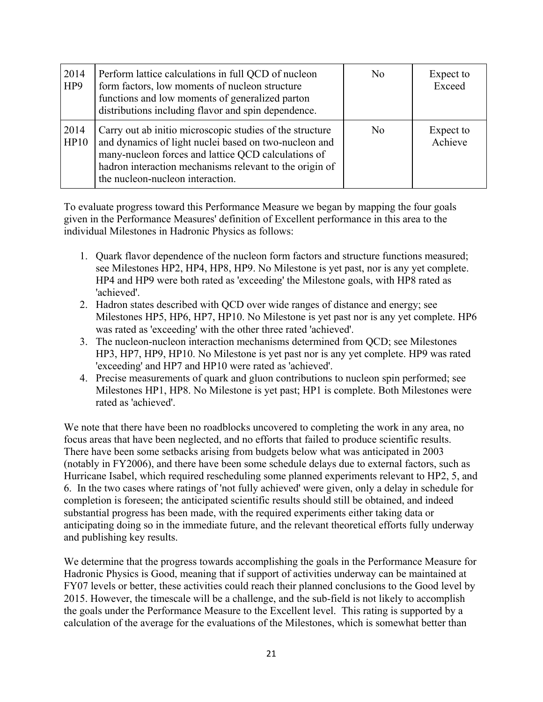| 2014<br>HP <sub>9</sub> | Perform lattice calculations in full QCD of nucleon<br>form factors, low moments of nucleon structure<br>functions and low moments of generalized parton<br>distributions including flavor and spin dependence.                                                         | N <sub>0</sub> | Expect to<br>Exceed  |
|-------------------------|-------------------------------------------------------------------------------------------------------------------------------------------------------------------------------------------------------------------------------------------------------------------------|----------------|----------------------|
| 2014<br>HP10            | Carry out ab initio microscopic studies of the structure<br>and dynamics of light nuclei based on two-nucleon and<br>many-nucleon forces and lattice QCD calculations of<br>hadron interaction mechanisms relevant to the origin of<br>the nucleon-nucleon interaction. | No             | Expect to<br>Achieve |

To evaluate progress toward this Performance Measure we began by mapping the four goals given in the Performance Measures' definition of Excellent performance in this area to the individual Milestones in Hadronic Physics as follows:

- 1. Quark flavor dependence of the nucleon form factors and structure functions measured; see Milestones HP2, HP4, HP8, HP9. No Milestone is yet past, nor is any yet complete. HP4 and HP9 were both rated as 'exceeding' the Milestone goals, with HP8 rated as 'achieved'.
- 2. Hadron states described with QCD over wide ranges of distance and energy; see Milestones HP5, HP6, HP7, HP10. No Milestone is yet past nor is any yet complete. HP6 was rated as 'exceeding' with the other three rated 'achieved'.
- 3. The nucleon-nucleon interaction mechanisms determined from QCD; see Milestones HP3, HP7, HP9, HP10. No Milestone is yet past nor is any yet complete. HP9 was rated 'exceeding' and HP7 and HP10 were rated as 'achieved'.
- 4. Precise measurements of quark and gluon contributions to nucleon spin performed; see Milestones HP1, HP8. No Milestone is yet past; HP1 is complete. Both Milestones were rated as 'achieved'.

We note that there have been no roadblocks uncovered to completing the work in any area, no focus areas that have been neglected, and no efforts that failed to produce scientific results. There have been some setbacks arising from budgets below what was anticipated in 2003 (notably in FY2006), and there have been some schedule delays due to external factors, such as Hurricane Isabel, which required rescheduling some planned experiments relevant to HP2, 5, and 6. In the two cases where ratings of 'not fully achieved' were given, only a delay in schedule for completion is foreseen; the anticipated scientific results should still be obtained, and indeed substantial progress has been made, with the required experiments either taking data or anticipating doing so in the immediate future, and the relevant theoretical efforts fully underway and publishing key results.

We determine that the progress towards accomplishing the goals in the Performance Measure for Hadronic Physics is Good, meaning that if support of activities underway can be maintained at FY07 levels or better, these activities could reach their planned conclusions to the Good level by 2015. However, the timescale will be a challenge, and the sub-field is not likely to accomplish the goals under the Performance Measure to the Excellent level. This rating is supported by a calculation of the average for the evaluations of the Milestones, which is somewhat better than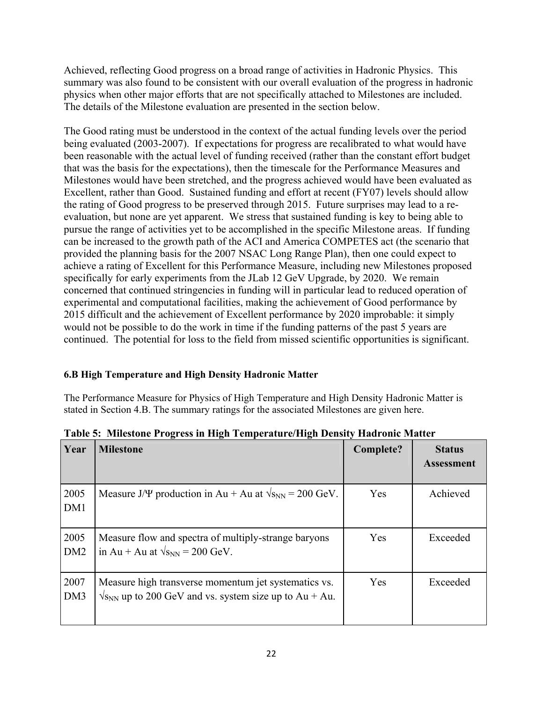Achieved, reflecting Good progress on a broad range of activities in Hadronic Physics. This summary was also found to be consistent with our overall evaluation of the progress in hadronic physics when other major efforts that are not specifically attached to Milestones are included. The details of the Milestone evaluation are presented in the section below.

The Good rating must be understood in the context of the actual funding levels over the period being evaluated (2003-2007). If expectations for progress are recalibrated to what would have been reasonable with the actual level of funding received (rather than the constant effort budget that was the basis for the expectations), then the timescale for the Performance Measures and Milestones would have been stretched, and the progress achieved would have been evaluated as Excellent, rather than Good. Sustained funding and effort at recent (FY07) levels should allow the rating of Good progress to be preserved through 2015. Future surprises may lead to a reevaluation, but none are yet apparent. We stress that sustained funding is key to being able to pursue the range of activities yet to be accomplished in the specific Milestone areas. If funding can be increased to the growth path of the ACI and America COMPETES act (the scenario that provided the planning basis for the 2007 NSAC Long Range Plan), then one could expect to achieve a rating of Excellent for this Performance Measure, including new Milestones proposed specifically for early experiments from the JLab 12 GeV Upgrade, by 2020. We remain concerned that continued stringencies in funding will in particular lead to reduced operation of experimental and computational facilities, making the achievement of Good performance by 2015 difficult and the achievement of Excellent performance by 2020 improbable: it simply would not be possible to do the work in time if the funding patterns of the past 5 years are continued. The potential for loss to the field from missed scientific opportunities is significant.

#### **6.B High Temperature and High Density Hadronic Matter**

The Performance Measure for Physics of High Temperature and High Density Hadronic Matter is stated in Section 4.B. The summary ratings for the associated Milestones are given here.

| Year                    | <b>Milestone</b>                                                                                                         | Complete? | <b>Status</b><br><b>Assessment</b> |
|-------------------------|--------------------------------------------------------------------------------------------------------------------------|-----------|------------------------------------|
| 2005<br>DM1             | Measure J/ $\Psi$ production in Au + Au at $\sqrt{s_{NN}}$ = 200 GeV.                                                    | Yes       | Achieved                           |
| 2005<br>DM <sub>2</sub> | Measure flow and spectra of multiply-strange baryons<br>in Au + Au at $\sqrt{s_{NN}}$ = 200 GeV.                         | Yes       | Exceeded                           |
| 2007<br>DM3             | Measure high transverse momentum jet systematics vs.<br>$\sqrt{s_{NN}}$ up to 200 GeV and vs. system size up to Au + Au. | Yes       | Exceeded                           |

**Table 5: Milestone Progress in High Temperature/High Density Hadronic Matter**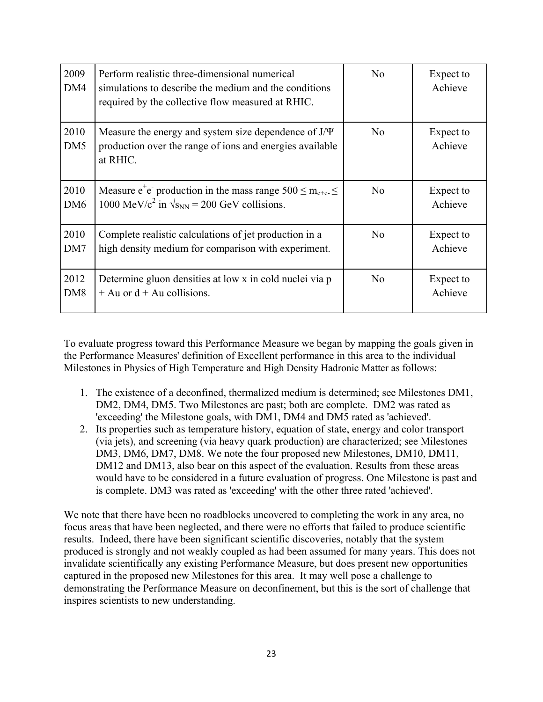| 2009<br>DM4             | Perform realistic three-dimensional numerical<br>simulations to describe the medium and the conditions<br>required by the collective flow measured at RHIC. | N <sub>0</sub> | Expect to<br>Achieve |
|-------------------------|-------------------------------------------------------------------------------------------------------------------------------------------------------------|----------------|----------------------|
| 2010<br>DM <sub>5</sub> | Measure the energy and system size dependence of $J/\Psi$<br>production over the range of ions and energies available<br>at RHIC.                           | No             | Expect to<br>Achieve |
| 2010                    | Measure $e^+e^-$ production in the mass range $500 \le m_{e+e^-} \le$                                                                                       | N <sub>0</sub> | Expect to            |
| DM <sub>6</sub>         | 1000 MeV/ $c^2$ in $\sqrt{s_{NN}}$ = 200 GeV collisions.                                                                                                    |                | Achieve              |
| 2010                    | Complete realistic calculations of jet production in a                                                                                                      | N <sub>0</sub> | Expect to            |
| DM7                     | high density medium for comparison with experiment.                                                                                                         |                | Achieve              |
| 2012                    | Determine gluon densities at low x in cold nuclei via p                                                                                                     | No             | Expect to            |
| DM <sub>8</sub>         | $+$ Au or $d +$ Au collisions.                                                                                                                              |                | Achieve              |

To evaluate progress toward this Performance Measure we began by mapping the goals given in the Performance Measures' definition of Excellent performance in this area to the individual Milestones in Physics of High Temperature and High Density Hadronic Matter as follows:

- 1. The existence of a deconfined, thermalized medium is determined; see Milestones DM1, DM2, DM4, DM5. Two Milestones are past; both are complete. DM2 was rated as 'exceeding' the Milestone goals, with DM1, DM4 and DM5 rated as 'achieved'.
- 2. Its properties such as temperature history, equation of state, energy and color transport (via jets), and screening (via heavy quark production) are characterized; see Milestones DM3, DM6, DM7, DM8. We note the four proposed new Milestones, DM10, DM11, DM12 and DM13, also bear on this aspect of the evaluation. Results from these areas would have to be considered in a future evaluation of progress. One Milestone is past and is complete. DM3 was rated as 'exceeding' with the other three rated 'achieved'.

We note that there have been no roadblocks uncovered to completing the work in any area, no focus areas that have been neglected, and there were no efforts that failed to produce scientific results. Indeed, there have been significant scientific discoveries, notably that the system produced is strongly and not weakly coupled as had been assumed for many years. This does not invalidate scientifically any existing Performance Measure, but does present new opportunities captured in the proposed new Milestones for this area. It may well pose a challenge to demonstrating the Performance Measure on deconfinement, but this is the sort of challenge that inspires scientists to new understanding.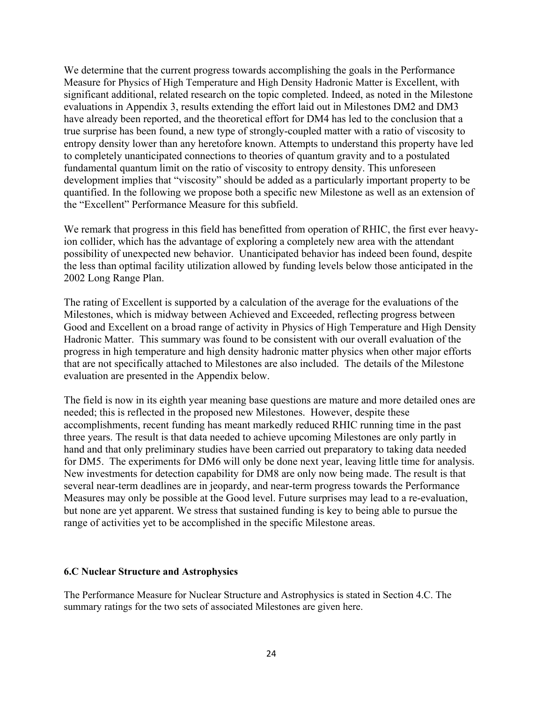We determine that the current progress towards accomplishing the goals in the Performance Measure for Physics of High Temperature and High Density Hadronic Matter is Excellent, with significant additional, related research on the topic completed. Indeed, as noted in the Milestone evaluations in Appendix 3, results extending the effort laid out in Milestones DM2 and DM3 have already been reported, and the theoretical effort for DM4 has led to the conclusion that a true surprise has been found, a new type of strongly-coupled matter with a ratio of viscosity to entropy density lower than any heretofore known. Attempts to understand this property have led to completely unanticipated connections to theories of quantum gravity and to a postulated fundamental quantum limit on the ratio of viscosity to entropy density. This unforeseen development implies that "viscosity" should be added as a particularly important property to be quantified. In the following we propose both a specific new Milestone as well as an extension of the "Excellent" Performance Measure for this subfield.

We remark that progress in this field has benefitted from operation of RHIC, the first ever heavyion collider, which has the advantage of exploring a completely new area with the attendant possibility of unexpected new behavior. Unanticipated behavior has indeed been found, despite the less than optimal facility utilization allowed by funding levels below those anticipated in the 2002 Long Range Plan.

The rating of Excellent is supported by a calculation of the average for the evaluations of the Milestones, which is midway between Achieved and Exceeded, reflecting progress between Good and Excellent on a broad range of activity in Physics of High Temperature and High Density Hadronic Matter. This summary was found to be consistent with our overall evaluation of the progress in high temperature and high density hadronic matter physics when other major efforts that are not specifically attached to Milestones are also included. The details of the Milestone evaluation are presented in the Appendix below.

The field is now in its eighth year meaning base questions are mature and more detailed ones are needed; this is reflected in the proposed new Milestones. However, despite these accomplishments, recent funding has meant markedly reduced RHIC running time in the past three years. The result is that data needed to achieve upcoming Milestones are only partly in hand and that only preliminary studies have been carried out preparatory to taking data needed for DM5. The experiments for DM6 will only be done next year, leaving little time for analysis. New investments for detection capability for DM8 are only now being made. The result is that several near-term deadlines are in jeopardy, and near-term progress towards the Performance Measures may only be possible at the Good level. Future surprises may lead to a re-evaluation, but none are yet apparent. We stress that sustained funding is key to being able to pursue the range of activities yet to be accomplished in the specific Milestone areas.

#### **6.C Nuclear Structure and Astrophysics**

The Performance Measure for Nuclear Structure and Astrophysics is stated in Section 4.C. The summary ratings for the two sets of associated Milestones are given here.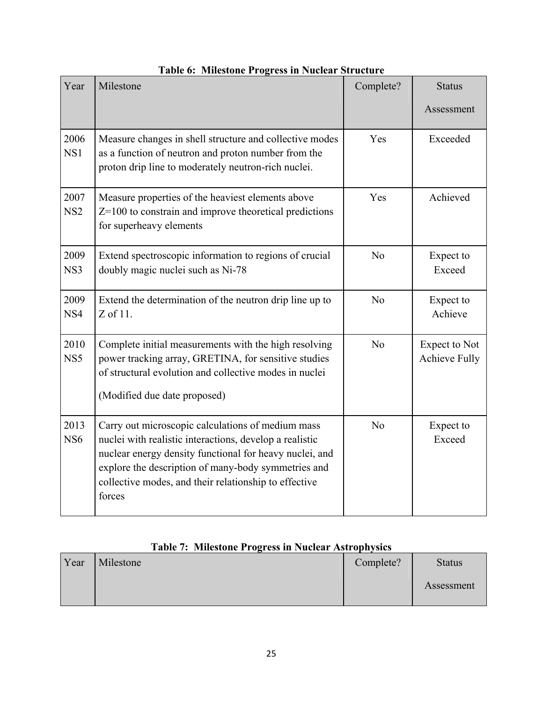| Year                    | Milestone                                                                                                                                                                                                                                                                                         | Complete?      | <b>Status</b>                                |
|-------------------------|---------------------------------------------------------------------------------------------------------------------------------------------------------------------------------------------------------------------------------------------------------------------------------------------------|----------------|----------------------------------------------|
|                         |                                                                                                                                                                                                                                                                                                   |                | Assessment                                   |
| 2006<br>NS1             | Measure changes in shell structure and collective modes<br>as a function of neutron and proton number from the<br>proton drip line to moderately neutron-rich nuclei.                                                                                                                             | Yes            | Exceeded                                     |
| 2007<br>NS <sub>2</sub> | Measure properties of the heaviest elements above<br>$Z=100$ to constrain and improve theoretical predictions<br>for superheavy elements                                                                                                                                                          | Yes            | Achieved                                     |
| 2009<br>NS3             | Extend spectroscopic information to regions of crucial<br>doubly magic nuclei such as Ni-78                                                                                                                                                                                                       | N <sub>0</sub> | Expect to<br>Exceed                          |
| 2009<br>NS4             | Extend the determination of the neutron drip line up to<br>$Z$ of 11.                                                                                                                                                                                                                             | N <sub>o</sub> | Expect to<br>Achieve                         |
| 2010<br>NS <sub>5</sub> | Complete initial measurements with the high resolving<br>power tracking array, GRETINA, for sensitive studies<br>of structural evolution and collective modes in nuclei<br>(Modified due date proposed)                                                                                           | N <sub>0</sub> | <b>Expect to Not</b><br><b>Achieve Fully</b> |
| 2013<br>NS <sub>6</sub> | Carry out microscopic calculations of medium mass<br>nuclei with realistic interactions, develop a realistic<br>nuclear energy density functional for heavy nuclei, and<br>explore the description of many-body symmetries and<br>collective modes, and their relationship to effective<br>forces | N <sub>o</sub> | Expect to<br>Exceed                          |

### **Table 6: Milestone Progress in Nuclear Structure**

|  |  |  |  | Table 7: Milestone Progress in Nuclear Astrophysics |
|--|--|--|--|-----------------------------------------------------|
|--|--|--|--|-----------------------------------------------------|

| Year | Milestone | Complete? | <b>Status</b> |
|------|-----------|-----------|---------------|
|      |           |           | Assessment    |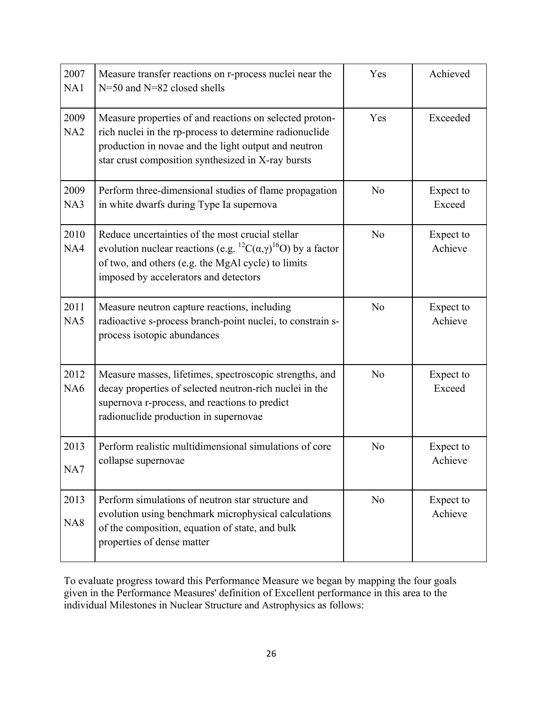| 2007<br>NA1             | Measure transfer reactions on r-process nuclei near the<br>N=50 and N=82 closed shells                                                                                                                                               | Yes            | Achieved             |
|-------------------------|--------------------------------------------------------------------------------------------------------------------------------------------------------------------------------------------------------------------------------------|----------------|----------------------|
| 2009<br>NA2             | Measure properties of and reactions on selected proton-<br>rich nuclei in the rp-process to determine radionuclide<br>production in novae and the light output and neutron<br>star crust composition synthesized in X-ray bursts     | Yes            | Exceeded             |
| 2009<br>NA3             | Perform three-dimensional studies of flame propagation<br>in white dwarfs during Type Ia supernova                                                                                                                                   | N <sub>0</sub> | Expect to<br>Exceed  |
| 2010<br>NA4             | Reduce uncertainties of the most crucial stellar<br>evolution nuclear reactions (e.g. ${}^{12}C(\alpha,\gamma){}^{16}O$ ) by a factor<br>of two, and others (e.g. the MgAl cycle) to limits<br>imposed by accelerators and detectors | N <sub>0</sub> | Expect to<br>Achieve |
| 2011<br>NA5             | Measure neutron capture reactions, including<br>radioactive s-process branch-point nuclei, to constrain s-<br>process isotopic abundances                                                                                            | N <sub>0</sub> | Expect to<br>Achieve |
| 2012<br>NA <sub>6</sub> | Measure masses, lifetimes, spectroscopic strengths, and<br>decay properties of selected neutron-rich nuclei in the<br>supernova r-process, and reactions to predict<br>radionuclide production in supernovae                         | N <sub>0</sub> | Expect to<br>Exceed  |
| 2013<br>NA7             | Perform realistic multidimensional simulations of core<br>collapse supernovae                                                                                                                                                        | N <sub>o</sub> | Expect to<br>Achieve |
| 2013<br>NA <sub>8</sub> | Perform simulations of neutron star structure and<br>evolution using benchmark microphysical calculations<br>of the composition, equation of state, and bulk<br>properties of dense matter                                           | N <sub>0</sub> | Expect to<br>Achieve |

To evaluate progress toward this Performance Measure we began by mapping the four goals given in the Performance Measures' definition of Excellent performance in this area to the individual Milestones in Nuclear Structure and Astrophysics as follows: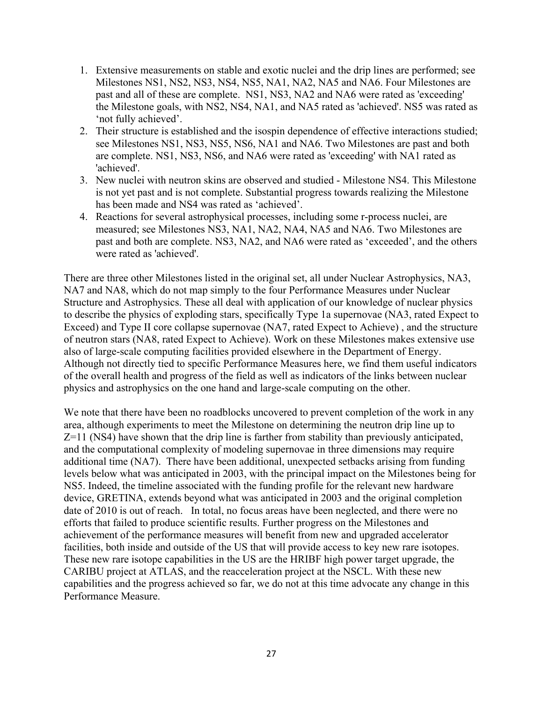- 1. Extensive measurements on stable and exotic nuclei and the drip lines are performed; see Milestones NS1, NS2, NS3, NS4, NS5, NA1, NA2, NA5 and NA6. Four Milestones are past and all of these are complete. NS1, NS3, NA2 and NA6 were rated as 'exceeding' the Milestone goals, with NS2, NS4, NA1, and NA5 rated as 'achieved'. NS5 was rated as 'not fully achieved'.
- 2. Their structure is established and the isospin dependence of effective interactions studied; see Milestones NS1, NS3, NS5, NS6, NA1 and NA6. Two Milestones are past and both are complete. NS1, NS3, NS6, and NA6 were rated as 'exceeding' with NA1 rated as 'achieved'.
- 3. New nuclei with neutron skins are observed and studied Milestone NS4. This Milestone is not yet past and is not complete. Substantial progress towards realizing the Milestone has been made and NS4 was rated as 'achieved'.
- 4. Reactions for several astrophysical processes, including some r-process nuclei, are measured; see Milestones NS3, NA1, NA2, NA4, NA5 and NA6. Two Milestones are past and both are complete. NS3, NA2, and NA6 were rated as 'exceeded', and the others were rated as 'achieved'.

There are three other Milestones listed in the original set, all under Nuclear Astrophysics, NA3, NA7 and NA8, which do not map simply to the four Performance Measures under Nuclear Structure and Astrophysics. These all deal with application of our knowledge of nuclear physics to describe the physics of exploding stars, specifically Type 1a supernovae (NA3, rated Expect to Exceed) and Type II core collapse supernovae (NA7, rated Expect to Achieve) , and the structure of neutron stars (NA8, rated Expect to Achieve). Work on these Milestones makes extensive use also of large-scale computing facilities provided elsewhere in the Department of Energy. Although not directly tied to specific Performance Measures here, we find them useful indicators of the overall health and progress of the field as well as indicators of the links between nuclear physics and astrophysics on the one hand and large-scale computing on the other.

We note that there have been no roadblocks uncovered to prevent completion of the work in any area, although experiments to meet the Milestone on determining the neutron drip line up to Z=11 (NS4) have shown that the drip line is farther from stability than previously anticipated, and the computational complexity of modeling supernovae in three dimensions may require additional time (NA7). There have been additional, unexpected setbacks arising from funding levels below what was anticipated in 2003, with the principal impact on the Milestones being for NS5. Indeed, the timeline associated with the funding profile for the relevant new hardware device, GRETINA, extends beyond what was anticipated in 2003 and the original completion date of 2010 is out of reach. In total, no focus areas have been neglected, and there were no efforts that failed to produce scientific results. Further progress on the Milestones and achievement of the performance measures will benefit from new and upgraded accelerator facilities, both inside and outside of the US that will provide access to key new rare isotopes. These new rare isotope capabilities in the US are the HRIBF high power target upgrade, the CARIBU project at ATLAS, and the reacceleration project at the NSCL. With these new capabilities and the progress achieved so far, we do not at this time advocate any change in this Performance Measure.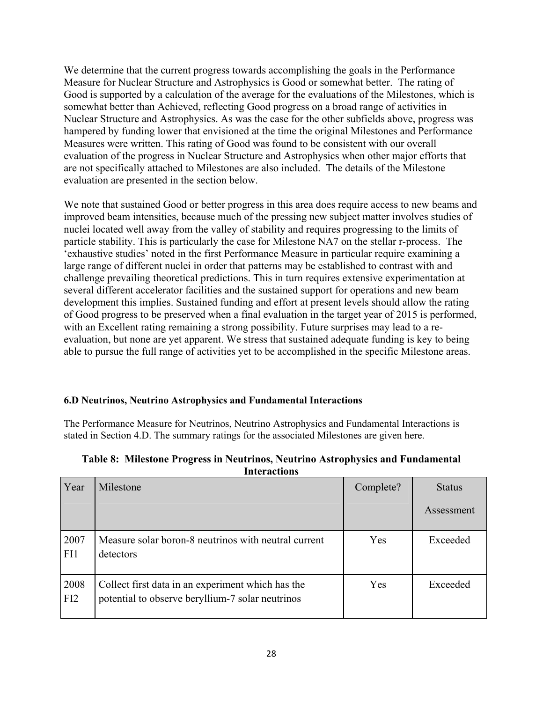We determine that the current progress towards accomplishing the goals in the Performance Measure for Nuclear Structure and Astrophysics is Good or somewhat better. The rating of Good is supported by a calculation of the average for the evaluations of the Milestones, which is somewhat better than Achieved, reflecting Good progress on a broad range of activities in Nuclear Structure and Astrophysics. As was the case for the other subfields above, progress was hampered by funding lower that envisioned at the time the original Milestones and Performance Measures were written. This rating of Good was found to be consistent with our overall evaluation of the progress in Nuclear Structure and Astrophysics when other major efforts that are not specifically attached to Milestones are also included. The details of the Milestone evaluation are presented in the section below.

We note that sustained Good or better progress in this area does require access to new beams and improved beam intensities, because much of the pressing new subject matter involves studies of nuclei located well away from the valley of stability and requires progressing to the limits of particle stability. This is particularly the case for Milestone NA7 on the stellar r-process. The 'exhaustive studies' noted in the first Performance Measure in particular require examining a large range of different nuclei in order that patterns may be established to contrast with and challenge prevailing theoretical predictions. This in turn requires extensive experimentation at several different accelerator facilities and the sustained support for operations and new beam development this implies. Sustained funding and effort at present levels should allow the rating of Good progress to be preserved when a final evaluation in the target year of 2015 is performed, with an Excellent rating remaining a strong possibility. Future surprises may lead to a reevaluation, but none are yet apparent. We stress that sustained adequate funding is key to being able to pursue the full range of activities yet to be accomplished in the specific Milestone areas.

#### **6.D Neutrinos, Neutrino Astrophysics and Fundamental Interactions**

The Performance Measure for Neutrinos, Neutrino Astrophysics and Fundamental Interactions is stated in Section 4.D. The summary ratings for the associated Milestones are given here.

| Year        | Milestone                                                                                             | Complete? | <b>Status</b> |
|-------------|-------------------------------------------------------------------------------------------------------|-----------|---------------|
|             |                                                                                                       |           | Assessment    |
| 2007<br>FI1 | Measure solar boron-8 neutrinos with neutral current<br>detectors                                     | Yes       | Exceeded      |
| 2008<br>FI2 | Collect first data in an experiment which has the<br>potential to observe beryllium-7 solar neutrinos | Yes       | Exceeded      |

**Table 8: Milestone Progress in Neutrinos, Neutrino Astrophysics and Fundamental Interactions**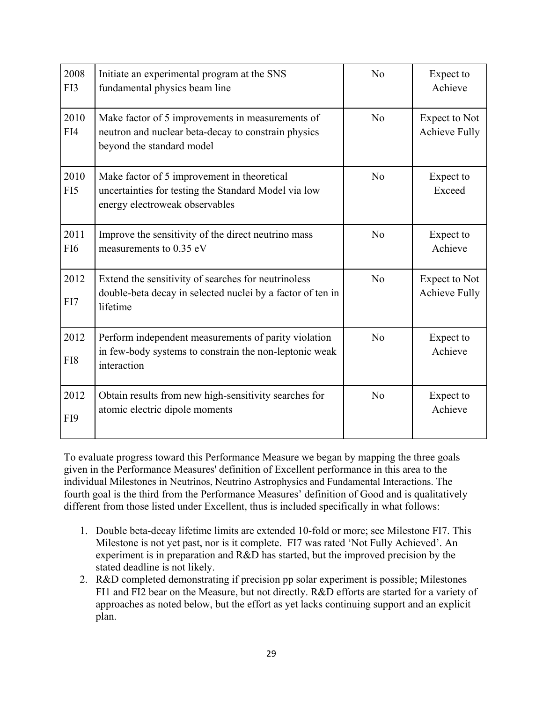| 2008<br>FI3             | Initiate an experimental program at the SNS<br>fundamental physics beam line                                                          | N <sub>o</sub> | Expect to<br>Achieve                  |
|-------------------------|---------------------------------------------------------------------------------------------------------------------------------------|----------------|---------------------------------------|
| 2010<br>FI4             | Make factor of 5 improvements in measurements of<br>neutron and nuclear beta-decay to constrain physics<br>beyond the standard model  | N <sub>0</sub> | Expect to Not<br><b>Achieve Fully</b> |
| 2010<br>FI5             | Make factor of 5 improvement in theoretical<br>uncertainties for testing the Standard Model via low<br>energy electroweak observables | N <sub>o</sub> | Expect to<br>Exceed                   |
| 2011<br>FI <sub>6</sub> | Improve the sensitivity of the direct neutrino mass<br>measurements to 0.35 eV                                                        | N <sub>o</sub> | Expect to<br>Achieve                  |
| 2012<br>FI7             | Extend the sensitivity of searches for neutrinoless<br>double-beta decay in selected nuclei by a factor of ten in<br>lifetime         | N <sub>0</sub> | Expect to Not<br><b>Achieve Fully</b> |
| 2012<br>FI8             | Perform independent measurements of parity violation<br>in few-body systems to constrain the non-leptonic weak<br>interaction         | No             | Expect to<br>Achieve                  |
| 2012<br>FI9             | Obtain results from new high-sensitivity searches for<br>atomic electric dipole moments                                               | No             | Expect to<br>Achieve                  |

To evaluate progress toward this Performance Measure we began by mapping the three goals given in the Performance Measures' definition of Excellent performance in this area to the individual Milestones in Neutrinos, Neutrino Astrophysics and Fundamental Interactions. The fourth goal is the third from the Performance Measures' definition of Good and is qualitatively different from those listed under Excellent, thus is included specifically in what follows:

- 1. Double beta-decay lifetime limits are extended 10-fold or more; see Milestone FI7. This Milestone is not yet past, nor is it complete. FI7 was rated 'Not Fully Achieved'. An experiment is in preparation and R&D has started, but the improved precision by the stated deadline is not likely.
- 2. R&D completed demonstrating if precision pp solar experiment is possible; Milestones FI1 and FI2 bear on the Measure, but not directly. R&D efforts are started for a variety of approaches as noted below, but the effort as yet lacks continuing support and an explicit plan.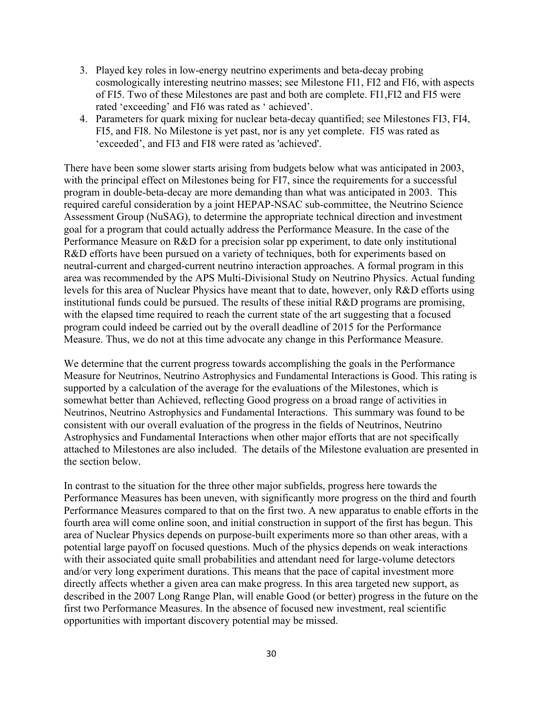- 3. Played key roles in low-energy neutrino experiments and beta-decay probing cosmologically interesting neutrino masses; see Milestone FI1, FI2 and FI6, with aspects of FI5. Two of these Milestones are past and both are complete. FI1,FI2 and FI5 were rated 'exceeding' and FI6 was rated as ' achieved'.
- 4. Parameters for quark mixing for nuclear beta-decay quantified; see Milestones FI3, FI4, FI5, and FI8. No Milestone is yet past, nor is any yet complete. FI5 was rated as 'exceeded', and FI3 and FI8 were rated as 'achieved'.

There have been some slower starts arising from budgets below what was anticipated in 2003, with the principal effect on Milestones being for FI7, since the requirements for a successful program in double-beta-decay are more demanding than what was anticipated in 2003. This required careful consideration by a joint HEPAP-NSAC sub-committee, the Neutrino Science Assessment Group (NuSAG), to determine the appropriate technical direction and investment goal for a program that could actually address the Performance Measure. In the case of the Performance Measure on R&D for a precision solar pp experiment, to date only institutional R&D efforts have been pursued on a variety of techniques, both for experiments based on neutral-current and charged-current neutrino interaction approaches. A formal program in this area was recommended by the APS Multi-Divisional Study on Neutrino Physics. Actual funding levels for this area of Nuclear Physics have meant that to date, however, only R&D efforts using institutional funds could be pursued. The results of these initial R&D programs are promising, with the elapsed time required to reach the current state of the art suggesting that a focused program could indeed be carried out by the overall deadline of 2015 for the Performance Measure. Thus, we do not at this time advocate any change in this Performance Measure.

We determine that the current progress towards accomplishing the goals in the Performance Measure for Neutrinos, Neutrino Astrophysics and Fundamental Interactions is Good. This rating is supported by a calculation of the average for the evaluations of the Milestones, which is somewhat better than Achieved, reflecting Good progress on a broad range of activities in Neutrinos, Neutrino Astrophysics and Fundamental Interactions. This summary was found to be consistent with our overall evaluation of the progress in the fields of Neutrinos, Neutrino Astrophysics and Fundamental Interactions when other major efforts that are not specifically attached to Milestones are also included. The details of the Milestone evaluation are presented in the section below.

In contrast to the situation for the three other major subfields, progress here towards the Performance Measures has been uneven, with significantly more progress on the third and fourth Performance Measures compared to that on the first two. A new apparatus to enable efforts in the fourth area will come online soon, and initial construction in support of the first has begun. This area of Nuclear Physics depends on purpose-built experiments more so than other areas, with a potential large payoff on focused questions. Much of the physics depends on weak interactions with their associated quite small probabilities and attendant need for large-volume detectors and/or very long experiment durations. This means that the pace of capital investment more directly affects whether a given area can make progress. In this area targeted new support, as described in the 2007 Long Range Plan, will enable Good (or better) progress in the future on the first two Performance Measures. In the absence of focused new investment, real scientific opportunities with important discovery potential may be missed.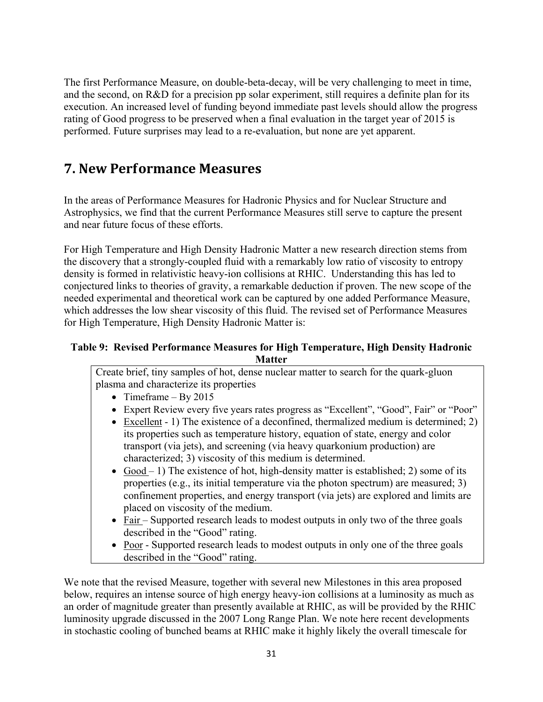The first Performance Measure, on double-beta-decay, will be very challenging to meet in time, and the second, on R&D for a precision pp solar experiment, still requires a definite plan for its execution. An increased level of funding beyond immediate past levels should allow the progress rating of Good progress to be preserved when a final evaluation in the target year of 2015 is performed. Future surprises may lead to a re-evaluation, but none are yet apparent.

## **7. New Performance Measures**

In the areas of Performance Measures for Hadronic Physics and for Nuclear Structure and Astrophysics, we find that the current Performance Measures still serve to capture the present and near future focus of these efforts.

For High Temperature and High Density Hadronic Matter a new research direction stems from the discovery that a strongly-coupled fluid with a remarkably low ratio of viscosity to entropy density is formed in relativistic heavy-ion collisions at RHIC. Understanding this has led to conjectured links to theories of gravity, a remarkable deduction if proven. The new scope of the needed experimental and theoretical work can be captured by one added Performance Measure, which addresses the low shear viscosity of this fluid. The revised set of Performance Measures for High Temperature, High Density Hadronic Matter is:

#### **Table 9: Revised Performance Measures for High Temperature, High Density Hadronic Matter**

Create brief, tiny samples of hot, dense nuclear matter to search for the quark-gluon plasma and characterize its properties

- Timeframe By 2015
- Expert Review every five years rates progress as "Excellent", "Good", Fair" or "Poor"
- Excellent 1) The existence of a deconfined, thermalized medium is determined; 2) its properties such as temperature history, equation of state, energy and color transport (via jets), and screening (via heavy quarkonium production) are characterized; 3) viscosity of this medium is determined.
- Good 1) The existence of hot, high-density matter is established; 2) some of its properties (e.g., its initial temperature via the photon spectrum) are measured; 3) confinement properties, and energy transport (via jets) are explored and limits are placed on viscosity of the medium.
- Fair Supported research leads to modest outputs in only two of the three goals described in the "Good" rating.
- Poor Supported research leads to modest outputs in only one of the three goals described in the "Good" rating.

We note that the revised Measure, together with several new Milestones in this area proposed below, requires an intense source of high energy heavy-ion collisions at a luminosity as much as an order of magnitude greater than presently available at RHIC, as will be provided by the RHIC luminosity upgrade discussed in the 2007 Long Range Plan. We note here recent developments in stochastic cooling of bunched beams at RHIC make it highly likely the overall timescale for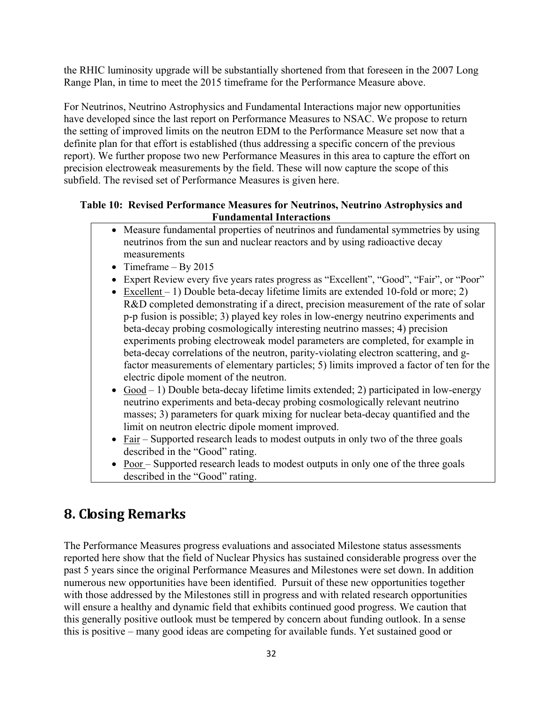the RHIC luminosity upgrade will be substantially shortened from that foreseen in the 2007 Long Range Plan, in time to meet the 2015 timeframe for the Performance Measure above.

For Neutrinos, Neutrino Astrophysics and Fundamental Interactions major new opportunities have developed since the last report on Performance Measures to NSAC. We propose to return the setting of improved limits on the neutron EDM to the Performance Measure set now that a definite plan for that effort is established (thus addressing a specific concern of the previous report). We further propose two new Performance Measures in this area to capture the effort on precision electroweak measurements by the field. These will now capture the scope of this subfield. The revised set of Performance Measures is given here.

#### **Table 10: Revised Performance Measures for Neutrinos, Neutrino Astrophysics and Fundamental Interactions**

- Measure fundamental properties of neutrinos and fundamental symmetries by using neutrinos from the sun and nuclear reactors and by using radioactive decay measurements
- Timeframe By 2015
- Expert Review every five years rates progress as "Excellent", "Good", "Fair", or "Poor"
- Excellent 1) Double beta-decay lifetime limits are extended 10-fold or more; 2) R&D completed demonstrating if a direct, precision measurement of the rate of solar p-p fusion is possible; 3) played key roles in low-energy neutrino experiments and beta-decay probing cosmologically interesting neutrino masses; 4) precision experiments probing electroweak model parameters are completed, for example in beta-decay correlations of the neutron, parity-violating electron scattering, and gfactor measurements of elementary particles; 5) limits improved a factor of ten for the electric dipole moment of the neutron.
- $Good 1$ ) Double beta-decay lifetime limits extended; 2) participated in low-energy neutrino experiments and beta-decay probing cosmologically relevant neutrino masses; 3) parameters for quark mixing for nuclear beta-decay quantified and the limit on neutron electric dipole moment improved.
- Fair Supported research leads to modest outputs in only two of the three goals described in the "Good" rating.
- Poor Supported research leads to modest outputs in only one of the three goals described in the "Good" rating.

# **8. Closing Remarks**

The Performance Measures progress evaluations and associated Milestone status assessments reported here show that the field of Nuclear Physics has sustained considerable progress over the past 5 years since the original Performance Measures and Milestones were set down. In addition numerous new opportunities have been identified. Pursuit of these new opportunities together with those addressed by the Milestones still in progress and with related research opportunities will ensure a healthy and dynamic field that exhibits continued good progress. We caution that this generally positive outlook must be tempered by concern about funding outlook. In a sense this is positive – many good ideas are competing for available funds. Yet sustained good or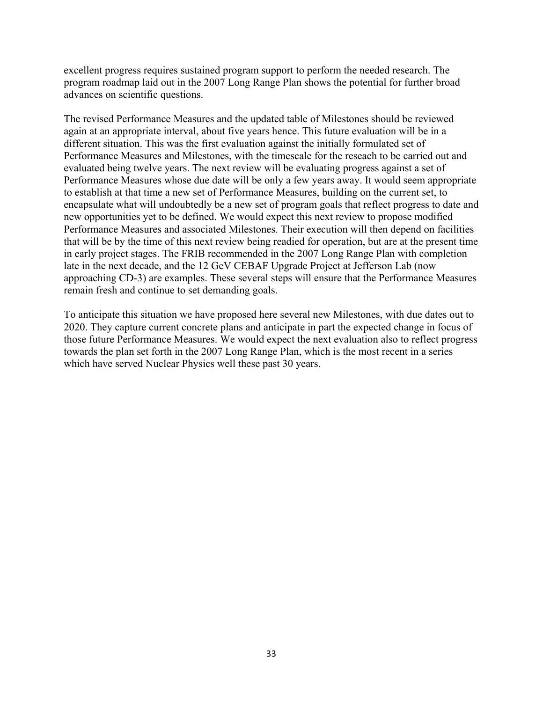excellent progress requires sustained program support to perform the needed research. The program roadmap laid out in the 2007 Long Range Plan shows the potential for further broad advances on scientific questions.

The revised Performance Measures and the updated table of Milestones should be reviewed again at an appropriate interval, about five years hence. This future evaluation will be in a different situation. This was the first evaluation against the initially formulated set of Performance Measures and Milestones, with the timescale for the reseach to be carried out and evaluated being twelve years. The next review will be evaluating progress against a set of Performance Measures whose due date will be only a few years away. It would seem appropriate to establish at that time a new set of Performance Measures, building on the current set, to encapsulate what will undoubtedly be a new set of program goals that reflect progress to date and new opportunities yet to be defined. We would expect this next review to propose modified Performance Measures and associated Milestones. Their execution will then depend on facilities that will be by the time of this next review being readied for operation, but are at the present time in early project stages. The FRIB recommended in the 2007 Long Range Plan with completion late in the next decade, and the 12 GeV CEBAF Upgrade Project at Jefferson Lab (now approaching CD-3) are examples. These several steps will ensure that the Performance Measures remain fresh and continue to set demanding goals.

To anticipate this situation we have proposed here several new Milestones, with due dates out to 2020. They capture current concrete plans and anticipate in part the expected change in focus of those future Performance Measures. We would expect the next evaluation also to reflect progress towards the plan set forth in the 2007 Long Range Plan, which is the most recent in a series which have served Nuclear Physics well these past 30 years.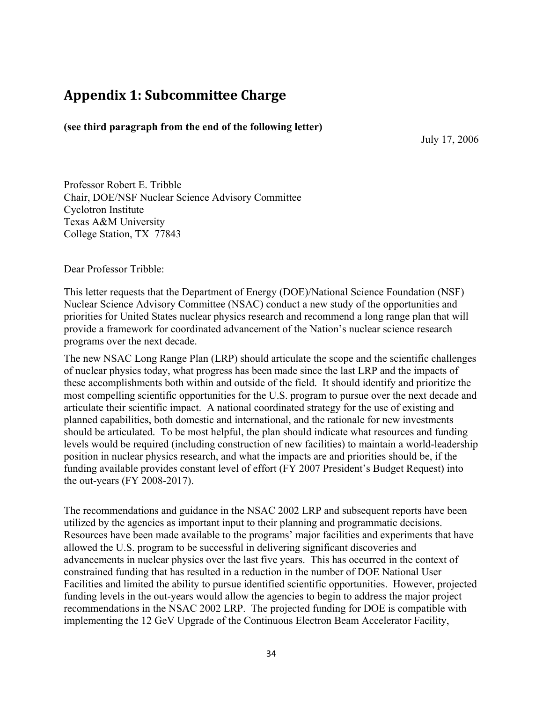### **Appendix 1: Subcommittee Charge**

**(see third paragraph from the end of the following letter)**

July 17, 2006

Professor Robert E. Tribble Chair, DOE/NSF Nuclear Science Advisory Committee Cyclotron Institute Texas A&M University College Station, TX 77843

Dear Professor Tribble:

This letter requests that the Department of Energy (DOE)/National Science Foundation (NSF) Nuclear Science Advisory Committee (NSAC) conduct a new study of the opportunities and priorities for United States nuclear physics research and recommend a long range plan that will provide a framework for coordinated advancement of the Nation's nuclear science research programs over the next decade.

The new NSAC Long Range Plan (LRP) should articulate the scope and the scientific challenges of nuclear physics today, what progress has been made since the last LRP and the impacts of these accomplishments both within and outside of the field. It should identify and prioritize the most compelling scientific opportunities for the U.S. program to pursue over the next decade and articulate their scientific impact. A national coordinated strategy for the use of existing and planned capabilities, both domestic and international, and the rationale for new investments should be articulated. To be most helpful, the plan should indicate what resources and funding levels would be required (including construction of new facilities) to maintain a world-leadership position in nuclear physics research, and what the impacts are and priorities should be, if the funding available provides constant level of effort (FY 2007 President's Budget Request) into the out-years (FY 2008-2017).

The recommendations and guidance in the NSAC 2002 LRP and subsequent reports have been utilized by the agencies as important input to their planning and programmatic decisions. Resources have been made available to the programs' major facilities and experiments that have allowed the U.S. program to be successful in delivering significant discoveries and advancements in nuclear physics over the last five years. This has occurred in the context of constrained funding that has resulted in a reduction in the number of DOE National User Facilities and limited the ability to pursue identified scientific opportunities. However, projected funding levels in the out-years would allow the agencies to begin to address the major project recommendations in the NSAC 2002 LRP. The projected funding for DOE is compatible with implementing the 12 GeV Upgrade of the Continuous Electron Beam Accelerator Facility,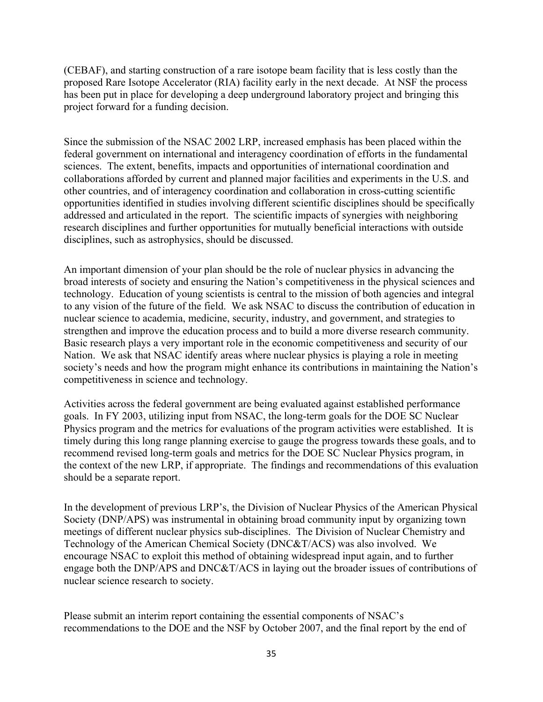(CEBAF), and starting construction of a rare isotope beam facility that is less costly than the proposed Rare Isotope Accelerator (RIA) facility early in the next decade. At NSF the process has been put in place for developing a deep underground laboratory project and bringing this project forward for a funding decision.

Since the submission of the NSAC 2002 LRP, increased emphasis has been placed within the federal government on international and interagency coordination of efforts in the fundamental sciences. The extent, benefits, impacts and opportunities of international coordination and collaborations afforded by current and planned major facilities and experiments in the U.S. and other countries, and of interagency coordination and collaboration in cross-cutting scientific opportunities identified in studies involving different scientific disciplines should be specifically addressed and articulated in the report. The scientific impacts of synergies with neighboring research disciplines and further opportunities for mutually beneficial interactions with outside disciplines, such as astrophysics, should be discussed.

An important dimension of your plan should be the role of nuclear physics in advancing the broad interests of society and ensuring the Nation's competitiveness in the physical sciences and technology. Education of young scientists is central to the mission of both agencies and integral to any vision of the future of the field. We ask NSAC to discuss the contribution of education in nuclear science to academia, medicine, security, industry, and government, and strategies to strengthen and improve the education process and to build a more diverse research community. Basic research plays a very important role in the economic competitiveness and security of our Nation. We ask that NSAC identify areas where nuclear physics is playing a role in meeting society's needs and how the program might enhance its contributions in maintaining the Nation's competitiveness in science and technology.

Activities across the federal government are being evaluated against established performance goals. In FY 2003, utilizing input from NSAC, the long-term goals for the DOE SC Nuclear Physics program and the metrics for evaluations of the program activities were established. It is timely during this long range planning exercise to gauge the progress towards these goals, and to recommend revised long-term goals and metrics for the DOE SC Nuclear Physics program, in the context of the new LRP, if appropriate. The findings and recommendations of this evaluation should be a separate report.

In the development of previous LRP's, the Division of Nuclear Physics of the American Physical Society (DNP/APS) was instrumental in obtaining broad community input by organizing town meetings of different nuclear physics sub-disciplines. The Division of Nuclear Chemistry and Technology of the American Chemical Society (DNC&T/ACS) was also involved. We encourage NSAC to exploit this method of obtaining widespread input again, and to further engage both the DNP/APS and DNC&T/ACS in laying out the broader issues of contributions of nuclear science research to society.

Please submit an interim report containing the essential components of NSAC's recommendations to the DOE and the NSF by October 2007, and the final report by the end of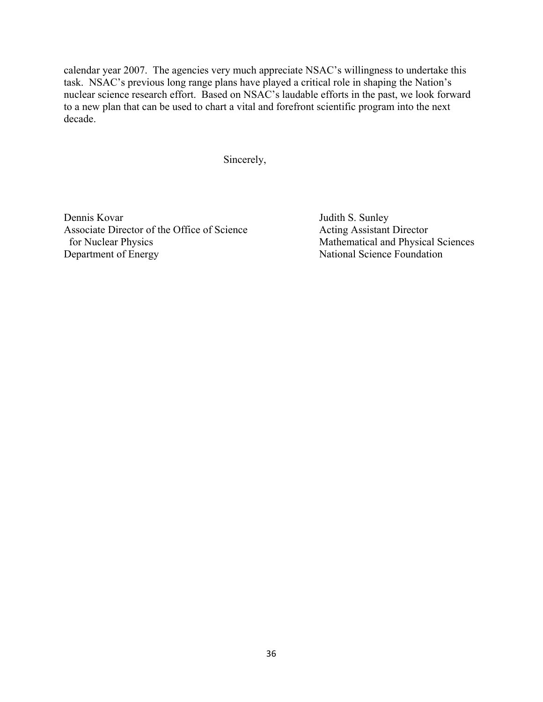calendar year 2007. The agencies very much appreciate NSAC's willingness to undertake this task. NSAC's previous long range plans have played a critical role in shaping the Nation's nuclear science research effort. Based on NSAC's laudable efforts in the past, we look forward to a new plan that can be used to chart a vital and forefront scientific program into the next decade.

Sincerely,

Dennis Kovar Judith S. Sunley Associate Director of the Office of Science Acting Assistant Director for Nuclear Physics Mathematical and Physical Sciences Department of Energy National Science Foundation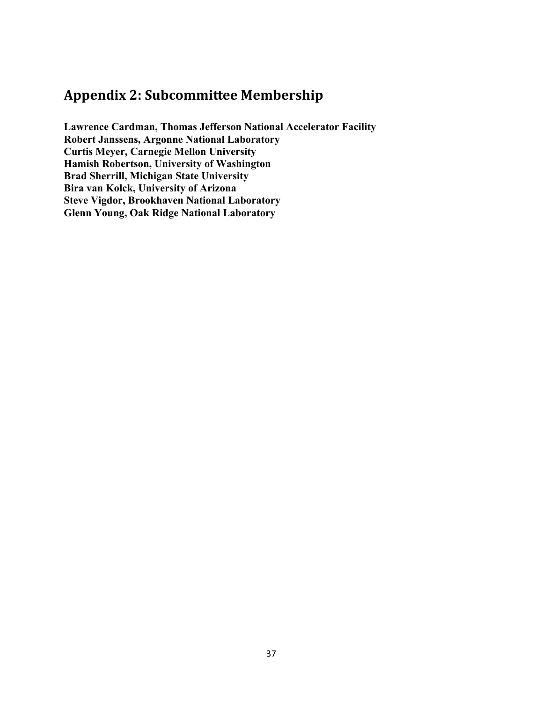## **Appendix 2: Subcommittee Membership**

**Lawrence Cardman, Thomas Jefferson National Accelerator Facility Robert Janssens, Argonne National Laboratory Curtis Meyer, Carnegie Mellon University Hamish Robertson, University of Washington Brad Sherrill, Michigan State University Bira van Kolck, University of Arizona Steve Vigdor, Brookhaven National Laboratory Glenn Young, Oak Ridge National Laboratory**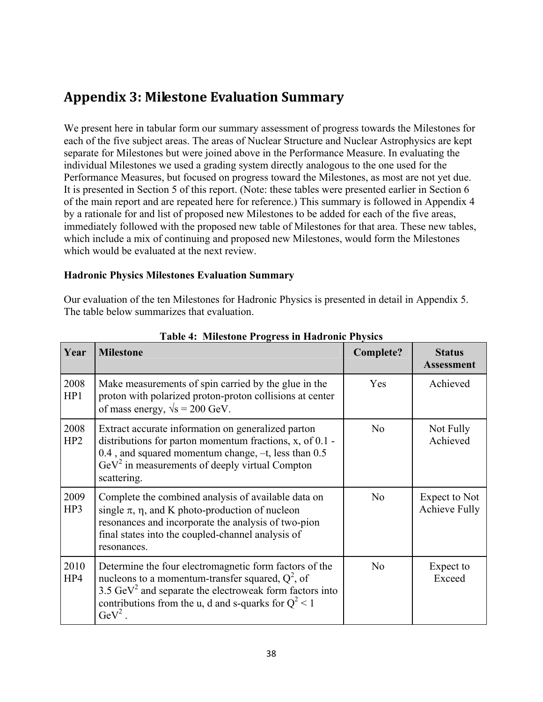## **Appendix 3: Milestone Evaluation Summary**

We present here in tabular form our summary assessment of progress towards the Milestones for each of the five subject areas. The areas of Nuclear Structure and Nuclear Astrophysics are kept separate for Milestones but were joined above in the Performance Measure. In evaluating the individual Milestones we used a grading system directly analogous to the one used for the Performance Measures, but focused on progress toward the Milestones, as most are not yet due. It is presented in Section 5 of this report. (Note: these tables were presented earlier in Section 6 of the main report and are repeated here for reference.) This summary is followed in Appendix 4 by a rationale for and list of proposed new Milestones to be added for each of the five areas, immediately followed with the proposed new table of Milestones for that area. These new tables, which include a mix of continuing and proposed new Milestones, would form the Milestones which would be evaluated at the next review.

## **Hadronic Physics Milestones Evaluation Summary**

Our evaluation of the ten Milestones for Hadronic Physics is presented in detail in Appendix 5. The table below summarizes that evaluation.

| Year        | <b>Milestone</b>                                                                                                                                                                                                                                                 | <b>Complete?</b> | <b>Status</b><br><b>Assessment</b>    |
|-------------|------------------------------------------------------------------------------------------------------------------------------------------------------------------------------------------------------------------------------------------------------------------|------------------|---------------------------------------|
| 2008<br>HP1 | Make measurements of spin carried by the glue in the<br>proton with polarized proton-proton collisions at center<br>of mass energy, $\sqrt{s} = 200$ GeV.                                                                                                        | Yes              | Achieved                              |
| 2008<br>HP2 | Extract accurate information on generalized parton<br>distributions for parton momentum fractions, x, of 0.1 -<br>0.4, and squared momentum change, -t, less than 0.5<br>$\text{GeV}^2$ in measurements of deeply virtual Compton<br>scattering.                 | N <sub>o</sub>   | Not Fully<br>Achieved                 |
| 2009<br>HP3 | Complete the combined analysis of available data on<br>single $\pi$ , $\eta$ , and K photo-production of nucleon<br>resonances and incorporate the analysis of two-pion<br>final states into the coupled-channel analysis of<br>resonances.                      | N <sub>0</sub>   | Expect to Not<br><b>Achieve Fully</b> |
| 2010<br>HP4 | Determine the four electromagnetic form factors of the<br>nucleons to a momentum-transfer squared, $Q^2$ , of<br>3.5 $\text{GeV}^2$ and separate the electroweak form factors into<br>contributions from the u, d and s-quarks for $Q^2 < 1$<br>$\text{GeV}^2$ . | N <sub>0</sub>   | Expect to<br>Exceed                   |

**Table 4: Milestone Progress in Hadronic Physics**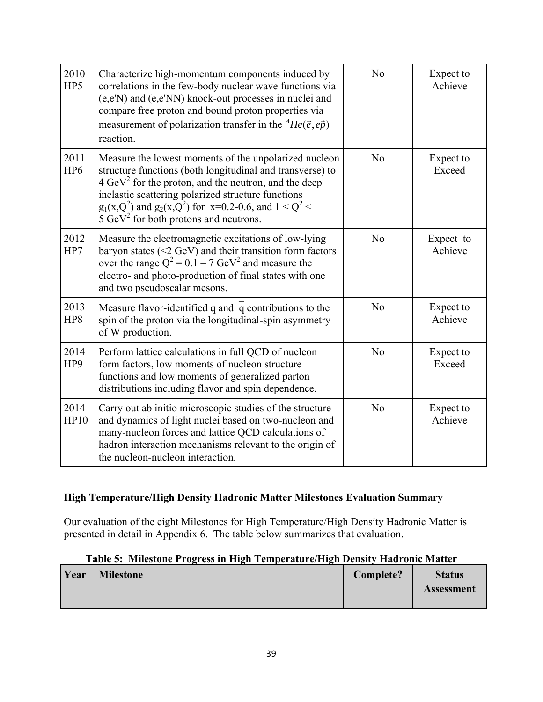| 2010<br>HP5             | Characterize high-momentum components induced by<br>correlations in the few-body nuclear wave functions via<br>(e,e'N) and (e,e'NN) knock-out processes in nuclei and<br>compare free proton and bound proton properties via<br>measurement of polarization transfer in the ${}^{4}He(\vec{e}, e\vec{p})$<br>reaction.                                                  | N <sub>0</sub> | Expect to<br>Achieve |
|-------------------------|-------------------------------------------------------------------------------------------------------------------------------------------------------------------------------------------------------------------------------------------------------------------------------------------------------------------------------------------------------------------------|----------------|----------------------|
| 2011<br>HP <sub>6</sub> | Measure the lowest moments of the unpolarized nucleon<br>structure functions (both longitudinal and transverse) to<br>$4 \text{ GeV}^2$ for the proton, and the neutron, and the deep<br>inelastic scattering polarized structure functions<br>$g_1(x,Q^2)$ and $g_2(x,Q^2)$ for x=0.2-0.6, and 1 < Q <sup>2</sup> <<br>5 $\text{GeV}^2$ for both protons and neutrons. | No             | Expect to<br>Exceed  |
| 2012<br>HP7             | Measure the electromagnetic excitations of low-lying<br>baryon states $(\leq 2 \text{ GeV})$ and their transition form factors<br>over the range $Q^2 = 0.1 - 7 \text{ GeV}^2$ and measure the<br>electro- and photo-production of final states with one<br>and two pseudoscalar mesons.                                                                                | No             | Expect to<br>Achieve |
| 2013<br>HP8             | Measure flavor-identified q and q contributions to the<br>spin of the proton via the longitudinal-spin asymmetry<br>of W production.                                                                                                                                                                                                                                    | N <sub>0</sub> | Expect to<br>Achieve |
| 2014<br>HP9             | Perform lattice calculations in full QCD of nucleon<br>form factors, low moments of nucleon structure<br>functions and low moments of generalized parton<br>distributions including flavor and spin dependence.                                                                                                                                                         | No             | Expect to<br>Exceed  |
| 2014<br>HP10            | Carry out ab initio microscopic studies of the structure<br>and dynamics of light nuclei based on two-nucleon and<br>many-nucleon forces and lattice QCD calculations of<br>hadron interaction mechanisms relevant to the origin of<br>the nucleon-nucleon interaction.                                                                                                 | No             | Expect to<br>Achieve |

## **High Temperature/High Density Hadronic Matter Milestones Evaluation Summary**

Our evaluation of the eight Milestones for High Temperature/High Density Hadronic Matter is presented in detail in Appendix 6. The table below summarizes that evaluation.

## **Table 5: Milestone Progress in High Temperature/High Density Hadronic Matter**

| Year | <b>Milestone</b> | Complete? | <b>Status</b>     |
|------|------------------|-----------|-------------------|
|      |                  |           | <b>Assessment</b> |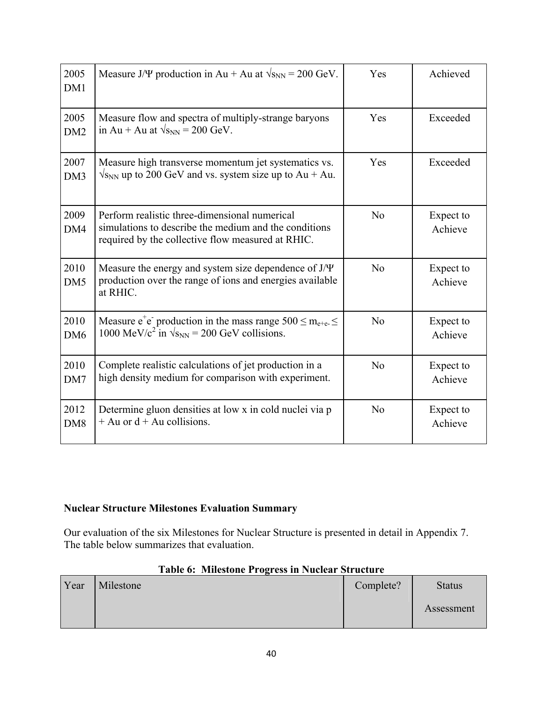| 2005<br>DM1             | Measure J/ $\Psi$ production in Au + Au at $\sqrt{s_{NN}}$ = 200 GeV.<br>Achieved<br>Yes                                                                    |                |                      |  |  |  |
|-------------------------|-------------------------------------------------------------------------------------------------------------------------------------------------------------|----------------|----------------------|--|--|--|
| 2005<br>DM <sub>2</sub> | Measure flow and spectra of multiply-strange baryons<br>in Au + Au at $\sqrt{s_{NN}}$ = 200 GeV.                                                            | Yes            | Exceeded             |  |  |  |
| 2007<br>DM3             | Exceeded<br>Measure high transverse momentum jet systematics vs.<br>Yes<br>$\sqrt{s_{NN}}$ up to 200 GeV and vs. system size up to Au + Au.                 |                |                      |  |  |  |
| 2009<br>DM4             | Perform realistic three-dimensional numerical<br>simulations to describe the medium and the conditions<br>required by the collective flow measured at RHIC. | N <sub>0</sub> | Expect to<br>Achieve |  |  |  |
| 2010<br>DM <sub>5</sub> | Measure the energy and system size dependence of $J/\Psi$<br>production over the range of ions and energies available<br>at RHIC.                           | N <sub>0</sub> | Expect to<br>Achieve |  |  |  |
| 2010<br>DM <sub>6</sub> | Measure $e^+e^-$ production in the mass range $500 \le m_{e^+e^-} \le$<br>1000 MeV/c <sup>2</sup> in $\sqrt{s_{NN}}$ = 200 GeV collisions.                  | No             | Expect to<br>Achieve |  |  |  |
| 2010<br>DM7             | Complete realistic calculations of jet production in a<br>high density medium for comparison with experiment.                                               | No             | Expect to<br>Achieve |  |  |  |
| 2012<br>DM <sub>8</sub> | Determine gluon densities at low x in cold nuclei via p<br>$+$ Au or $d$ + Au collisions.                                                                   | N <sub>0</sub> | Expect to<br>Achieve |  |  |  |

## **Nuclear Structure Milestones Evaluation Summary**

Our evaluation of the six Milestones for Nuclear Structure is presented in detail in Appendix 7. The table below summarizes that evaluation.

| Year | Milestone | Complete? | <b>Status</b> |
|------|-----------|-----------|---------------|
|      |           |           | Assessment    |

## **Table 6: Milestone Progress in Nuclear Structure**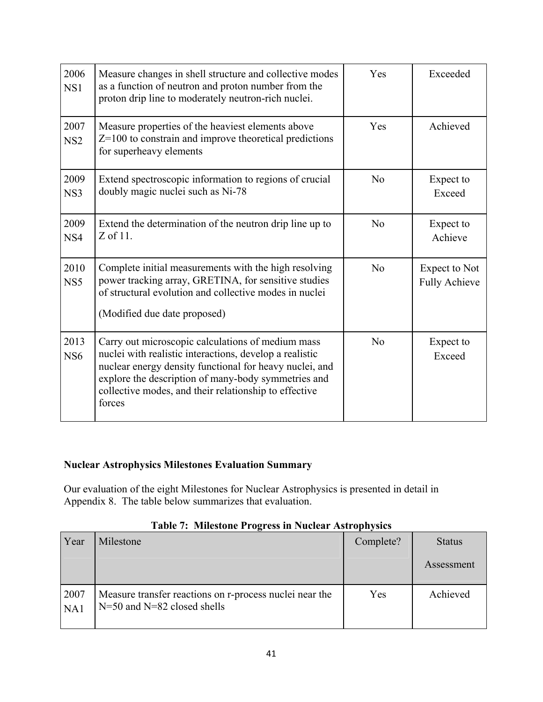| 2006<br>NS1             | Measure changes in shell structure and collective modes<br>as a function of neutron and proton number from the<br>proton drip line to moderately neutron-rich nuclei.                                                                                                                             | Exceeded<br>Yes |                                              |  |  |  |
|-------------------------|---------------------------------------------------------------------------------------------------------------------------------------------------------------------------------------------------------------------------------------------------------------------------------------------------|-----------------|----------------------------------------------|--|--|--|
| 2007<br>NS <sub>2</sub> | Achieved<br>Yes<br>Measure properties of the heaviest elements above<br>$Z=100$ to constrain and improve theoretical predictions<br>for superheavy elements                                                                                                                                       |                 |                                              |  |  |  |
| 2009<br>NS3             | Extend spectroscopic information to regions of crucial<br>No<br>Expect to<br>doubly magic nuclei such as Ni-78<br>Exceed                                                                                                                                                                          |                 |                                              |  |  |  |
| 2009<br>NS4             | Extend the determination of the neutron drip line up to<br>$Z$ of 11.                                                                                                                                                                                                                             | No              | Expect to<br>Achieve                         |  |  |  |
| 2010<br>NS5             | Complete initial measurements with the high resolving<br>power tracking array, GRETINA, for sensitive studies<br>of structural evolution and collective modes in nuclei<br>(Modified due date proposed)                                                                                           | No              | <b>Expect to Not</b><br><b>Fully Achieve</b> |  |  |  |
| 2013<br>NS <sub>6</sub> | Carry out microscopic calculations of medium mass<br>nuclei with realistic interactions, develop a realistic<br>nuclear energy density functional for heavy nuclei, and<br>explore the description of many-body symmetries and<br>collective modes, and their relationship to effective<br>forces | No              | Expect to<br>Exceed                          |  |  |  |

## **Nuclear Astrophysics Milestones Evaluation Summary**

Our evaluation of the eight Milestones for Nuclear Astrophysics is presented in detail in Appendix 8. The table below summarizes that evaluation.

| Year        | Milestone                                                                                  | Complete? | <b>Status</b> |
|-------------|--------------------------------------------------------------------------------------------|-----------|---------------|
|             |                                                                                            |           | Assessment    |
| 2007<br>NA1 | Measure transfer reactions on r-process nuclei near the<br>$N=50$ and $N=82$ closed shells | Yes       | Achieved      |

## **Table 7: Milestone Progress in Nuclear Astrophysics**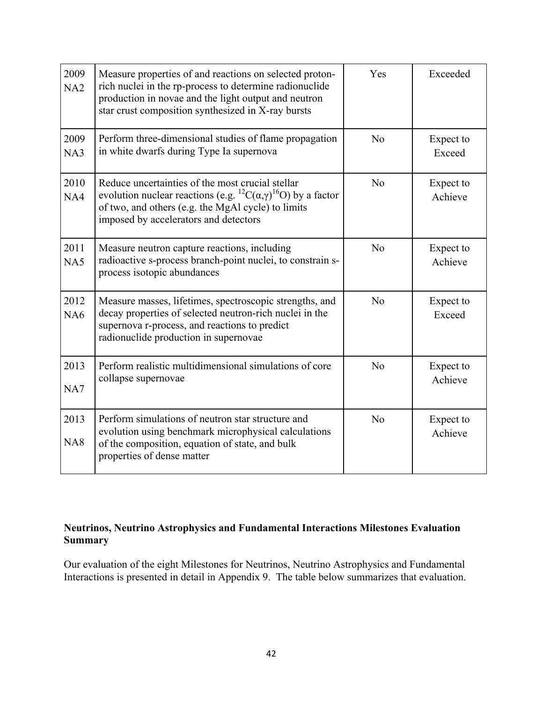| 2009<br>NA2 | Measure properties of and reactions on selected proton-<br>rich nuclei in the rp-process to determine radionuclide<br>production in novae and the light output and neutron<br>star crust composition synthesized in X-ray bursts                         | Yes<br>Exceeded            |                      |  |  |
|-------------|----------------------------------------------------------------------------------------------------------------------------------------------------------------------------------------------------------------------------------------------------------|----------------------------|----------------------|--|--|
| 2009<br>NA3 | Perform three-dimensional studies of flame propagation<br>in white dwarfs during Type Ia supernova                                                                                                                                                       | No                         | Expect to<br>Exceed  |  |  |
| 2010<br>NA4 | Reduce uncertainties of the most crucial stellar<br>evolution nuclear reactions (e.g. <sup>12</sup> C( $\alpha$ , $\gamma$ ) <sup>16</sup> O) by a factor<br>of two, and others (e.g. the MgAl cycle) to limits<br>imposed by accelerators and detectors | No<br>Expect to<br>Achieve |                      |  |  |
| 2011<br>NA5 | Measure neutron capture reactions, including<br>radioactive s-process branch-point nuclei, to constrain s-<br>process isotopic abundances                                                                                                                | N <sub>o</sub>             | Expect to<br>Achieve |  |  |
| 2012<br>NA6 | Measure masses, lifetimes, spectroscopic strengths, and<br>decay properties of selected neutron-rich nuclei in the<br>supernova r-process, and reactions to predict<br>radionuclide production in supernovae                                             | No                         | Expect to<br>Exceed  |  |  |
| 2013<br>NA7 | Perform realistic multidimensional simulations of core<br>collapse supernovae                                                                                                                                                                            | N <sub>o</sub>             | Expect to<br>Achieve |  |  |
| 2013<br>NA8 | Perform simulations of neutron star structure and<br>evolution using benchmark microphysical calculations<br>of the composition, equation of state, and bulk<br>properties of dense matter                                                               | No                         | Expect to<br>Achieve |  |  |

## **Neutrinos, Neutrino Astrophysics and Fundamental Interactions Milestones Evaluation Summary**

Our evaluation of the eight Milestones for Neutrinos, Neutrino Astrophysics and Fundamental Interactions is presented in detail in Appendix 9. The table below summarizes that evaluation.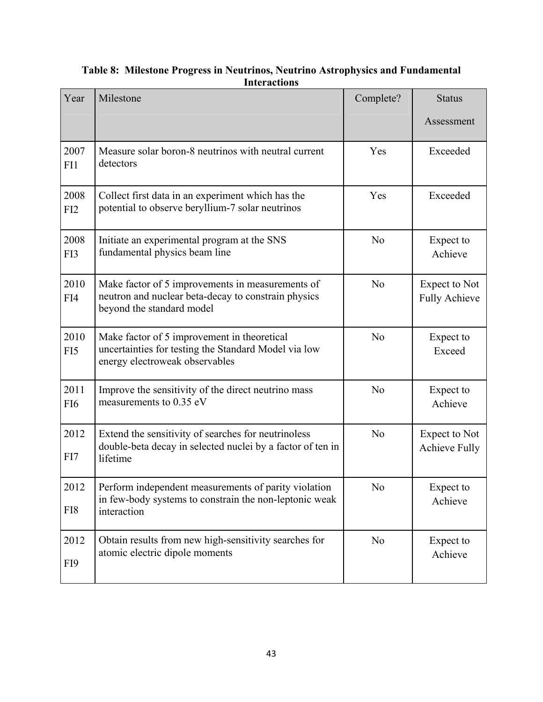| Year                    | Milestone                                                                                                                                                                      | Complete?                                                      | <b>Status</b>        |  |  |  |
|-------------------------|--------------------------------------------------------------------------------------------------------------------------------------------------------------------------------|----------------------------------------------------------------|----------------------|--|--|--|
|                         |                                                                                                                                                                                |                                                                | Assessment           |  |  |  |
| 2007<br>FI1             | Measure solar boron-8 neutrinos with neutral current<br>detectors                                                                                                              | Yes                                                            | Exceeded             |  |  |  |
| 2008<br>FI2             | Collect first data in an experiment which has the<br>Exceeded<br>Yes<br>potential to observe beryllium-7 solar neutrinos                                                       |                                                                |                      |  |  |  |
| 2008<br>FI3             | Initiate an experimental program at the SNS<br>fundamental physics beam line                                                                                                   | N <sub>o</sub><br>Expect to<br>Achieve                         |                      |  |  |  |
| 2010<br>FI4             | Make factor of 5 improvements in measurements of<br>neutron and nuclear beta-decay to constrain physics<br>beyond the standard model                                           | N <sub>0</sub><br><b>Expect to Not</b><br><b>Fully Achieve</b> |                      |  |  |  |
| 2010<br>FI <sub>5</sub> | N <sub>o</sub><br>Make factor of 5 improvement in theoretical<br>Expect to<br>uncertainties for testing the Standard Model via low<br>Exceed<br>energy electroweak observables |                                                                |                      |  |  |  |
| 2011<br>FI <sub>6</sub> | Improve the sensitivity of the direct neutrino mass<br>measurements to 0.35 eV                                                                                                 | N <sub>0</sub><br>Expect to<br>Achieve                         |                      |  |  |  |
| 2012<br>FI7             | N <sub>0</sub><br>Extend the sensitivity of searches for neutrinoless<br>double-beta decay in selected nuclei by a factor of ten in<br>lifetime                                |                                                                |                      |  |  |  |
| 2012<br>FI8             | Perform independent measurements of parity violation<br>N <sub>0</sub><br>Expect to<br>in few-body systems to constrain the non-leptonic weak<br>Achieve<br>interaction        |                                                                |                      |  |  |  |
| 2012<br>FI9             | Obtain results from new high-sensitivity searches for<br>atomic electric dipole moments                                                                                        | N <sub>0</sub>                                                 | Expect to<br>Achieve |  |  |  |

**Table 8: Milestone Progress in Neutrinos, Neutrino Astrophysics and Fundamental Interactions**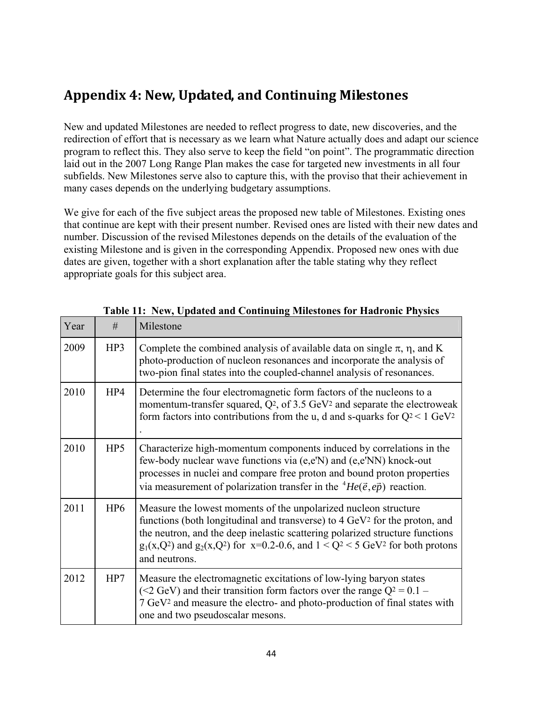# **Appendix 4: New, Updated, and Continuing Milestones**

New and updated Milestones are needed to reflect progress to date, new discoveries, and the redirection of effort that is necessary as we learn what Nature actually does and adapt our science program to reflect this. They also serve to keep the field "on point". The programmatic direction laid out in the 2007 Long Range Plan makes the case for targeted new investments in all four subfields. New Milestones serve also to capture this, with the proviso that their achievement in many cases depends on the underlying budgetary assumptions.

We give for each of the five subject areas the proposed new table of Milestones. Existing ones that continue are kept with their present number. Revised ones are listed with their new dates and number. Discussion of the revised Milestones depends on the details of the evaluation of the existing Milestone and is given in the corresponding Appendix. Proposed new ones with due dates are given, together with a short explanation after the table stating why they reflect appropriate goals for this subject area.

| Year | #               | Milestone                                                                                                                                                                                                                                                                                                                                                         |
|------|-----------------|-------------------------------------------------------------------------------------------------------------------------------------------------------------------------------------------------------------------------------------------------------------------------------------------------------------------------------------------------------------------|
| 2009 | HP3             | Complete the combined analysis of available data on single $\pi$ , $\eta$ , and K<br>photo-production of nucleon resonances and incorporate the analysis of<br>two-pion final states into the coupled-channel analysis of resonances.                                                                                                                             |
| 2010 | HP4             | Determine the four electromagnetic form factors of the nucleons to a<br>momentum-transfer squared, $Q^2$ , of 3.5 GeV <sup>2</sup> and separate the electroweak<br>form factors into contributions from the u, d and s-quarks for $Q^2 < 1$ GeV <sup>2</sup>                                                                                                      |
| 2010 | HP <sub>5</sub> | Characterize high-momentum components induced by correlations in the<br>few-body nuclear wave functions via (e,e'N) and (e,e'NN) knock-out<br>processes in nuclei and compare free proton and bound proton properties<br>via measurement of polarization transfer in the ${}^{4}He(\vec{e}, e\vec{p})$ reaction.                                                  |
| 2011 | HP <sub>6</sub> | Measure the lowest moments of the unpolarized nucleon structure<br>functions (both longitudinal and transverse) to 4 GeV <sup>2</sup> for the proton, and<br>the neutron, and the deep inelastic scattering polarized structure functions<br>$g_1(x,Q^2)$ and $g_2(x,Q^2)$ for $x=0.2-0.6$ , and $1 < Q^2 < 5$ GeV <sup>2</sup> for both protons<br>and neutrons. |
| 2012 | HP7             | Measure the electromagnetic excitations of low-lying baryon states<br>(<2 GeV) and their transition form factors over the range $Q^2 = 0.1$ –<br>7 GeV <sup>2</sup> and measure the electro- and photo-production of final states with<br>one and two pseudoscalar mesons.                                                                                        |

**Table 11: New, Updated and Continuing Milestones for Hadronic Physics**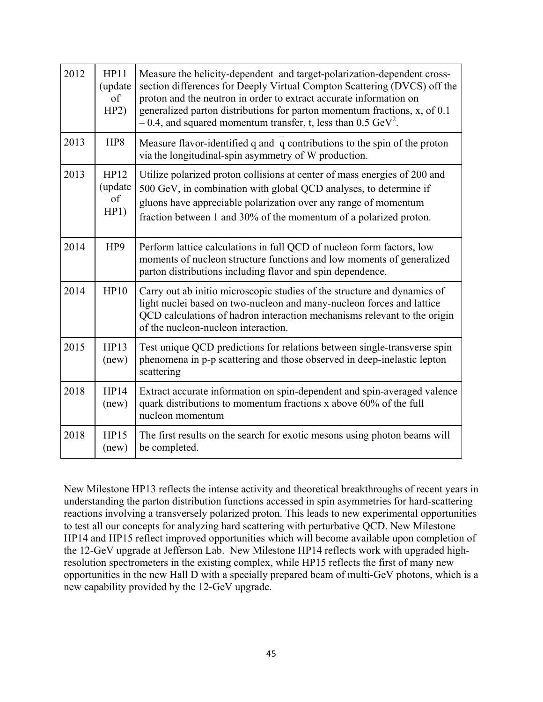| 2012 | HP11<br>(update<br>of<br>HP2) | Measure the helicity-dependent and target-polarization-dependent cross-<br>section differences for Deeply Virtual Compton Scattering (DVCS) off the<br>proton and the neutron in order to extract accurate information on<br>generalized parton distributions for parton momentum fractions, x, of 0.1<br>$-0.4$ , and squared momentum transfer, t, less than 0.5 GeV <sup>2</sup> . |
|------|-------------------------------|---------------------------------------------------------------------------------------------------------------------------------------------------------------------------------------------------------------------------------------------------------------------------------------------------------------------------------------------------------------------------------------|
| 2013 | HP8                           | Measure flavor-identified q and q contributions to the spin of the proton<br>via the longitudinal-spin asymmetry of W production.                                                                                                                                                                                                                                                     |
| 2013 | HP12<br>(update<br>of<br>HP1) | Utilize polarized proton collisions at center of mass energies of 200 and<br>500 GeV, in combination with global QCD analyses, to determine if<br>gluons have appreciable polarization over any range of momentum<br>fraction between 1 and 30% of the momentum of a polarized proton.                                                                                                |
| 2014 | HP9                           | Perform lattice calculations in full QCD of nucleon form factors, low<br>moments of nucleon structure functions and low moments of generalized<br>parton distributions including flavor and spin dependence.                                                                                                                                                                          |
| 2014 | HP10                          | Carry out ab initio microscopic studies of the structure and dynamics of<br>light nuclei based on two-nucleon and many-nucleon forces and lattice<br>QCD calculations of hadron interaction mechanisms relevant to the origin<br>of the nucleon-nucleon interaction.                                                                                                                  |
| 2015 | HP13<br>(new)                 | Test unique QCD predictions for relations between single-transverse spin<br>phenomena in p-p scattering and those observed in deep-inelastic lepton<br>scattering                                                                                                                                                                                                                     |
| 2018 | HP14<br>(new)                 | Extract accurate information on spin-dependent and spin-averaged valence<br>quark distributions to momentum fractions x above 60% of the full<br>nucleon momentum                                                                                                                                                                                                                     |
| 2018 | HP15<br>(new)                 | The first results on the search for exotic mesons using photon beams will<br>be completed.                                                                                                                                                                                                                                                                                            |

New Milestone HP13 reflects the intense activity and theoretical breakthroughs of recent years in understanding the parton distribution functions accessed in spin asymmetries for hard-scattering reactions involving a transversely polarized proton. This leads to new experimental opportunities to test all our concepts for analyzing hard scattering with perturbative QCD. New Milestone HP14 and HP15 reflect improved opportunities which will become available upon completion of the 12-GeV upgrade at Jefferson Lab. New Milestone HP14 reflects work with upgraded highresolution spectrometers in the existing complex, while HP15 reflects the first of many new opportunities in the new Hall D with a specially prepared beam of multi-GeV photons, which is a new capability provided by the 12-GeV upgrade.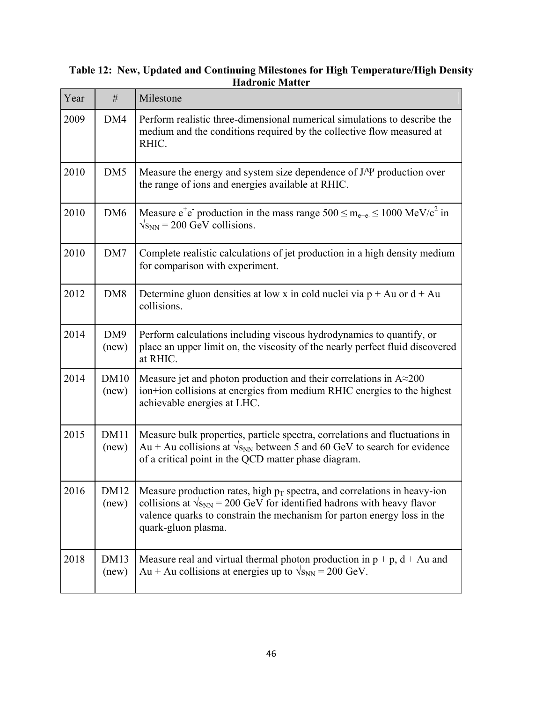| Year | #                    | Milestone                                                                                                                                                                                                                                                         |
|------|----------------------|-------------------------------------------------------------------------------------------------------------------------------------------------------------------------------------------------------------------------------------------------------------------|
| 2009 | DM4                  | Perform realistic three-dimensional numerical simulations to describe the<br>medium and the conditions required by the collective flow measured at<br>RHIC.                                                                                                       |
| 2010 | DM5                  | Measure the energy and system size dependence of J/ $\Psi$ production over<br>the range of ions and energies available at RHIC.                                                                                                                                   |
| 2010 | DM <sub>6</sub>      | Measure $e^+e^-$ production in the mass range $500 \le m_{e+e} \le 1000 \text{ MeV}/c^2$ in<br>$\sqrt{s_{NN}}$ = 200 GeV collisions.                                                                                                                              |
| 2010 | DM7                  | Complete realistic calculations of jet production in a high density medium<br>for comparison with experiment.                                                                                                                                                     |
| 2012 | DM <sub>8</sub>      | Determine gluon densities at low x in cold nuclei via $p + Au$ or $d + Au$<br>collisions.                                                                                                                                                                         |
| 2014 | DM9<br>(new)         | Perform calculations including viscous hydrodynamics to quantify, or<br>place an upper limit on, the viscosity of the nearly perfect fluid discovered<br>at RHIC.                                                                                                 |
| 2014 | DM10<br>(new)        | Measure jet and photon production and their correlations in $A \approx 200$<br>ion+ion collisions at energies from medium RHIC energies to the highest<br>achievable energies at LHC.                                                                             |
| 2015 | DM11<br>(new)        | Measure bulk properties, particle spectra, correlations and fluctuations in<br>Au + Au collisions at $\sqrt{s_{NN}}$ between 5 and 60 GeV to search for evidence<br>of a critical point in the QCD matter phase diagram.                                          |
| 2016 | <b>DM12</b><br>(new) | Measure production rates, high $p_T$ spectra, and correlations in heavy-ion<br>collisions at $\sqrt{s_{NN}}$ = 200 GeV for identified hadrons with heavy flavor<br>valence quarks to constrain the mechanism for parton energy loss in the<br>quark-gluon plasma. |
| 2018 | DM13<br>(new)        | Measure real and virtual thermal photon production in $p + p$ , $d + Au$ and<br>Au + Au collisions at energies up to $\sqrt{s_{NN}}$ = 200 GeV.                                                                                                                   |

## **Table 12: New, Updated and Continuing Milestones for High Temperature/High Density Hadronic Matter**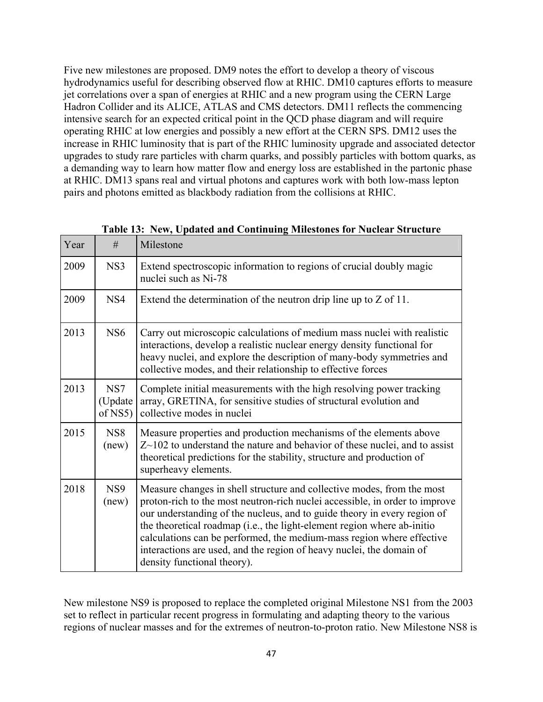Five new milestones are proposed. DM9 notes the effort to develop a theory of viscous hydrodynamics useful for describing observed flow at RHIC. DM10 captures efforts to measure jet correlations over a span of energies at RHIC and a new program using the CERN Large Hadron Collider and its ALICE, ATLAS and CMS detectors. DM11 reflects the commencing intensive search for an expected critical point in the QCD phase diagram and will require operating RHIC at low energies and possibly a new effort at the CERN SPS. DM12 uses the increase in RHIC luminosity that is part of the RHIC luminosity upgrade and associated detector upgrades to study rare particles with charm quarks, and possibly particles with bottom quarks, as a demanding way to learn how matter flow and energy loss are established in the partonic phase at RHIC. DM13 spans real and virtual photons and captures work with both low-mass lepton pairs and photons emitted as blackbody radiation from the collisions at RHIC.

| Year | #                         | Milestone                                                                                                                                                                                                                                                                                                                                                                                                                                                                                    |
|------|---------------------------|----------------------------------------------------------------------------------------------------------------------------------------------------------------------------------------------------------------------------------------------------------------------------------------------------------------------------------------------------------------------------------------------------------------------------------------------------------------------------------------------|
| 2009 | NS3                       | Extend spectroscopic information to regions of crucial doubly magic<br>nuclei such as Ni-78                                                                                                                                                                                                                                                                                                                                                                                                  |
| 2009 | NS <sub>4</sub>           | Extend the determination of the neutron drip line up to $Z$ of 11.                                                                                                                                                                                                                                                                                                                                                                                                                           |
| 2013 | NS <sub>6</sub>           | Carry out microscopic calculations of medium mass nuclei with realistic<br>interactions, develop a realistic nuclear energy density functional for<br>heavy nuclei, and explore the description of many-body symmetries and<br>collective modes, and their relationship to effective forces                                                                                                                                                                                                  |
| 2013 | NS7<br>(Update<br>of NS5) | Complete initial measurements with the high resolving power tracking<br>array, GRETINA, for sensitive studies of structural evolution and<br>collective modes in nuclei                                                                                                                                                                                                                                                                                                                      |
| 2015 | NS <sub>8</sub><br>(new)  | Measure properties and production mechanisms of the elements above<br>$Z$ $\sim$ 102 to understand the nature and behavior of these nuclei, and to assist<br>theoretical predictions for the stability, structure and production of<br>superheavy elements.                                                                                                                                                                                                                                  |
| 2018 | NS <sub>9</sub><br>(new)  | Measure changes in shell structure and collective modes, from the most<br>proton-rich to the most neutron-rich nuclei accessible, in order to improve<br>our understanding of the nucleus, and to guide theory in every region of<br>the theoretical roadmap (i.e., the light-element region where ab-initio<br>calculations can be performed, the medium-mass region where effective<br>interactions are used, and the region of heavy nuclei, the domain of<br>density functional theory). |

|  | Table 13: New, Updated and Continuing Milestones for Nuclear Structure |  |  |
|--|------------------------------------------------------------------------|--|--|
|  |                                                                        |  |  |

New milestone NS9 is proposed to replace the completed original Milestone NS1 from the 2003 set to reflect in particular recent progress in formulating and adapting theory to the various regions of nuclear masses and for the extremes of neutron-to-proton ratio. New Milestone NS8 is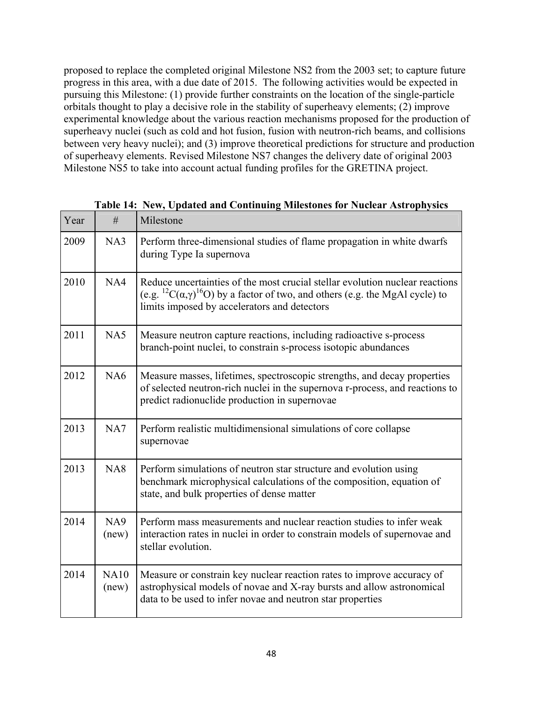proposed to replace the completed original Milestone NS2 from the 2003 set; to capture future progress in this area, with a due date of 2015. The following activities would be expected in pursuing this Milestone: (1) provide further constraints on the location of the single-particle orbitals thought to play a decisive role in the stability of superheavy elements; (2) improve experimental knowledge about the various reaction mechanisms proposed for the production of superheavy nuclei (such as cold and hot fusion, fusion with neutron-rich beams, and collisions between very heavy nuclei); and (3) improve theoretical predictions for structure and production of superheavy elements. Revised Milestone NS7 changes the delivery date of original 2003 Milestone NS5 to take into account actual funding profiles for the GRETINA project.

| Year | #                    | Milestone                                                                                                                                                                                                                                             |
|------|----------------------|-------------------------------------------------------------------------------------------------------------------------------------------------------------------------------------------------------------------------------------------------------|
| 2009 | NA3                  | Perform three-dimensional studies of flame propagation in white dwarfs<br>during Type Ia supernova                                                                                                                                                    |
| 2010 | NA4                  | Reduce uncertainties of the most crucial stellar evolution nuclear reactions<br>(e.g. <sup>12</sup> C( $\alpha$ , $\gamma$ ) <sup>16</sup> O) by a factor of two, and others (e.g. the MgAl cycle) to<br>limits imposed by accelerators and detectors |
| 2011 | NA5                  | Measure neutron capture reactions, including radioactive s-process<br>branch-point nuclei, to constrain s-process isotopic abundances                                                                                                                 |
| 2012 | NA <sub>6</sub>      | Measure masses, lifetimes, spectroscopic strengths, and decay properties<br>of selected neutron-rich nuclei in the supernova r-process, and reactions to<br>predict radionuclide production in supernovae                                             |
| 2013 | NA7                  | Perform realistic multidimensional simulations of core collapse<br>supernovae                                                                                                                                                                         |
| 2013 | NA8                  | Perform simulations of neutron star structure and evolution using<br>benchmark microphysical calculations of the composition, equation of<br>state, and bulk properties of dense matter                                                               |
| 2014 | NA9<br>(new)         | Perform mass measurements and nuclear reaction studies to infer weak<br>interaction rates in nuclei in order to constrain models of supernovae and<br>stellar evolution.                                                                              |
| 2014 | <b>NA10</b><br>(new) | Measure or constrain key nuclear reaction rates to improve accuracy of<br>astrophysical models of novae and X-ray bursts and allow astronomical<br>data to be used to infer novae and neutron star properties                                         |

**Table 14: New, Updated and Continuing Milestones for Nuclear Astrophysics**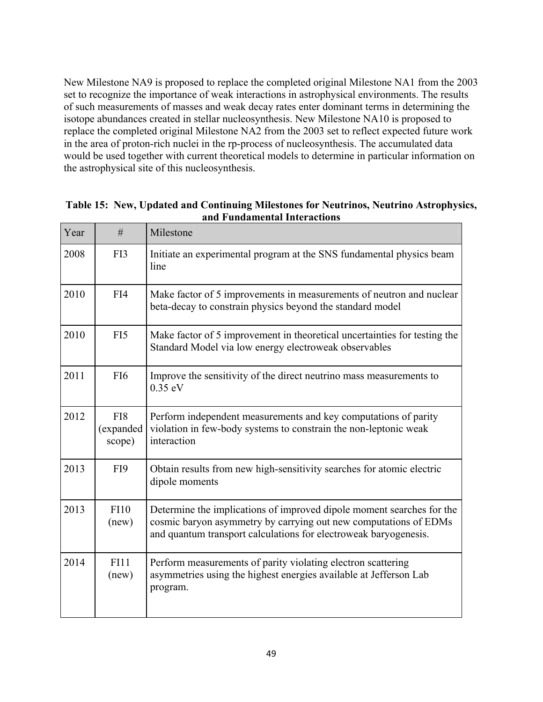New Milestone NA9 is proposed to replace the completed original Milestone NA1 from the 2003 set to recognize the importance of weak interactions in astrophysical environments. The results of such measurements of masses and weak decay rates enter dominant terms in determining the isotope abundances created in stellar nucleosynthesis. New Milestone NA10 is proposed to replace the completed original Milestone NA2 from the 2003 set to reflect expected future work in the area of proton-rich nuclei in the rp-process of nucleosynthesis. The accumulated data would be used together with current theoretical models to determine in particular information on the astrophysical site of this nucleosynthesis.

| Year | #                          | Milestone                                                                                                                                                                                                     |
|------|----------------------------|---------------------------------------------------------------------------------------------------------------------------------------------------------------------------------------------------------------|
| 2008 | FI3                        | Initiate an experimental program at the SNS fundamental physics beam<br>line                                                                                                                                  |
| 2010 | FI4                        | Make factor of 5 improvements in measurements of neutron and nuclear<br>beta-decay to constrain physics beyond the standard model                                                                             |
| 2010 | FI5                        | Make factor of 5 improvement in theoretical uncertainties for testing the<br>Standard Model via low energy electroweak observables                                                                            |
| 2011 | FI <sub>6</sub>            | Improve the sensitivity of the direct neutrino mass measurements to<br>$0.35$ eV                                                                                                                              |
| 2012 | FI8<br>(expanded<br>scope) | Perform independent measurements and key computations of parity<br>violation in few-body systems to constrain the non-leptonic weak<br>interaction                                                            |
| 2013 | FI9                        | Obtain results from new high-sensitivity searches for atomic electric<br>dipole moments                                                                                                                       |
| 2013 | <b>FI10</b><br>(new)       | Determine the implications of improved dipole moment searches for the<br>cosmic baryon asymmetry by carrying out new computations of EDMs<br>and quantum transport calculations for electroweak baryogenesis. |
| 2014 | FI11<br>(new)              | Perform measurements of parity violating electron scattering<br>asymmetries using the highest energies available at Jefferson Lab<br>program.                                                                 |

**Table 15: New, Updated and Continuing Milestones for Neutrinos, Neutrino Astrophysics, and Fundamental Interactions**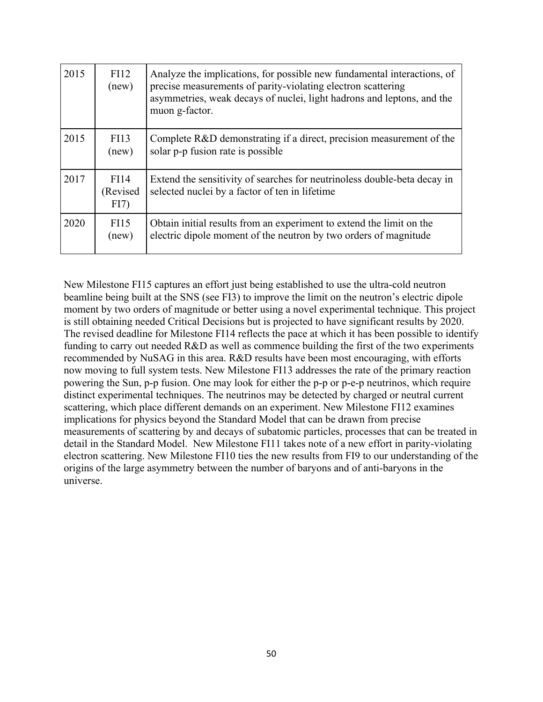| 2015 | FI12<br>(new)            | Analyze the implications, for possible new fundamental interactions, of<br>precise measurements of parity-violating electron scattering<br>asymmetries, weak decays of nuclei, light hadrons and leptons, and the<br>muon g-factor. |
|------|--------------------------|-------------------------------------------------------------------------------------------------------------------------------------------------------------------------------------------------------------------------------------|
| 2015 | <b>FI13</b><br>(new)     | Complete R&D demonstrating if a direct, precision measurement of the<br>solar p-p fusion rate is possible                                                                                                                           |
| 2017 | FI14<br>(Revised<br>FI7) | Extend the sensitivity of searches for neutrinoless double-beta decay in<br>selected nuclei by a factor of ten in lifetime                                                                                                          |
| 2020 | FI15<br>(new)            | Obtain initial results from an experiment to extend the limit on the<br>electric dipole moment of the neutron by two orders of magnitude                                                                                            |

New Milestone FI15 captures an effort just being established to use the ultra-cold neutron beamline being built at the SNS (see FI3) to improve the limit on the neutron's electric dipole moment by two orders of magnitude or better using a novel experimental technique. This project is still obtaining needed Critical Decisions but is projected to have significant results by 2020. The revised deadline for Milestone FI14 reflects the pace at which it has been possible to identify funding to carry out needed R&D as well as commence building the first of the two experiments recommended by NuSAG in this area. R&D results have been most encouraging, with efforts now moving to full system tests. New Milestone FI13 addresses the rate of the primary reaction powering the Sun, p-p fusion. One may look for either the p-p or p-e-p neutrinos, which require distinct experimental techniques. The neutrinos may be detected by charged or neutral current scattering, which place different demands on an experiment. New Milestone FI12 examines implications for physics beyond the Standard Model that can be drawn from precise measurements of scattering by and decays of subatomic particles, processes that can be treated in detail in the Standard Model. New Milestone FI11 takes note of a new effort in parity-violating electron scattering. New Milestone FI10 ties the new results from FI9 to our understanding of the origins of the large asymmetry between the number of baryons and of anti-baryons in the universe.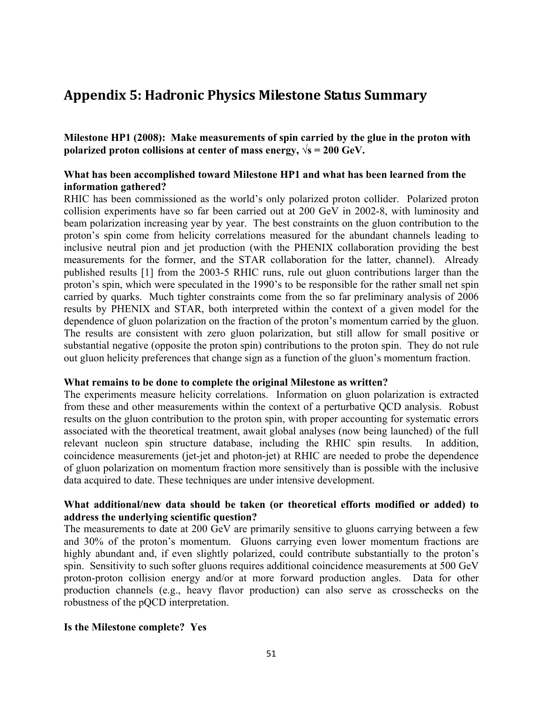## **Appendix 5: Hadronic Physics Milestone Status Summary**

**Milestone HP1 (2008): Make measurements of spin carried by the glue in the proton with polarized proton collisions at center of mass energy,**  $\sqrt{s} = 200 \text{ GeV}$ **.** 

## **What has been accomplished toward Milestone HP1 and what has been learned from the information gathered?**

RHIC has been commissioned as the world's only polarized proton collider. Polarized proton collision experiments have so far been carried out at 200 GeV in 2002-8, with luminosity and beam polarization increasing year by year. The best constraints on the gluon contribution to the proton's spin come from helicity correlations measured for the abundant channels leading to inclusive neutral pion and jet production (with the PHENIX collaboration providing the best measurements for the former, and the STAR collaboration for the latter, channel). Already published results [1] from the 2003-5 RHIC runs, rule out gluon contributions larger than the proton's spin, which were speculated in the 1990's to be responsible for the rather small net spin carried by quarks. Much tighter constraints come from the so far preliminary analysis of 2006 results by PHENIX and STAR, both interpreted within the context of a given model for the dependence of gluon polarization on the fraction of the proton's momentum carried by the gluon. The results are consistent with zero gluon polarization, but still allow for small positive or substantial negative (opposite the proton spin) contributions to the proton spin. They do not rule out gluon helicity preferences that change sign as a function of the gluon's momentum fraction.

#### **What remains to be done to complete the original Milestone as written?**

The experiments measure helicity correlations. Information on gluon polarization is extracted from these and other measurements within the context of a perturbative QCD analysis. Robust results on the gluon contribution to the proton spin, with proper accounting for systematic errors associated with the theoretical treatment, await global analyses (now being launched) of the full relevant nucleon spin structure database, including the RHIC spin results. In addition, coincidence measurements (jet-jet and photon-jet) at RHIC are needed to probe the dependence of gluon polarization on momentum fraction more sensitively than is possible with the inclusive data acquired to date. These techniques are under intensive development.

## **What additional/new data should be taken (or theoretical efforts modified or added) to address the underlying scientific question?**

The measurements to date at 200 GeV are primarily sensitive to gluons carrying between a few and 30% of the proton's momentum. Gluons carrying even lower momentum fractions are highly abundant and, if even slightly polarized, could contribute substantially to the proton's spin. Sensitivity to such softer gluons requires additional coincidence measurements at 500 GeV proton-proton collision energy and/or at more forward production angles. Data for other production channels (e.g., heavy flavor production) can also serve as crosschecks on the robustness of the pQCD interpretation.

#### **Is the Milestone complete? Yes**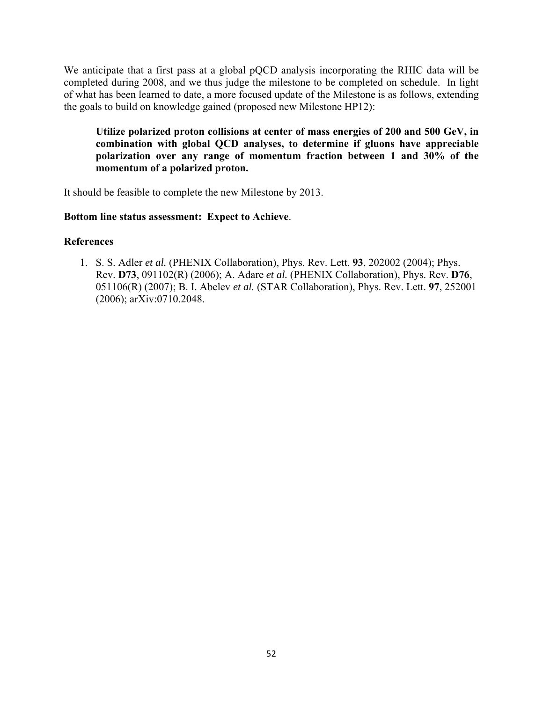We anticipate that a first pass at a global pQCD analysis incorporating the RHIC data will be completed during 2008, and we thus judge the milestone to be completed on schedule. In light of what has been learned to date, a more focused update of the Milestone is as follows, extending the goals to build on knowledge gained (proposed new Milestone HP12):

**Utilize polarized proton collisions at center of mass energies of 200 and 500 GeV, in combination with global QCD analyses, to determine if gluons have appreciable polarization over any range of momentum fraction between 1 and 30% of the momentum of a polarized proton.** 

It should be feasible to complete the new Milestone by 2013.

## **Bottom line status assessment: Expect to Achieve**.

## **References**

1. S. S. Adler *et al.* (PHENIX Collaboration), Phys. Rev. Lett. **93**, 202002 (2004); Phys. Rev. **D73**, 091102(R) (2006); A. Adare *et al.* (PHENIX Collaboration), Phys. Rev. **D76**, 051106(R) (2007); B. I. Abelev *et al.* (STAR Collaboration), Phys. Rev. Lett. **97**, 252001 (2006); arXiv:0710.2048.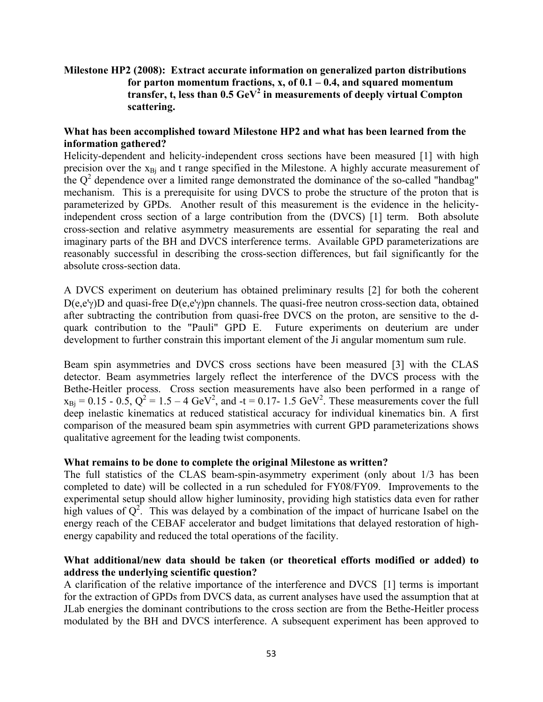## **Milestone HP2 (2008): Extract accurate information on generalized parton distributions for parton momentum fractions, x, of 0.1 – 0.4, and squared momentum transfer, t, less than 0.5 GeV<sup>2</sup> in measurements of deeply virtual Compton scattering.**

## **What has been accomplished toward Milestone HP2 and what has been learned from the information gathered?**

Helicity-dependent and helicity-independent cross sections have been measured [1] with high precision over the  $x_{B_i}$  and t range specified in the Milestone. A highly accurate measurement of the  $Q^2$  dependence over a limited range demonstrated the dominance of the so-called "handbag" mechanism. This is a prerequisite for using DVCS to probe the structure of the proton that is parameterized by GPDs. Another result of this measurement is the evidence in the helicityindependent cross section of a large contribution from the (DVCS) [1] term. Both absolute cross-section and relative asymmetry measurements are essential for separating the real and imaginary parts of the BH and DVCS interference terms. Available GPD parameterizations are reasonably successful in describing the cross-section differences, but fail significantly for the absolute cross-section data.

A DVCS experiment on deuterium has obtained preliminary results [2] for both the coherent D(e,e'γ)D and quasi-free D(e,e'γ)pn channels. The quasi-free neutron cross-section data, obtained after subtracting the contribution from quasi-free DVCS on the proton, are sensitive to the dquark contribution to the "Pauli" GPD E. Future experiments on deuterium are under development to further constrain this important element of the Ji angular momentum sum rule.

Beam spin asymmetries and DVCS cross sections have been measured [3] with the CLAS detector. Beam asymmetries largely reflect the interference of the DVCS process with the Bethe-Heitler process. Cross section measurements have also been performed in a range of  $x_{\text{Bj}} = 0.15 - 0.5$ ,  $Q^2 = 1.5 - 4 \text{ GeV}^2$ , and  $-t = 0.17 - 1.5 \text{ GeV}^2$ . These measurements cover the full deep inelastic kinematics at reduced statistical accuracy for individual kinematics bin. A first comparison of the measured beam spin asymmetries with current GPD parameterizations shows qualitative agreement for the leading twist components.

#### **What remains to be done to complete the original Milestone as written?**

The full statistics of the CLAS beam-spin-asymmetry experiment (only about 1/3 has been completed to date) will be collected in a run scheduled for FY08/FY09. Improvements to the experimental setup should allow higher luminosity, providing high statistics data even for rather high values of  $Q^2$ . This was delayed by a combination of the impact of hurricane Isabel on the energy reach of the CEBAF accelerator and budget limitations that delayed restoration of highenergy capability and reduced the total operations of the facility.

## **What additional/new data should be taken (or theoretical efforts modified or added) to address the underlying scientific question?**

A clarification of the relative importance of the interference and DVCS [1] terms is important for the extraction of GPDs from DVCS data, as current analyses have used the assumption that at JLab energies the dominant contributions to the cross section are from the Bethe-Heitler process modulated by the BH and DVCS interference. A subsequent experiment has been approved to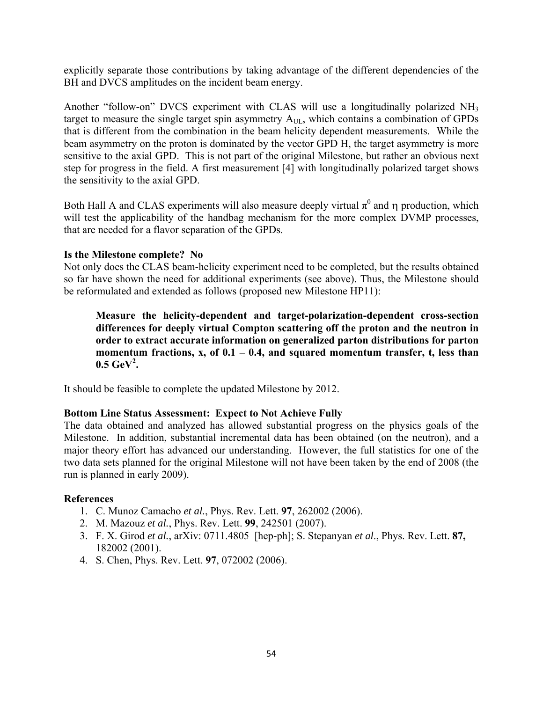explicitly separate those contributions by taking advantage of the different dependencies of the BH and DVCS amplitudes on the incident beam energy.

Another "follow-on" DVCS experiment with CLAS will use a longitudinally polarized NH3 target to measure the single target spin asymmetry  $A_{UL}$ , which contains a combination of GPDs that is different from the combination in the beam helicity dependent measurements. While the beam asymmetry on the proton is dominated by the vector GPD H, the target asymmetry is more sensitive to the axial GPD. This is not part of the original Milestone, but rather an obvious next step for progress in the field. A first measurement [4] with longitudinally polarized target shows the sensitivity to the axial GPD.

Both Hall A and CLAS experiments will also measure deeply virtual  $\pi^0$  and  $\eta$  production, which will test the applicability of the handbag mechanism for the more complex DVMP processes, that are needed for a flavor separation of the GPDs.

## **Is the Milestone complete? No**

Not only does the CLAS beam-helicity experiment need to be completed, but the results obtained so far have shown the need for additional experiments (see above). Thus, the Milestone should be reformulated and extended as follows (proposed new Milestone HP11):

**Measure the helicity-dependent and target-polarization-dependent cross-section differences for deeply virtual Compton scattering off the proton and the neutron in order to extract accurate information on generalized parton distributions for parton momentum fractions, x, of 0.1 – 0.4, and squared momentum transfer, t, less than**   $0.5 \text{ GeV}^2$ .

It should be feasible to complete the updated Milestone by 2012.

## **Bottom Line Status Assessment: Expect to Not Achieve Fully**

The data obtained and analyzed has allowed substantial progress on the physics goals of the Milestone. In addition, substantial incremental data has been obtained (on the neutron), and a major theory effort has advanced our understanding. However, the full statistics for one of the two data sets planned for the original Milestone will not have been taken by the end of 2008 (the run is planned in early 2009).

- 1. C. Munoz Camacho *et al.*, Phys. Rev. Lett. **97**, 262002 (2006).
- 2. M. Mazouz *et al.*, Phys. Rev. Lett. **99**, 242501 (2007).
- 3. F. X. Girod *et al.*, arXiv: 0711.4805 [hep-ph]; S. Stepanyan *et al*., Phys. Rev. Lett. **87,**  182002 (2001).
- 4. S. Chen, Phys. Rev. Lett. **97**, 072002 (2006).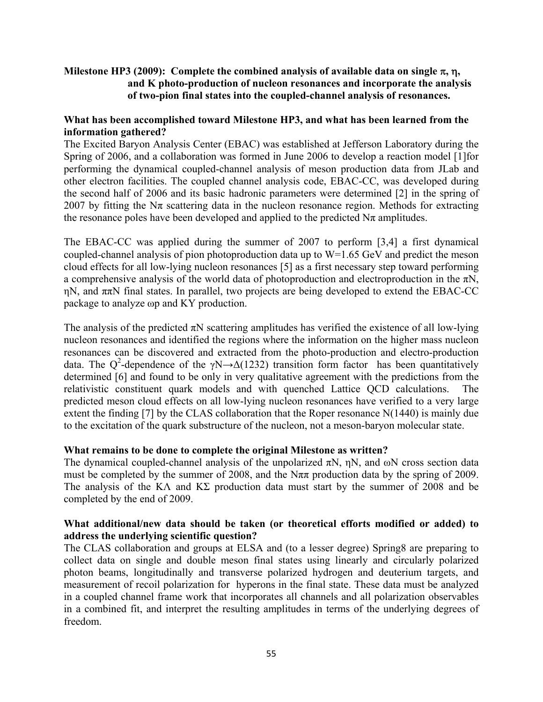## **Milestone HP3 (2009): Complete the combined analysis of available data on single** π**,** η**, and K photo-production of nucleon resonances and incorporate the analysis of two-pion final states into the coupled-channel analysis of resonances.**

## **What has been accomplished toward Milestone HP3, and what has been learned from the information gathered?**

The Excited Baryon Analysis Center (EBAC) was established at Jefferson Laboratory during the Spring of 2006, and a collaboration was formed in June 2006 to develop a reaction model [1]for performing the dynamical coupled-channel analysis of meson production data from JLab and other electron facilities. The coupled channel analysis code, EBAC-CC, was developed during the second half of 2006 and its basic hadronic parameters were determined [2] in the spring of 2007 by fitting the N $\pi$  scattering data in the nucleon resonance region. Methods for extracting the resonance poles have been developed and applied to the predicted  $N\pi$  amplitudes.

The EBAC-CC was applied during the summer of 2007 to perform [3,4] a first dynamical coupled-channel analysis of pion photoproduction data up to W=1.65 GeV and predict the meson cloud effects for all low-lying nucleon resonances [5] as a first necessary step toward performing a comprehensive analysis of the world data of photoproduction and electroproduction in the  $\pi N$ , ηN, and ππN final states. In parallel, two projects are being developed to extend the EBAC-CC package to analyze ωp and KY production.

The analysis of the predicted  $\pi N$  scattering amplitudes has verified the existence of all low-lying nucleon resonances and identified the regions where the information on the higher mass nucleon resonances can be discovered and extracted from the photo-production and electro-production data. The Q<sup>2</sup>-dependence of the  $\gamma N \rightarrow \Delta(1232)$  transition form factor has been quantitatively determined [6] and found to be only in very qualitative agreement with the predictions from the relativistic constituent quark models and with quenched Lattice QCD calculations. The predicted meson cloud effects on all low-lying nucleon resonances have verified to a very large extent the finding [7] by the CLAS collaboration that the Roper resonance N(1440) is mainly due to the excitation of the quark substructure of the nucleon, not a meson-baryon molecular state.

#### **What remains to be done to complete the original Milestone as written?**

The dynamical coupled-channel analysis of the unpolarized  $\pi N$ , ηN, and ωN cross section data must be completed by the summer of 2008, and the N $\pi\pi$  production data by the spring of 2009. The analysis of the KΛ and KΣ production data must start by the summer of 2008 and be completed by the end of 2009.

## **What additional/new data should be taken (or theoretical efforts modified or added) to address the underlying scientific question?**

The CLAS collaboration and groups at ELSA and (to a lesser degree) Spring8 are preparing to collect data on single and double meson final states using linearly and circularly polarized photon beams, longitudinally and transverse polarized hydrogen and deuterium targets, and measurement of recoil polarization for hyperons in the final state. These data must be analyzed in a coupled channel frame work that incorporates all channels and all polarization observables in a combined fit, and interpret the resulting amplitudes in terms of the underlying degrees of freedom.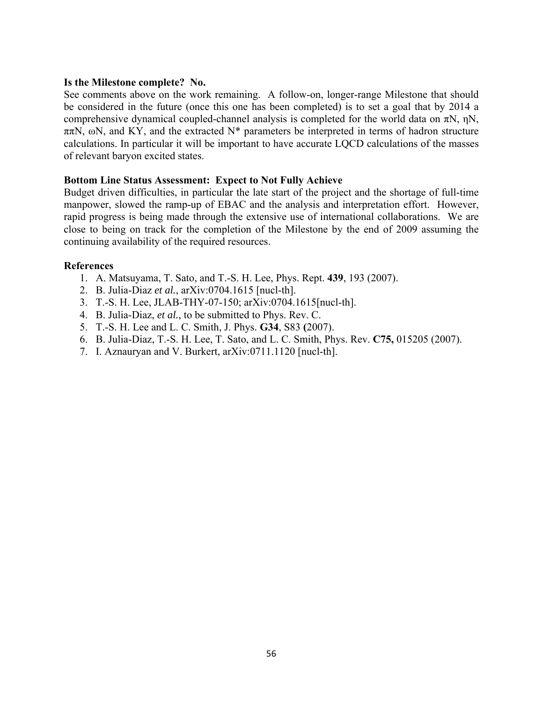#### **Is the Milestone complete? No.**

See comments above on the work remaining. A follow-on, longer-range Milestone that should be considered in the future (once this one has been completed) is to set a goal that by 2014 a comprehensive dynamical coupled-channel analysis is completed for the world data on  $\pi N$ , nN,  $\pi\pi N$ , ωN, and KY, and the extracted N\* parameters be interpreted in terms of hadron structure calculations. In particular it will be important to have accurate LQCD calculations of the masses of relevant baryon excited states.

#### **Bottom Line Status Assessment: Expect to Not Fully Achieve**

Budget driven difficulties, in particular the late start of the project and the shortage of full-time manpower, slowed the ramp-up of EBAC and the analysis and interpretation effort. However, rapid progress is being made through the extensive use of international collaborations. We are close to being on track for the completion of the Milestone by the end of 2009 assuming the continuing availability of the required resources.

- 1. A. Matsuyama, T. Sato, and T.-S. H. Lee, Phys. Rept. **439**, 193 (2007).
- 2. B. Julia-Diaz *et al.*, arXiv:0704.1615 [nucl-th].
- 3. T.-S. H. Lee, JLAB-THY-07-150; arXiv:0704.1615[nucl-th].
- 4. B. Julia-Diaz, *et al.*, to be submitted to Phys. Rev. C.
- 5. T.-S. H. Lee and L. C. Smith, J. Phys. **G34**, S83 **(**2007).
- 6. B. Julia-Diaz, T.-S. H. Lee, T. Sato, and L. C. Smith, Phys. Rev. **C75,** 015205 (2007).
- 7. I. Aznauryan and V. Burkert, arXiv:0711.1120 [nucl-th].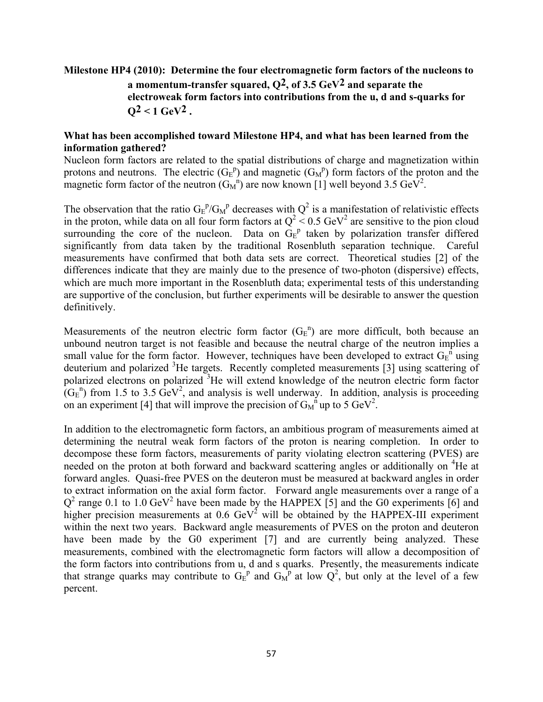## **Milestone HP4 (2010): Determine the four electromagnetic form factors of the nucleons to a momentum-transfer squared, Q2, of 3.5 GeV2 and separate the electroweak form factors into contributions from the u, d and s-quarks for**   $Q^2 < 1$  GeV<sup>2</sup>.

#### **What has been accomplished toward Milestone HP4, and what has been learned from the information gathered?**

Nucleon form factors are related to the spatial distributions of charge and magnetization within protons and neutrons. The electric  $(G_E^p)$  and magnetic  $(G_M^p)$  form factors of the proton and the magnetic form factor of the neutron  $(G_M^{\text{n}})$  are now known [1] well beyond 3.5 GeV<sup>2</sup>.

The observation that the ratio  $G_E^P/G_M^P$  decreases with  $Q^2$  is a manifestation of relativistic effects in the proton, while data on all four form factors at  $Q^2 < 0.5$  GeV<sup>2</sup> are sensitive to the pion cloud surrounding the core of the nucleon. Data on  $G_E^p$  taken by polarization transfer differed significantly from data taken by the traditional Rosenbluth separation technique. Careful measurements have confirmed that both data sets are correct. Theoretical studies [2] of the differences indicate that they are mainly due to the presence of two-photon (dispersive) effects, which are much more important in the Rosenbluth data; experimental tests of this understanding are supportive of the conclusion, but further experiments will be desirable to answer the question definitively.

Measurements of the neutron electric form factor  $(G_E^n)$  are more difficult, both because an unbound neutron target is not feasible and because the neutral charge of the neutron implies a small value for the form factor. However, techniques have been developed to extract  $G_E^{n}$  using deuterium and polarized <sup>3</sup>He targets. Recently completed measurements [3] using scattering of polarized electrons on polarized<sup>3</sup>He will extend knowledge of the neutron electric form factor  $(G<sub>E</sub><sup>n</sup>)$  from 1.5 to 3.5  $GeV<sup>2</sup>$ , and analysis is well underway. In addition, analysis is proceeding on an experiment [4] that will improve the precision of  $G_M^{n \n 1}$  up to 5 GeV<sup>2</sup>.

In addition to the electromagnetic form factors, an ambitious program of measurements aimed at determining the neutral weak form factors of the proton is nearing completion. In order to decompose these form factors, measurements of parity violating electron scattering (PVES) are needed on the proton at both forward and backward scattering angles or additionally on <sup>4</sup>He at forward angles. Quasi-free PVES on the deuteron must be measured at backward angles in order to extract information on the axial form factor. Forward angle measurements over a range of a  $Q^2$  range 0.1 to 1.0 GeV<sup>2</sup> have been made by the HAPPEX [5] and the G0 experiments [6] and higher precision measurements at  $0.6 \text{ GeV}^2$  will be obtained by the HAPPEX-III experiment within the next two years. Backward angle measurements of PVES on the proton and deuteron have been made by the G0 experiment [7] and are currently being analyzed. These measurements, combined with the electromagnetic form factors will allow a decomposition of the form factors into contributions from u, d and s quarks. Presently, the measurements indicate that strange quarks may contribute to  $G_E^{\ p}$  and  $G_M^{\ p}$  at low  $Q^2$ , but only at the level of a few percent.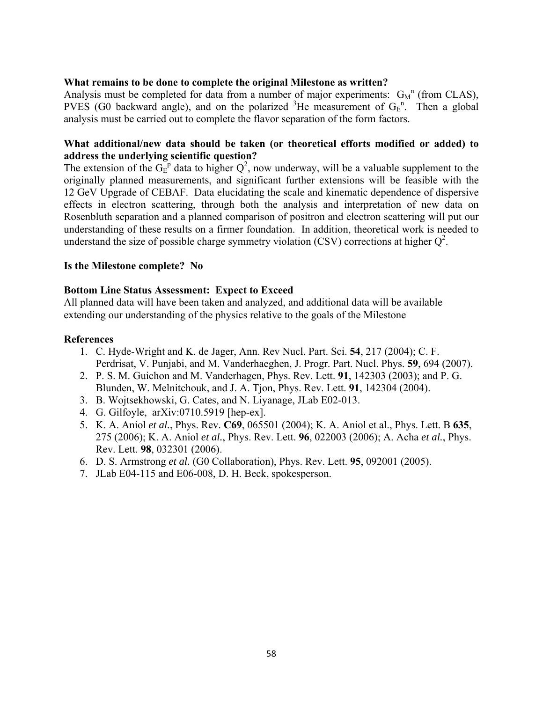#### **What remains to be done to complete the original Milestone as written?**

Analysis must be completed for data from a number of major experiments:  $G_M^n$  (from CLAS), PVES (G0 backward angle), and on the polarized  ${}^{3}$ He measurement of G<sub>E</sub><sup>n</sup>. Then a global analysis must be carried out to complete the flavor separation of the form factors.

## **What additional/new data should be taken (or theoretical efforts modified or added) to address the underlying scientific question?**

The extension of the  $G_E^p$  data to higher  $Q^2$ , now underway, will be a valuable supplement to the originally planned measurements, and significant further extensions will be feasible with the 12 GeV Upgrade of CEBAF. Data elucidating the scale and kinematic dependence of dispersive effects in electron scattering, through both the analysis and interpretation of new data on Rosenbluth separation and a planned comparison of positron and electron scattering will put our understanding of these results on a firmer foundation. In addition, theoretical work is needed to understand the size of possible charge symmetry violation (CSV) corrections at higher  $Q^2$ .

#### **Is the Milestone complete? No**

## **Bottom Line Status Assessment: Expect to Exceed**

All planned data will have been taken and analyzed, and additional data will be available extending our understanding of the physics relative to the goals of the Milestone

- 1. C. Hyde-Wright and K. de Jager, Ann. Rev Nucl. Part. Sci. **54**, 217 (2004); C. F. Perdrisat, V. Punjabi, and M. Vanderhaeghen, J. Progr. Part. Nucl. Phys. **59**, 694 (2007).
- 2. P. S. M. Guichon and M. Vanderhagen, Phys. Rev. Lett. **91**, 142303 (2003); and P. G. Blunden, W. Melnitchouk, and J. A. Tjon, Phys. Rev. Lett. **91**, 142304 (2004).
- 3. B. Wojtsekhowski, G. Cates, and N. Liyanage, JLab E02-013.
- 4. G. Gilfoyle, arXiv:0710.5919 [hep-ex].
- 5. K. A. Aniol *et al.*, Phys. Rev. **C69**, 065501 (2004); K. A. Aniol et al., Phys. Lett. B **635**, 275 (2006); K. A. Aniol *et al.*, Phys. Rev. Lett. **96**, 022003 (2006); A. Acha *et al.*, Phys. Rev. Lett. **98**, 032301 (2006).
- 6. D. S. Armstrong *et al.* (G0 Collaboration), Phys. Rev. Lett. **95**, 092001 (2005).
- 7. JLab E04-115 and E06-008, D. H. Beck, spokesperson.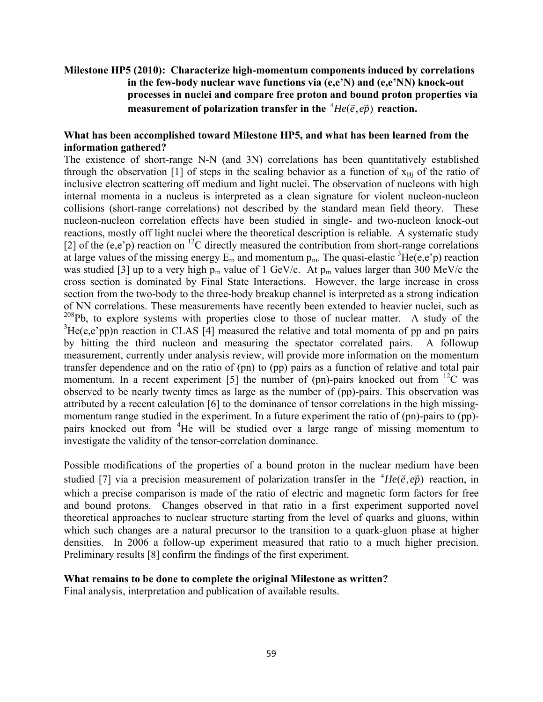## **Milestone HP5 (2010): Characterize high-momentum components induced by correlations in the few-body nuclear wave functions via (e,e'N) and (e,e'NN) knock-out processes in nuclei and compare free proton and bound proton properties via measurement of polarization transfer in the**  ${}^4He(\vec{e}, e\vec{p})$  reaction.

## **What has been accomplished toward Milestone HP5, and what has been learned from the information gathered?**

The existence of short-range N-N (and 3N) correlations has been quantitatively established through the observation [1] of steps in the scaling behavior as a function of  $x_{\text{Bi}}$  of the ratio of inclusive electron scattering off medium and light nuclei. The observation of nucleons with high internal momenta in a nucleus is interpreted as a clean signature for violent nucleon-nucleon collisions (short-range correlations) not described by the standard mean field theory. These nucleon-nucleon correlation effects have been studied in single- and two-nucleon knock-out reactions, mostly off light nuclei where the theoretical description is reliable. A systematic study [2] of the (e,e'p) reaction on <sup>12</sup>C directly measured the contribution from short-range correlations at large values of the missing energy  $E_m$  and momentum  $p_m$ . The quasi-elastic <sup>3</sup>He(e,e'p) reaction was studied [3] up to a very high  $p_m$  value of 1 GeV/c. At  $p_m$  values larger than 300 MeV/c the cross section is dominated by Final State Interactions. However, the large increase in cross section from the two-body to the three-body breakup channel is interpreted as a strong indication of NN correlations. These measurements have recently been extended to heavier nuclei, such as  $208Pb$ , to explore systems with properties close to those of nuclear matter. A study of the  ${}^{3}$ He(e,e'pp)n reaction in CLAS [4] measured the relative and total momenta of pp and pn pairs by hitting the third nucleon and measuring the spectator correlated pairs. A followup measurement, currently under analysis review, will provide more information on the momentum transfer dependence and on the ratio of (pn) to (pp) pairs as a function of relative and total pair momentum. In a recent experiment [5] the number of (pn)-pairs knocked out from  $^{12}$ C was observed to be nearly twenty times as large as the number of (pp)-pairs. This observation was attributed by a recent calculation [6] to the dominance of tensor correlations in the high missingmomentum range studied in the experiment. In a future experiment the ratio of (pn)-pairs to (pp)pairs knocked out from <sup>4</sup>He will be studied over a large range of missing momentum to investigate the validity of the tensor-correlation dominance.

Possible modifications of the properties of a bound proton in the nuclear medium have been studied [7] via a precision measurement of polarization transfer in the  ${}^{4}He(\vec{e}, e\vec{p})$  reaction, in which a precise comparison is made of the ratio of electric and magnetic form factors for free and bound protons. Changes observed in that ratio in a first experiment supported novel theoretical approaches to nuclear structure starting from the level of quarks and gluons, within which such changes are a natural precursor to the transition to a quark-gluon phase at higher densities. In 2006 a follow-up experiment measured that ratio to a much higher precision. Preliminary results [8] confirm the findings of the first experiment.

#### **What remains to be done to complete the original Milestone as written?**

Final analysis, interpretation and publication of available results.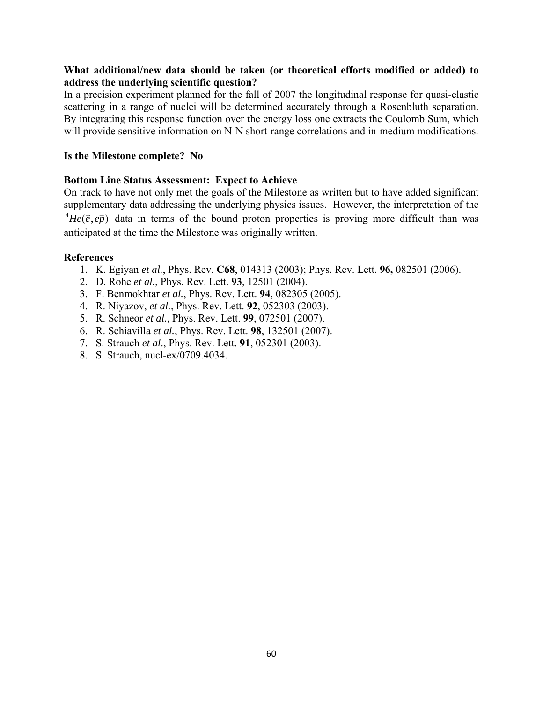## **What additional/new data should be taken (or theoretical efforts modified or added) to address the underlying scientific question?**

In a precision experiment planned for the fall of 2007 the longitudinal response for quasi-elastic scattering in a range of nuclei will be determined accurately through a Rosenbluth separation. By integrating this response function over the energy loss one extracts the Coulomb Sum, which will provide sensitive information on N-N short-range correlations and in-medium modifications.

### **Is the Milestone complete? No**

## **Bottom Line Status Assessment: Expect to Achieve**

On track to have not only met the goals of the Milestone as written but to have added significant supplementary data addressing the underlying physics issues. However, the interpretation of the  ${}^{4}He(\vec{e}, e\vec{p})$  data in terms of the bound proton properties is proving more difficult than was anticipated at the time the Milestone was originally written.

- 1. K. Egiyan *et al.*, Phys. Rev. **C68**, 014313 (2003); Phys. Rev. Lett. **96,** 082501 (2006).
- 2. D. Rohe *et al.*, Phys. Rev. Lett. **93**, 12501 (2004).
- 3. F. Benmokhtar *et al.*, Phys. Rev. Lett. **94**, 082305 (2005).
- 4. R. Niyazov, *et al.*, Phys. Rev. Lett. **92**, 052303 (2003).
- 5. R. Schneor *et al.*, Phys. Rev. Lett. **99**, 072501 (2007).
- 6. R. Schiavilla *et al.*, Phys. Rev. Lett. **98**, 132501 (2007).
- 7. S. Strauch *et al*., Phys. Rev. Lett. **91**, 052301 (2003).
- 8. S. Strauch, nucl-ex/0709.4034.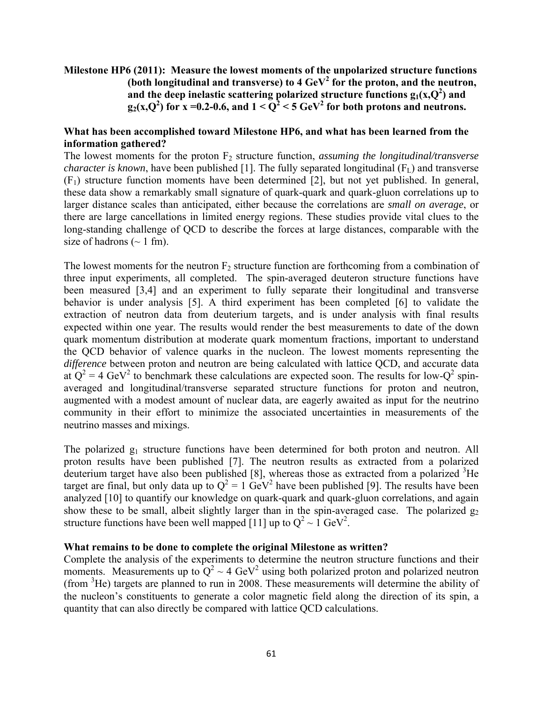## **Milestone HP6 (2011): Measure the lowest moments of the unpolarized structure functions**  (both longitudinal and transverse) to  $4 \text{ GeV}^2$  for the proton, and the neutron, and the deep inelastic scattering polarized structure functions  $g_1(x,Q^2)$  and  $g_2(x,Q^2)$  for x =0.2-0.6, and  $1 < Q^2 < 5$  GeV<sup>2</sup> for both protons and neutrons.

### **What has been accomplished toward Milestone HP6, and what has been learned from the information gathered?**

The lowest moments for the proton F<sub>2</sub> structure function, *assuming the longitudinal/transverse character is known*, have been published [1]. The fully separated longitudinal  $(F<sub>L</sub>)$  and transverse  $(F_1)$  structure function moments have been determined [2], but not yet published. In general, these data show a remarkably small signature of quark-quark and quark-gluon correlations up to larger distance scales than anticipated, either because the correlations are *small on average*, or there are large cancellations in limited energy regions. These studies provide vital clues to the long-standing challenge of QCD to describe the forces at large distances, comparable with the size of hadrons  $(\sim 1 \text{ fm})$ .

The lowest moments for the neutron  $F_2$  structure function are forthcoming from a combination of three input experiments, all completed. The spin-averaged deuteron structure functions have been measured [3,4] and an experiment to fully separate their longitudinal and transverse behavior is under analysis [5]. A third experiment has been completed [6] to validate the extraction of neutron data from deuterium targets, and is under analysis with final results expected within one year. The results would render the best measurements to date of the down quark momentum distribution at moderate quark momentum fractions, important to understand the QCD behavior of valence quarks in the nucleon. The lowest moments representing the *difference* between proton and neutron are being calculated with lattice QCD, and accurate data at  $Q^2 = 4 \text{ GeV}^2$  to benchmark these calculations are expected soon. The results for low- $Q^2$  spinaveraged and longitudinal/transverse separated structure functions for proton and neutron, augmented with a modest amount of nuclear data, are eagerly awaited as input for the neutrino community in their effort to minimize the associated uncertainties in measurements of the neutrino masses and mixings.

The polarized g<sub>1</sub> structure functions have been determined for both proton and neutron. All proton results have been published [7]. The neutron results as extracted from a polarized deuterium target have also been published  $[8]$ , whereas those as extracted from a polarized  ${}^{3}$ He target are final, but only data up to  $Q^2 = 1$  GeV<sup>2</sup> have been published [9]. The results have been analyzed [10] to quantify our knowledge on quark-quark and quark-gluon correlations, and again show these to be small, albeit slightly larger than in the spin-averaged case. The polarized  $g_2$ structure functions have been well mapped [11] up to  $Q^2 \sim 1$  GeV<sup>2</sup>.

#### **What remains to be done to complete the original Milestone as written?**

Complete the analysis of the experiments to determine the neutron structure functions and their moments. Measurements up to  $Q^2 \sim 4 \text{ GeV}^2$  using both polarized proton and polarized neutron (from <sup>3</sup> He) targets are planned to run in 2008. These measurements will determine the ability of the nucleon's constituents to generate a color magnetic field along the direction of its spin, a quantity that can also directly be compared with lattice QCD calculations.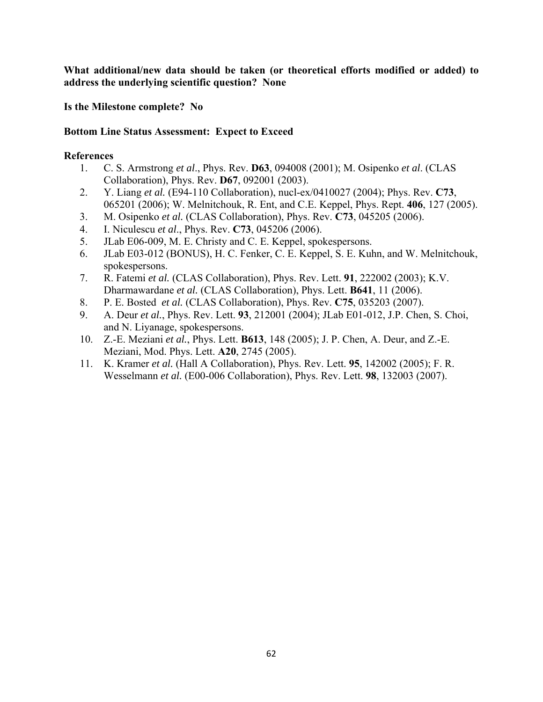**What additional/new data should be taken (or theoretical efforts modified or added) to address the underlying scientific question? None** 

**Is the Milestone complete? No** 

## **Bottom Line Status Assessment: Expect to Exceed**

- 1. C. S. Armstrong *et al*., Phys. Rev. **D63**, 094008 (2001); M. Osipenko *et al*. (CLAS Collaboration), Phys. Rev. **D67**, 092001 (2003).
- 2. Y. Liang *et al.* (E94-110 Collaboration), nucl-ex/0410027 (2004); Phys. Rev. **C73**, 065201 (2006); W. Melnitchouk, R. Ent, and C.E. Keppel, Phys. Rept. **406**, 127 (2005).
- 3. M. Osipenko *et al.* (CLAS Collaboration), Phys. Rev. **C73**, 045205 (2006).
- 4. I. Niculescu *et al*., Phys. Rev. **C73**, 045206 (2006).
- 5. JLab E06-009, M. E. Christy and C. E. Keppel, spokespersons.
- 6. JLab E03-012 (BONUS), H. C. Fenker, C. E. Keppel, S. E. Kuhn, and W. Melnitchouk, spokespersons.
- 7. R. Fatemi *et al.* (CLAS Collaboration), Phys. Rev. Lett. **91**, 222002 (2003); K.V. Dharmawardane *et al.* (CLAS Collaboration), Phys. Lett. **B641**, 11 (2006).
- 8. P. E. Bosted *et al.* (CLAS Collaboration), Phys. Rev. **C75**, 035203 (2007).
- 9. A. Deur *et al.*, Phys. Rev. Lett. **93**, 212001 (2004); JLab E01-012, J.P. Chen, S. Choi, and N. Liyanage, spokespersons.
- 10. Z.-E. Meziani *et al.*, Phys. Lett. **B613**, 148 (2005); J. P. Chen, A. Deur, and Z.-E. Meziani, Mod. Phys. Lett. **A20**, 2745 (2005).
- 11. K. Kramer *et al.* (Hall A Collaboration), Phys. Rev. Lett. **95**, 142002 (2005); F. R. Wesselmann *et al.* (E00-006 Collaboration), Phys. Rev. Lett. **98**, 132003 (2007).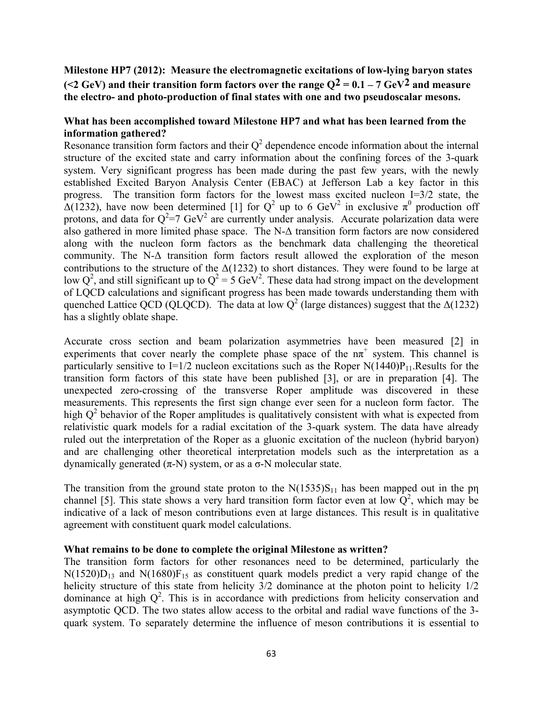**Milestone HP7 (2012): Measure the electromagnetic excitations of low-lying baryon states (<2 GeV) and their transition form factors over the range Q2 = 0.1 – 7 GeV2 and measure the electro- and photo-production of final states with one and two pseudoscalar mesons.** 

#### **What has been accomplished toward Milestone HP7 and what has been learned from the information gathered?**

Resonance transition form factors and their  $Q^2$  dependence encode information about the internal structure of the excited state and carry information about the confining forces of the 3-quark system. Very significant progress has been made during the past few years, with the newly established Excited Baryon Analysis Center (EBAC) at Jefferson Lab a key factor in this progress. The transition form factors for the lowest mass excited nucleon I=3/2 state, the  $\Delta(1232)$ , have now been determined [1] for Q<sup>2</sup> up to 6 GeV<sup>2</sup> in exclusive  $\pi^0$  production off protons, and data for  $Q^2 = 7$  GeV<sup>2</sup> are currently under analysis. Accurate polarization data were also gathered in more limited phase space. The N-Δ transition form factors are now considered along with the nucleon form factors as the benchmark data challenging the theoretical community. The N- $\Delta$  transition form factors result allowed the exploration of the meson contributions to the structure of the  $\Delta(1232)$  to short distances. They were found to be large at low Q<sup>2</sup>, and still significant up to  $Q^2 = 5 \text{ GeV}^2$ . These data had strong impact on the development of LQCD calculations and significant progress has been made towards understanding them with quenched Lattice QCD (QLQCD). The data at low  $Q^2$  (large distances) suggest that the  $\Delta(1232)$ has a slightly oblate shape.

Accurate cross section and beam polarization asymmetries have been measured [2] in experiments that cover nearly the complete phase space of the  $n\pi^{+}$  system. This channel is particularly sensitive to I=1/2 nucleon excitations such as the Roper  $N(1440)P_{11}$ . Results for the transition form factors of this state have been published [3], or are in preparation [4]. The unexpected zero-crossing of the transverse Roper amplitude was discovered in these measurements. This represents the first sign change ever seen for a nucleon form factor. The high  $Q<sup>2</sup>$  behavior of the Roper amplitudes is qualitatively consistent with what is expected from relativistic quark models for a radial excitation of the 3-quark system. The data have already ruled out the interpretation of the Roper as a gluonic excitation of the nucleon (hybrid baryon) and are challenging other theoretical interpretation models such as the interpretation as a dynamically generated (π-N) system, or as a σ-N molecular state.

The transition from the ground state proton to the  $N(1535)S<sub>11</sub>$  has been mapped out in the pη channel [5]. This state shows a very hard transition form factor even at low  $Q^2$ , which may be indicative of a lack of meson contributions even at large distances. This result is in qualitative agreement with constituent quark model calculations.

#### **What remains to be done to complete the original Milestone as written?**

The transition form factors for other resonances need to be determined, particularly the  $N(1520)D_{13}$  and  $N(1680)F_{15}$  as constituent quark models predict a very rapid change of the helicity structure of this state from helicity 3/2 dominance at the photon point to helicity 1/2 dominance at high  $Q^2$ . This is in accordance with predictions from helicity conservation and asymptotic QCD. The two states allow access to the orbital and radial wave functions of the 3 quark system. To separately determine the influence of meson contributions it is essential to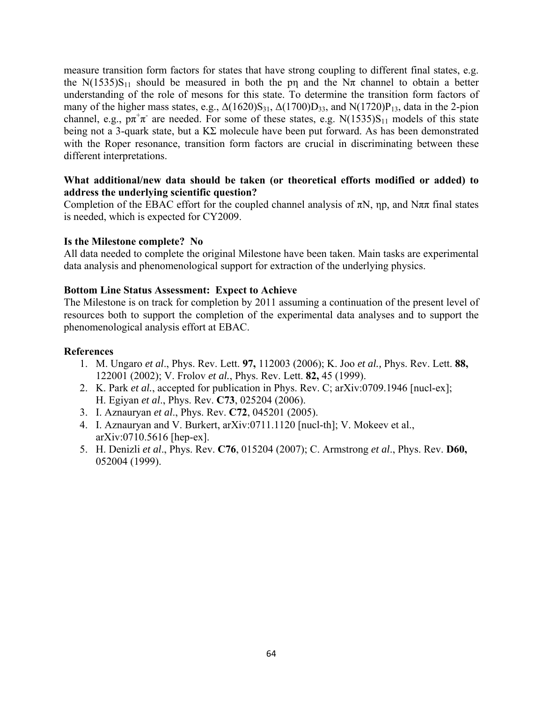measure transition form factors for states that have strong coupling to different final states, e.g. the N(1535)S<sub>11</sub> should be measured in both the p<sub>n</sub> and the N $\pi$  channel to obtain a better understanding of the role of mesons for this state. To determine the transition form factors of many of the higher mass states, e.g.,  $\Delta(1620)S_{31}$ ,  $\Delta(1700)D_{33}$ , and  $N(1720)P_{13}$ , data in the 2-pion channel, e.g.,  $p\pi^+\pi^-$  are needed. For some of these states, e.g. N(1535)S<sub>11</sub> models of this state being not a 3-quark state, but a KΣ molecule have been put forward. As has been demonstrated with the Roper resonance, transition form factors are crucial in discriminating between these different interpretations.

### **What additional/new data should be taken (or theoretical efforts modified or added) to address the underlying scientific question?**

Completion of the EBAC effort for the coupled channel analysis of  $\pi N$ , np, and  $N\pi\pi$  final states is needed, which is expected for CY2009.

#### **Is the Milestone complete? No**

All data needed to complete the original Milestone have been taken. Main tasks are experimental data analysis and phenomenological support for extraction of the underlying physics.

#### **Bottom Line Status Assessment: Expect to Achieve**

The Milestone is on track for completion by 2011 assuming a continuation of the present level of resources both to support the completion of the experimental data analyses and to support the phenomenological analysis effort at EBAC.

- 1. M. Ungaro *et al*., Phys. Rev. Lett. **97,** 112003 (2006); K. Joo *et al.,* Phys. Rev. Lett. **88,**  122001 (2002); V. Frolov *et al.*, Phys. Rev. Lett. **82,** 45 (1999).
- 2. K. Park *et al.*, accepted for publication in Phys. Rev. C; arXiv:0709.1946 [nucl-ex]; H. Egiyan *et al*., Phys. Rev. **C73**, 025204 (2006).
- 3. I. Aznauryan *et al*., Phys. Rev. **C72**, 045201 (2005).
- 4. I. Aznauryan and V. Burkert, arXiv:0711.1120 [nucl-th]; V. Mokeev et al., arXiv:0710.5616 [hep-ex].
- 5. H. Denizli *et al*., Phys. Rev. **C76**, 015204 (2007); C. Armstrong *et al*., Phys. Rev. **D60,**  052004 (1999).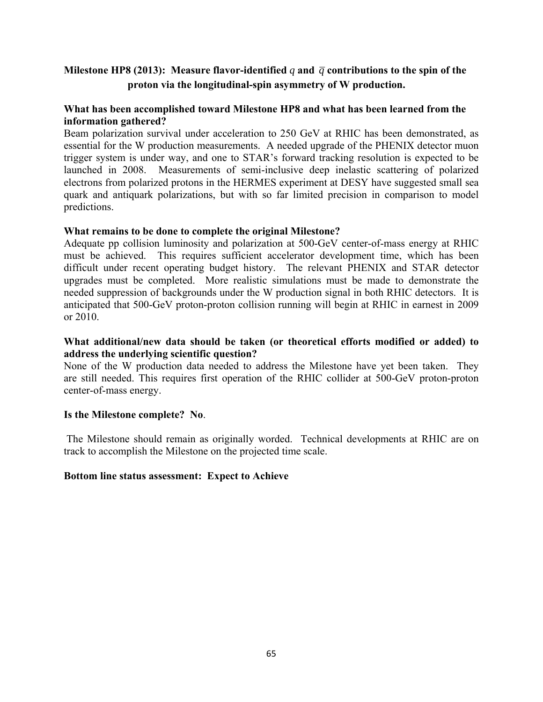## **Milestone HP8 (2013):** Measure flavor-identified q and  $\bar{q}$  contributions to the spin of the **proton via the longitudinal-spin asymmetry of W production.**

## **What has been accomplished toward Milestone HP8 and what has been learned from the information gathered?**

Beam polarization survival under acceleration to 250 GeV at RHIC has been demonstrated, as essential for the W production measurements. A needed upgrade of the PHENIX detector muon trigger system is under way, and one to STAR's forward tracking resolution is expected to be launched in 2008. Measurements of semi-inclusive deep inelastic scattering of polarized electrons from polarized protons in the HERMES experiment at DESY have suggested small sea quark and antiquark polarizations, but with so far limited precision in comparison to model predictions.

## **What remains to be done to complete the original Milestone?**

Adequate pp collision luminosity and polarization at 500-GeV center-of-mass energy at RHIC must be achieved. This requires sufficient accelerator development time, which has been difficult under recent operating budget history. The relevant PHENIX and STAR detector upgrades must be completed. More realistic simulations must be made to demonstrate the needed suppression of backgrounds under the W production signal in both RHIC detectors. It is anticipated that 500-GeV proton-proton collision running will begin at RHIC in earnest in 2009 or 2010.

## **What additional/new data should be taken (or theoretical efforts modified or added) to address the underlying scientific question?**

None of the W production data needed to address the Milestone have yet been taken. They are still needed. This requires first operation of the RHIC collider at 500-GeV proton-proton center-of-mass energy.

#### **Is the Milestone complete? No**.

 The Milestone should remain as originally worded. Technical developments at RHIC are on track to accomplish the Milestone on the projected time scale.

#### **Bottom line status assessment: Expect to Achieve**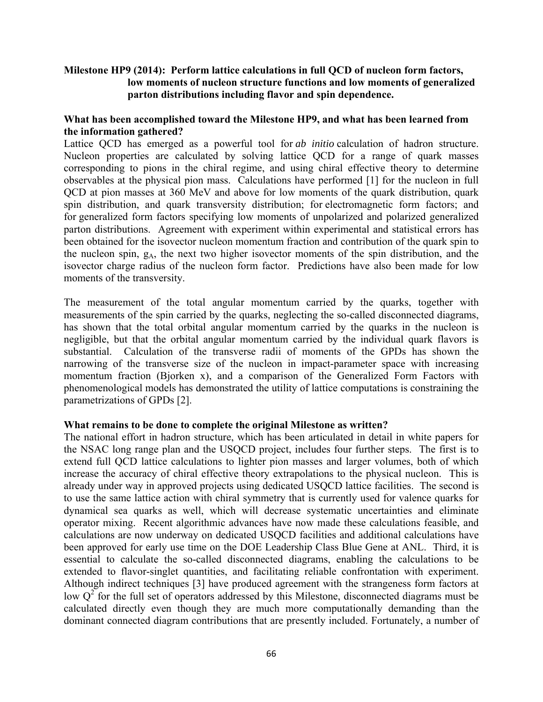## **Milestone HP9 (2014): Perform lattice calculations in full QCD of nucleon form factors, low moments of nucleon structure functions and low moments of generalized parton distributions including flavor and spin dependence.**

## **What has been accomplished toward the Milestone HP9, and what has been learned from the information gathered?**

Lattice QCD has emerged as a powerful tool for *ab initio* calculation of hadron structure. Nucleon properties are calculated by solving lattice QCD for a range of quark masses corresponding to pions in the chiral regime, and using chiral effective theory to determine observables at the physical pion mass. Calculations have performed [1] for the nucleon in full QCD at pion masses at 360 MeV and above for low moments of the quark distribution, quark spin distribution, and quark transversity distribution; for electromagnetic form factors; and for generalized form factors specifying low moments of unpolarized and polarized generalized parton distributions. Agreement with experiment within experimental and statistical errors has been obtained for the isovector nucleon momentum fraction and contribution of the quark spin to the nucleon spin,  $g_A$ , the next two higher isovector moments of the spin distribution, and the isovector charge radius of the nucleon form factor. Predictions have also been made for low moments of the transversity.

The measurement of the total angular momentum carried by the quarks, together with measurements of the spin carried by the quarks, neglecting the so-called disconnected diagrams, has shown that the total orbital angular momentum carried by the quarks in the nucleon is negligible, but that the orbital angular momentum carried by the individual quark flavors is substantial. Calculation of the transverse radii of moments of the GPDs has shown the narrowing of the transverse size of the nucleon in impact-parameter space with increasing momentum fraction (Bjorken x), and a comparison of the Generalized Form Factors with phenomenological models has demonstrated the utility of lattice computations is constraining the parametrizations of GPDs [2].

#### **What remains to be done to complete the original Milestone as written?**

The national effort in hadron structure, which has been articulated in detail in white papers for the NSAC long range plan and the USQCD project, includes four further steps. The first is to extend full QCD lattice calculations to lighter pion masses and larger volumes, both of which increase the accuracy of chiral effective theory extrapolations to the physical nucleon. This is already under way in approved projects using dedicated USQCD lattice facilities. The second is to use the same lattice action with chiral symmetry that is currently used for valence quarks for dynamical sea quarks as well, which will decrease systematic uncertainties and eliminate operator mixing. Recent algorithmic advances have now made these calculations feasible, and calculations are now underway on dedicated USQCD facilities and additional calculations have been approved for early use time on the DOE Leadership Class Blue Gene at ANL. Third, it is essential to calculate the so-called disconnected diagrams, enabling the calculations to be extended to flavor-singlet quantities, and facilitating reliable confrontation with experiment. Although indirect techniques [3] have produced agreement with the strangeness form factors at low  $Q^2$  for the full set of operators addressed by this Milestone, disconnected diagrams must be calculated directly even though they are much more computationally demanding than the dominant connected diagram contributions that are presently included. Fortunately, a number of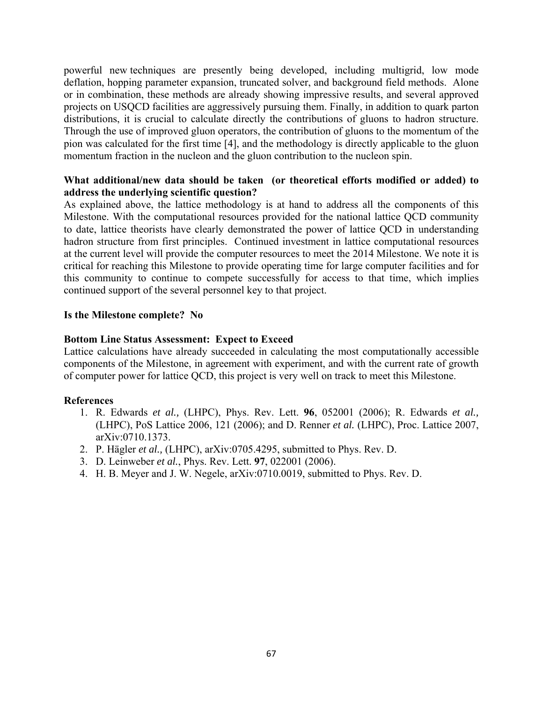powerful new techniques are presently being developed, including multigrid, low mode deflation, hopping parameter expansion, truncated solver, and background field methods. Alone or in combination, these methods are already showing impressive results, and several approved projects on USQCD facilities are aggressively pursuing them. Finally, in addition to quark parton distributions, it is crucial to calculate directly the contributions of gluons to hadron structure. Through the use of improved gluon operators, the contribution of gluons to the momentum of the pion was calculated for the first time [4], and the methodology is directly applicable to the gluon momentum fraction in the nucleon and the gluon contribution to the nucleon spin.

## **What additional/new data should be taken (or theoretical efforts modified or added) to address the underlying scientific question?**

As explained above, the lattice methodology is at hand to address all the components of this Milestone. With the computational resources provided for the national lattice QCD community to date, lattice theorists have clearly demonstrated the power of lattice QCD in understanding hadron structure from first principles. Continued investment in lattice computational resources at the current level will provide the computer resources to meet the 2014 Milestone. We note it is critical for reaching this Milestone to provide operating time for large computer facilities and for this community to continue to compete successfully for access to that time, which implies continued support of the several personnel key to that project.

#### **Is the Milestone complete? No**

#### **Bottom Line Status Assessment: Expect to Exceed**

Lattice calculations have already succeeded in calculating the most computationally accessible components of the Milestone, in agreement with experiment, and with the current rate of growth of computer power for lattice QCD, this project is very well on track to meet this Milestone.

- 1. R. Edwards *et al.,* (LHPC), Phys. Rev. Lett. **96**, 052001 (2006); R. Edwards *et al.,* (LHPC), PoS Lattice 2006, 121 (2006); and D. Renner *et al.* (LHPC), Proc. Lattice 2007, arXiv:0710.1373.
- 2. P. Hägler *et al.,* (LHPC), arXiv:0705.4295, submitted to Phys. Rev. D.
- 3. D. Leinweber *et al.*, Phys. Rev. Lett. **97**, 022001 (2006).
- 4. H. B. Meyer and J. W. Negele, arXiv:0710.0019, submitted to Phys. Rev. D.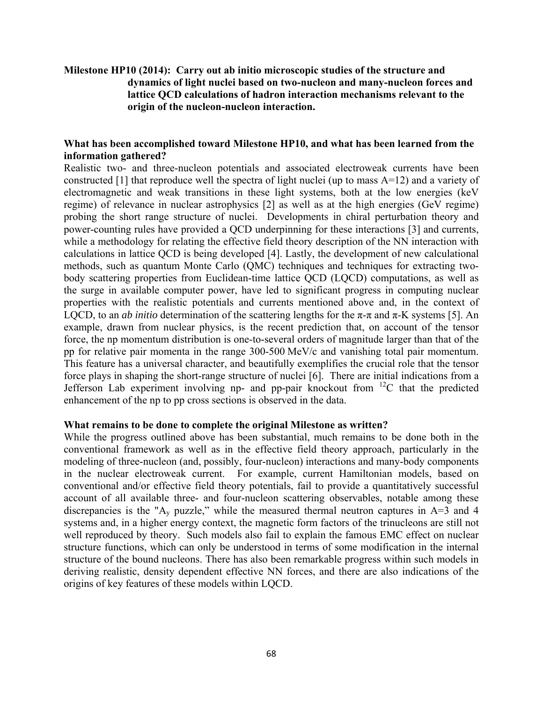## **Milestone HP10 (2014): Carry out ab initio microscopic studies of the structure and dynamics of light nuclei based on two-nucleon and many-nucleon forces and lattice QCD calculations of hadron interaction mechanisms relevant to the origin of the nucleon-nucleon interaction.**

#### **What has been accomplished toward Milestone HP10, and what has been learned from the information gathered?**

Realistic two- and three-nucleon potentials and associated electroweak currents have been constructed [1] that reproduce well the spectra of light nuclei (up to mass A=12) and a variety of electromagnetic and weak transitions in these light systems, both at the low energies (keV regime) of relevance in nuclear astrophysics [2] as well as at the high energies (GeV regime) probing the short range structure of nuclei. Developments in chiral perturbation theory and power-counting rules have provided a QCD underpinning for these interactions [3] and currents, while a methodology for relating the effective field theory description of the NN interaction with calculations in lattice QCD is being developed [4]. Lastly, the development of new calculational methods, such as quantum Monte Carlo (QMC) techniques and techniques for extracting twobody scattering properties from Euclidean-time lattice QCD (LQCD) computations, as well as the surge in available computer power, have led to significant progress in computing nuclear properties with the realistic potentials and currents mentioned above and, in the context of LQCD, to an *ab initio* determination of the scattering lengths for the  $\pi$ - $\pi$  and  $\pi$ -K systems [5]. An example, drawn from nuclear physics, is the recent prediction that, on account of the tensor force, the np momentum distribution is one-to-several orders of magnitude larger than that of the pp for relative pair momenta in the range 300-500 MeV/c and vanishing total pair momentum. This feature has a universal character, and beautifully exemplifies the crucial role that the tensor force plays in shaping the short-range structure of nuclei [6]. There are initial indications from a Jefferson Lab experiment involving np- and pp-pair knockout from  $^{12}C$  that the predicted enhancement of the np to pp cross sections is observed in the data.

#### **What remains to be done to complete the original Milestone as written?**

While the progress outlined above has been substantial, much remains to be done both in the conventional framework as well as in the effective field theory approach, particularly in the modeling of three-nucleon (and, possibly, four-nucleon) interactions and many-body components in the nuclear electroweak current. For example, current Hamiltonian models, based on conventional and/or effective field theory potentials, fail to provide a quantitatively successful account of all available three- and four-nucleon scattering observables, notable among these discrepancies is the "A<sub>y</sub> puzzle," while the measured thermal neutron captures in  $A=3$  and 4 systems and, in a higher energy context, the magnetic form factors of the trinucleons are still not well reproduced by theory. Such models also fail to explain the famous EMC effect on nuclear structure functions, which can only be understood in terms of some modification in the internal structure of the bound nucleons. There has also been remarkable progress within such models in deriving realistic, density dependent effective NN forces, and there are also indications of the origins of key features of these models within LQCD.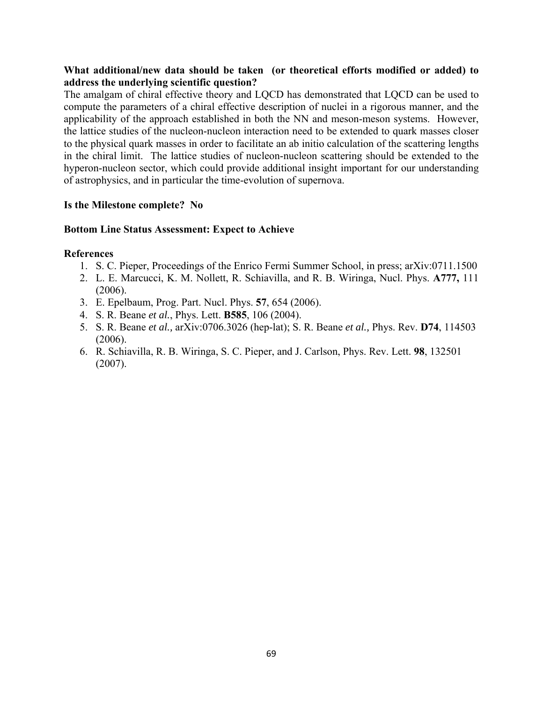## **What additional/new data should be taken (or theoretical efforts modified or added) to address the underlying scientific question?**

The amalgam of chiral effective theory and LQCD has demonstrated that LQCD can be used to compute the parameters of a chiral effective description of nuclei in a rigorous manner, and the applicability of the approach established in both the NN and meson-meson systems. However, the lattice studies of the nucleon-nucleon interaction need to be extended to quark masses closer to the physical quark masses in order to facilitate an ab initio calculation of the scattering lengths in the chiral limit. The lattice studies of nucleon-nucleon scattering should be extended to the hyperon-nucleon sector, which could provide additional insight important for our understanding of astrophysics, and in particular the time-evolution of supernova.

## **Is the Milestone complete? No**

#### **Bottom Line Status Assessment: Expect to Achieve**

- 1. S. C. Pieper, Proceedings of the Enrico Fermi Summer School, in press; arXiv:0711.1500
- 2. L. E. Marcucci, K. M. Nollett, R. Schiavilla, and R. B. Wiringa, Nucl. Phys. **A777,** 111 (2006).
- 3. E. Epelbaum, Prog. Part. Nucl. Phys. **57**, 654 (2006).
- 4. S. R. Beane *et al.*, Phys. Lett. **B585**, 106 (2004).
- 5. S. R. Beane *et al.,* arXiv:0706.3026 (hep-lat); S. R. Beane *et al.,* Phys. Rev. **D74**, 114503 (2006).
- 6. R. Schiavilla, R. B. Wiringa, S. C. Pieper, and J. Carlson, Phys. Rev. Lett. **98**, 132501 (2007).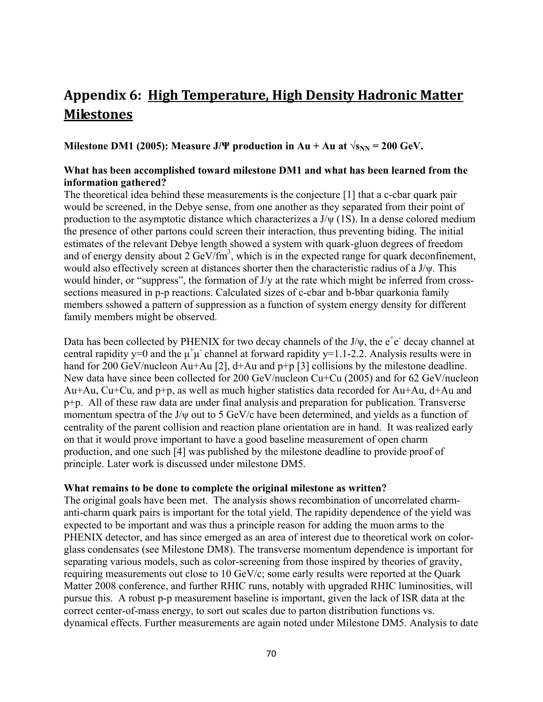# **Appendix 6: High Temperature, High Density Hadronic Matter Milestones**

**Milestone DM1 (2005): Measure J/Ψ** production in Au + Au at  $\sqrt{s_{NN}}$  = 200 GeV.

## **What has been accomplished toward milestone DM1 and what has been learned from the information gathered?**

The theoretical idea behind these measurements is the conjecture [1] that a c-cbar quark pair would be screened, in the Debye sense, from one another as they separated from their point of production to the asymptotic distance which characterizes a J/ψ (1S). In a dense colored medium the presence of other partons could screen their interaction, thus preventing biding. The initial estimates of the relevant Debye length showed a system with quark-gluon degrees of freedom and of energy density about  $2 \text{ GeV/fm}^3$ , which is in the expected range for quark deconfinement, would also effectively screen at distances shorter then the characteristic radius of a J/ψ. This would hinder, or "suppress", the formation of J/y at the rate which might be inferred from crosssections measured in p-p reactions. Calculated sizes of c-cbar and b-bbar quarkonia family members sshowed a pattern of suppression as a function of system energy density for different family members might be observed.

Data has been collected by PHENIX for two decay channels of the J/ $\psi$ , the  $e^+e^-$  decay channel at central rapidity y=0 and the  $\mu^+\mu$  channel at forward rapidity y=1.1-2.2. Analysis results were in hand for 200 GeV/nucleon Au+Au [2], d+Au and p+p [3] collisions by the milestone deadline. New data have since been collected for 200 GeV/nucleon Cu+Cu (2005) and for 62 GeV/nucleon Au+Au, Cu+Cu, and p+p, as well as much higher statistics data recorded for Au+Au, d+Au and p+p. All of these raw data are under final analysis and preparation for publication. Transverse momentum spectra of the J/ψ out to 5 GeV/c have been determined, and yields as a function of centrality of the parent collision and reaction plane orientation are in hand. It was realized early on that it would prove important to have a good baseline measurement of open charm production, and one such [4] was published by the milestone deadline to provide proof of principle. Later work is discussed under milestone DM5.

#### **What remains to be done to complete the original milestone as written?**

The original goals have been met. The analysis shows recombination of uncorrelated charmanti-charm quark pairs is important for the total yield. The rapidity dependence of the yield was expected to be important and was thus a principle reason for adding the muon arms to the PHENIX detector, and has since emerged as an area of interest due to theoretical work on colorglass condensates (see Milestone DM8). The transverse momentum dependence is important for separating various models, such as color-screening from those inspired by theories of gravity, requiring measurements out close to 10 GeV/c; some early results were reported at the Quark Matter 2008 conference, and further RHIC runs, notably with upgraded RHIC luminosities, will pursue this. A robust p-p measurement baseline is important, given the lack of ISR data at the correct center-of-mass energy, to sort out scales due to parton distribution functions vs. dynamical effects. Further measurements are again noted under Milestone DM5. Analysis to date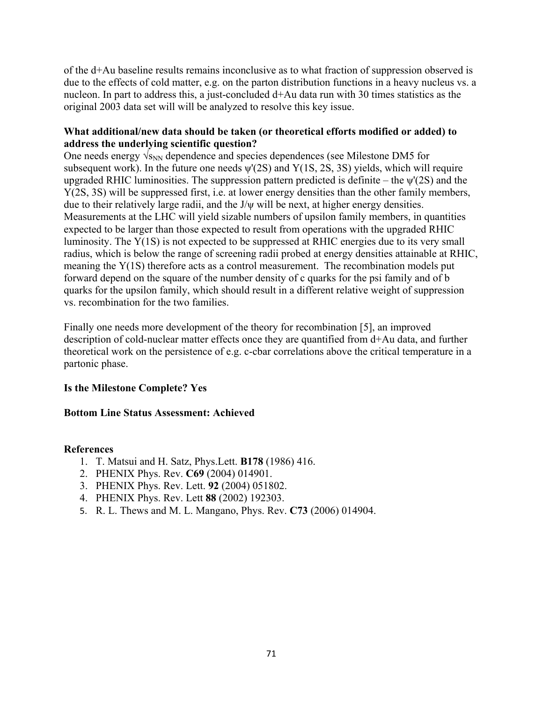of the d+Au baseline results remains inconclusive as to what fraction of suppression observed is due to the effects of cold matter, e.g. on the parton distribution functions in a heavy nucleus vs. a nucleon. In part to address this, a just-concluded d+Au data run with 30 times statistics as the original 2003 data set will will be analyzed to resolve this key issue.

## **What additional/new data should be taken (or theoretical efforts modified or added) to address the underlying scientific question?**

One needs energy  $\sqrt{s_{NN}}$  dependence and species dependences (see Milestone DM5 for subsequent work). In the future one needs  $\psi(2S)$  and  $Y(1S, 2S, 3S)$  yields, which will require upgraded RHIC luminosities. The suppression pattern predicted is definite – the  $\psi'(2S)$  and the Y(2S, 3S) will be suppressed first, i.e. at lower energy densities than the other family members, due to their relatively large radii, and the J/ψ will be next, at higher energy densities. Measurements at the LHC will yield sizable numbers of upsilon family members, in quantities expected to be larger than those expected to result from operations with the upgraded RHIC luminosity. The Υ(1S) is not expected to be suppressed at RHIC energies due to its very small radius, which is below the range of screening radii probed at energy densities attainable at RHIC, meaning the Y(1S) therefore acts as a control measurement. The recombination models put forward depend on the square of the number density of c quarks for the psi family and of b quarks for the upsilon family, which should result in a different relative weight of suppression vs. recombination for the two families.

Finally one needs more development of the theory for recombination [5], an improved description of cold-nuclear matter effects once they are quantified from d+Au data, and further theoretical work on the persistence of e.g. c-cbar correlations above the critical temperature in a partonic phase.

## **Is the Milestone Complete? Yes**

## **Bottom Line Status Assessment: Achieved**

- 1. T. Matsui and H. Satz, Phys.Lett. **B178** (1986) 416.
- 2. PHENIX Phys. Rev. **C69** (2004) 014901.
- 3. PHENIX Phys. Rev. Lett. **92** (2004) 051802.
- 4. PHENIX Phys. Rev. Lett **88** (2002) 192303.
- 5. R. L. Thews and M. L. Mangano, Phys. Rev. **C73** (2006) 014904.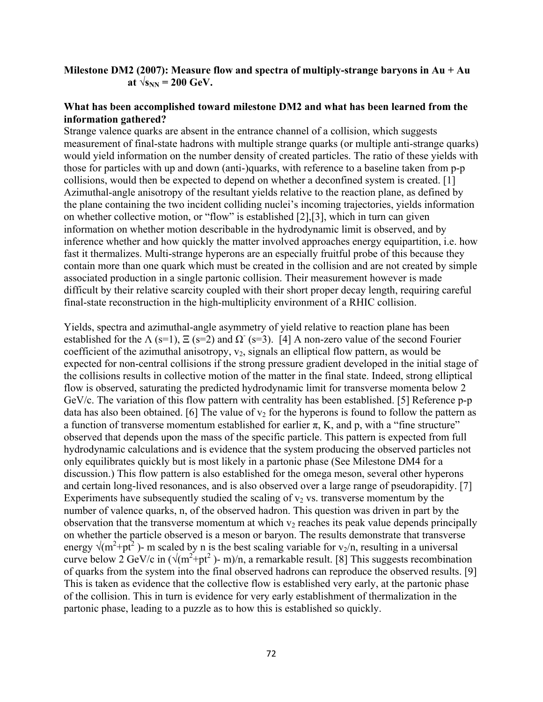### **Milestone DM2 (2007): Measure flow and spectra of multiply-strange baryons in Au + Au**  at  $\sqrt{s_{NN}}$  = 200 GeV.

#### **What has been accomplished toward milestone DM2 and what has been learned from the information gathered?**

Strange valence quarks are absent in the entrance channel of a collision, which suggests measurement of final-state hadrons with multiple strange quarks (or multiple anti-strange quarks) would yield information on the number density of created particles. The ratio of these yields with those for particles with up and down (anti-)quarks, with reference to a baseline taken from p-p collisions, would then be expected to depend on whether a deconfined system is created. [1] Azimuthal-angle anisotropy of the resultant yields relative to the reaction plane, as defined by the plane containing the two incident colliding nuclei's incoming trajectories, yields information on whether collective motion, or "flow" is established [2],[3], which in turn can given information on whether motion describable in the hydrodynamic limit is observed, and by inference whether and how quickly the matter involved approaches energy equipartition, i.e. how fast it thermalizes. Multi-strange hyperons are an especially fruitful probe of this because they contain more than one quark which must be created in the collision and are not created by simple associated production in a single partonic collision. Their measurement however is made difficult by their relative scarcity coupled with their short proper decay length, requiring careful final-state reconstruction in the high-multiplicity environment of a RHIC collision.

Yields, spectra and azimuthal-angle asymmetry of yield relative to reaction plane has been established for the  $\Lambda$  (s=1),  $\Xi$  (s=2) and  $\Omega$  (s=3). [4] A non-zero value of the second Fourier coefficient of the azimuthal anisotropy,  $v_2$ , signals an elliptical flow pattern, as would be expected for non-central collisions if the strong pressure gradient developed in the initial stage of the collisions results in collective motion of the matter in the final state. Indeed, strong elliptical flow is observed, saturating the predicted hydrodynamic limit for transverse momenta below 2 GeV/c. The variation of this flow pattern with centrality has been established. [5] Reference p-p data has also been obtained. [6] The value of  $v_2$  for the hyperons is found to follow the pattern as a function of transverse momentum established for earlier  $\pi$ , K, and p, with a "fine structure" observed that depends upon the mass of the specific particle. This pattern is expected from full hydrodynamic calculations and is evidence that the system producing the observed particles not only equilibrates quickly but is most likely in a partonic phase (See Milestone DM4 for a discussion.) This flow pattern is also established for the omega meson, several other hyperons and certain long-lived resonances, and is also observed over a large range of pseudorapidity. [7] Experiments have subsequently studied the scaling of  $v<sub>2</sub>$  vs. transverse momentum by the number of valence quarks, n, of the observed hadron. This question was driven in part by the observation that the transverse momentum at which  $v_2$  reaches its peak value depends principally on whether the particle observed is a meson or baryon. The results demonstrate that transverse energy  $\sqrt{(m^2+pt^2)}$  - m scaled by n is the best scaling variable for  $v_2/n$ , resulting in a universal curve below 2 GeV/c in  $(\sqrt{(m^2+pt^2})-m)/n$ , a remarkable result. [8] This suggests recombination of quarks from the system into the final observed hadrons can reproduce the observed results. [9] This is taken as evidence that the collective flow is established very early, at the partonic phase of the collision. This in turn is evidence for very early establishment of thermalization in the partonic phase, leading to a puzzle as to how this is established so quickly.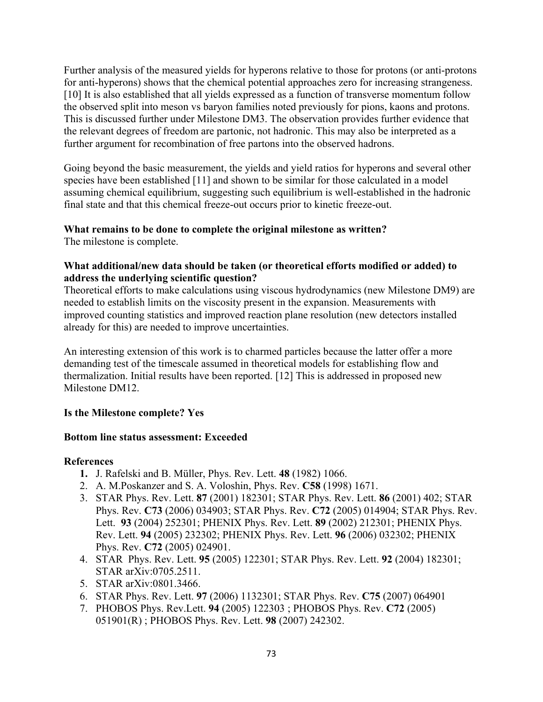Further analysis of the measured yields for hyperons relative to those for protons (or anti-protons for anti-hyperons) shows that the chemical potential approaches zero for increasing strangeness. [10] It is also established that all yields expressed as a function of transverse momentum follow the observed split into meson vs baryon families noted previously for pions, kaons and protons. This is discussed further under Milestone DM3. The observation provides further evidence that the relevant degrees of freedom are partonic, not hadronic. This may also be interpreted as a further argument for recombination of free partons into the observed hadrons.

Going beyond the basic measurement, the yields and yield ratios for hyperons and several other species have been established [11] and shown to be similar for those calculated in a model assuming chemical equilibrium, suggesting such equilibrium is well-established in the hadronic final state and that this chemical freeze-out occurs prior to kinetic freeze-out.

# **What remains to be done to complete the original milestone as written?**

The milestone is complete.

# **What additional/new data should be taken (or theoretical efforts modified or added) to address the underlying scientific question?**

Theoretical efforts to make calculations using viscous hydrodynamics (new Milestone DM9) are needed to establish limits on the viscosity present in the expansion. Measurements with improved counting statistics and improved reaction plane resolution (new detectors installed already for this) are needed to improve uncertainties.

An interesting extension of this work is to charmed particles because the latter offer a more demanding test of the timescale assumed in theoretical models for establishing flow and thermalization. Initial results have been reported. [12] This is addressed in proposed new Milestone DM12.

# **Is the Milestone complete? Yes**

## **Bottom line status assessment: Exceeded**

- **1.** J. Rafelski and B. Müller, Phys. Rev. Lett. **48** (1982) 1066.
- 2. A. M.Poskanzer and S. A. Voloshin, Phys. Rev. **C58** (1998) 1671.
- 3. STAR Phys. Rev. Lett. **87** (2001) 182301; STAR Phys. Rev. Lett. **86** (2001) 402; STAR Phys. Rev. **C73** (2006) 034903; STAR Phys. Rev. **C72** (2005) 014904; STAR Phys. Rev. Lett. **93** (2004) 252301; PHENIX Phys. Rev. Lett. **89** (2002) 212301; PHENIX Phys. Rev. Lett. **94** (2005) 232302; PHENIX Phys. Rev. Lett. **96** (2006) 032302; PHENIX Phys. Rev. **C72** (2005) 024901.
- 4. STAR Phys. Rev. Lett. **95** (2005) 122301; STAR Phys. Rev. Lett. **92** (2004) 182301; STAR arXiv:0705.2511.
- 5. STAR arXiv:0801.3466.
- 6. STAR Phys. Rev. Lett. **97** (2006) 1132301; STAR Phys. Rev. **C75** (2007) 064901
- 7. PHOBOS Phys. Rev.Lett. **94** (2005) 122303 ; PHOBOS Phys. Rev. **C72** (2005) 051901(R) ; PHOBOS Phys. Rev. Lett. **98** (2007) 242302.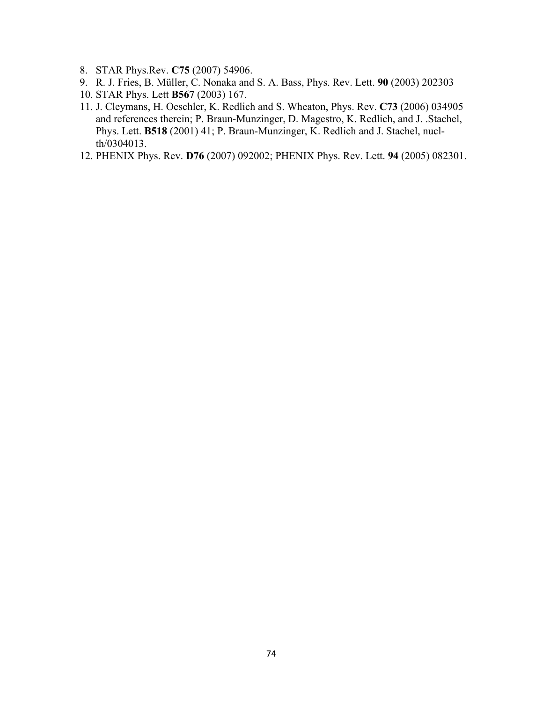- 8. STAR Phys.Rev. **C75** (2007) 54906.
- 9. R. J. Fries, B. Müller, C. Nonaka and S. A. Bass, Phys. Rev. Lett. **90** (2003) 202303
- 10. STAR Phys. Lett **B567** (2003) 167.
- 11. J. Cleymans, H. Oeschler, K. Redlich and S. Wheaton, Phys. Rev. **C73** (2006) 034905 and references therein; P. Braun-Munzinger, D. Magestro, K. Redlich, and J. .Stachel, Phys. Lett. **B518** (2001) 41; P. Braun-Munzinger, K. Redlich and J. Stachel, nuclth/0304013.
- 12. PHENIX Phys. Rev. **D76** (2007) 092002; PHENIX Phys. Rev. Lett. **94** (2005) 082301.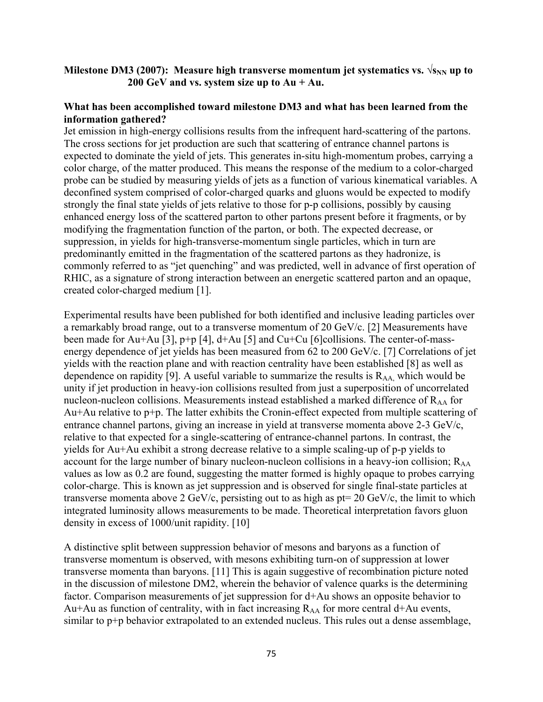# **Milestone DM3 (2007):** Measure high transverse momentum jet systematics vs.  $\sqrt{s_{NN}}$  up to **200 GeV and vs. system size up to Au + Au.**

## **What has been accomplished toward milestone DM3 and what has been learned from the information gathered?**

Jet emission in high-energy collisions results from the infrequent hard-scattering of the partons. The cross sections for jet production are such that scattering of entrance channel partons is expected to dominate the yield of jets. This generates in-situ high-momentum probes, carrying a color charge, of the matter produced. This means the response of the medium to a color-charged probe can be studied by measuring yields of jets as a function of various kinematical variables. A deconfined system comprised of color-charged quarks and gluons would be expected to modify strongly the final state yields of jets relative to those for p-p collisions, possibly by causing enhanced energy loss of the scattered parton to other partons present before it fragments, or by modifying the fragmentation function of the parton, or both. The expected decrease, or suppression, in yields for high-transverse-momentum single particles, which in turn are predominantly emitted in the fragmentation of the scattered partons as they hadronize, is commonly referred to as "jet quenching" and was predicted, well in advance of first operation of RHIC, as a signature of strong interaction between an energetic scattered parton and an opaque, created color-charged medium [1].

Experimental results have been published for both identified and inclusive leading particles over a remarkably broad range, out to a transverse momentum of 20 GeV/c. [2] Measurements have been made for Au+Au [3], p+p [4], d+Au [5] and Cu+Cu [6]collisions. The center-of-massenergy dependence of jet yields has been measured from 62 to 200 GeV/c. [7] Correlations of jet yields with the reaction plane and with reaction centrality have been established [8] as well as dependence on rapidity [9]. A useful variable to summarize the results is  $R_{AA}$ , which would be unity if jet production in heavy-ion collisions resulted from just a superposition of uncorrelated nucleon-nucleon collisions. Measurements instead established a marked difference of  $R_{AA}$  for Au+Au relative to p+p. The latter exhibits the Cronin-effect expected from multiple scattering of entrance channel partons, giving an increase in yield at transverse momenta above 2-3 GeV/c, relative to that expected for a single-scattering of entrance-channel partons. In contrast, the yields for Au+Au exhibit a strong decrease relative to a simple scaling-up of p-p yields to account for the large number of binary nucleon-nucleon collisions in a heavy-ion collision;  $R_{AA}$ values as low as 0.2 are found, suggesting the matter formed is highly opaque to probes carrying color-charge. This is known as jet suppression and is observed for single final-state particles at transverse momenta above 2 GeV/c, persisting out to as high as  $pt = 20$  GeV/c, the limit to which integrated luminosity allows measurements to be made. Theoretical interpretation favors gluon density in excess of 1000/unit rapidity. [10]

A distinctive split between suppression behavior of mesons and baryons as a function of transverse momentum is observed, with mesons exhibiting turn-on of suppression at lower transverse momenta than baryons. [11] This is again suggestive of recombination picture noted in the discussion of milestone DM2, wherein the behavior of valence quarks is the determining factor. Comparison measurements of jet suppression for d+Au shows an opposite behavior to Au+Au as function of centrality, with in fact increasing  $R_{AA}$  for more central d+Au events, similar to p+p behavior extrapolated to an extended nucleus. This rules out a dense assemblage,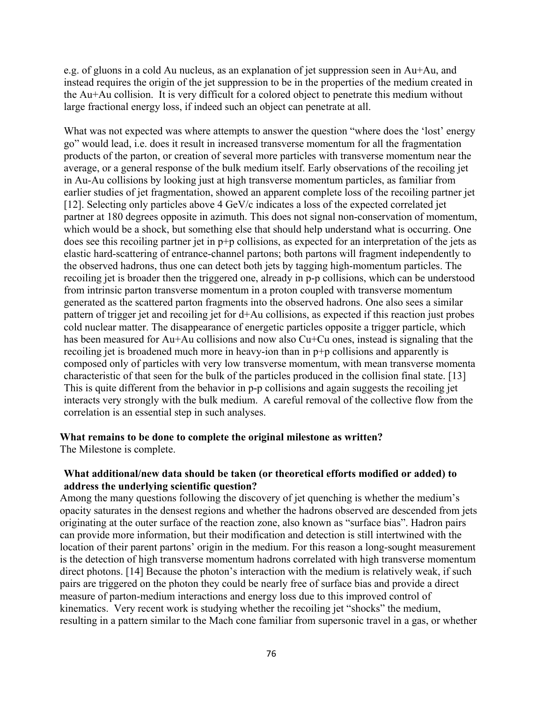e.g. of gluons in a cold Au nucleus, as an explanation of jet suppression seen in Au+Au, and instead requires the origin of the jet suppression to be in the properties of the medium created in the Au+Au collision. It is very difficult for a colored object to penetrate this medium without large fractional energy loss, if indeed such an object can penetrate at all.

What was not expected was where attempts to answer the question "where does the 'lost' energy go" would lead, i.e. does it result in increased transverse momentum for all the fragmentation products of the parton, or creation of several more particles with transverse momentum near the average, or a general response of the bulk medium itself. Early observations of the recoiling jet in Au-Au collisions by looking just at high transverse momentum particles, as familiar from earlier studies of jet fragmentation, showed an apparent complete loss of the recoiling partner jet [12]. Selecting only particles above 4 GeV/c indicates a loss of the expected correlated jet partner at 180 degrees opposite in azimuth. This does not signal non-conservation of momentum, which would be a shock, but something else that should help understand what is occurring. One does see this recoiling partner jet in p+p collisions, as expected for an interpretation of the jets as elastic hard-scattering of entrance-channel partons; both partons will fragment independently to the observed hadrons, thus one can detect both jets by tagging high-momentum particles. The recoiling jet is broader then the triggered one, already in p-p collisions, which can be understood from intrinsic parton transverse momentum in a proton coupled with transverse momentum generated as the scattered parton fragments into the observed hadrons. One also sees a similar pattern of trigger jet and recoiling jet for d+Au collisions, as expected if this reaction just probes cold nuclear matter. The disappearance of energetic particles opposite a trigger particle, which has been measured for Au+Au collisions and now also Cu+Cu ones, instead is signaling that the recoiling jet is broadened much more in heavy-ion than in p+p collisions and apparently is composed only of particles with very low transverse momentum, with mean transverse momenta characteristic of that seen for the bulk of the particles produced in the collision final state. [13] This is quite different from the behavior in p-p collisions and again suggests the recoiling jet interacts very strongly with the bulk medium. A careful removal of the collective flow from the correlation is an essential step in such analyses.

#### **What remains to be done to complete the original milestone as written?**

The Milestone is complete.

#### **What additional/new data should be taken (or theoretical efforts modified or added) to address the underlying scientific question?**

Among the many questions following the discovery of jet quenching is whether the medium's opacity saturates in the densest regions and whether the hadrons observed are descended from jets originating at the outer surface of the reaction zone, also known as "surface bias". Hadron pairs can provide more information, but their modification and detection is still intertwined with the location of their parent partons' origin in the medium. For this reason a long-sought measurement is the detection of high transverse momentum hadrons correlated with high transverse momentum direct photons. [14] Because the photon's interaction with the medium is relatively weak, if such pairs are triggered on the photon they could be nearly free of surface bias and provide a direct measure of parton-medium interactions and energy loss due to this improved control of kinematics. Very recent work is studying whether the recoiling jet "shocks" the medium, resulting in a pattern similar to the Mach cone familiar from supersonic travel in a gas, or whether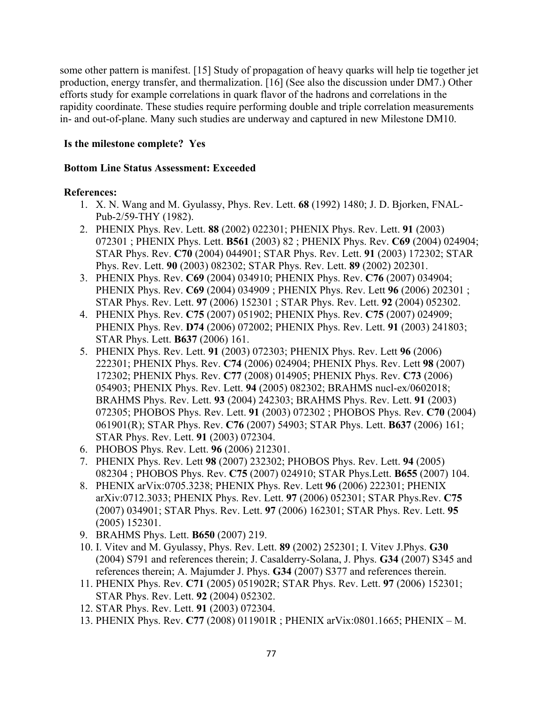some other pattern is manifest. [15] Study of propagation of heavy quarks will help tie together jet production, energy transfer, and thermalization. [16] (See also the discussion under DM7.) Other efforts study for example correlations in quark flavor of the hadrons and correlations in the rapidity coordinate. These studies require performing double and triple correlation measurements in- and out-of-plane. Many such studies are underway and captured in new Milestone DM10.

## **Is the milestone complete? Yes**

## **Bottom Line Status Assessment: Exceeded**

- 1. X. N. Wang and M. Gyulassy, Phys. Rev. Lett. **68** (1992) 1480; J. D. Bjorken, FNAL-Pub-2/59-THY (1982).
- 2. PHENIX Phys. Rev. Lett. **88** (2002) 022301; PHENIX Phys. Rev. Lett. **91** (2003) 072301 ; PHENIX Phys. Lett. **B561** (2003) 82 ; PHENIX Phys. Rev. **C69** (2004) 024904; STAR Phys. Rev. **C70** (2004) 044901; STAR Phys. Rev. Lett. **91** (2003) 172302; STAR Phys. Rev. Lett. **90** (2003) 082302; STAR Phys. Rev. Lett. **89** (2002) 202301.
- 3. PHENIX Phys. Rev. **C69** (2004) 034910; PHENIX Phys. Rev. **C76** (2007) 034904; PHENIX Phys. Rev. **C69** (2004) 034909 ; PHENIX Phys. Rev. Lett **96** (2006) 202301 ; STAR Phys. Rev. Lett. **97** (2006) 152301 ; STAR Phys. Rev. Lett. **92** (2004) 052302.
- 4. PHENIX Phys. Rev. **C75** (2007) 051902; PHENIX Phys. Rev. **C75** (2007) 024909; PHENIX Phys. Rev. **D74** (2006) 072002; PHENIX Phys. Rev. Lett. **91** (2003) 241803; STAR Phys. Lett. **B637** (2006) 161.
- 5. PHENIX Phys. Rev. Lett. **91** (2003) 072303; PHENIX Phys. Rev. Lett **96** (2006) 222301; PHENIX Phys. Rev. **C74** (2006) 024904; PHENIX Phys. Rev. Lett **98** (2007) 172302; PHENIX Phys. Rev. **C77** (2008) 014905; PHENIX Phys. Rev. **C73** (2006) 054903; PHENIX Phys. Rev. Lett. **94** (2005) 082302; BRAHMS nucl-ex/0602018; BRAHMS Phys. Rev. Lett. **93** (2004) 242303; BRAHMS Phys. Rev. Lett. **91** (2003) 072305; PHOBOS Phys. Rev. Lett. **91** (2003) 072302 ; PHOBOS Phys. Rev. **C70** (2004) 061901(R); STAR Phys. Rev. **C76** (2007) 54903; STAR Phys. Lett. **B637** (2006) 161; STAR Phys. Rev. Lett. **91** (2003) 072304.
- 6. PHOBOS Phys. Rev. Lett. **96** (2006) 212301.
- 7. PHENIX Phys. Rev. Lett **98** (2007) 232302; PHOBOS Phys. Rev. Lett. **94** (2005) 082304 ; PHOBOS Phys. Rev. **C75** (2007) 024910; STAR Phys.Lett. **B655** (2007) 104.
- 8. PHENIX arVix:0705.3238; PHENIX Phys. Rev. Lett **96** (2006) 222301; PHENIX arXiv:0712.3033; PHENIX Phys. Rev. Lett. **97** (2006) 052301; STAR Phys.Rev. **C75** (2007) 034901; STAR Phys. Rev. Lett. **97** (2006) 162301; STAR Phys. Rev. Lett. **95** (2005) 152301.
- 9. BRAHMS Phys. Lett. **B650** (2007) 219.
- 10. I. Vitev and M. Gyulassy, Phys. Rev. Lett. **89** (2002) 252301; I. Vitev J.Phys. **G30** (2004) S791 and references therein; J. Casalderry-Solana, J. Phys. **G34** (2007) S345 and references therein; A. Majumder J. Phys. **G34** (2007) S377 and references therein.
- 11. PHENIX Phys. Rev. **C71** (2005) 051902R; STAR Phys. Rev. Lett. **97** (2006) 152301; STAR Phys. Rev. Lett. **92** (2004) 052302.
- 12. STAR Phys. Rev. Lett. **91** (2003) 072304.
- 13. PHENIX Phys. Rev. **C77** (2008) 011901R ; PHENIX arVix:0801.1665; PHENIX M.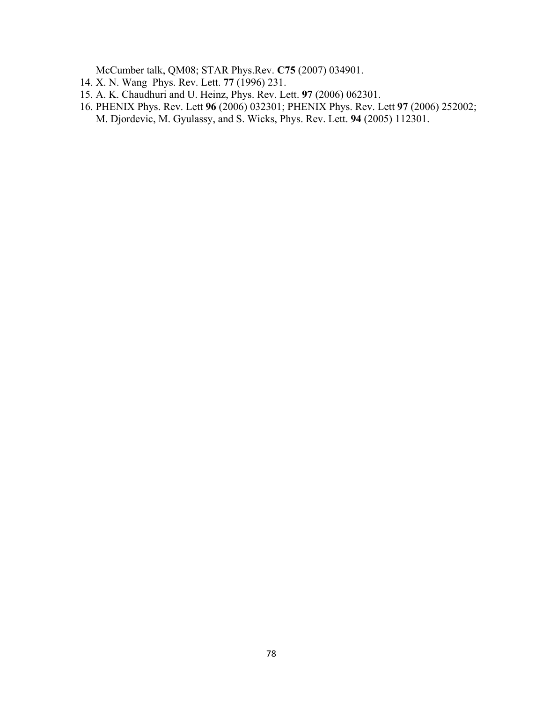McCumber talk, QM08; STAR Phys.Rev. **C75** (2007) 034901.

- 14. X. N. Wang Phys. Rev. Lett. **77** (1996) 231.
- 15. A. K. Chaudhuri and U. Heinz, Phys. Rev. Lett. **97** (2006) 062301.
- 16. PHENIX Phys. Rev. Lett **96** (2006) 032301; PHENIX Phys. Rev. Lett **97** (2006) 252002; M. Djordevic, M. Gyulassy, and S. Wicks, Phys. Rev. Lett. **94** (2005) 112301.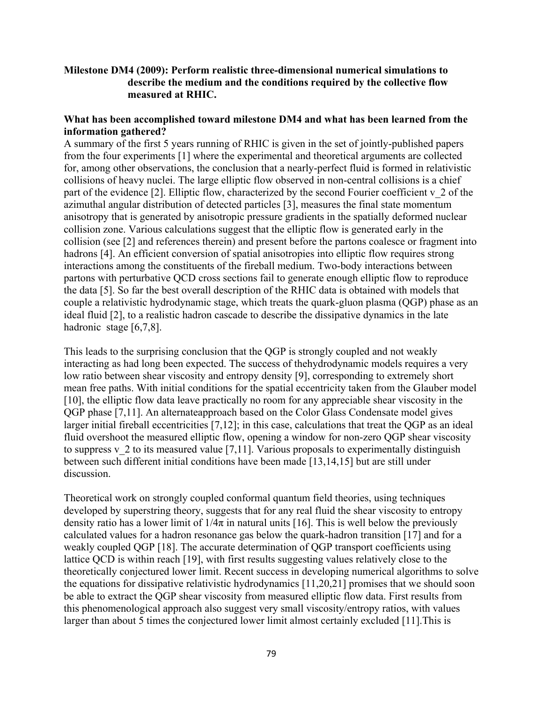# **Milestone DM4 (2009): Perform realistic three-dimensional numerical simulations to describe the medium and the conditions required by the collective flow measured at RHIC.**

# **What has been accomplished toward milestone DM4 and what has been learned from the information gathered?**

A summary of the first 5 years running of RHIC is given in the set of jointly-published papers from the four experiments [1] where the experimental and theoretical arguments are collected for, among other observations, the conclusion that a nearly-perfect fluid is formed in relativistic collisions of heavy nuclei. The large elliptic flow observed in non-central collisions is a chief part of the evidence  $[2]$ . Elliptic flow, characterized by the second Fourier coefficient v 2 of the azimuthal angular distribution of detected particles [3], measures the final state momentum anisotropy that is generated by anisotropic pressure gradients in the spatially deformed nuclear collision zone. Various calculations suggest that the elliptic flow is generated early in the collision (see [2] and references therein) and present before the partons coalesce or fragment into hadrons [4]. An efficient conversion of spatial anisotropies into elliptic flow requires strong interactions among the constituents of the fireball medium. Two-body interactions between partons with perturbative QCD cross sections fail to generate enough elliptic flow to reproduce the data [5]. So far the best overall description of the RHIC data is obtained with models that couple a relativistic hydrodynamic stage, which treats the quark-gluon plasma (QGP) phase as an ideal fluid [2], to a realistic hadron cascade to describe the dissipative dynamics in the late hadronic stage [6,7,8].

This leads to the surprising conclusion that the QGP is strongly coupled and not weakly interacting as had long been expected. The success of thehydrodynamic models requires a very low ratio between shear viscosity and entropy density [9], corresponding to extremely short mean free paths. With initial conditions for the spatial eccentricity taken from the Glauber model [10], the elliptic flow data leave practically no room for any appreciable shear viscosity in the QGP phase [7,11]. An alternateapproach based on the Color Glass Condensate model gives larger initial fireball eccentricities [7,12]; in this case, calculations that treat the QGP as an ideal fluid overshoot the measured elliptic flow, opening a window for non-zero QGP shear viscosity to suppress v  $\frac{2}{3}$  to its measured value [7,11]. Various proposals to experimentally distinguish between such different initial conditions have been made [13,14,15] but are still under discussion.

Theoretical work on strongly coupled conformal quantum field theories, using techniques developed by superstring theory, suggests that for any real fluid the shear viscosity to entropy density ratio has a lower limit of  $1/4\pi$  in natural units [16]. This is well below the previously calculated values for a hadron resonance gas below the quark-hadron transition [17] and for a weakly coupled QGP [18]. The accurate determination of QGP transport coefficients using lattice QCD is within reach [19], with first results suggesting values relatively close to the theoretically conjectured lower limit. Recent success in developing numerical algorithms to solve the equations for dissipative relativistic hydrodynamics [11,20,21] promises that we should soon be able to extract the QGP shear viscosity from measured elliptic flow data. First results from this phenomenological approach also suggest very small viscosity/entropy ratios, with values larger than about 5 times the conjectured lower limit almost certainly excluded [11].This is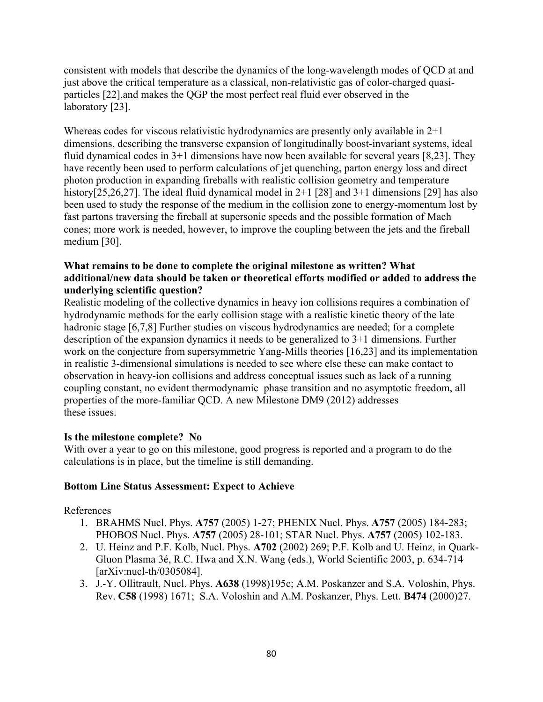consistent with models that describe the dynamics of the long-wavelength modes of QCD at and just above the critical temperature as a classical, non-relativistic gas of color-charged quasiparticles [22],and makes the QGP the most perfect real fluid ever observed in the laboratory [23].

Whereas codes for viscous relativistic hydrodynamics are presently only available in  $2+1$ dimensions, describing the transverse expansion of longitudinally boost-invariant systems, ideal fluid dynamical codes in 3+1 dimensions have now been available for several years [8,23]. They have recently been used to perform calculations of jet quenching, parton energy loss and direct photon production in expanding fireballs with realistic collision geometry and temperature history[25,26,27]. The ideal fluid dynamical model in 2+1 [28] and 3+1 dimensions [29] has also been used to study the response of the medium in the collision zone to energy-momentum lost by fast partons traversing the fireball at supersonic speeds and the possible formation of Mach cones; more work is needed, however, to improve the coupling between the jets and the fireball medium [30].

# **What remains to be done to complete the original milestone as written? What additional/new data should be taken or theoretical efforts modified or added to address the underlying scientific question?**

Realistic modeling of the collective dynamics in heavy ion collisions requires a combination of hydrodynamic methods for the early collision stage with a realistic kinetic theory of the late hadronic stage [6,7,8] Further studies on viscous hydrodynamics are needed; for a complete description of the expansion dynamics it needs to be generalized to 3+1 dimensions. Further work on the conjecture from supersymmetric Yang-Mills theories [16,23] and its implementation in realistic 3-dimensional simulations is needed to see where else these can make contact to observation in heavy-ion collisions and address conceptual issues such as lack of a running coupling constant, no evident thermodynamic phase transition and no asymptotic freedom, all properties of the more-familiar QCD. A new Milestone DM9 (2012) addresses these issues.

# **Is the milestone complete? No**

With over a year to go on this milestone, good progress is reported and a program to do the calculations is in place, but the timeline is still demanding.

# **Bottom Line Status Assessment: Expect to Achieve**

- 1. BRAHMS Nucl. Phys. **A757** (2005) 1-27; PHENIX Nucl. Phys. **A757** (2005) 184-283; PHOBOS Nucl. Phys. **A757** (2005) 28-101; STAR Nucl. Phys. **A757** (2005) 102-183.
- 2. U. Heinz and P.F. Kolb, Nucl. Phys. **A702** (2002) 269; P.F. Kolb and U. Heinz, in Quark-Gluon Plasma 3é, R.C. Hwa and X.N. Wang (eds.), World Scientific 2003, p. 634-714 [arXiv:nucl-th/0305084].
- 3. J.-Y. Ollitrault, Nucl. Phys. **A638** (1998)195c; A.M. Poskanzer and S.A. Voloshin, Phys. Rev. **C58** (1998) 1671; S.A. Voloshin and A.M. Poskanzer, Phys. Lett. **B474** (2000)27.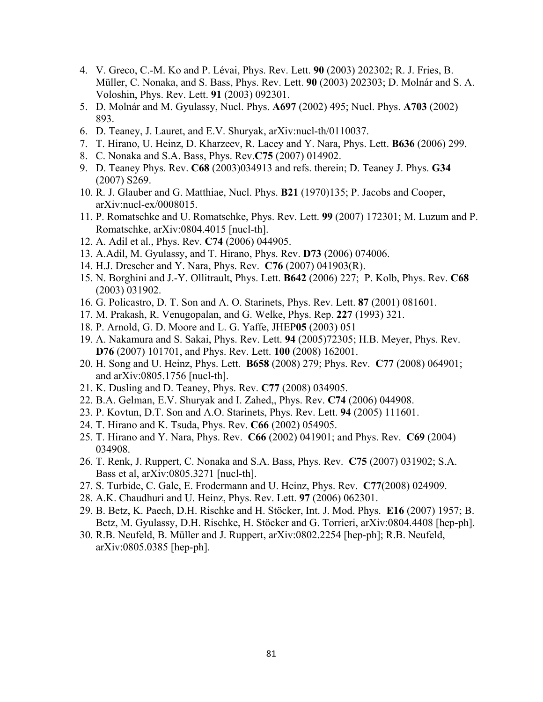- 4. V. Greco, C.-M. Ko and P. Lévai, Phys. Rev. Lett. **90** (2003) 202302; R. J. Fries, B. Müller, C. Nonaka, and S. Bass, Phys. Rev. Lett. **90** (2003) 202303; D. Molnár and S. A. Voloshin, Phys. Rev. Lett. **91** (2003) 092301.
- 5. D. Molnár and M. Gyulassy, Nucl. Phys. **A697** (2002) 495; Nucl. Phys. **A703** (2002) 893.
- 6. D. Teaney, J. Lauret, and E.V. Shuryak, arXiv:nucl-th/0110037.
- 7. T. Hirano, U. Heinz, D. Kharzeev, R. Lacey and Y. Nara, Phys. Lett. **B636** (2006) 299.
- 8. C. Nonaka and S.A. Bass, Phys. Rev.**C75** (2007) 014902.
- 9. D. Teaney Phys. Rev. **C68** (2003)034913 and refs. therein; D. Teaney J. Phys. **G34** (2007) S269.
- 10. R. J. Glauber and G. Matthiae, Nucl. Phys. **B21** (1970)135; P. Jacobs and Cooper, arXiv:nucl-ex/0008015.
- 11. P. Romatschke and U. Romatschke, Phys. Rev. Lett. **99** (2007) 172301; M. Luzum and P. Romatschke, arXiv:0804.4015 [nucl-th].
- 12. A. Adil et al., Phys. Rev. **C74** (2006) 044905.
- 13. A.Adil, M. Gyulassy, and T. Hirano, Phys. Rev. **D73** (2006) 074006.
- 14. H.J. Drescher and Y. Nara, Phys. Rev. **C76** (2007) 041903(R).
- 15. N. Borghini and J.-Y. Ollitrault, Phys. Lett. **B642** (2006) 227; P. Kolb, Phys. Rev. **C68** (2003) 031902.
- 16. G. Policastro, D. T. Son and A. O. Starinets, Phys. Rev. Lett. **87** (2001) 081601.
- 17. M. Prakash, R. Venugopalan, and G. Welke, Phys. Rep. **227** (1993) 321.
- 18. P. Arnold, G. D. Moore and L. G. Yaffe, JHEP**05** (2003) 051
- 19. A. Nakamura and S. Sakai, Phys. Rev. Lett. **94** (2005)72305; H.B. Meyer, Phys. Rev. **D76** (2007) 101701, and Phys. Rev. Lett. **100** (2008) 162001.
- 20. H. Song and U. Heinz, Phys. Lett. **B658** (2008) 279; Phys. Rev. **C77** (2008) 064901; and arXiv:0805.1756 [nucl-th].
- 21. K. Dusling and D. Teaney, Phys. Rev. **C77** (2008) 034905.
- 22. B.A. Gelman, E.V. Shuryak and I. Zahed,, Phys. Rev. **C74** (2006) 044908.
- 23. P. Kovtun, D.T. Son and A.O. Starinets, Phys. Rev. Lett. **94** (2005) 111601.
- 24. T. Hirano and K. Tsuda, Phys. Rev. **C66** (2002) 054905.
- 25. T. Hirano and Y. Nara, Phys. Rev. **C66** (2002) 041901; and Phys. Rev. **C69** (2004) 034908.
- 26. T. Renk, J. Ruppert, C. Nonaka and S.A. Bass, Phys. Rev. **C75** (2007) 031902; S.A. Bass et al, arXiv:0805.3271 [nucl-th].
- 27. S. Turbide, C. Gale, E. Frodermann and U. Heinz, Phys. Rev. **C77**(2008) 024909.
- 28. A.K. Chaudhuri and U. Heinz, Phys. Rev. Lett. **97** (2006) 062301.
- 29. B. Betz, K. Paech, D.H. Rischke and H. Stöcker, Int. J. Mod. Phys. **E16** (2007) 1957; B. Betz, M. Gyulassy, D.H. Rischke, H. Stöcker and G. Torrieri, arXiv:0804.4408 [hep-ph].
- 30. R.B. Neufeld, B. Müller and J. Ruppert, arXiv:0802.2254 [hep-ph]; R.B. Neufeld, arXiv:0805.0385 [hep-ph].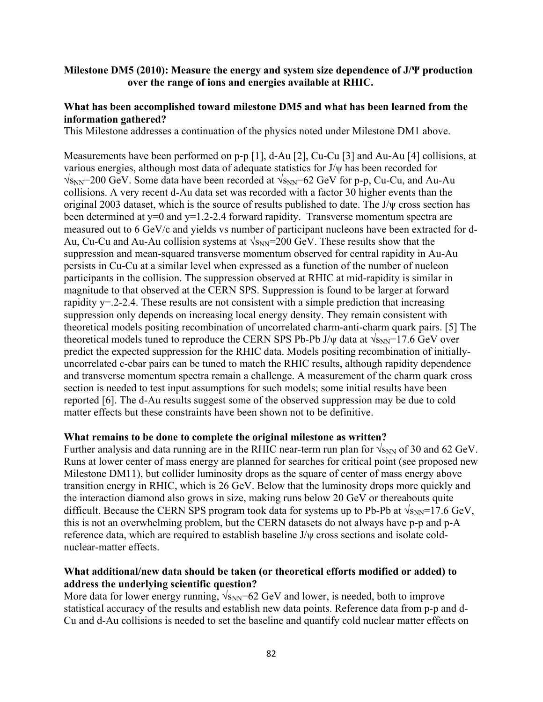# **Milestone DM5 (2010): Measure the energy and system size dependence of J/Ψ production over the range of ions and energies available at RHIC.**

## **What has been accomplished toward milestone DM5 and what has been learned from the information gathered?**

This Milestone addresses a continuation of the physics noted under Milestone DM1 above.

Measurements have been performed on p-p [1], d-Au [2], Cu-Cu [3] and Au-Au [4] collisions, at various energies, although most data of adequate statistics for J/ψ has been recorded for  $\sqrt{s_{NN}}$ =200 GeV. Some data have been recorded at  $\sqrt{s_{NN}}$ =62 GeV for p-p, Cu-Cu, and Au-Au collisions. A very recent d-Au data set was recorded with a factor 30 higher events than the original 2003 dataset, which is the source of results published to date. The J/ψ cross section has been determined at y=0 and y=1.2-2.4 forward rapidity. Transverse momentum spectra are measured out to 6 GeV/c and yields vs number of participant nucleons have been extracted for d-Au, Cu-Cu and Au-Au collision systems at  $\sqrt{s_{NN}}$ =200 GeV. These results show that the suppression and mean-squared transverse momentum observed for central rapidity in Au-Au persists in Cu-Cu at a similar level when expressed as a function of the number of nucleon participants in the collision. The suppression observed at RHIC at mid-rapidity is similar in magnitude to that observed at the CERN SPS. Suppression is found to be larger at forward rapidity  $y = 2-2.4$ . These results are not consistent with a simple prediction that increasing suppression only depends on increasing local energy density. They remain consistent with theoretical models positing recombination of uncorrelated charm-anti-charm quark pairs. [5] The theoretical models tuned to reproduce the CERN SPS Pb-Pb J/ $\psi$  data at  $\sqrt{s_{NN}}$ =17.6 GeV over predict the expected suppression for the RHIC data. Models positing recombination of initiallyuncorrelated c-cbar pairs can be tuned to match the RHIC results, although rapidity dependence and transverse momentum spectra remain a challenge. A measurement of the charm quark cross section is needed to test input assumptions for such models; some initial results have been reported [6]. The d-Au results suggest some of the observed suppression may be due to cold matter effects but these constraints have been shown not to be definitive.

#### **What remains to be done to complete the original milestone as written?**

Further analysis and data running are in the RHIC near-term run plan for  $\sqrt{s_{NN}}$  of 30 and 62 GeV. Runs at lower center of mass energy are planned for searches for critical point (see proposed new Milestone DM11), but collider luminosity drops as the square of center of mass energy above transition energy in RHIC, which is 26 GeV. Below that the luminosity drops more quickly and the interaction diamond also grows in size, making runs below 20 GeV or thereabouts quite difficult. Because the CERN SPS program took data for systems up to Pb-Pb at  $\sqrt{s_{NN}}$ =17.6 GeV, this is not an overwhelming problem, but the CERN datasets do not always have p-p and p-A reference data, which are required to establish baseline J/ψ cross sections and isolate coldnuclear-matter effects.

# **What additional/new data should be taken (or theoretical efforts modified or added) to address the underlying scientific question?**

More data for lower energy running,  $\sqrt{s_{NN}}$ =62 GeV and lower, is needed, both to improve statistical accuracy of the results and establish new data points. Reference data from p-p and d-Cu and d-Au collisions is needed to set the baseline and quantify cold nuclear matter effects on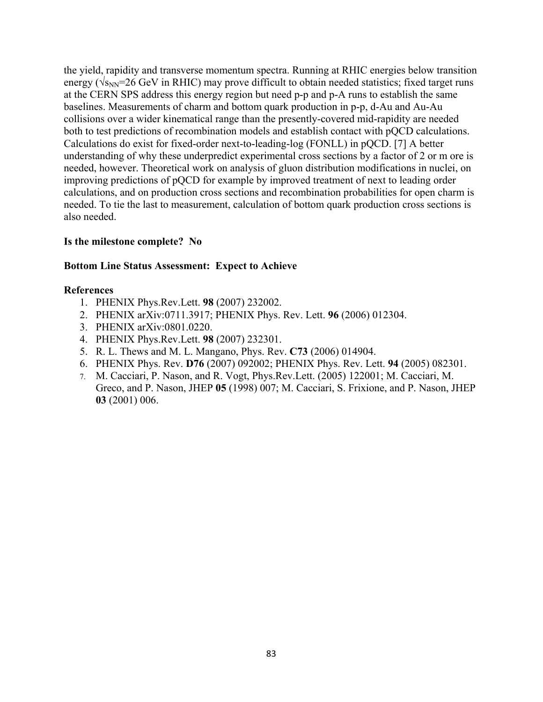the yield, rapidity and transverse momentum spectra. Running at RHIC energies below transition energy ( $\sqrt{s_{NN}}$ =26 GeV in RHIC) may prove difficult to obtain needed statistics; fixed target runs at the CERN SPS address this energy region but need p-p and p-A runs to establish the same baselines. Measurements of charm and bottom quark production in p-p, d-Au and Au-Au collisions over a wider kinematical range than the presently-covered mid-rapidity are needed both to test predictions of recombination models and establish contact with pQCD calculations. Calculations do exist for fixed-order next-to-leading-log (FONLL) in pQCD. [7] A better understanding of why these underpredict experimental cross sections by a factor of 2 or m ore is needed, however. Theoretical work on analysis of gluon distribution modifications in nuclei, on improving predictions of pQCD for example by improved treatment of next to leading order calculations, and on production cross sections and recombination probabilities for open charm is needed. To tie the last to measurement, calculation of bottom quark production cross sections is also needed.

# **Is the milestone complete? No**

# **Bottom Line Status Assessment: Expect to Achieve**

- 1. PHENIX Phys.Rev.Lett. **98** (2007) 232002.
- 2. PHENIX arXiv:0711.3917; PHENIX Phys. Rev. Lett. **96** (2006) 012304.
- 3. PHENIX arXiv:0801.0220.
- 4. PHENIX Phys.Rev.Lett. **98** (2007) 232301.
- 5. R. L. Thews and M. L. Mangano, Phys. Rev. **C73** (2006) 014904.
- 6. PHENIX Phys. Rev. **D76** (2007) 092002; PHENIX Phys. Rev. Lett. **94** (2005) 082301.
- 7. M. Cacciari, P. Nason, and R. Vogt, Phys.Rev.Lett. (2005) 122001; M. Cacciari, M. Greco, and P. Nason, JHEP **05** (1998) 007; M. Cacciari, S. Frixione, and P. Nason, JHEP **03** (2001) 006.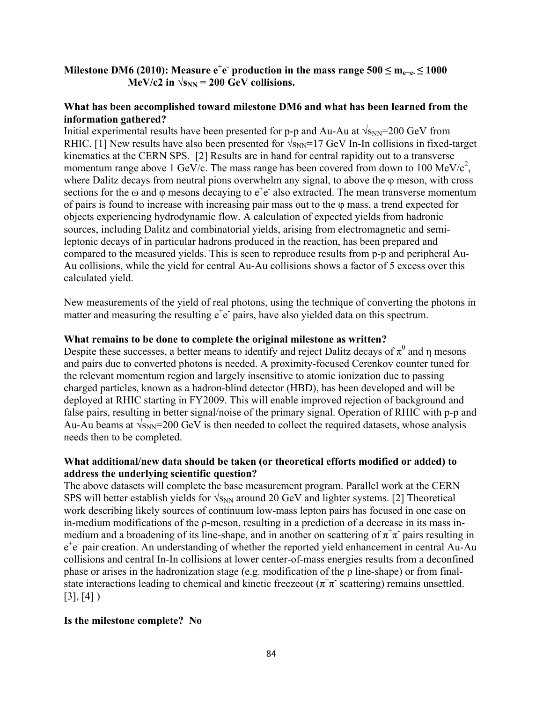# **Milestone DM6 (2010): Measure**  $e^+e^-$  **production in the mass range 500**  $\leq$  **m<sub>e+e-</sub>**  $\leq$  **1000**  $MeV/c2$  in  $\sqrt{s_{NN}}$  = 200 GeV collisions.

## **What has been accomplished toward milestone DM6 and what has been learned from the information gathered?**

Initial experimental results have been presented for p-p and Au-Au at  $\sqrt{s_{NN}}$ =200 GeV from RHIC. [1] New results have also been presented for  $\sqrt{s_{NN}}$ =17 GeV In-In collisions in fixed-target kinematics at the CERN SPS. [2] Results are in hand for central rapidity out to a transverse momentum range above 1 GeV/c. The mass range has been covered from down to 100 MeV/c<sup>2</sup>, where Dalitz decays from neutral pions overwhelm any signal, to above the  $\varphi$  meson, with cross sections for the  $\omega$  and  $\varphi$  mesons decaying to  $e^+e^-$  also extracted. The mean transverse momentum of pairs is found to increase with increasing pair mass out to the φ mass, a trend expected for objects experiencing hydrodynamic flow. A calculation of expected yields from hadronic sources, including Dalitz and combinatorial yields, arising from electromagnetic and semileptonic decays of in particular hadrons produced in the reaction, has been prepared and compared to the measured yields. This is seen to reproduce results from p-p and peripheral Au-Au collisions, while the yield for central Au-Au collisions shows a factor of 5 excess over this calculated yield.

New measurements of the yield of real photons, using the technique of converting the photons in matter and measuring the resulting  $e^+e^-$  pairs, have also yielded data on this spectrum.

# **What remains to be done to complete the original milestone as written?**

Despite these successes, a better means to identify and reject Dalitz decays of  $\pi^0$  and  $\eta$  mesons and pairs due to converted photons is needed. A proximity-focused Cerenkov counter tuned for the relevant momentum region and largely insensitive to atomic ionization due to passing charged particles, known as a hadron-blind detector (HBD), has been developed and will be deployed at RHIC starting in FY2009. This will enable improved rejection of background and false pairs, resulting in better signal/noise of the primary signal. Operation of RHIC with p-p and Au-Au beams at  $\sqrt{s_{NN}}$ =200 GeV is then needed to collect the required datasets, whose analysis needs then to be completed.

# **What additional/new data should be taken (or theoretical efforts modified or added) to address the underlying scientific question?**

The above datasets will complete the base measurement program. Parallel work at the CERN SPS will better establish yields for  $\sqrt{s_{NN}}$  around 20 GeV and lighter systems. [2] Theoretical work describing likely sources of continuum low-mass lepton pairs has focused in one case on in-medium modifications of the ρ-meson, resulting in a prediction of a decrease in its mass inmedium and a broadening of its line-shape, and in another on scattering of  $\pi^+\pi$  pairs resulting in e<sup>+</sup>e<sup>-</sup> pair creation. An understanding of whether the reported yield enhancement in central Au-Au collisions and central In-In collisions at lower center-of-mass energies results from a deconfined phase or arises in the hadronization stage (e.g. modification of the ρ line-shape) or from finalstate interactions leading to chemical and kinetic freezeout ( $\pi^+\pi$  scattering) remains unsettled.  $[3], [4]$ 

# **Is the milestone complete? No**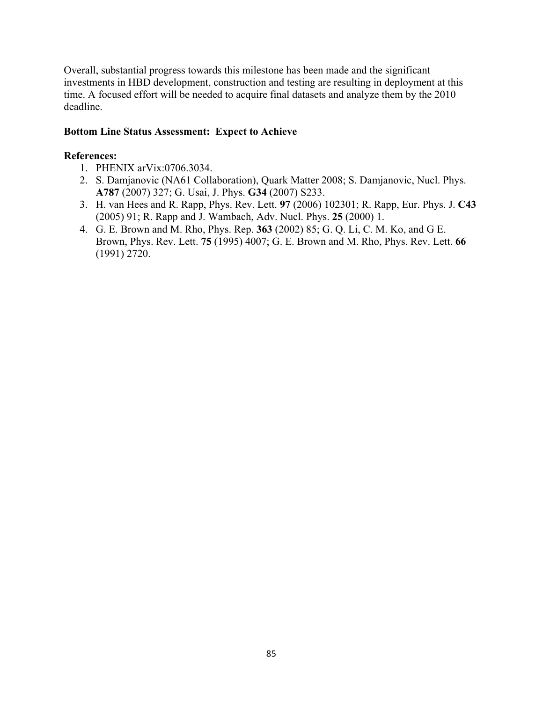Overall, substantial progress towards this milestone has been made and the significant investments in HBD development, construction and testing are resulting in deployment at this time. A focused effort will be needed to acquire final datasets and analyze them by the 2010 deadline.

# **Bottom Line Status Assessment: Expect to Achieve**

- 1. PHENIX arVix:0706.3034.
- 2. S. Damjanovic (NA61 Collaboration), Quark Matter 2008; S. Damjanovic, Nucl. Phys. **A787** (2007) 327; G. Usai, J. Phys. **G34** (2007) S233.
- 3. H. van Hees and R. Rapp, Phys. Rev. Lett. **97** (2006) 102301; R. Rapp, Eur. Phys. J. **C43** (2005) 91; R. Rapp and J. Wambach, Adv. Nucl. Phys. **25** (2000) 1.
- 4. G. E. Brown and M. Rho, Phys. Rep. **363** (2002) 85; G. Q. Li, C. M. Ko, and G E. Brown, Phys. Rev. Lett. **75** (1995) 4007; G. E. Brown and M. Rho, Phys. Rev. Lett. **66** (1991) 2720.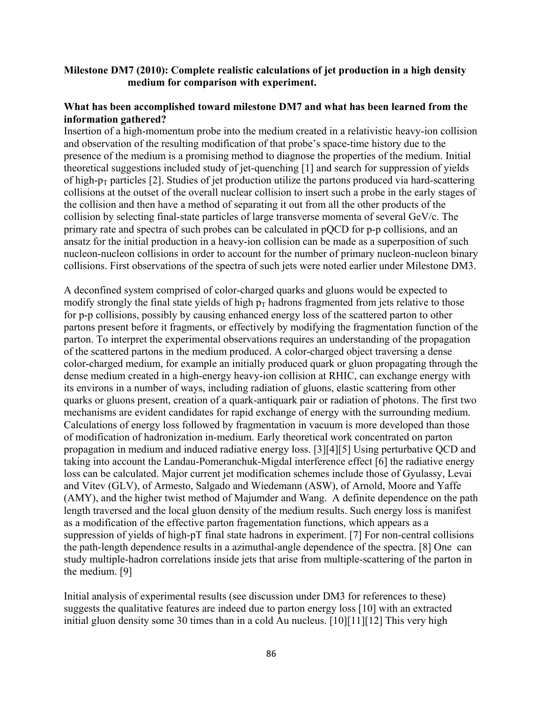# **Milestone DM7 (2010): Complete realistic calculations of jet production in a high density medium for comparison with experiment.**

## **What has been accomplished toward milestone DM7 and what has been learned from the information gathered?**

Insertion of a high-momentum probe into the medium created in a relativistic heavy-ion collision and observation of the resulting modification of that probe's space-time history due to the presence of the medium is a promising method to diagnose the properties of the medium. Initial theoretical suggestions included study of jet-quenching [1] and search for suppression of yields of high- $p_T$  particles [2]. Studies of jet production utilize the partons produced via hard-scattering collisions at the outset of the overall nuclear collision to insert such a probe in the early stages of the collision and then have a method of separating it out from all the other products of the collision by selecting final-state particles of large transverse momenta of several GeV/c. The primary rate and spectra of such probes can be calculated in pQCD for p-p collisions, and an ansatz for the initial production in a heavy-ion collision can be made as a superposition of such nucleon-nucleon collisions in order to account for the number of primary nucleon-nucleon binary collisions. First observations of the spectra of such jets were noted earlier under Milestone DM3.

A deconfined system comprised of color-charged quarks and gluons would be expected to modify strongly the final state yields of high  $p_T$  hadrons fragmented from jets relative to those for p-p collisions, possibly by causing enhanced energy loss of the scattered parton to other partons present before it fragments, or effectively by modifying the fragmentation function of the parton. To interpret the experimental observations requires an understanding of the propagation of the scattered partons in the medium produced. A color-charged object traversing a dense color-charged medium, for example an initially produced quark or gluon propagating through the dense medium created in a high-energy heavy-ion collision at RHIC, can exchange energy with its environs in a number of ways, including radiation of gluons, elastic scattering from other quarks or gluons present, creation of a quark-antiquark pair or radiation of photons. The first two mechanisms are evident candidates for rapid exchange of energy with the surrounding medium. Calculations of energy loss followed by fragmentation in vacuum is more developed than those of modification of hadronization in-medium. Early theoretical work concentrated on parton propagation in medium and induced radiative energy loss. [3][4][5] Using perturbative QCD and taking into account the Landau-Pomeranchuk-Migdal interference effect [6] the radiative energy loss can be calculated. Major current jet modification schemes include those of Gyulassy, Levai and Vitev (GLV), of Armesto, Salgado and Wiedemann (ASW), of Arnold, Moore and Yaffe (AMY), and the higher twist method of Majumder and Wang. A definite dependence on the path length traversed and the local gluon density of the medium results. Such energy loss is manifest as a modification of the effective parton fragementation functions, which appears as a suppression of yields of high-pT final state hadrons in experiment. [7] For non-central collisions the path-length dependence results in a azimuthal-angle dependence of the spectra. [8] One can study multiple-hadron correlations inside jets that arise from multiple-scattering of the parton in the medium. [9]

Initial analysis of experimental results (see discussion under DM3 for references to these) suggests the qualitative features are indeed due to parton energy loss [10] with an extracted initial gluon density some 30 times than in a cold Au nucleus. [10][11][12] This very high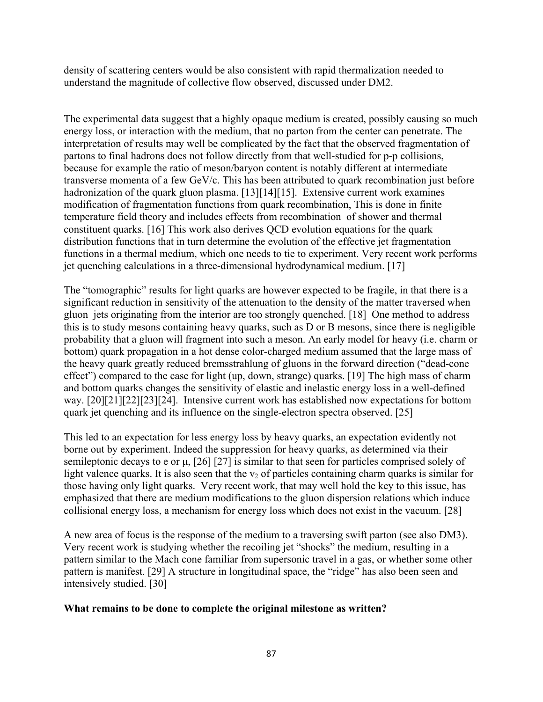density of scattering centers would be also consistent with rapid thermalization needed to understand the magnitude of collective flow observed, discussed under DM2.

The experimental data suggest that a highly opaque medium is created, possibly causing so much energy loss, or interaction with the medium, that no parton from the center can penetrate. The interpretation of results may well be complicated by the fact that the observed fragmentation of partons to final hadrons does not follow directly from that well-studied for p-p collisions, because for example the ratio of meson/baryon content is notably different at intermediate transverse momenta of a few GeV/c. This has been attributed to quark recombination just before hadronization of the quark gluon plasma. [13][14][15]. Extensive current work examines modification of fragmentation functions from quark recombination, This is done in finite temperature field theory and includes effects from recombination of shower and thermal constituent quarks. [16] This work also derives QCD evolution equations for the quark distribution functions that in turn determine the evolution of the effective jet fragmentation functions in a thermal medium, which one needs to tie to experiment. Very recent work performs jet quenching calculations in a three-dimensional hydrodynamical medium. [17]

The "tomographic" results for light quarks are however expected to be fragile, in that there is a significant reduction in sensitivity of the attenuation to the density of the matter traversed when gluon jets originating from the interior are too strongly quenched. [18] One method to address this is to study mesons containing heavy quarks, such as D or B mesons, since there is negligible probability that a gluon will fragment into such a meson. An early model for heavy (i.e. charm or bottom) quark propagation in a hot dense color-charged medium assumed that the large mass of the heavy quark greatly reduced bremsstrahlung of gluons in the forward direction ("dead-cone effect") compared to the case for light (up, down, strange) quarks. [19] The high mass of charm and bottom quarks changes the sensitivity of elastic and inelastic energy loss in a well-defined way. [20][21][22][23][24]. Intensive current work has established now expectations for bottom quark jet quenching and its influence on the single-electron spectra observed. [25]

This led to an expectation for less energy loss by heavy quarks, an expectation evidently not borne out by experiment. Indeed the suppression for heavy quarks, as determined via their semileptonic decays to e or μ, [26] [27] is similar to that seen for particles comprised solely of light valence quarks. It is also seen that the  $v_2$  of particles containing charm quarks is similar for those having only light quarks. Very recent work, that may well hold the key to this issue, has emphasized that there are medium modifications to the gluon dispersion relations which induce collisional energy loss, a mechanism for energy loss which does not exist in the vacuum. [28]

A new area of focus is the response of the medium to a traversing swift parton (see also DM3). Very recent work is studying whether the recoiling jet "shocks" the medium, resulting in a pattern similar to the Mach cone familiar from supersonic travel in a gas, or whether some other pattern is manifest. [29] A structure in longitudinal space, the "ridge" has also been seen and intensively studied. [30]

## **What remains to be done to complete the original milestone as written?**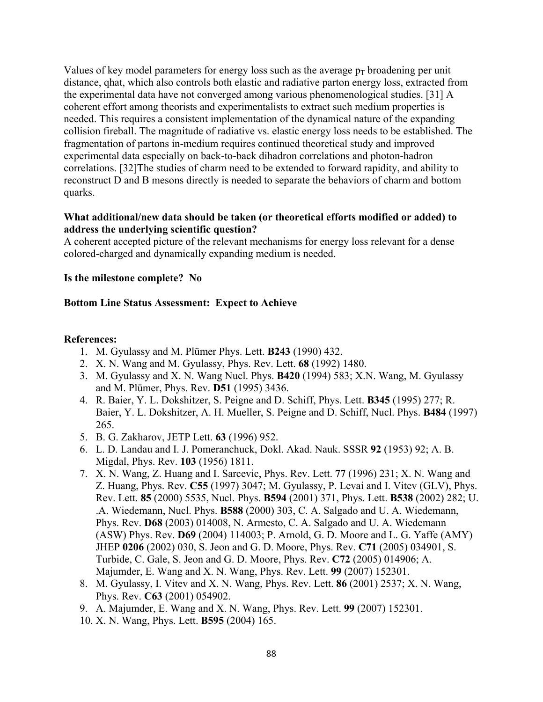Values of key model parameters for energy loss such as the average  $p_T$  broadening per unit distance, qhat, which also controls both elastic and radiative parton energy loss, extracted from the experimental data have not converged among various phenomenological studies. [31] A coherent effort among theorists and experimentalists to extract such medium properties is needed. This requires a consistent implementation of the dynamical nature of the expanding collision fireball. The magnitude of radiative vs. elastic energy loss needs to be established. The fragmentation of partons in-medium requires continued theoretical study and improved experimental data especially on back-to-back dihadron correlations and photon-hadron correlations. [32]The studies of charm need to be extended to forward rapidity, and ability to reconstruct D and B mesons directly is needed to separate the behaviors of charm and bottom quarks.

## **What additional/new data should be taken (or theoretical efforts modified or added) to address the underlying scientific question?**

A coherent accepted picture of the relevant mechanisms for energy loss relevant for a dense colored-charged and dynamically expanding medium is needed.

## **Is the milestone complete? No**

# **Bottom Line Status Assessment: Expect to Achieve**

- 1. M. Gyulassy and M. Plümer Phys. Lett. **B243** (1990) 432.
- 2. X. N. Wang and M. Gyulassy, Phys. Rev. Lett. **68** (1992) 1480.
- 3. M. Gyulassy and X. N. Wang Nucl. Phys. **B420** (1994) 583; X.N. Wang, M. Gyulassy and M. Plümer, Phys. Rev. **D51** (1995) 3436.
- 4. R. Baier, Y. L. Dokshitzer, S. Peigne and D. Schiff, Phys. Lett. **B345** (1995) 277; R. Baier, Y. L. Dokshitzer, A. H. Mueller, S. Peigne and D. Schiff, Nucl. Phys. **B484** (1997) 265.
- 5. B. G. Zakharov, JETP Lett. **63** (1996) 952.
- 6. L. D. Landau and I. J. Pomeranchuck, Dokl. Akad. Nauk. SSSR **92** (1953) 92; A. B. Migdal, Phys. Rev. **103** (1956) 1811.
- 7. X. N. Wang, Z. Huang and I. Sarcevic, Phys. Rev. Lett. **77** (1996) 231; X. N. Wang and Z. Huang, Phys. Rev. **C55** (1997) 3047; M. Gyulassy, P. Levai and I. Vitev (GLV), Phys. Rev. Lett. **85** (2000) 5535, Nucl. Phys. **B594** (2001) 371, Phys. Lett. **B538** (2002) 282; U. .A. Wiedemann, Nucl. Phys. **B588** (2000) 303, C. A. Salgado and U. A. Wiedemann, Phys. Rev. **D68** (2003) 014008, N. Armesto, C. A. Salgado and U. A. Wiedemann (ASW) Phys. Rev. **D69** (2004) 114003; P. Arnold, G. D. Moore and L. G. Yaffe (AMY) JHEP **0206** (2002) 030, S. Jeon and G. D. Moore, Phys. Rev. **C71** (2005) 034901, S. Turbide, C. Gale, S. Jeon and G. D. Moore, Phys. Rev. **C72** (2005) 014906; A. Majumder, E. Wang and X. N. Wang, Phys. Rev. Lett. **99** (2007) 152301.
- 8. M. Gyulassy, I. Vitev and X. N. Wang, Phys. Rev. Lett. **86** (2001) 2537; X. N. Wang, Phys. Rev. **C63** (2001) 054902.
- 9. A. Majumder, E. Wang and X. N. Wang, Phys. Rev. Lett. **99** (2007) 152301.
- 10. X. N. Wang, Phys. Lett. **B595** (2004) 165.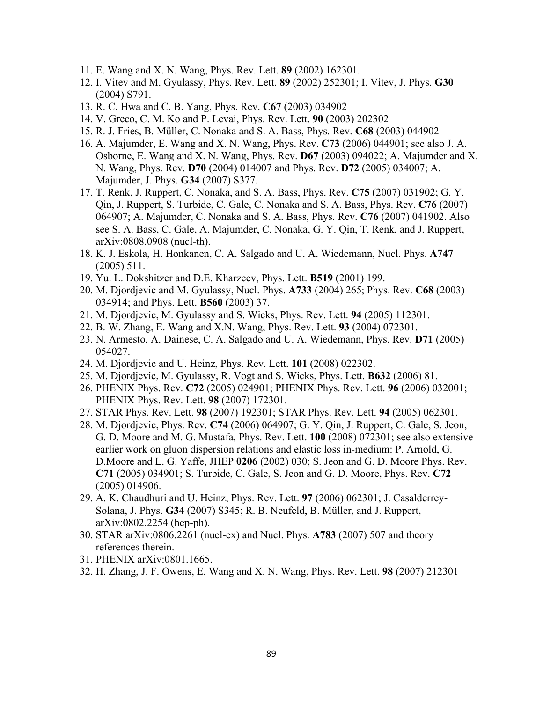- 11. E. Wang and X. N. Wang, Phys. Rev. Lett. **89** (2002) 162301.
- 12. I. Vitev and M. Gyulassy, Phys. Rev. Lett. **89** (2002) 252301; I. Vitev, J. Phys. **G30** (2004) S791.
- 13. R. C. Hwa and C. B. Yang, Phys. Rev. **C67** (2003) 034902
- 14. V. Greco, C. M. Ko and P. Levai, Phys. Rev. Lett. **90** (2003) 202302
- 15. R. J. Fries, B. Müller, C. Nonaka and S. A. Bass, Phys. Rev. **C68** (2003) 044902
- 16. A. Majumder, E. Wang and X. N. Wang, Phys. Rev. **C73** (2006) 044901; see also J. A. Osborne, E. Wang and X. N. Wang, Phys. Rev. **D67** (2003) 094022; A. Majumder and X. N. Wang, Phys. Rev. **D70** (2004) 014007 and Phys. Rev. **D72** (2005) 034007; A. Majumder, J. Phys. **G34** (2007) S377.
- 17. T. Renk, J. Ruppert, C. Nonaka, and S. A. Bass, Phys. Rev. **C75** (2007) 031902; G. Y. Qin, J. Ruppert, S. Turbide, C. Gale, C. Nonaka and S. A. Bass, Phys. Rev. **C76** (2007) 064907; A. Majumder, C. Nonaka and S. A. Bass, Phys. Rev. **C76** (2007) 041902. Also see S. A. Bass, C. Gale, A. Majumder, C. Nonaka, G. Y. Qin, T. Renk, and J. Ruppert, arXiv:0808.0908 (nucl-th).
- 18. K. J. Eskola, H. Honkanen, C. A. Salgado and U. A. Wiedemann, Nucl. Phys. **A747** (2005) 511.
- 19. Yu. L. Dokshitzer and D.E. Kharzeev, Phys. Lett. **B519** (2001) 199.
- 20. M. Djordjevic and M. Gyulassy, Nucl. Phys. **A733** (2004) 265; Phys. Rev. **C68** (2003) 034914; and Phys. Lett. **B560** (2003) 37.
- 21. M. Djordjevic, M. Gyulassy and S. Wicks, Phys. Rev. Lett. **94** (2005) 112301.
- 22. B. W. Zhang, E. Wang and X.N. Wang, Phys. Rev. Lett. **93** (2004) 072301.
- 23. N. Armesto, A. Dainese, C. A. Salgado and U. A. Wiedemann, Phys. Rev. **D71** (2005) 054027.
- 24. M. Djordjevic and U. Heinz, Phys. Rev. Lett. **101** (2008) 022302.
- 25. M. Djordjevic, M. Gyulassy, R. Vogt and S. Wicks, Phys. Lett. **B632** (2006) 81.
- 26. PHENIX Phys. Rev. **C72** (2005) 024901; PHENIX Phys. Rev. Lett. **96** (2006) 032001; PHENIX Phys. Rev. Lett. **98** (2007) 172301.
- 27. STAR Phys. Rev. Lett. **98** (2007) 192301; STAR Phys. Rev. Lett. **94** (2005) 062301.
- 28. M. Djordjevic, Phys. Rev. **C74** (2006) 064907; G. Y. Qin, J. Ruppert, C. Gale, S. Jeon, G. D. Moore and M. G. Mustafa, Phys. Rev. Lett. **100** (2008) 072301; see also extensive earlier work on gluon dispersion relations and elastic loss in-medium: P. Arnold, G. D.Moore and L. G. Yaffe, JHEP **0206** (2002) 030; S. Jeon and G. D. Moore Phys. Rev. **C71** (2005) 034901; S. Turbide, C. Gale, S. Jeon and G. D. Moore, Phys. Rev. **C72** (2005) 014906.
- 29. A. K. Chaudhuri and U. Heinz, Phys. Rev. Lett. **97** (2006) 062301; J. Casalderrey-Solana, J. Phys. **G34** (2007) S345; R. B. Neufeld, B. Müller, and J. Ruppert, arXiv:0802.2254 (hep-ph).
- 30. STAR arXiv:0806.2261 (nucl-ex) and Nucl. Phys. **A783** (2007) 507 and theory references therein.
- 31. PHENIX arXiv:0801.1665.
- 32. H. Zhang, J. F. Owens, E. Wang and X. N. Wang, Phys. Rev. Lett. **98** (2007) 212301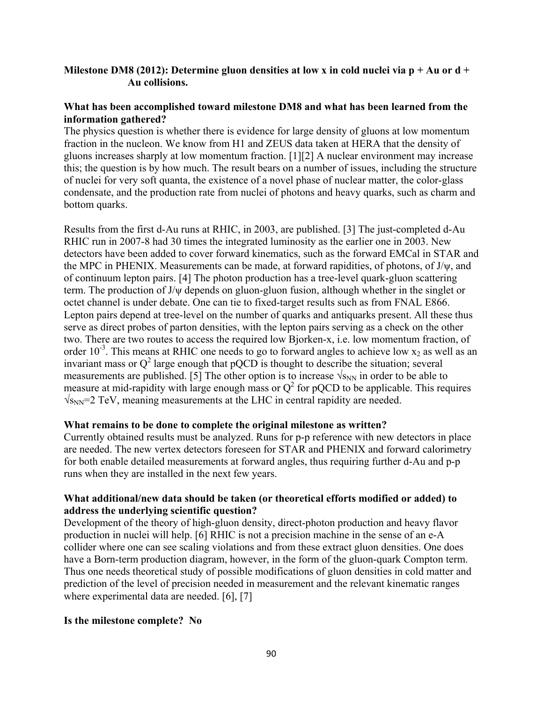# **Milestone DM8 (2012): Determine gluon densities at low x in cold nuclei via p + Au or d + Au collisions.**

# **What has been accomplished toward milestone DM8 and what has been learned from the information gathered?**

The physics question is whether there is evidence for large density of gluons at low momentum fraction in the nucleon. We know from H1 and ZEUS data taken at HERA that the density of gluons increases sharply at low momentum fraction. [1][2] A nuclear environment may increase this; the question is by how much. The result bears on a number of issues, including the structure of nuclei for very soft quanta, the existence of a novel phase of nuclear matter, the color-glass condensate, and the production rate from nuclei of photons and heavy quarks, such as charm and bottom quarks.

Results from the first d-Au runs at RHIC, in 2003, are published. [3] The just-completed d-Au RHIC run in 2007-8 had 30 times the integrated luminosity as the earlier one in 2003. New detectors have been added to cover forward kinematics, such as the forward EMCal in STAR and the MPC in PHENIX. Measurements can be made, at forward rapidities, of photons, of J/ψ, and of continuum lepton pairs. [4] The photon production has a tree-level quark-gluon scattering term. The production of J/ψ depends on gluon-gluon fusion, although whether in the singlet or octet channel is under debate. One can tie to fixed-target results such as from FNAL E866. Lepton pairs depend at tree-level on the number of quarks and antiquarks present. All these thus serve as direct probes of parton densities, with the lepton pairs serving as a check on the other two. There are two routes to access the required low Bjorken-x, i.e. low momentum fraction, of order  $10^{-3}$ . This means at RHIC one needs to go to forward angles to achieve low  $x_2$  as well as an invariant mass or  $Q^2$  large enough that pQCD is thought to describe the situation; several measurements are published. [5] The other option is to increase  $\sqrt{s_{NN}}$  in order to be able to measure at mid-rapidity with large enough mass or  $Q^2$  for pQCD to be applicable. This requires  $\sqrt{s_{NN}}$ =2 TeV, meaning measurements at the LHC in central rapidity are needed.

## **What remains to be done to complete the original milestone as written?**

Currently obtained results must be analyzed. Runs for p-p reference with new detectors in place are needed. The new vertex detectors foreseen for STAR and PHENIX and forward calorimetry for both enable detailed measurements at forward angles, thus requiring further d-Au and p-p runs when they are installed in the next few years.

## **What additional/new data should be taken (or theoretical efforts modified or added) to address the underlying scientific question?**

Development of the theory of high-gluon density, direct-photon production and heavy flavor production in nuclei will help. [6] RHIC is not a precision machine in the sense of an e-A collider where one can see scaling violations and from these extract gluon densities. One does have a Born-term production diagram, however, in the form of the gluon-quark Compton term. Thus one needs theoretical study of possible modifications of gluon densities in cold matter and prediction of the level of precision needed in measurement and the relevant kinematic ranges where experimental data are needed. [6], [7]

## **Is the milestone complete? No**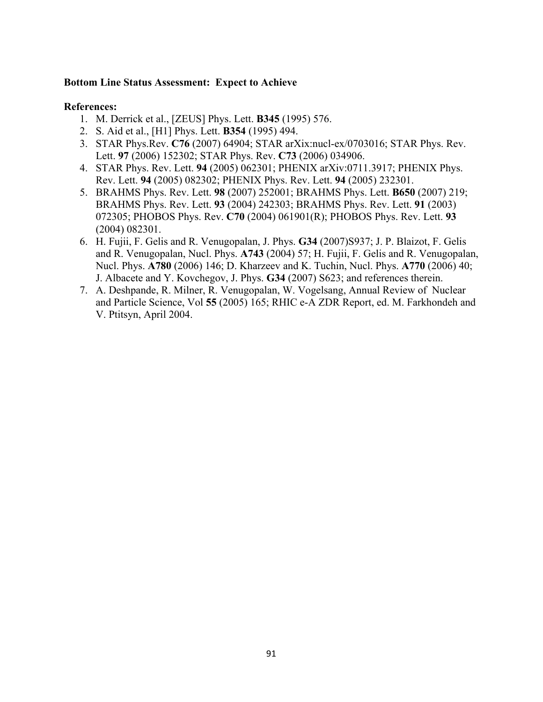## **Bottom Line Status Assessment: Expect to Achieve**

- 1. M. Derrick et al., [ZEUS] Phys. Lett. **B345** (1995) 576.
- 2. S. Aid et al., [H1] Phys. Lett. **B354** (1995) 494.
- 3. STAR Phys.Rev. **C76** (2007) 64904; STAR arXix:nucl-ex/0703016; STAR Phys. Rev. Lett. **97** (2006) 152302; STAR Phys. Rev. **C73** (2006) 034906.
- 4. STAR Phys. Rev. Lett. **94** (2005) 062301; PHENIX arXiv:0711.3917; PHENIX Phys. Rev. Lett. **94** (2005) 082302; PHENIX Phys. Rev. Lett. **94** (2005) 232301.
- 5. BRAHMS Phys. Rev. Lett. **98** (2007) 252001; BRAHMS Phys. Lett. **B650** (2007) 219; BRAHMS Phys. Rev. Lett. **93** (2004) 242303; BRAHMS Phys. Rev. Lett. **91** (2003) 072305; PHOBOS Phys. Rev. **C70** (2004) 061901(R); PHOBOS Phys. Rev. Lett. **93** (2004) 082301.
- 6. H. Fujii, F. Gelis and R. Venugopalan, J. Phys. **G34** (2007)S937; J. P. Blaizot, F. Gelis and R. Venugopalan, Nucl. Phys. **A743** (2004) 57; H. Fujii, F. Gelis and R. Venugopalan, Nucl. Phys. **A780** (2006) 146; D. Kharzeev and K. Tuchin, Nucl. Phys. **A770** (2006) 40; J. Albacete and Y. Kovchegov, J. Phys. **G34** (2007) S623; and references therein.
- 7. A. Deshpande, R. Milner, R. Venugopalan, W. Vogelsang, Annual Review of Nuclear and Particle Science, Vol **55** (2005) 165; RHIC e-A ZDR Report, ed. M. Farkhondeh and V. Ptitsyn, April 2004.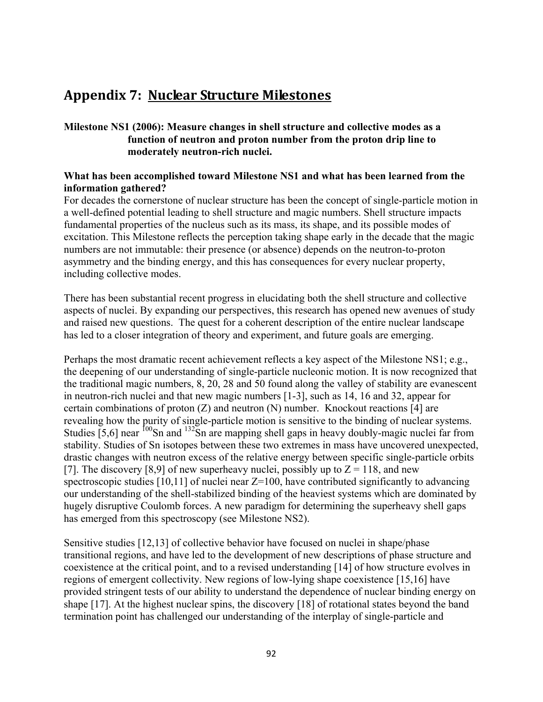# **Appendix 7: Nuclear Structure Milestones**

# **Milestone NS1 (2006): Measure changes in shell structure and collective modes as a function of neutron and proton number from the proton drip line to moderately neutron-rich nuclei.**

# **What has been accomplished toward Milestone NS1 and what has been learned from the information gathered?**

For decades the cornerstone of nuclear structure has been the concept of single-particle motion in a well-defined potential leading to shell structure and magic numbers. Shell structure impacts fundamental properties of the nucleus such as its mass, its shape, and its possible modes of excitation. This Milestone reflects the perception taking shape early in the decade that the magic numbers are not immutable: their presence (or absence) depends on the neutron-to-proton asymmetry and the binding energy, and this has consequences for every nuclear property, including collective modes.

There has been substantial recent progress in elucidating both the shell structure and collective aspects of nuclei. By expanding our perspectives, this research has opened new avenues of study and raised new questions. The quest for a coherent description of the entire nuclear landscape has led to a closer integration of theory and experiment, and future goals are emerging.

Perhaps the most dramatic recent achievement reflects a key aspect of the Milestone NS1; e.g., the deepening of our understanding of single-particle nucleonic motion. It is now recognized that the traditional magic numbers, 8, 20, 28 and 50 found along the valley of stability are evanescent in neutron-rich nuclei and that new magic numbers [1-3], such as 14, 16 and 32, appear for certain combinations of proton  $(Z)$  and neutron  $(N)$  number. Knockout reactions [4] are revealing how the purity of single-particle motion is sensitive to the binding of nuclear systems. Studies  $\overline{[5,6]}$  near  $\frac{100}{5}$ Sn and  $\frac{132}{5}$ Sn are mapping shell gaps in heavy doubly-magic nuclei far from stability. Studies of Sn isotopes between these two extremes in mass have uncovered unexpected, drastic changes with neutron excess of the relative energy between specific single-particle orbits [7]. The discovery [8,9] of new superheavy nuclei, possibly up to  $Z = 118$ , and new spectroscopic studies  $[10,11]$  of nuclei near  $Z=100$ , have contributed significantly to advancing our understanding of the shell-stabilized binding of the heaviest systems which are dominated by hugely disruptive Coulomb forces. A new paradigm for determining the superheavy shell gaps has emerged from this spectroscopy (see Milestone NS2).

Sensitive studies [12,13] of collective behavior have focused on nuclei in shape/phase transitional regions, and have led to the development of new descriptions of phase structure and coexistence at the critical point, and to a revised understanding [14] of how structure evolves in regions of emergent collectivity. New regions of low-lying shape coexistence [15,16] have provided stringent tests of our ability to understand the dependence of nuclear binding energy on shape [17]. At the highest nuclear spins, the discovery [18] of rotational states beyond the band termination point has challenged our understanding of the interplay of single-particle and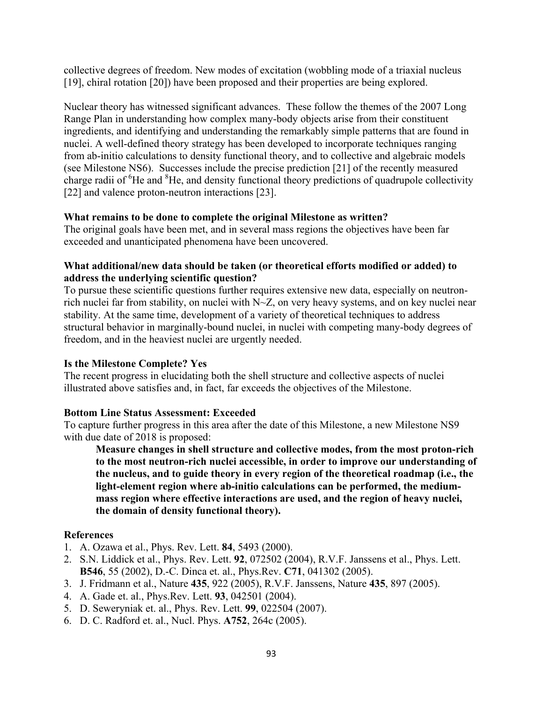collective degrees of freedom. New modes of excitation (wobbling mode of a triaxial nucleus [19], chiral rotation [20]) have been proposed and their properties are being explored.

Nuclear theory has witnessed significant advances. These follow the themes of the 2007 Long Range Plan in understanding how complex many-body objects arise from their constituent ingredients, and identifying and understanding the remarkably simple patterns that are found in nuclei. A well-defined theory strategy has been developed to incorporate techniques ranging from ab-initio calculations to density functional theory, and to collective and algebraic models (see Milestone NS6). Successes include the precise prediction [21] of the recently measured charge radii of <sup>6</sup>He and <sup>8</sup>He, and density functional theory predictions of quadrupole collectivity [22] and valence proton-neutron interactions [23].

# **What remains to be done to complete the original Milestone as written?**

The original goals have been met, and in several mass regions the objectives have been far exceeded and unanticipated phenomena have been uncovered.

# **What additional/new data should be taken (or theoretical efforts modified or added) to address the underlying scientific question?**

To pursue these scientific questions further requires extensive new data, especially on neutronrich nuclei far from stability, on nuclei with N~Z, on very heavy systems, and on key nuclei near stability. At the same time, development of a variety of theoretical techniques to address structural behavior in marginally-bound nuclei, in nuclei with competing many-body degrees of freedom, and in the heaviest nuclei are urgently needed.

# **Is the Milestone Complete? Yes**

The recent progress in elucidating both the shell structure and collective aspects of nuclei illustrated above satisfies and, in fact, far exceeds the objectives of the Milestone.

## **Bottom Line Status Assessment: Exceeded**

To capture further progress in this area after the date of this Milestone, a new Milestone NS9 with due date of 2018 is proposed:

**Measure changes in shell structure and collective modes, from the most proton-rich to the most neutron-rich nuclei accessible, in order to improve our understanding of the nucleus, and to guide theory in every region of the theoretical roadmap (i.e., the light-element region where ab-initio calculations can be performed, the mediummass region where effective interactions are used, and the region of heavy nuclei, the domain of density functional theory).** 

- 1. A. Ozawa et al., Phys. Rev. Lett. **84**, 5493 (2000).
- 2. S.N. Liddick et al., Phys. Rev. Lett. **92**, 072502 (2004), R.V.F. Janssens et al., Phys. Lett. **B546**, 55 (2002), D.-C. Dinca et. al., Phys.Rev. **C71**, 041302 (2005).
- 3. J. Fridmann et al., Nature **435**, 922 (2005), R.V.F. Janssens, Nature **435**, 897 (2005).
- 4. A. Gade et. al., Phys.Rev. Lett. **93**, 042501 (2004).
- 5. D. Seweryniak et. al., Phys. Rev. Lett. **99**, 022504 (2007).
- 6. D. C. Radford et. al., Nucl. Phys. **A752**, 264c (2005).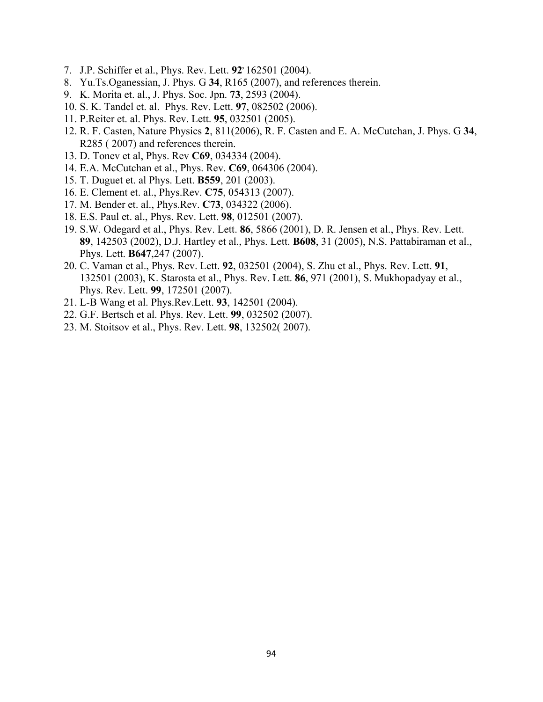- 7. J.P. Schiffer et al., Phys. Rev. Lett. **92,** 162501 (2004).
- 8. Yu.Ts.Oganessian, J. Phys. G **34**, R165 (2007), and references therein.
- 9. K. Morita et. al., J. Phys. Soc. Jpn. **73**, 2593 (2004).
- 10. S. K. Tandel et. al. Phys. Rev. Lett. **97**, 082502 (2006).
- 11. P.Reiter et. al. Phys. Rev. Lett. **95**, 032501 (2005).
- 12. R. F. Casten, Nature Physics **2**, 811(2006), R. F. Casten and E. A. McCutchan, J. Phys. G **34**, R285 ( 2007) and references therein.
- 13. D. Tonev et al, Phys. Rev **C69**, 034334 (2004).
- 14. E.A. McCutchan et al., Phys. Rev. **C69**, 064306 (2004).
- 15. T. Duguet et. al Phys. Lett. **B559**, 201 (2003).
- 16. E. Clement et. al., Phys.Rev. **C75**, 054313 (2007).
- 17. M. Bender et. al., Phys.Rev. **C73**, 034322 (2006).
- 18. E.S. Paul et. al., Phys. Rev. Lett. **98**, 012501 (2007).
- 19. S.W. Odegard et al., Phys. Rev. Lett. **86**, 5866 (2001), D. R. Jensen et al., Phys. Rev. Lett. **89**, 142503 (2002), D.J. Hartley et al., Phys. Lett. **B608**, 31 (2005), N.S. Pattabiraman et al., Phys. Lett. **B647**,247 (2007).
- 20. C. Vaman et al., Phys. Rev. Lett. **92**, 032501 (2004), S. Zhu et al., Phys. Rev. Lett. **91**, 132501 (2003), K. Starosta et al., Phys. Rev. Lett. **86**, 971 (2001), S. Mukhopadyay et al., Phys. Rev. Lett. **99**, 172501 (2007).
- 21. L-B Wang et al. Phys.Rev.Lett. **93**, 142501 (2004).
- 22. G.F. Bertsch et al. Phys. Rev. Lett. **99**, 032502 (2007).
- 23. M. Stoitsov et al., Phys. Rev. Lett. **98**, 132502( 2007).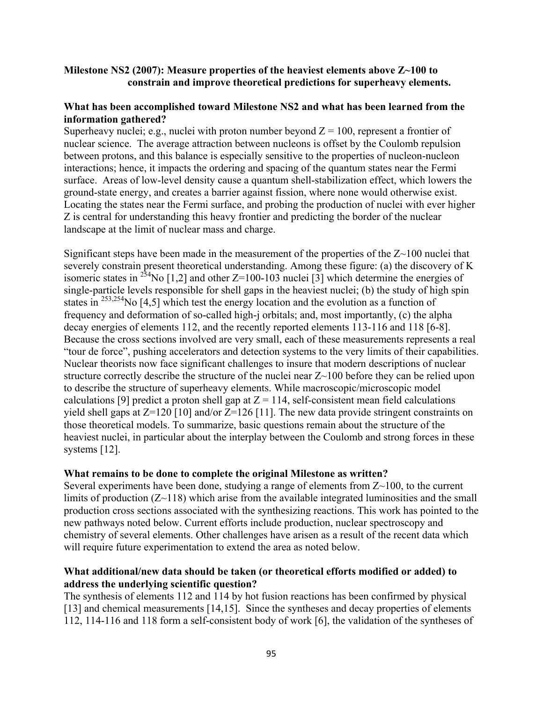# **Milestone NS2 (2007): Measure properties of the heaviest elements above Z~100 to constrain and improve theoretical predictions for superheavy elements.**

## **What has been accomplished toward Milestone NS2 and what has been learned from the information gathered?**

Superheavy nuclei; e.g., nuclei with proton number beyond  $Z = 100$ , represent a frontier of nuclear science. The average attraction between nucleons is offset by the Coulomb repulsion between protons, and this balance is especially sensitive to the properties of nucleon-nucleon interactions; hence, it impacts the ordering and spacing of the quantum states near the Fermi surface. Areas of low-level density cause a quantum shell-stabilization effect, which lowers the ground-state energy, and creates a barrier against fission, where none would otherwise exist. Locating the states near the Fermi surface, and probing the production of nuclei with ever higher Z is central for understanding this heavy frontier and predicting the border of the nuclear landscape at the limit of nuclear mass and charge.

Significant steps have been made in the measurement of the properties of the  $Z \sim 100$  nuclei that severely constrain present theoretical understanding. Among these figure: (a) the discovery of K isomeric states in <sup>254</sup>No [1,2] and other  $Z=100-103$  nuclei [3] which determine the energies of single-particle levels responsible for shell gaps in the heaviest nuclei; (b) the study of high spin states in 253,254No [4,5] which test the energy location and the evolution as a function of frequency and deformation of so-called high-j orbitals; and, most importantly, (c) the alpha decay energies of elements 112, and the recently reported elements 113-116 and 118 [6-8]. Because the cross sections involved are very small, each of these measurements represents a real "tour de force", pushing accelerators and detection systems to the very limits of their capabilities. Nuclear theorists now face significant challenges to insure that modern descriptions of nuclear structure correctly describe the structure of the nuclei near Z~100 before they can be relied upon to describe the structure of superheavy elements. While macroscopic/microscopic model calculations [9] predict a proton shell gap at  $Z = 114$ , self-consistent mean field calculations yield shell gaps at Z=120 [10] and/or Z=126 [11]. The new data provide stringent constraints on those theoretical models. To summarize, basic questions remain about the structure of the heaviest nuclei, in particular about the interplay between the Coulomb and strong forces in these systems [12].

## **What remains to be done to complete the original Milestone as written?**

Several experiments have been done, studying a range of elements from Z~100, to the current limits of production  $(Z~118)$  which arise from the available integrated luminosities and the small production cross sections associated with the synthesizing reactions. This work has pointed to the new pathways noted below. Current efforts include production, nuclear spectroscopy and chemistry of several elements. Other challenges have arisen as a result of the recent data which will require future experimentation to extend the area as noted below.

# **What additional/new data should be taken (or theoretical efforts modified or added) to address the underlying scientific question?**

The synthesis of elements 112 and 114 by hot fusion reactions has been confirmed by physical [13] and chemical measurements [14,15]. Since the syntheses and decay properties of elements 112, 114-116 and 118 form a self-consistent body of work [6], the validation of the syntheses of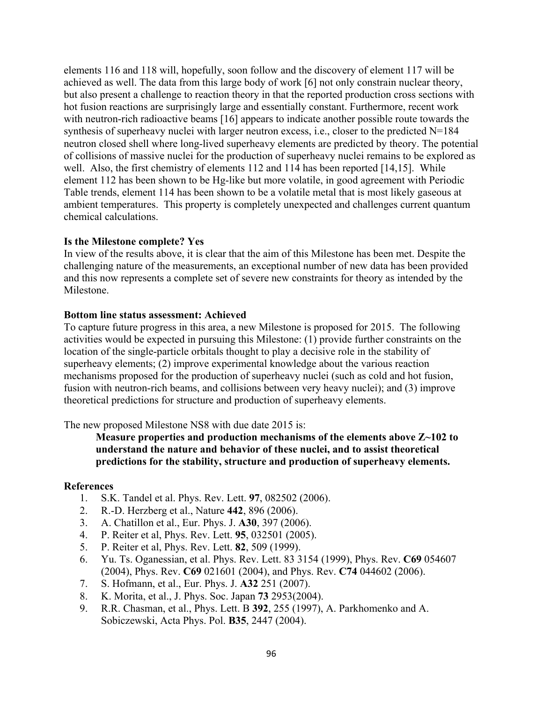elements 116 and 118 will, hopefully, soon follow and the discovery of element 117 will be achieved as well. The data from this large body of work [6] not only constrain nuclear theory, but also present a challenge to reaction theory in that the reported production cross sections with hot fusion reactions are surprisingly large and essentially constant. Furthermore, recent work with neutron-rich radioactive beams [16] appears to indicate another possible route towards the synthesis of superheavy nuclei with larger neutron excess, i.e., closer to the predicted N=184 neutron closed shell where long-lived superheavy elements are predicted by theory. The potential of collisions of massive nuclei for the production of superheavy nuclei remains to be explored as well. Also, the first chemistry of elements 112 and 114 has been reported [14,15]. While element 112 has been shown to be Hg-like but more volatile, in good agreement with Periodic Table trends, element 114 has been shown to be a volatile metal that is most likely gaseous at ambient temperatures. This property is completely unexpected and challenges current quantum chemical calculations.

# **Is the Milestone complete? Yes**

In view of the results above, it is clear that the aim of this Milestone has been met. Despite the challenging nature of the measurements, an exceptional number of new data has been provided and this now represents a complete set of severe new constraints for theory as intended by the Milestone.

# **Bottom line status assessment: Achieved**

To capture future progress in this area, a new Milestone is proposed for 2015. The following activities would be expected in pursuing this Milestone: (1) provide further constraints on the location of the single-particle orbitals thought to play a decisive role in the stability of superheavy elements; (2) improve experimental knowledge about the various reaction mechanisms proposed for the production of superheavy nuclei (such as cold and hot fusion, fusion with neutron-rich beams, and collisions between very heavy nuclei); and (3) improve theoretical predictions for structure and production of superheavy elements.

The new proposed Milestone NS8 with due date 2015 is:

**Measure properties and production mechanisms of the elements above Z~102 to understand the nature and behavior of these nuclei, and to assist theoretical predictions for the stability, structure and production of superheavy elements.**

- 1. S.K. Tandel et al. Phys. Rev. Lett. **97**, 082502 (2006).
- 2. R.-D. Herzberg et al., Nature **442**, 896 (2006).
- 3. A. Chatillon et al., Eur. Phys. J. **A30**, 397 (2006).
- 4. P. Reiter et al, Phys. Rev. Lett. **95**, 032501 (2005).
- 5. P. Reiter et al, Phys. Rev. Lett. **82**, 509 (1999).
- 6. Yu. Ts. Oganessian, et al. Phys. Rev. Lett. 83 3154 (1999), Phys. Rev. **C69** 054607 (2004), Phys. Rev. **C69** 021601 (2004), and Phys. Rev. **C74** 044602 (2006).
- 7. S. Hofmann, et al., Eur. Phys. J. **A32** 251 (2007).
- 8. K. Morita, et al., J. Phys. Soc. Japan **73** 2953(2004).
- 9. R.R. Chasman, et al., Phys. Lett. B **392**, 255 (1997), A. Parkhomenko and A. Sobiczewski, Acta Phys. Pol. **B35**, 2447 (2004).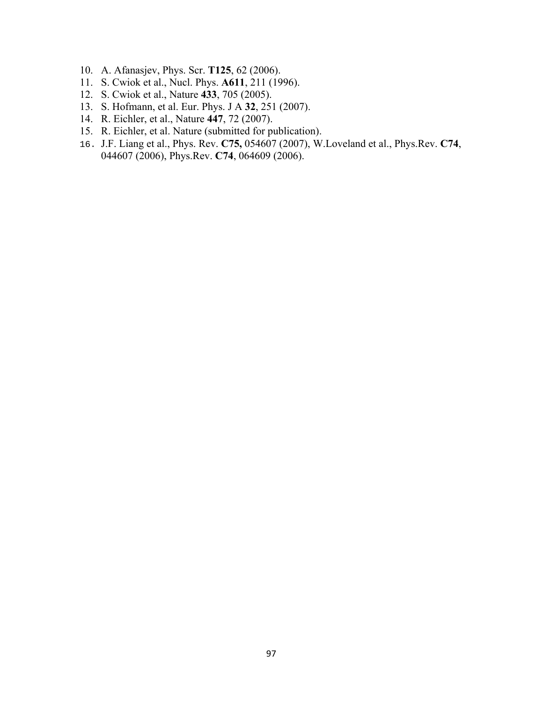- 10. A. Afanasjev, Phys. Scr. **T125**, 62 (2006).
- 11. S. Cwiok et al., Nucl. Phys. **A611**, 211 (1996).
- 12. S. Cwiok et al., Nature **433**, 705 (2005).
- 13. S. Hofmann, et al. Eur. Phys. J A **32**, 251 (2007).
- 14. R. Eichler, et al., Nature **447**, 72 (2007).
- 15. R. Eichler, et al. Nature (submitted for publication).
- 16. J.F. Liang et al., Phys. Rev. **C75,** 054607 (2007), W.Loveland et al., Phys.Rev. **C74**, 044607 (2006), Phys.Rev. **C74**, 064609 (2006).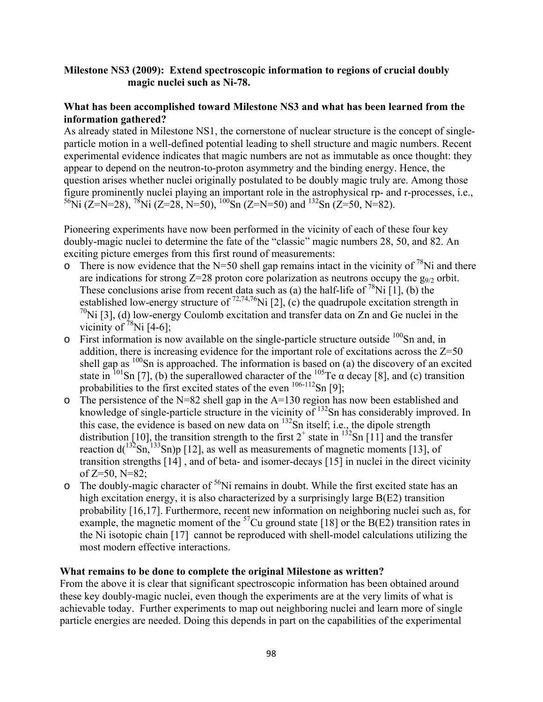# **Milestone NS3 (2009): Extend spectroscopic information to regions of crucial doubly magic nuclei such as Ni-78.**

## **What has been accomplished toward Milestone NS3 and what has been learned from the information gathered?**

As already stated in Milestone NS1, the cornerstone of nuclear structure is the concept of singleparticle motion in a well-defined potential leading to shell structure and magic numbers. Recent experimental evidence indicates that magic numbers are not as immutable as once thought: they appear to depend on the neutron-to-proton asymmetry and the binding energy. Hence, the question arises whether nuclei originally postulated to be doubly magic truly are. Among those figure prominently nuclei playing an important role in the astrophysical rp- and r-processes, i.e., <sup>56</sup>Ni (Z=N=28), <sup>78</sup>Ni (Z=28, N=50), <sup>100</sup>Sn (Z=N=50) and <sup>132</sup>Sn (Z=50, N=82).

Pioneering experiments have now been performed in the vicinity of each of these four key doubly-magic nuclei to determine the fate of the "classic" magic numbers 28, 50, and 82. An exciting picture emerges from this first round of measurements:

- o There is now evidence that the N=50 shell gap remains intact in the vicinity of  $^{78}$ Ni and there are indications for strong  $Z=28$  proton core polarization as neutrons occupy the  $g_{9/2}$  orbit. These conclusions arise from recent data such as (a) the half-life of  $^{78}$ Ni [1], (b) the established low-energy structure of  $^{72,74,76}$ Ni [2], (c) the quadrupole excitation strength in  $70$ Ni [3], (d) low-energy Coulomb excitation and transfer data on Zn and Ge nuclei in the vicinity of  $^{78}$ Ni [4-6];
- $\circ$  First information is now available on the single-particle structure outside  $100$ Sn and, in addition, there is increasing evidence for the important role of excitations across the  $Z=50$ shell gap as  $100$ Sn is approached. The information is based on (a) the discovery of an excited state in <sup>101</sup>Sn [7], (b) the superallowed character of the <sup>105</sup>Te  $\alpha$  decay [8], and (c) transition probabilities to the first excited states of the even  $106-112$ Sn [9];
- $\circ$  The persistence of the N=82 shell gap in the A=130 region has now been established and knowledge of single-particle structure in the vicinity of  $^{132}$ Sn has considerably improved. In this case, the evidence is based on new data on <sup>132</sup>Sn itself; i.e., the dipole strength distribution [10], the transition strength to the first  $2^+$  state in  $^{132}$ Sn [11] and the transfer reaction  $d(^{132}Sn, ^{133}Sn)p$  [12], as well as measurements of magnetic moments [13], of transition strengths [14] , and of beta- and isomer-decays [15] in nuclei in the direct vicinity of  $Z=50$ ,  $N=82$ ;
- $\circ$  The doubly-magic character of <sup>56</sup>Ni remains in doubt. While the first excited state has an high excitation energy, it is also characterized by a surprisingly large B(E2) transition probability [16,17]. Furthermore, recent new information on neighboring nuclei such as, for example, the magnetic moment of the  $57$ Cu ground state [18] or the B(E2) transition rates in the Ni isotopic chain [17] cannot be reproduced with shell-model calculations utilizing the most modern effective interactions.

## **What remains to be done to complete the original Milestone as written?**

From the above it is clear that significant spectroscopic information has been obtained around these key doubly-magic nuclei, even though the experiments are at the very limits of what is achievable today. Further experiments to map out neighboring nuclei and learn more of single particle energies are needed. Doing this depends in part on the capabilities of the experimental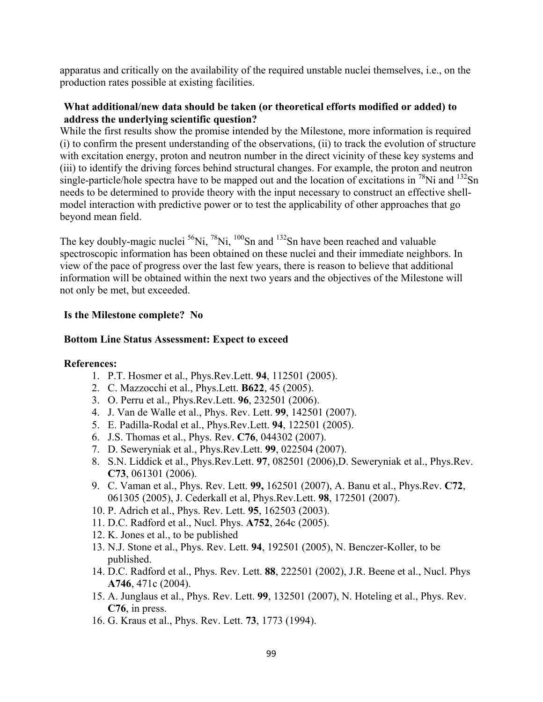apparatus and critically on the availability of the required unstable nuclei themselves, i.e., on the production rates possible at existing facilities.

# **What additional/new data should be taken (or theoretical efforts modified or added) to address the underlying scientific question?**

While the first results show the promise intended by the Milestone, more information is required (i) to confirm the present understanding of the observations, (ii) to track the evolution of structure with excitation energy, proton and neutron number in the direct vicinity of these key systems and (iii) to identify the driving forces behind structural changes. For example, the proton and neutron single-particle/hole spectra have to be mapped out and the location of excitations in <sup>78</sup>Ni and <sup>132</sup>Sn needs to be determined to provide theory with the input necessary to construct an effective shellmodel interaction with predictive power or to test the applicability of other approaches that go beyond mean field.

The key doubly-magic nuclei  $^{56}$ Ni,  $^{78}$ Ni,  $^{100}$ Sn and  $^{132}$ Sn have been reached and valuable spectroscopic information has been obtained on these nuclei and their immediate neighbors. In view of the pace of progress over the last few years, there is reason to believe that additional information will be obtained within the next two years and the objectives of the Milestone will not only be met, but exceeded.

## **Is the Milestone complete? No**

# **Bottom Line Status Assessment: Expect to exceed**

- 1. P.T. Hosmer et al., Phys.Rev.Lett. **94**, 112501 (2005).
- 2. C. Mazzocchi et al., Phys.Lett. **B622**, 45 (2005).
- 3. O. Perru et al., Phys.Rev.Lett. **96**, 232501 (2006).
- 4. J. Van de Walle et al., Phys. Rev. Lett. **99**, 142501 (2007).
- 5. E. Padilla-Rodal et al., Phys.Rev.Lett. **94**, 122501 (2005).
- 6. J.S. Thomas et al., Phys. Rev. **C76**, 044302 (2007).
- 7. D. Seweryniak et al., Phys.Rev.Lett. **99**, 022504 (2007).
- 8. S.N. Liddick et al., Phys.Rev.Lett. **97**, 082501 (2006),D. Seweryniak et al., Phys.Rev. **C73**, 061301 (2006).
- 9. C. Vaman et al., Phys. Rev. Lett. **99,** 162501 (2007), A. Banu et al., Phys.Rev. **C72**, 061305 (2005), J. Cederkall et al, Phys.Rev.Lett. **98**, 172501 (2007).
- 10. P. Adrich et al., Phys. Rev. Lett. **95**, 162503 (2003).
- 11. D.C. Radford et al., Nucl. Phys. **A752**, 264c (2005).
- 12. K. Jones et al., to be published
- 13. N.J. Stone et al., Phys. Rev. Lett. **94**, 192501 (2005), N. Benczer-Koller, to be published.
- 14. D.C. Radford et al., Phys. Rev. Lett. **88**, 222501 (2002), J.R. Beene et al., Nucl. Phys **A746**, 471c (2004).
- 15. A. Junglaus et al., Phys. Rev. Lett. **99**, 132501 (2007), N. Hoteling et al., Phys. Rev. **C76**, in press.
- 16. G. Kraus et al., Phys. Rev. Lett. **73**, 1773 (1994).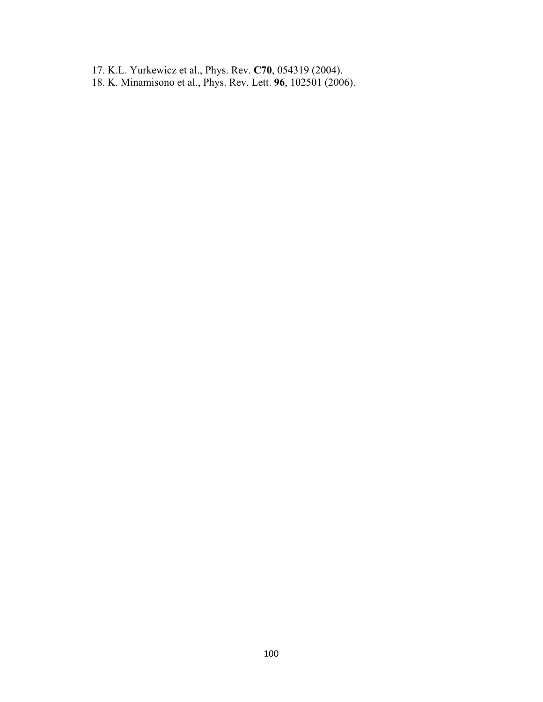- 17. K.L. Yurkewicz et al., Phys. Rev. **C70**, 054319 (2004).
- 18. K. Minamisono et al., Phys. Rev. Lett. **96**, 102501 (2006).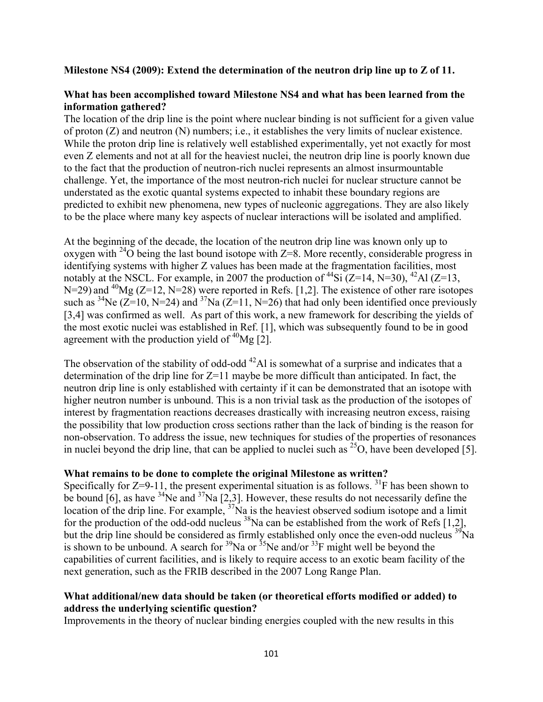## **Milestone NS4 (2009): Extend the determination of the neutron drip line up to Z of 11.**

## **What has been accomplished toward Milestone NS4 and what has been learned from the information gathered?**

The location of the drip line is the point where nuclear binding is not sufficient for a given value of proton (Z) and neutron (N) numbers; i.e., it establishes the very limits of nuclear existence. While the proton drip line is relatively well established experimentally, yet not exactly for most even Z elements and not at all for the heaviest nuclei, the neutron drip line is poorly known due to the fact that the production of neutron-rich nuclei represents an almost insurmountable challenge. Yet, the importance of the most neutron-rich nuclei for nuclear structure cannot be understated as the exotic quantal systems expected to inhabit these boundary regions are predicted to exhibit new phenomena, new types of nucleonic aggregations. They are also likely to be the place where many key aspects of nuclear interactions will be isolated and amplified.

At the beginning of the decade, the location of the neutron drip line was known only up to oxygen with <sup>24</sup>O being the last bound isotope with  $Z=8$ . More recently, considerable progress in identifying systems with higher Z values has been made at the fragmentation facilities, most notably at the NSCL. For example, in 2007 the production of  $^{44}$ Si (Z=14, N=30),  $^{42}$ Al (Z=13,  $N=29$ ) and <sup>40</sup>Mg (Z=12, N=28) were reported in Refs. [1,2]. The existence of other rare isotopes such as <sup>34</sup>Ne (Z=10, N=24) and <sup>37</sup>Na (Z=11, N=26) that had only been identified once previously [3,4] was confirmed as well. As part of this work, a new framework for describing the yields of the most exotic nuclei was established in Ref. [1], which was subsequently found to be in good agreement with the production yield of  $^{40}Mg$  [2].

The observation of the stability of odd-odd  $^{42}$ Al is somewhat of a surprise and indicates that a determination of the drip line for Z=11 maybe be more difficult than anticipated. In fact, the neutron drip line is only established with certainty if it can be demonstrated that an isotope with higher neutron number is unbound. This is a non trivial task as the production of the isotopes of interest by fragmentation reactions decreases drastically with increasing neutron excess, raising the possibility that low production cross sections rather than the lack of binding is the reason for non-observation. To address the issue, new techniques for studies of the properties of resonances in nuclei beyond the drip line, that can be applied to nuclei such as  $^{25}O$ , have been developed [5].

## **What remains to be done to complete the original Milestone as written?**

Specifically for  $Z=9-11$ , the present experimental situation is as follows. <sup>31</sup>F has been shown to be bound [6], as have  $34$ Ne and  $37$ Na [2,3]. However, these results do not necessarily define the location of the drip line. For example,  $\frac{37}{10}$  is the heaviest observed sodium isotope and a limit for the production of the odd-odd nucleus  $^{38}$ Na can be established from the work of Refs [1,2], but the drip line should be considered as firmly established only once the even-odd nucleus <sup>39</sup>Na is shown to be unbound. A search for  $\frac{39}{18}$  Na or  $\frac{35}{18}$  might well be beyond the capabilities of current facilities, and is likely to require access to an exotic beam facility of the next generation, such as the FRIB described in the 2007 Long Range Plan.

# **What additional/new data should be taken (or theoretical efforts modified or added) to address the underlying scientific question?**

Improvements in the theory of nuclear binding energies coupled with the new results in this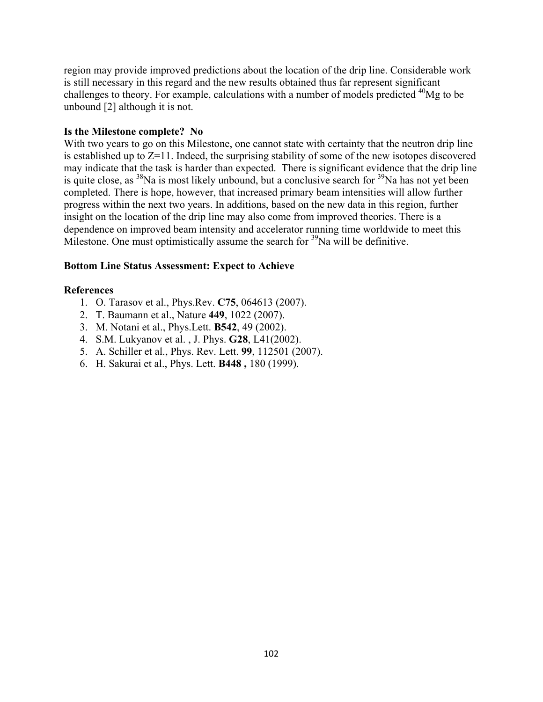region may provide improved predictions about the location of the drip line. Considerable work is still necessary in this regard and the new results obtained thus far represent significant challenges to theory. For example, calculations with a number of models predicted <sup>40</sup>Mg to be unbound [2] although it is not.

# **Is the Milestone complete? No**

With two years to go on this Milestone, one cannot state with certainty that the neutron drip line is established up to Z=11. Indeed, the surprising stability of some of the new isotopes discovered may indicate that the task is harder than expected. There is significant evidence that the drip line is quite close, as  $38$ Na is most likely unbound, but a conclusive search for  $39$ Na has not yet been completed. There is hope, however, that increased primary beam intensities will allow further progress within the next two years. In additions, based on the new data in this region, further insight on the location of the drip line may also come from improved theories. There is a dependence on improved beam intensity and accelerator running time worldwide to meet this Milestone. One must optimistically assume the search for  $39$ Na will be definitive.

# **Bottom Line Status Assessment: Expect to Achieve**

- 1. O. Tarasov et al., Phys.Rev. **C75**, 064613 (2007).
- 2. T. Baumann et al., Nature **449**, 1022 (2007).
- 3. M. Notani et al., Phys.Lett. **B542**, 49 (2002).
- 4. S.M. Lukyanov et al. , J. Phys. **G28**, L41(2002).
- 5. A. Schiller et al., Phys. Rev. Lett. **99**, 112501 (2007).
- 6. H. Sakurai et al., Phys. Lett. **B448 ,** 180 (1999).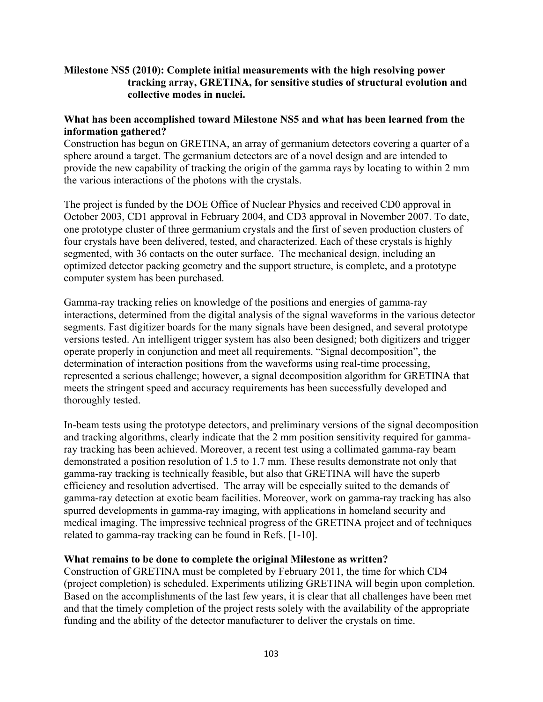# **Milestone NS5 (2010): Complete initial measurements with the high resolving power tracking array, GRETINA, for sensitive studies of structural evolution and collective modes in nuclei.**

# **What has been accomplished toward Milestone NS5 and what has been learned from the information gathered?**

Construction has begun on GRETINA, an array of germanium detectors covering a quarter of a sphere around a target. The germanium detectors are of a novel design and are intended to provide the new capability of tracking the origin of the gamma rays by locating to within 2 mm the various interactions of the photons with the crystals.

The project is funded by the DOE Office of Nuclear Physics and received CD0 approval in October 2003, CD1 approval in February 2004, and CD3 approval in November 2007. To date, one prototype cluster of three germanium crystals and the first of seven production clusters of four crystals have been delivered, tested, and characterized. Each of these crystals is highly segmented, with 36 contacts on the outer surface. The mechanical design, including an optimized detector packing geometry and the support structure, is complete, and a prototype computer system has been purchased.

Gamma-ray tracking relies on knowledge of the positions and energies of gamma-ray interactions, determined from the digital analysis of the signal waveforms in the various detector segments. Fast digitizer boards for the many signals have been designed, and several prototype versions tested. An intelligent trigger system has also been designed; both digitizers and trigger operate properly in conjunction and meet all requirements. "Signal decomposition", the determination of interaction positions from the waveforms using real-time processing, represented a serious challenge; however, a signal decomposition algorithm for GRETINA that meets the stringent speed and accuracy requirements has been successfully developed and thoroughly tested.

In-beam tests using the prototype detectors, and preliminary versions of the signal decomposition and tracking algorithms, clearly indicate that the 2 mm position sensitivity required for gammaray tracking has been achieved. Moreover, a recent test using a collimated gamma-ray beam demonstrated a position resolution of 1.5 to 1.7 mm. These results demonstrate not only that gamma-ray tracking is technically feasible, but also that GRETINA will have the superb efficiency and resolution advertised. The array will be especially suited to the demands of gamma-ray detection at exotic beam facilities. Moreover, work on gamma-ray tracking has also spurred developments in gamma-ray imaging, with applications in homeland security and medical imaging. The impressive technical progress of the GRETINA project and of techniques related to gamma-ray tracking can be found in Refs. [1-10].

## **What remains to be done to complete the original Milestone as written?**

Construction of GRETINA must be completed by February 2011, the time for which CD4 (project completion) is scheduled. Experiments utilizing GRETINA will begin upon completion. Based on the accomplishments of the last few years, it is clear that all challenges have been met and that the timely completion of the project rests solely with the availability of the appropriate funding and the ability of the detector manufacturer to deliver the crystals on time.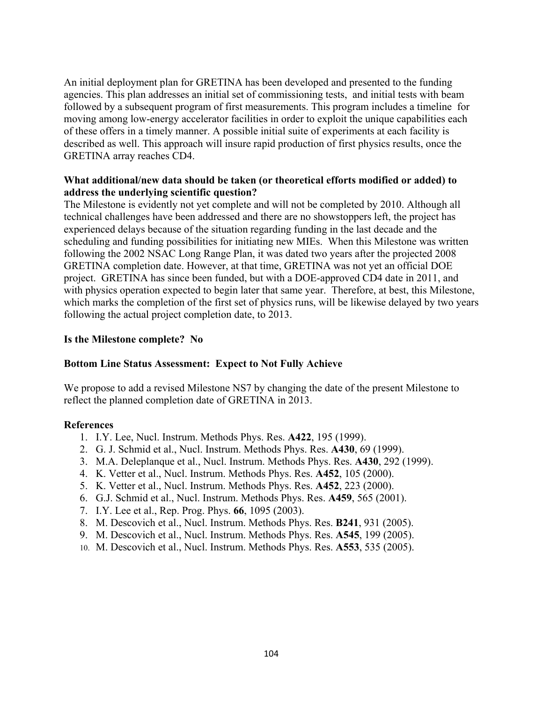An initial deployment plan for GRETINA has been developed and presented to the funding agencies. This plan addresses an initial set of commissioning tests, and initial tests with beam followed by a subsequent program of first measurements. This program includes a timeline for moving among low-energy accelerator facilities in order to exploit the unique capabilities each of these offers in a timely manner. A possible initial suite of experiments at each facility is described as well. This approach will insure rapid production of first physics results, once the GRETINA array reaches CD4.

# **What additional/new data should be taken (or theoretical efforts modified or added) to address the underlying scientific question?**

The Milestone is evidently not yet complete and will not be completed by 2010. Although all technical challenges have been addressed and there are no showstoppers left, the project has experienced delays because of the situation regarding funding in the last decade and the scheduling and funding possibilities for initiating new MIEs. When this Milestone was written following the 2002 NSAC Long Range Plan, it was dated two years after the projected 2008 GRETINA completion date. However, at that time, GRETINA was not yet an official DOE project. GRETINA has since been funded, but with a DOE-approved CD4 date in 2011, and with physics operation expected to begin later that same year. Therefore, at best, this Milestone, which marks the completion of the first set of physics runs, will be likewise delayed by two years following the actual project completion date, to 2013.

# **Is the Milestone complete? No**

## **Bottom Line Status Assessment: Expect to Not Fully Achieve**

We propose to add a revised Milestone NS7 by changing the date of the present Milestone to reflect the planned completion date of GRETINA in 2013.

- 1. I.Y. Lee, Nucl. Instrum. Methods Phys. Res. **A422**, 195 (1999).
- 2. G. J. Schmid et al., Nucl. Instrum. Methods Phys. Res. **A430**, 69 (1999).
- 3. M.A. Deleplanque et al., Nucl. Instrum. Methods Phys. Res. **A430**, 292 (1999).
- 4. K. Vetter et al., Nucl. Instrum. Methods Phys. Res. **A452**, 105 (2000).
- 5. K. Vetter et al., Nucl. Instrum. Methods Phys. Res. **A452**, 223 (2000).
- 6. G.J. Schmid et al., Nucl. Instrum. Methods Phys. Res. **A459**, 565 (2001).
- 7. I.Y. Lee et al., Rep. Prog. Phys. **66**, 1095 (2003).
- 8. M. Descovich et al., Nucl. Instrum. Methods Phys. Res. **B241**, 931 (2005).
- 9. M. Descovich et al., Nucl. Instrum. Methods Phys. Res. **A545**, 199 (2005).
- 10. M. Descovich et al., Nucl. Instrum. Methods Phys. Res. **A553**, 535 (2005).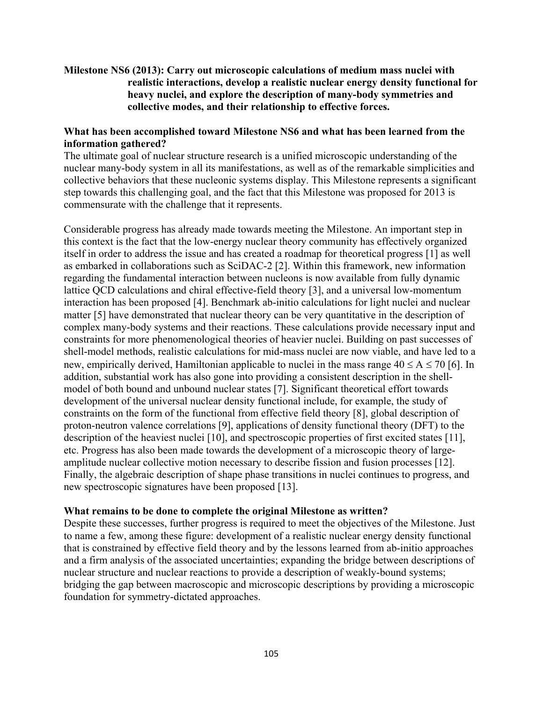# **Milestone NS6 (2013): Carry out microscopic calculations of medium mass nuclei with realistic interactions, develop a realistic nuclear energy density functional for heavy nuclei, and explore the description of many-body symmetries and collective modes, and their relationship to effective forces.**

# **What has been accomplished toward Milestone NS6 and what has been learned from the information gathered?**

The ultimate goal of nuclear structure research is a unified microscopic understanding of the nuclear many-body system in all its manifestations, as well as of the remarkable simplicities and collective behaviors that these nucleonic systems display. This Milestone represents a significant step towards this challenging goal, and the fact that this Milestone was proposed for 2013 is commensurate with the challenge that it represents.

Considerable progress has already made towards meeting the Milestone. An important step in this context is the fact that the low-energy nuclear theory community has effectively organized itself in order to address the issue and has created a roadmap for theoretical progress [1] as well as embarked in collaborations such as SciDAC-2 [2]. Within this framework, new information regarding the fundamental interaction between nucleons is now available from fully dynamic lattice QCD calculations and chiral effective-field theory [3], and a universal low-momentum interaction has been proposed [4]. Benchmark ab-initio calculations for light nuclei and nuclear matter [5] have demonstrated that nuclear theory can be very quantitative in the description of complex many-body systems and their reactions. These calculations provide necessary input and constraints for more phenomenological theories of heavier nuclei. Building on past successes of shell-model methods, realistic calculations for mid-mass nuclei are now viable, and have led to a new, empirically derived, Hamiltonian applicable to nuclei in the mass range  $40 \le A \le 70$  [6]. In addition, substantial work has also gone into providing a consistent description in the shellmodel of both bound and unbound nuclear states [7]. Significant theoretical effort towards development of the universal nuclear density functional include, for example, the study of constraints on the form of the functional from effective field theory [8], global description of proton-neutron valence correlations [9], applications of density functional theory (DFT) to the description of the heaviest nuclei [10], and spectroscopic properties of first excited states [11], etc. Progress has also been made towards the development of a microscopic theory of largeamplitude nuclear collective motion necessary to describe fission and fusion processes [12]. Finally, the algebraic description of shape phase transitions in nuclei continues to progress, and new spectroscopic signatures have been proposed [13].

## **What remains to be done to complete the original Milestone as written?**

Despite these successes, further progress is required to meet the objectives of the Milestone. Just to name a few, among these figure: development of a realistic nuclear energy density functional that is constrained by effective field theory and by the lessons learned from ab-initio approaches and a firm analysis of the associated uncertainties; expanding the bridge between descriptions of nuclear structure and nuclear reactions to provide a description of weakly-bound systems; bridging the gap between macroscopic and microscopic descriptions by providing a microscopic foundation for symmetry-dictated approaches.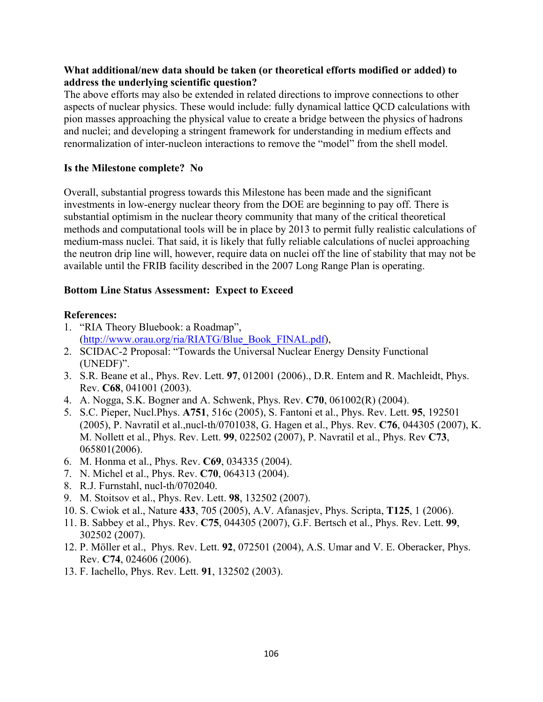# **What additional/new data should be taken (or theoretical efforts modified or added) to address the underlying scientific question?**

The above efforts may also be extended in related directions to improve connections to other aspects of nuclear physics. These would include: fully dynamical lattice QCD calculations with pion masses approaching the physical value to create a bridge between the physics of hadrons and nuclei; and developing a stringent framework for understanding in medium effects and renormalization of inter-nucleon interactions to remove the "model" from the shell model.

# **Is the Milestone complete? No**

Overall, substantial progress towards this Milestone has been made and the significant investments in low-energy nuclear theory from the DOE are beginning to pay off. There is substantial optimism in the nuclear theory community that many of the critical theoretical methods and computational tools will be in place by 2013 to permit fully realistic calculations of medium-mass nuclei. That said, it is likely that fully reliable calculations of nuclei approaching the neutron drip line will, however, require data on nuclei off the line of stability that may not be available until the FRIB facility described in the 2007 Long Range Plan is operating.

# **Bottom Line Status Assessment: Expect to Exceed**

- 1. "RIA Theory Bluebook: a Roadmap", (http://www.orau.org/ria/RIATG/Blue\_Book\_FINAL.pdf),
- 2. SCIDAC-2 Proposal: "Towards the Universal Nuclear Energy Density Functional (UNEDF)".
- 3. S.R. Beane et al., Phys. Rev. Lett. **97**, 012001 (2006)., D.R. Entem and R. Machleidt, Phys. Rev. **C68**, 041001 (2003).
- 4. A. Nogga, S.K. Bogner and A. Schwenk, Phys. Rev. **C70**, 061002(R) (2004).
- 5. S.C. Pieper, Nucl.Phys. **A751**, 516c (2005), S. Fantoni et al., Phys. Rev. Lett. **95**, 192501 (2005), P. Navratil et al.,nucl-th/0701038, G. Hagen et al., Phys. Rev. **C76**, 044305 (2007), K. M. Nollett et al., Phys. Rev. Lett. **99**, 022502 (2007), P. Navratil et al., Phys. Rev **C73**, 065801(2006).
- 6. M. Honma et al., Phys. Rev. **C69**, 034335 (2004).
- 7. N. Michel et al., Phys. Rev. **C70**, 064313 (2004).
- 8. R.J. Furnstahl, nucl-th/0702040.
- 9. M. Stoitsov et al., Phys. Rev. Lett. **98**, 132502 (2007).
- 10. S. Cwiok et al., Nature **433**, 705 (2005), A.V. Afanasjev, Phys. Scripta, **T125**, 1 (2006).
- 11. B. Sabbey et al., Phys. Rev. **C75**, 044305 (2007), G.F. Bertsch et al., Phys. Rev. Lett. **99**, 302502 (2007).
- 12. P. Möller et al., Phys. Rev. Lett. **92**, 072501 (2004), A.S. Umar and V. E. Oberacker, Phys. Rev. **C74**, 024606 (2006).
- 13. F. Iachello, Phys. Rev. Lett. **91**, 132502 (2003).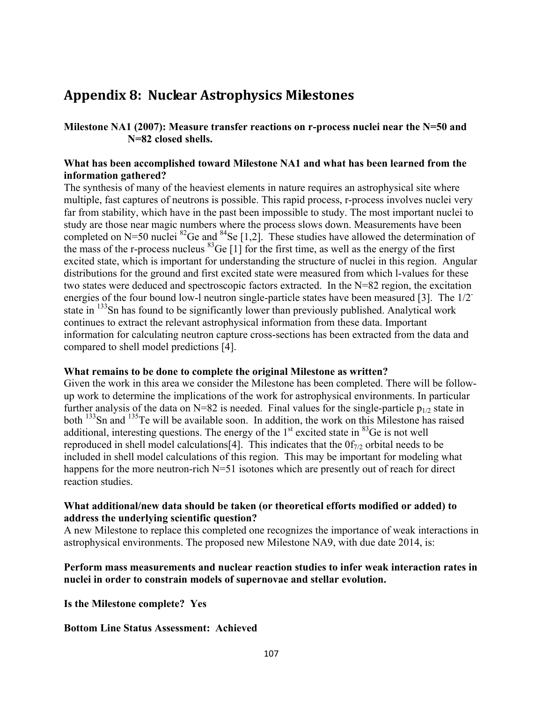# **Appendix 8: Nuclear Astrophysics Milestones**

**Milestone NA1 (2007): Measure transfer reactions on r-process nuclei near the N=50 and N=82 closed shells.** 

# **What has been accomplished toward Milestone NA1 and what has been learned from the information gathered?**

The synthesis of many of the heaviest elements in nature requires an astrophysical site where multiple, fast captures of neutrons is possible. This rapid process, r-process involves nuclei very far from stability, which have in the past been impossible to study. The most important nuclei to study are those near magic numbers where the process slows down. Measurements have been completed on N=50 nuclei  ${}^{82}$ Ge and  ${}^{84}$ Se [1,2]. These studies have allowed the determination of the mass of the r-process nucleus  ${}^{83}$ Ge [1] for the first time, as well as the energy of the first excited state, which is important for understanding the structure of nuclei in this region. Angular distributions for the ground and first excited state were measured from which l-values for these two states were deduced and spectroscopic factors extracted. In the N=82 region, the excitation energies of the four bound low-l neutron single-particle states have been measured [3]. The 1/2 state in <sup>133</sup>Sn has found to be significantly lower than previously published. Analytical work continues to extract the relevant astrophysical information from these data. Important information for calculating neutron capture cross-sections has been extracted from the data and compared to shell model predictions [4].

## **What remains to be done to complete the original Milestone as written?**

Given the work in this area we consider the Milestone has been completed. There will be followup work to determine the implications of the work for astrophysical environments. In particular further analysis of the data on N=82 is needed. Final values for the single-particle  $p_{1/2}$  state in both <sup>133</sup>Sn and <sup>135</sup>Te will be available soon. In addition, the work on this Milestone has raised additional, interesting questions. The energy of the  $1<sup>st</sup>$  excited state in  $<sup>83</sup>$ Ge is not well</sup> reproduced in shell model calculations [4]. This indicates that the  $0f_{7/2}$  orbital needs to be included in shell model calculations of this region. This may be important for modeling what happens for the more neutron-rich N=51 isotones which are presently out of reach for direct reaction studies.

# **What additional/new data should be taken (or theoretical efforts modified or added) to address the underlying scientific question?**

A new Milestone to replace this completed one recognizes the importance of weak interactions in astrophysical environments. The proposed new Milestone NA9, with due date 2014, is:

# **Perform mass measurements and nuclear reaction studies to infer weak interaction rates in nuclei in order to constrain models of supernovae and stellar evolution.**

**Is the Milestone complete? Yes** 

# **Bottom Line Status Assessment: Achieved**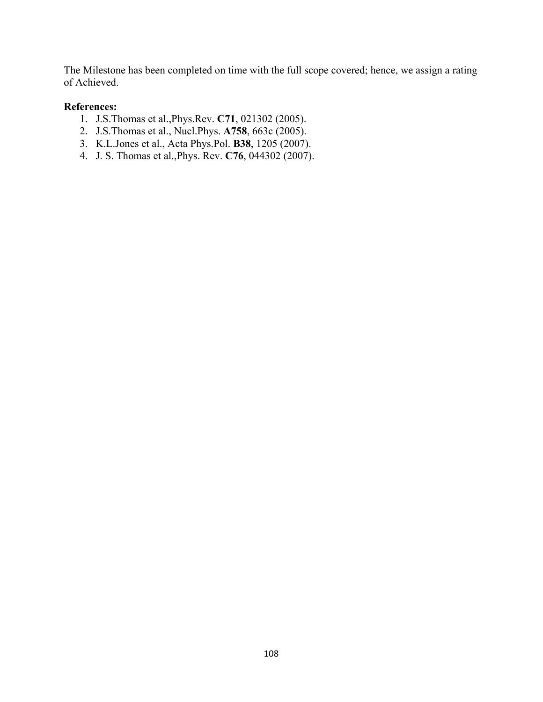The Milestone has been completed on time with the full scope covered; hence, we assign a rating of Achieved.

- 1. J.S.Thomas et al.,Phys.Rev. **C71**, 021302 (2005).
- 2. J.S.Thomas et al., Nucl.Phys. **A758**, 663c (2005).
- 3. K.L.Jones et al., Acta Phys.Pol. **B38**, 1205 (2007).
- 4. J. S. Thomas et al.,Phys. Rev. **C76**, 044302 (2007).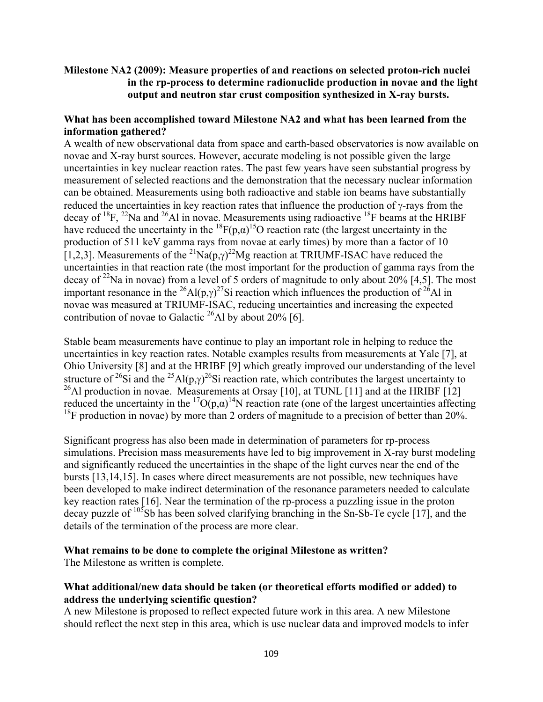# **Milestone NA2 (2009): Measure properties of and reactions on selected proton-rich nuclei in the rp-process to determine radionuclide production in novae and the light output and neutron star crust composition synthesized in X-ray bursts.**

# **What has been accomplished toward Milestone NA2 and what has been learned from the information gathered?**

A wealth of new observational data from space and earth-based observatories is now available on novae and X-ray burst sources. However, accurate modeling is not possible given the large uncertainties in key nuclear reaction rates. The past few years have seen substantial progress by measurement of selected reactions and the demonstration that the necessary nuclear information can be obtained. Measurements using both radioactive and stable ion beams have substantially reduced the uncertainties in key reaction rates that influence the production of γ-rays from the decay of <sup>18</sup>F, <sup>22</sup>Na and <sup>26</sup>Al in novae. Measurements using radioactive <sup>18</sup>F beams at the HRIBF have reduced the uncertainty in the <sup>18</sup> $F(p,\alpha)$ <sup>15</sup>O reaction rate (the largest uncertainty in the production of 511 keV gamma rays from novae at early times) by more than a factor of 10 [1,2,3]. Measurements of the <sup>21</sup>Na(p, $\gamma$ )<sup>22</sup>Mg reaction at TRIUMF-ISAC have reduced the uncertainties in that reaction rate (the most important for the production of gamma rays from the decay of <sup>22</sup>Na in novae) from a level of 5 orders of magnitude to only about 20% [4,5]. The most important resonance in the <sup>26</sup>Al(p, $\gamma$ )<sup>27</sup>Si reaction which influences the production of <sup>26</sup>Al in novae was measured at TRIUMF-ISAC, reducing uncertainties and increasing the expected contribution of novae to Galactic <sup>26</sup>Al by about 20% [6].

Stable beam measurements have continue to play an important role in helping to reduce the uncertainties in key reaction rates. Notable examples results from measurements at Yale [7], at Ohio University [8] and at the HRIBF [9] which greatly improved our understanding of the level structure of <sup>26</sup>Si and the <sup>25</sup>Al(p, $\gamma$ )<sup>26</sup>Si reaction rate, which contributes the largest uncertainty to <sup>26</sup>Al production in novae. Measurements at Orsay [10], at TUNL [11] and at the HRIBF [12] reduced the uncertainty in the <sup>17</sup>O(p, $\alpha$ )<sup>14</sup>N reaction rate (one of the largest uncertainties affecting  $18$ F production in novae) by more than 2 orders of magnitude to a precision of better than 20%.

Significant progress has also been made in determination of parameters for rp-process simulations. Precision mass measurements have led to big improvement in X-ray burst modeling and significantly reduced the uncertainties in the shape of the light curves near the end of the bursts [13,14,15]. In cases where direct measurements are not possible, new techniques have been developed to make indirect determination of the resonance parameters needed to calculate key reaction rates [16]. Near the termination of the rp-process a puzzling issue in the proton decay puzzle of <sup>105</sup>Sb has been solved clarifying branching in the Sn-Sb-Te cycle [17], and the details of the termination of the process are more clear.

# **What remains to be done to complete the original Milestone as written?**

The Milestone as written is complete.

# **What additional/new data should be taken (or theoretical efforts modified or added) to address the underlying scientific question?**

A new Milestone is proposed to reflect expected future work in this area. A new Milestone should reflect the next step in this area, which is use nuclear data and improved models to infer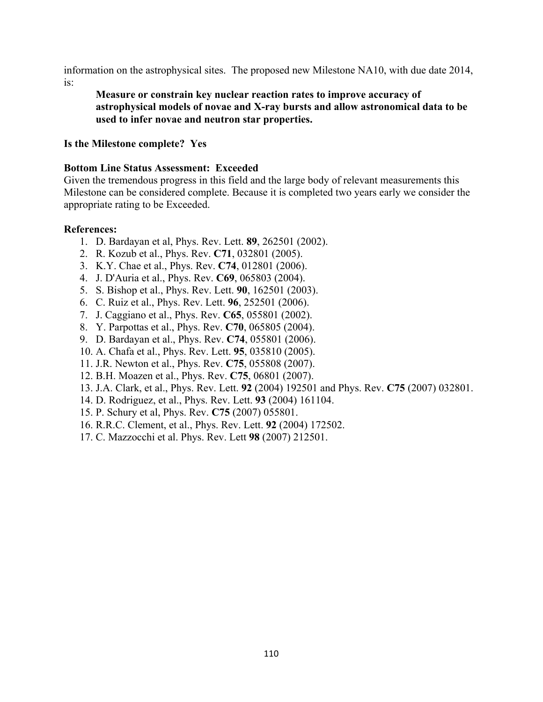information on the astrophysical sites. The proposed new Milestone NA10, with due date 2014, is:

**Measure or constrain key nuclear reaction rates to improve accuracy of astrophysical models of novae and X-ray bursts and allow astronomical data to be used to infer novae and neutron star properties.**

## **Is the Milestone complete? Yes**

## **Bottom Line Status Assessment: Exceeded**

Given the tremendous progress in this field and the large body of relevant measurements this Milestone can be considered complete. Because it is completed two years early we consider the appropriate rating to be Exceeded.

- 1. D. Bardayan et al, Phys. Rev. Lett. **89**, 262501 (2002).
- 2. R. Kozub et al., Phys. Rev. **C71**, 032801 (2005).
- 3. K.Y. Chae et al., Phys. Rev. **C74**, 012801 (2006).
- 4. J. D'Auria et al., Phys. Rev. **C69**, 065803 (2004).
- 5. S. Bishop et al., Phys. Rev. Lett. **90**, 162501 (2003).
- 6. C. Ruiz et al., Phys. Rev. Lett. **96**, 252501 (2006).
- 7. J. Caggiano et al., Phys. Rev. **C65**, 055801 (2002).
- 8. Y. Parpottas et al., Phys. Rev. **C70**, 065805 (2004).
- 9. D. Bardayan et al., Phys. Rev. **C74**, 055801 (2006).
- 10. A. Chafa et al., Phys. Rev. Lett. **95**, 035810 (2005).
- 11. J.R. Newton et al., Phys. Rev. **C75**, 055808 (2007).
- 12. B.H. Moazen et al., Phys. Rev. **C75**, 06801 (2007).
- 13. J.A. Clark, et al., Phys. Rev. Lett. **92** (2004) 192501 and Phys. Rev. **C75** (2007) 032801.
- 14. D. Rodriguez, et al., Phys. Rev. Lett. **93** (2004) 161104.
- 15. P. Schury et al, Phys. Rev. **C75** (2007) 055801.
- 16. R.R.C. Clement, et al., Phys. Rev. Lett. **92** (2004) 172502.
- 17. C. Mazzocchi et al. Phys. Rev. Lett **98** (2007) 212501.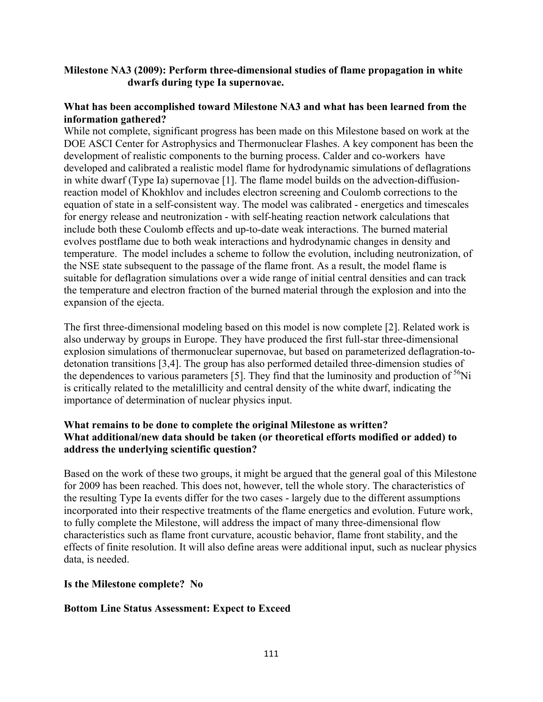# **Milestone NA3 (2009): Perform three-dimensional studies of flame propagation in white dwarfs during type Ia supernovae.**

## **What has been accomplished toward Milestone NA3 and what has been learned from the information gathered?**

While not complete, significant progress has been made on this Milestone based on work at the DOE ASCI Center for Astrophysics and Thermonuclear Flashes. A key component has been the development of realistic components to the burning process. Calder and co-workers have developed and calibrated a realistic model flame for hydrodynamic simulations of deflagrations in white dwarf (Type Ia) supernovae [1]. The flame model builds on the advection-diffusionreaction model of Khokhlov and includes electron screening and Coulomb corrections to the equation of state in a self-consistent way. The model was calibrated - energetics and timescales for energy release and neutronization - with self-heating reaction network calculations that include both these Coulomb effects and up-to-date weak interactions. The burned material evolves postflame due to both weak interactions and hydrodynamic changes in density and temperature. The model includes a scheme to follow the evolution, including neutronization, of the NSE state subsequent to the passage of the flame front. As a result, the model flame is suitable for deflagration simulations over a wide range of initial central densities and can track the temperature and electron fraction of the burned material through the explosion and into the expansion of the ejecta.

The first three-dimensional modeling based on this model is now complete [2]. Related work is also underway by groups in Europe. They have produced the first full-star three-dimensional explosion simulations of thermonuclear supernovae, but based on parameterized deflagration-todetonation transitions [3,4]. The group has also performed detailed three-dimension studies of the dependences to various parameters [5]. They find that the luminosity and production of  $56Ni$ is critically related to the metalillicity and central density of the white dwarf, indicating the importance of determination of nuclear physics input.

# **What remains to be done to complete the original Milestone as written? What additional/new data should be taken (or theoretical efforts modified or added) to address the underlying scientific question?**

Based on the work of these two groups, it might be argued that the general goal of this Milestone for 2009 has been reached. This does not, however, tell the whole story. The characteristics of the resulting Type Ia events differ for the two cases - largely due to the different assumptions incorporated into their respective treatments of the flame energetics and evolution. Future work, to fully complete the Milestone, will address the impact of many three-dimensional flow characteristics such as flame front curvature, acoustic behavior, flame front stability, and the effects of finite resolution. It will also define areas were additional input, such as nuclear physics data, is needed.

#### **Is the Milestone complete? No**

#### **Bottom Line Status Assessment: Expect to Exceed**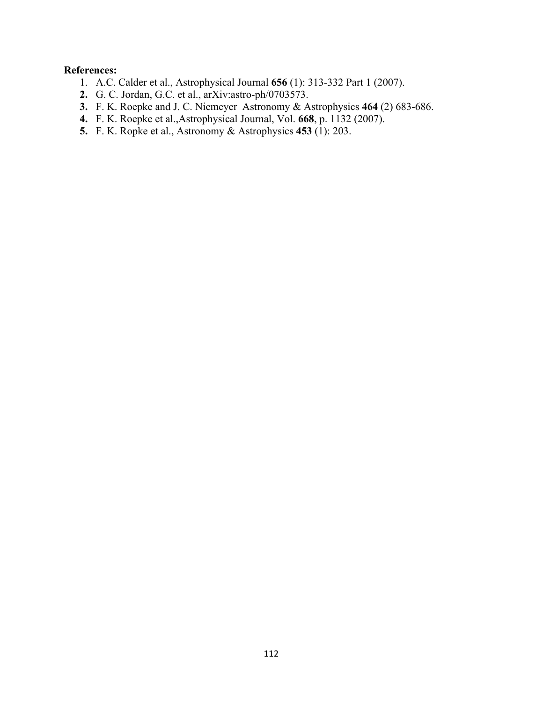- 1. A.C. Calder et al., Astrophysical Journal **656** (1): 313-332 Part 1 (2007).
- **2.** G. C. Jordan, G.C. et al., arXiv:astro-ph/0703573.
- **3.** F. K. Roepke and J. C. Niemeyer Astronomy & Astrophysics **464** (2) 683-686.
- **4.** F. K. Roepke et al.,Astrophysical Journal, Vol. **668**, p. 1132 (2007).
- **5.** F. K. Ropke et al., Astronomy & Astrophysics **453** (1): 203.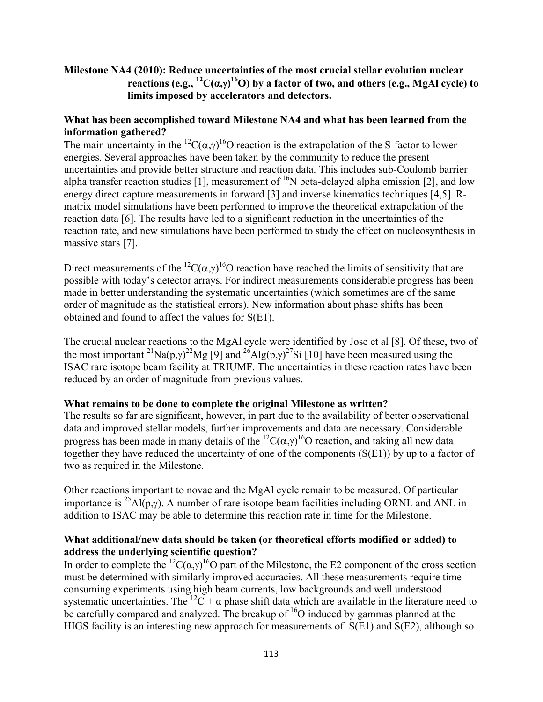# **Milestone NA4 (2010): Reduce uncertainties of the most crucial stellar evolution nuclear reactions (e.g., 12C(α,**γ**) 16O) by a factor of two, and others (e.g., MgAl cycle) to limits imposed by accelerators and detectors.**

# **What has been accomplished toward Milestone NA4 and what has been learned from the information gathered?**

The main uncertainty in the <sup>12</sup>C( $\alpha$ , $\gamma$ )<sup>16</sup>O reaction is the extrapolation of the S-factor to lower energies. Several approaches have been taken by the community to reduce the present uncertainties and provide better structure and reaction data. This includes sub-Coulomb barrier alpha transfer reaction studies [1], measurement of  $^{16}N$  beta-delayed alpha emission [2], and low energy direct capture measurements in forward [3] and inverse kinematics techniques [4,5]. Rmatrix model simulations have been performed to improve the theoretical extrapolation of the reaction data [6]. The results have led to a significant reduction in the uncertainties of the reaction rate, and new simulations have been performed to study the effect on nucleosynthesis in massive stars [7].

Direct measurements of the <sup>12</sup>C( $\alpha$ , $\gamma$ )<sup>16</sup>O reaction have reached the limits of sensitivity that are possible with today's detector arrays. For indirect measurements considerable progress has been made in better understanding the systematic uncertainties (which sometimes are of the same order of magnitude as the statistical errors). New information about phase shifts has been obtained and found to affect the values for S(E1).

The crucial nuclear reactions to the MgAl cycle were identified by Jose et al [8]. Of these, two of the most important <sup>21</sup>Na(p, $\gamma$ )<sup>22</sup>Mg [9] and <sup>26</sup>Alg(p, $\gamma$ )<sup>27</sup>Si [10] have been measured using the ISAC rare isotope beam facility at TRIUMF. The uncertainties in these reaction rates have been reduced by an order of magnitude from previous values.

# **What remains to be done to complete the original Milestone as written?**

The results so far are significant, however, in part due to the availability of better observational data and improved stellar models, further improvements and data are necessary. Considerable progress has been made in many details of the <sup>12</sup>C( $\alpha$ , $\gamma$ )<sup>16</sup>O reaction, and taking all new data together they have reduced the uncertainty of one of the components (S(E1)) by up to a factor of two as required in the Milestone.

Other reactions important to novae and the MgAl cycle remain to be measured. Of particular importance is <sup>25</sup>Al(p,γ). A number of rare isotope beam facilities including ORNL and ANL in addition to ISAC may be able to determine this reaction rate in time for the Milestone.

# **What additional/new data should be taken (or theoretical efforts modified or added) to address the underlying scientific question?**

In order to complete the <sup>12</sup>C( $\alpha$ , $\gamma$ <sup>16</sup>O part of the Milestone, the E2 component of the cross section must be determined with similarly improved accuracies. All these measurements require timeconsuming experiments using high beam currents, low backgrounds and well understood systematic uncertainties. The <sup>12</sup>C +  $\alpha$  phase shift data which are available in the literature need to be carefully compared and analyzed. The breakup of  ${}^{16}O$  induced by gammas planned at the HIGS facility is an interesting new approach for measurements of S(E1) and S(E2), although so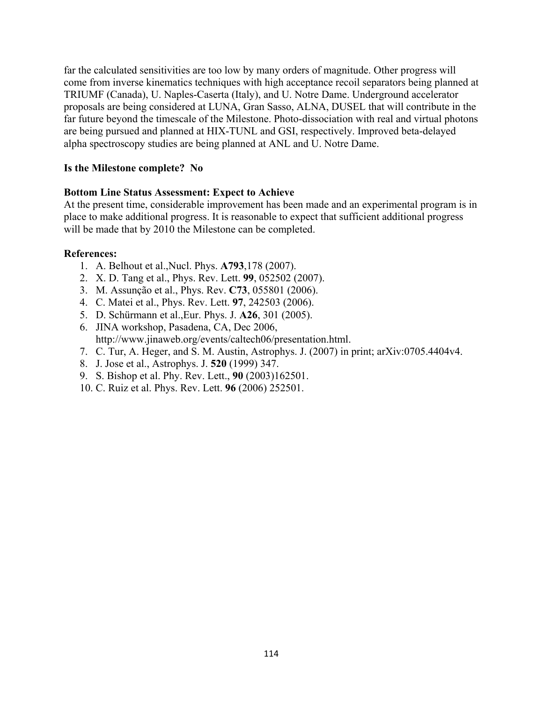far the calculated sensitivities are too low by many orders of magnitude. Other progress will come from inverse kinematics techniques with high acceptance recoil separators being planned at TRIUMF (Canada), U. Naples-Caserta (Italy), and U. Notre Dame. Underground accelerator proposals are being considered at LUNA, Gran Sasso, ALNA, DUSEL that will contribute in the far future beyond the timescale of the Milestone. Photo-dissociation with real and virtual photons are being pursued and planned at HIX-TUNL and GSI, respectively. Improved beta-delayed alpha spectroscopy studies are being planned at ANL and U. Notre Dame.

# **Is the Milestone complete? No**

# **Bottom Line Status Assessment: Expect to Achieve**

At the present time, considerable improvement has been made and an experimental program is in place to make additional progress. It is reasonable to expect that sufficient additional progress will be made that by 2010 the Milestone can be completed.

- 1. A. Belhout et al.,Nucl. Phys. **A793**,178 (2007).
- 2. X. D. Tang et al., Phys. Rev. Lett. **99**, 052502 (2007).
- 3. M. Assunção et al., Phys. Rev. **C73**, 055801 (2006).
- 4. C. Matei et al., Phys. Rev. Lett. **97**, 242503 (2006).
- 5. D. Schürmann et al.,Eur. Phys. J. **A26**, 301 (2005).
- 6. JINA workshop, Pasadena, CA, Dec 2006, http://www.jinaweb.org/events/caltech06/presentation.html.
- 7. C. Tur, A. Heger, and S. M. Austin, Astrophys. J. (2007) in print; arXiv:0705.4404v4.
- 8. J. Jose et al., Astrophys. J. **520** (1999) 347.
- 9. S. Bishop et al. Phy. Rev. Lett., **90** (2003)162501.
- 10. C. Ruiz et al. Phys. Rev. Lett. **96** (2006) 252501.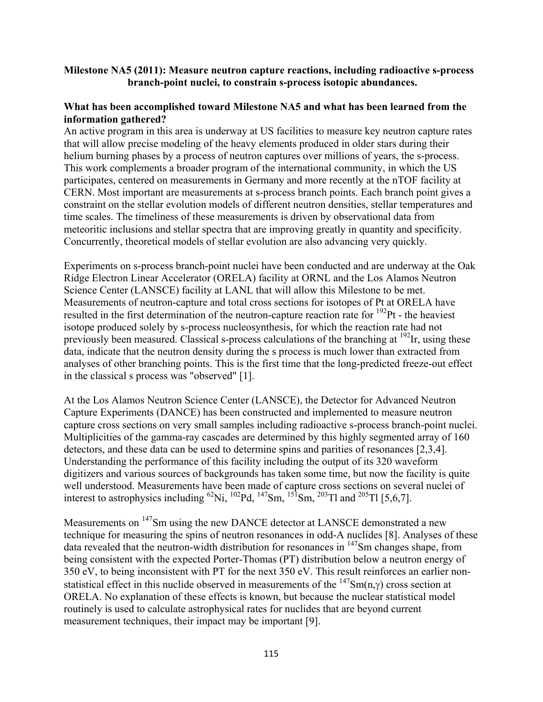## **Milestone NA5 (2011): Measure neutron capture reactions, including radioactive s-process branch-point nuclei, to constrain s-process isotopic abundances.**

## **What has been accomplished toward Milestone NA5 and what has been learned from the information gathered?**

An active program in this area is underway at US facilities to measure key neutron capture rates that will allow precise modeling of the heavy elements produced in older stars during their helium burning phases by a process of neutron captures over millions of years, the s-process. This work complements a broader program of the international community, in which the US participates, centered on measurements in Germany and more recently at the nTOF facility at CERN. Most important are measurements at s-process branch points. Each branch point gives a constraint on the stellar evolution models of different neutron densities, stellar temperatures and time scales. The timeliness of these measurements is driven by observational data from meteoritic inclusions and stellar spectra that are improving greatly in quantity and specificity. Concurrently, theoretical models of stellar evolution are also advancing very quickly.

Experiments on s-process branch-point nuclei have been conducted and are underway at the Oak Ridge Electron Linear Accelerator (ORELA) facility at ORNL and the Los Alamos Neutron Science Center (LANSCE) facility at LANL that will allow this Milestone to be met. Measurements of neutron-capture and total cross sections for isotopes of Pt at ORELA have resulted in the first determination of the neutron-capture reaction rate for 192Pt - the heaviest isotope produced solely by s-process nucleosynthesis, for which the reaction rate had not previously been measured. Classical s-process calculations of the branching at  $192$ Ir, using these data, indicate that the neutron density during the s process is much lower than extracted from analyses of other branching points. This is the first time that the long-predicted freeze-out effect in the classical s process was "observed" [1].

At the Los Alamos Neutron Science Center (LANSCE), the Detector for Advanced Neutron Capture Experiments (DANCE) has been constructed and implemented to measure neutron capture cross sections on very small samples including radioactive s-process branch-point nuclei. Multiplicities of the gamma-ray cascades are determined by this highly segmented array of 160 detectors, and these data can be used to determine spins and parities of resonances [2,3,4]. Understanding the performance of this facility including the output of its 320 waveform digitizers and various sources of backgrounds has taken some time, but now the facility is quite well understood. Measurements have been made of capture cross sections on several nuclei of interest to astrophysics including <sup>62</sup>Ni, <sup>102</sup>Pd, <sup>147</sup>Sm, <sup>151</sup>Sm, <sup>203</sup>Tl and <sup>205</sup>Tl [5,6,7].

Measurements on 147Sm using the new DANCE detector at LANSCE demonstrated a new technique for measuring the spins of neutron resonances in odd-A nuclides [8]. Analyses of these data revealed that the neutron-width distribution for resonances in <sup>147</sup>Sm changes shape, from being consistent with the expected Porter-Thomas (PT) distribution below a neutron energy of 350 eV, to being inconsistent with PT for the next 350 eV. This result reinforces an earlier nonstatistical effect in this nuclide observed in measurements of the  $147Sm(n,\gamma)$  cross section at ORELA. No explanation of these effects is known, but because the nuclear statistical model routinely is used to calculate astrophysical rates for nuclides that are beyond current measurement techniques, their impact may be important [9].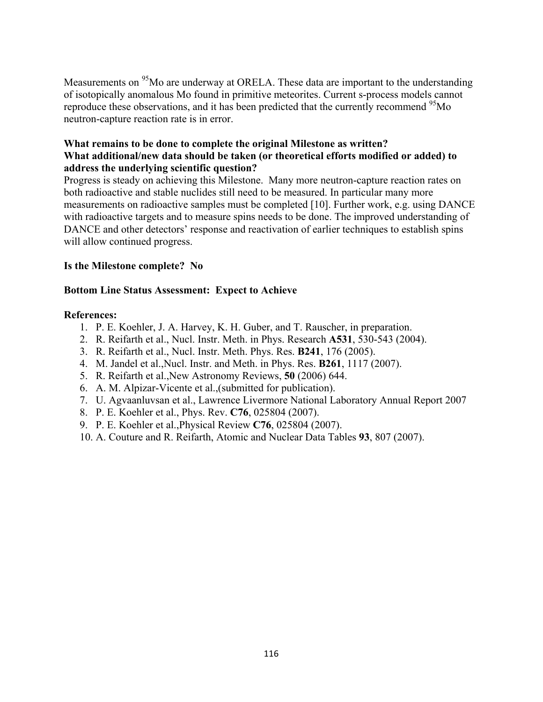Measurements on <sup>95</sup>Mo are underway at ORELA. These data are important to the understanding of isotopically anomalous Mo found in primitive meteorites. Current s-process models cannot reproduce these observations, and it has been predicted that the currently recommend <sup>95</sup>Mo neutron-capture reaction rate is in error.

# **What remains to be done to complete the original Milestone as written? What additional/new data should be taken (or theoretical efforts modified or added) to address the underlying scientific question?**

Progress is steady on achieving this Milestone. Many more neutron-capture reaction rates on both radioactive and stable nuclides still need to be measured. In particular many more measurements on radioactive samples must be completed [10]. Further work, e.g. using DANCE with radioactive targets and to measure spins needs to be done. The improved understanding of DANCE and other detectors' response and reactivation of earlier techniques to establish spins will allow continued progress.

# **Is the Milestone complete? No**

# **Bottom Line Status Assessment: Expect to Achieve**

- 1. P. E. Koehler, J. A. Harvey, K. H. Guber, and T. Rauscher, in preparation.
- 2. R. Reifarth et al., Nucl. Instr. Meth. in Phys. Research **A531**, 530-543 (2004).
- 3. R. Reifarth et al., Nucl. Instr. Meth. Phys. Res. **B241**, 176 (2005).
- 4. M. Jandel et al.,Nucl. Instr. and Meth. in Phys. Res. **B261**, 1117 (2007).
- 5. R. Reifarth et al.,New Astronomy Reviews, **50** (2006) 644.
- 6. A. M. Alpizar-Vicente et al.,(submitted for publication).
- 7. U. Agvaanluvsan et al., Lawrence Livermore National Laboratory Annual Report 2007
- 8. P. E. Koehler et al., Phys. Rev. **C76**, 025804 (2007).
- 9. P. E. Koehler et al.,Physical Review **C76**, 025804 (2007).
- 10. A. Couture and R. Reifarth, Atomic and Nuclear Data Tables **93**, 807 (2007).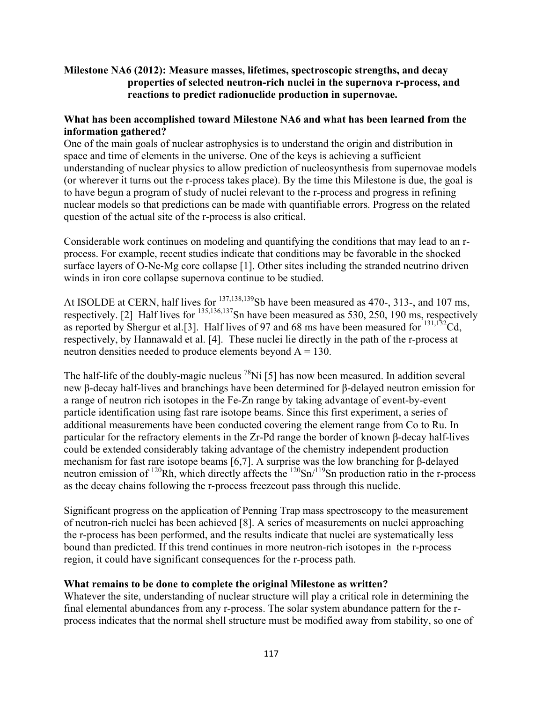# **Milestone NA6 (2012): Measure masses, lifetimes, spectroscopic strengths, and decay properties of selected neutron-rich nuclei in the supernova r-process, and reactions to predict radionuclide production in supernovae.**

# **What has been accomplished toward Milestone NA6 and what has been learned from the information gathered?**

One of the main goals of nuclear astrophysics is to understand the origin and distribution in space and time of elements in the universe. One of the keys is achieving a sufficient understanding of nuclear physics to allow prediction of nucleosynthesis from supernovae models (or wherever it turns out the r-process takes place). By the time this Milestone is due, the goal is to have begun a program of study of nuclei relevant to the r-process and progress in refining nuclear models so that predictions can be made with quantifiable errors. Progress on the related question of the actual site of the r-process is also critical.

Considerable work continues on modeling and quantifying the conditions that may lead to an rprocess. For example, recent studies indicate that conditions may be favorable in the shocked surface layers of O-Ne-Mg core collapse [1]. Other sites including the stranded neutrino driven winds in iron core collapse supernova continue to be studied.

At ISOLDE at CERN, half lives for  $^{137,138,139}$ Sb have been measured as 470-, 313-, and 107 ms, respectively. [2] Half lives for  $^{135,136,137}$ Sn have been measured as 530, 250, 190 ms, respectively as reported by Shergur et al. [3]. Half lives of 97 and 68 ms have been measured for  $^{131,132}$ Cd, respectively, by Hannawald et al. [4]. These nuclei lie directly in the path of the r-process at neutron densities needed to produce elements beyond  $A = 130$ .

The half-life of the doubly-magic nucleus <sup>78</sup>Ni [5] has now been measured. In addition several new β-decay half-lives and branchings have been determined for β-delayed neutron emission for a range of neutron rich isotopes in the Fe-Zn range by taking advantage of event-by-event particle identification using fast rare isotope beams. Since this first experiment, a series of additional measurements have been conducted covering the element range from Co to Ru. In particular for the refractory elements in the Zr-Pd range the border of known β-decay half-lives could be extended considerably taking advantage of the chemistry independent production mechanism for fast rare isotope beams [6,7]. A surprise was the low branching for β-delayed neutron emission of  $120$ Rh, which directly affects the  $120$ Sn<sup> $/119$ </sup>Sn production ratio in the r-process as the decay chains following the r-process freezeout pass through this nuclide.

Significant progress on the application of Penning Trap mass spectroscopy to the measurement of neutron-rich nuclei has been achieved [8]. A series of measurements on nuclei approaching the r-process has been performed, and the results indicate that nuclei are systematically less bound than predicted. If this trend continues in more neutron-rich isotopes in the r-process region, it could have significant consequences for the r-process path.

# **What remains to be done to complete the original Milestone as written?**

Whatever the site, understanding of nuclear structure will play a critical role in determining the final elemental abundances from any r-process. The solar system abundance pattern for the rprocess indicates that the normal shell structure must be modified away from stability, so one of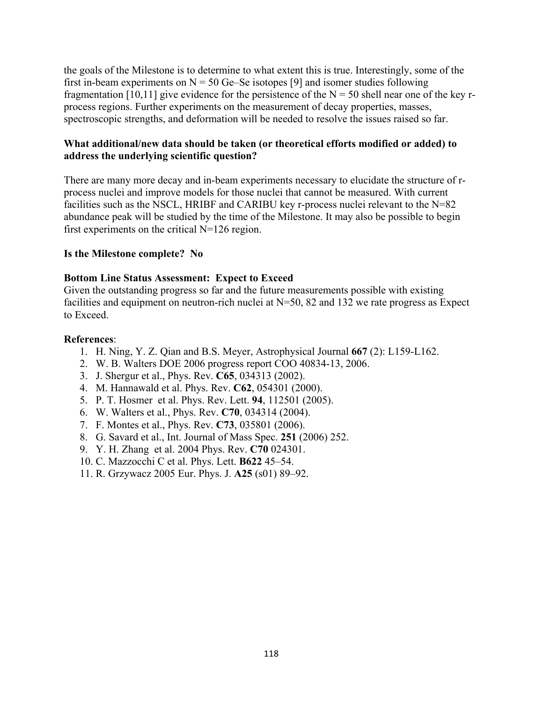the goals of the Milestone is to determine to what extent this is true. Interestingly, some of the first in-beam experiments on  $N = 50$  Ge–Se isotopes [9] and isomer studies following fragmentation [10,11] give evidence for the persistence of the  $N = 50$  shell near one of the key rprocess regions. Further experiments on the measurement of decay properties, masses, spectroscopic strengths, and deformation will be needed to resolve the issues raised so far.

## **What additional/new data should be taken (or theoretical efforts modified or added) to address the underlying scientific question?**

There are many more decay and in-beam experiments necessary to elucidate the structure of rprocess nuclei and improve models for those nuclei that cannot be measured. With current facilities such as the NSCL, HRIBF and CARIBU key r-process nuclei relevant to the N=82 abundance peak will be studied by the time of the Milestone. It may also be possible to begin first experiments on the critical N=126 region.

#### **Is the Milestone complete? No**

# **Bottom Line Status Assessment: Expect to Exceed**

Given the outstanding progress so far and the future measurements possible with existing facilities and equipment on neutron-rich nuclei at N=50, 82 and 132 we rate progress as Expect to Exceed.

- 1. H. Ning, Y. Z. Qian and B.S. Meyer, Astrophysical Journal **667** (2): L159-L162.
- 2. W. B. Walters DOE 2006 progress report COO 40834-13, 2006.
- 3. J. Shergur et al., Phys. Rev. **C65**, 034313 (2002).
- 4. M. Hannawald et al. Phys. Rev. **C62**, 054301 (2000).
- 5. P. T. Hosmer et al. Phys. Rev. Lett. **94**, 112501 (2005).
- 6. W. Walters et al., Phys. Rev. **C70**, 034314 (2004).
- 7. F. Montes et al., Phys. Rev. **C73**, 035801 (2006).
- 8. G. Savard et al., Int. Journal of Mass Spec. **251** (2006) 252.
- 9. Y. H. Zhang et al. 2004 Phys. Rev. **C70** 024301.
- 10. C. Mazzocchi C et al. Phys. Lett. **B622** 45–54.
- 11. R. Grzywacz 2005 Eur. Phys. J. **A25** (s01) 89–92.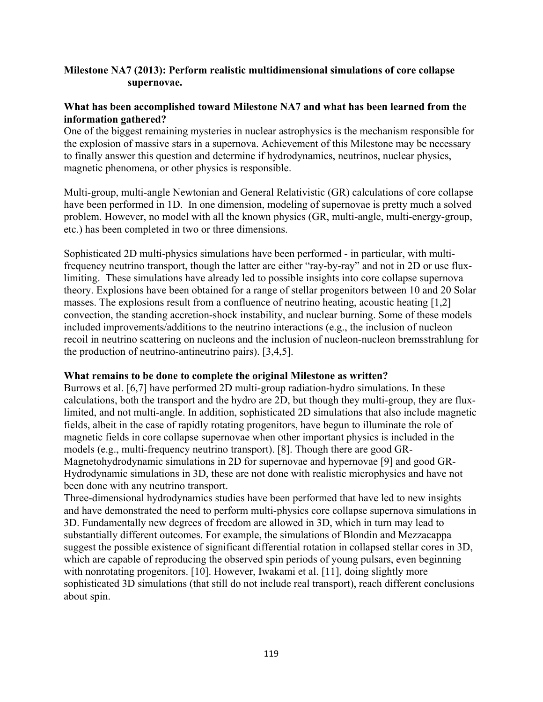# **Milestone NA7 (2013): Perform realistic multidimensional simulations of core collapse supernovae.**

# **What has been accomplished toward Milestone NA7 and what has been learned from the information gathered?**

One of the biggest remaining mysteries in nuclear astrophysics is the mechanism responsible for the explosion of massive stars in a supernova. Achievement of this Milestone may be necessary to finally answer this question and determine if hydrodynamics, neutrinos, nuclear physics, magnetic phenomena, or other physics is responsible.

Multi-group, multi-angle Newtonian and General Relativistic (GR) calculations of core collapse have been performed in 1D. In one dimension, modeling of supernovae is pretty much a solved problem. However, no model with all the known physics (GR, multi-angle, multi-energy-group, etc.) has been completed in two or three dimensions.

Sophisticated 2D multi-physics simulations have been performed - in particular, with multifrequency neutrino transport, though the latter are either "ray-by-ray" and not in 2D or use fluxlimiting. These simulations have already led to possible insights into core collapse supernova theory. Explosions have been obtained for a range of stellar progenitors between 10 and 20 Solar masses. The explosions result from a confluence of neutrino heating, acoustic heating [1,2] convection, the standing accretion-shock instability, and nuclear burning. Some of these models included improvements/additions to the neutrino interactions (e.g., the inclusion of nucleon recoil in neutrino scattering on nucleons and the inclusion of nucleon-nucleon bremsstrahlung for the production of neutrino-antineutrino pairs). [3,4,5].

# **What remains to be done to complete the original Milestone as written?**

Burrows et al. [6,7] have performed 2D multi-group radiation-hydro simulations. In these calculations, both the transport and the hydro are 2D, but though they multi-group, they are fluxlimited, and not multi-angle. In addition, sophisticated 2D simulations that also include magnetic fields, albeit in the case of rapidly rotating progenitors, have begun to illuminate the role of magnetic fields in core collapse supernovae when other important physics is included in the models (e.g., multi-frequency neutrino transport). [8]. Though there are good GR-Magnetohydrodynamic simulations in 2D for supernovae and hypernovae [9] and good GR-Hydrodynamic simulations in 3D, these are not done with realistic microphysics and have not been done with any neutrino transport.

Three-dimensional hydrodynamics studies have been performed that have led to new insights and have demonstrated the need to perform multi-physics core collapse supernova simulations in 3D. Fundamentally new degrees of freedom are allowed in 3D, which in turn may lead to substantially different outcomes. For example, the simulations of Blondin and Mezzacappa suggest the possible existence of significant differential rotation in collapsed stellar cores in 3D, which are capable of reproducing the observed spin periods of young pulsars, even beginning with nonrotating progenitors. [10]. However, Iwakami et al. [11], doing slightly more sophisticated 3D simulations (that still do not include real transport), reach different conclusions about spin.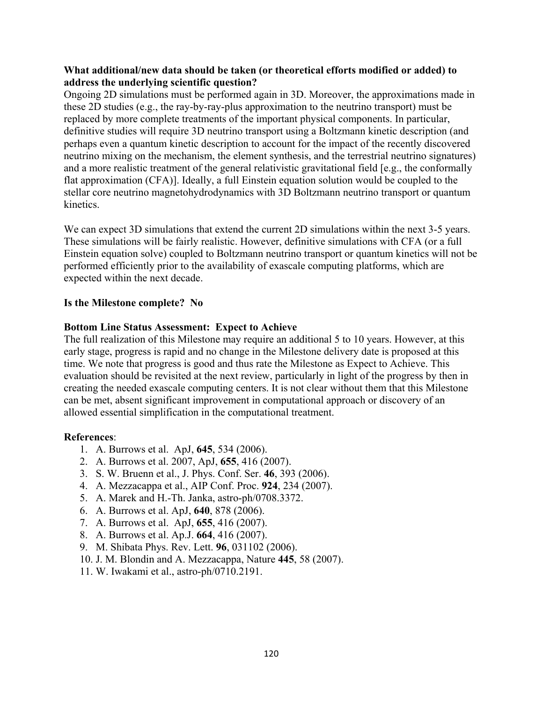# **What additional/new data should be taken (or theoretical efforts modified or added) to address the underlying scientific question?**

Ongoing 2D simulations must be performed again in 3D. Moreover, the approximations made in these 2D studies (e.g., the ray-by-ray-plus approximation to the neutrino transport) must be replaced by more complete treatments of the important physical components. In particular, definitive studies will require 3D neutrino transport using a Boltzmann kinetic description (and perhaps even a quantum kinetic description to account for the impact of the recently discovered neutrino mixing on the mechanism, the element synthesis, and the terrestrial neutrino signatures) and a more realistic treatment of the general relativistic gravitational field [e.g., the conformally flat approximation (CFA)]. Ideally, a full Einstein equation solution would be coupled to the stellar core neutrino magnetohydrodynamics with 3D Boltzmann neutrino transport or quantum kinetics.

We can expect 3D simulations that extend the current 2D simulations within the next 3-5 years. These simulations will be fairly realistic. However, definitive simulations with CFA (or a full Einstein equation solve) coupled to Boltzmann neutrino transport or quantum kinetics will not be performed efficiently prior to the availability of exascale computing platforms, which are expected within the next decade.

# **Is the Milestone complete? No**

# **Bottom Line Status Assessment: Expect to Achieve**

The full realization of this Milestone may require an additional 5 to 10 years. However, at this early stage, progress is rapid and no change in the Milestone delivery date is proposed at this time. We note that progress is good and thus rate the Milestone as Expect to Achieve. This evaluation should be revisited at the next review, particularly in light of the progress by then in creating the needed exascale computing centers. It is not clear without them that this Milestone can be met, absent significant improvement in computational approach or discovery of an allowed essential simplification in the computational treatment.

- 1. A. Burrows et al. ApJ, **645**, 534 (2006).
- 2. A. Burrows et al. 2007, ApJ, **655**, 416 (2007).
- 3. S. W. Bruenn et al., J. Phys. Conf. Ser. **46**, 393 (2006).
- 4. A. Mezzacappa et al., AIP Conf. Proc. **924**, 234 (2007).
- 5. A. Marek and H.-Th. Janka, astro-ph/0708.3372.
- 6. A. Burrows et al. ApJ, **640**, 878 (2006).
- 7. A. Burrows et al. ApJ, **655**, 416 (2007).
- 8. A. Burrows et al. Ap.J. **664**, 416 (2007).
- 9. M. Shibata Phys. Rev. Lett. **96**, 031102 (2006).
- 10. J. M. Blondin and A. Mezzacappa, Nature **445**, 58 (2007).
- 11. W. Iwakami et al., astro-ph/0710.2191.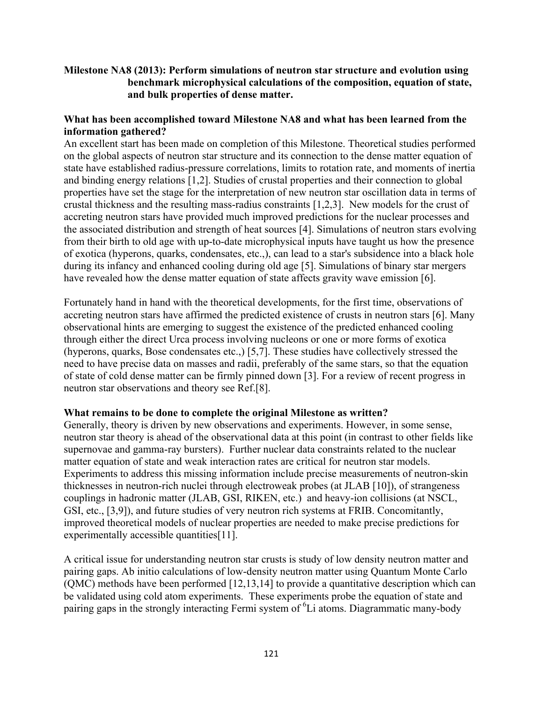# **Milestone NA8 (2013): Perform simulations of neutron star structure and evolution using benchmark microphysical calculations of the composition, equation of state, and bulk properties of dense matter.**

# **What has been accomplished toward Milestone NA8 and what has been learned from the information gathered?**

An excellent start has been made on completion of this Milestone. Theoretical studies performed on the global aspects of neutron star structure and its connection to the dense matter equation of state have established radius-pressure correlations, limits to rotation rate, and moments of inertia and binding energy relations [1,2]. Studies of crustal properties and their connection to global properties have set the stage for the interpretation of new neutron star oscillation data in terms of crustal thickness and the resulting mass-radius constraints [1,2,3]. New models for the crust of accreting neutron stars have provided much improved predictions for the nuclear processes and the associated distribution and strength of heat sources [4]. Simulations of neutron stars evolving from their birth to old age with up-to-date microphysical inputs have taught us how the presence of exotica (hyperons, quarks, condensates, etc.,), can lead to a star's subsidence into a black hole during its infancy and enhanced cooling during old age [5]. Simulations of binary star mergers have revealed how the dense matter equation of state affects gravity wave emission [6].

Fortunately hand in hand with the theoretical developments, for the first time, observations of accreting neutron stars have affirmed the predicted existence of crusts in neutron stars [6]. Many observational hints are emerging to suggest the existence of the predicted enhanced cooling through either the direct Urca process involving nucleons or one or more forms of exotica (hyperons, quarks, Bose condensates etc.,) [5,7]. These studies have collectively stressed the need to have precise data on masses and radii, preferably of the same stars, so that the equation of state of cold dense matter can be firmly pinned down [3]. For a review of recent progress in neutron star observations and theory see Ref.[8].

# **What remains to be done to complete the original Milestone as written?**

Generally, theory is driven by new observations and experiments. However, in some sense, neutron star theory is ahead of the observational data at this point (in contrast to other fields like supernovae and gamma-ray bursters). Further nuclear data constraints related to the nuclear matter equation of state and weak interaction rates are critical for neutron star models. Experiments to address this missing information include precise measurements of neutron-skin thicknesses in neutron-rich nuclei through electroweak probes (at JLAB [10]), of strangeness couplings in hadronic matter (JLAB, GSI, RIKEN, etc.) and heavy-ion collisions (at NSCL, GSI, etc., [3,9]), and future studies of very neutron rich systems at FRIB. Concomitantly, improved theoretical models of nuclear properties are needed to make precise predictions for experimentally accessible quantities[11].

A critical issue for understanding neutron star crusts is study of low density neutron matter and pairing gaps. Ab initio calculations of low-density neutron matter using Quantum Monte Carlo (QMC) methods have been performed [12,13,14] to provide a quantitative description which can be validated using cold atom experiments. These experiments probe the equation of state and pairing gaps in the strongly interacting Fermi system of <sup>6</sup>Li atoms. Diagrammatic many-body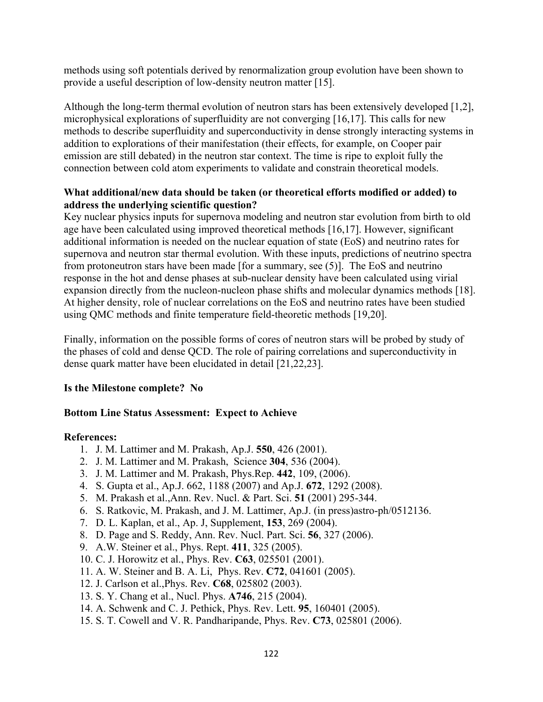methods using soft potentials derived by renormalization group evolution have been shown to provide a useful description of low-density neutron matter [15].

Although the long-term thermal evolution of neutron stars has been extensively developed [1,2], microphysical explorations of superfluidity are not converging [16,17]. This calls for new methods to describe superfluidity and superconductivity in dense strongly interacting systems in addition to explorations of their manifestation (their effects, for example, on Cooper pair emission are still debated) in the neutron star context. The time is ripe to exploit fully the connection between cold atom experiments to validate and constrain theoretical models.

# **What additional/new data should be taken (or theoretical efforts modified or added) to address the underlying scientific question?**

Key nuclear physics inputs for supernova modeling and neutron star evolution from birth to old age have been calculated using improved theoretical methods [16,17]. However, significant additional information is needed on the nuclear equation of state (EoS) and neutrino rates for supernova and neutron star thermal evolution. With these inputs, predictions of neutrino spectra from protoneutron stars have been made [for a summary, see (5)]. The EoS and neutrino response in the hot and dense phases at sub-nuclear density have been calculated using virial expansion directly from the nucleon-nucleon phase shifts and molecular dynamics methods [18]. At higher density, role of nuclear correlations on the EoS and neutrino rates have been studied using QMC methods and finite temperature field-theoretic methods [19,20].

Finally, information on the possible forms of cores of neutron stars will be probed by study of the phases of cold and dense QCD. The role of pairing correlations and superconductivity in dense quark matter have been elucidated in detail [21,22,23].

# **Is the Milestone complete? No**

# **Bottom Line Status Assessment: Expect to Achieve**

- 1. J. M. Lattimer and M. Prakash, Ap.J. **550**, 426 (2001).
- 2. J. M. Lattimer and M. Prakash, Science **304**, 536 (2004).
- 3. J. M. Lattimer and M. Prakash, Phys.Rep. **442**, 109, (2006).
- 4. S. Gupta et al., Ap.J. 662, 1188 (2007) and Ap.J. **672**, 1292 (2008).
- 5. M. Prakash et al.,Ann. Rev. Nucl. & Part. Sci. **51** (2001) 295-344.
- 6. S. Ratkovic, M. Prakash, and J. M. Lattimer, Ap.J. (in press)astro-ph/0512136.
- 7. D. L. Kaplan, et al., Ap. J, Supplement, **153**, 269 (2004).
- 8. D. Page and S. Reddy, Ann. Rev. Nucl. Part. Sci. **56**, 327 (2006).
- 9. A.W. Steiner et al., Phys. Rept. **411**, 325 (2005).
- 10. C. J. Horowitz et al., Phys. Rev. **C63**, 025501 (2001).
- 11. A. W. Steiner and B. A. Li, Phys. Rev. **C72**, 041601 (2005).
- 12. J. Carlson et al.,Phys. Rev. **C68**, 025802 (2003).
- 13. S. Y. Chang et al., Nucl. Phys. **A746**, 215 (2004).
- 14. A. Schwenk and C. J. Pethick, Phys. Rev. Lett. **95**, 160401 (2005).
- 15. S. T. Cowell and V. R. Pandharipande, Phys. Rev. **C73**, 025801 (2006).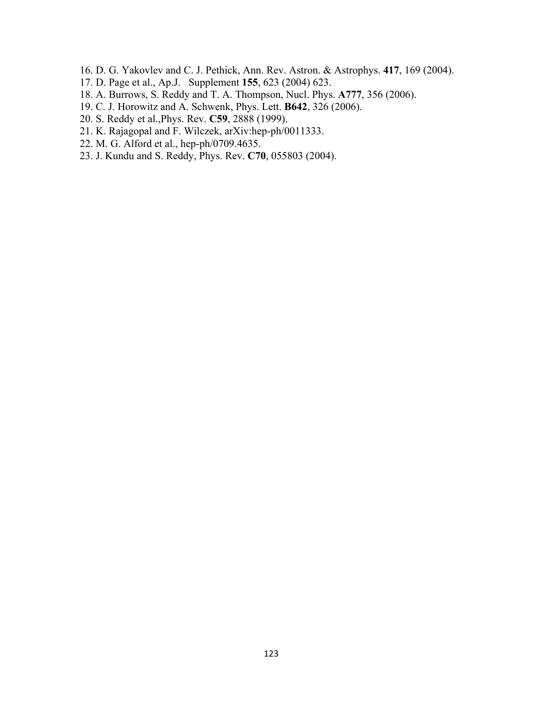- 16. D. G. Yakovlev and C. J. Pethick, Ann. Rev. Astron. & Astrophys. **417**, 169 (2004).
- 17. D. Page et al., Ap.J. Supplement **155**, 623 (2004) 623.
- 18. A. Burrows, S. Reddy and T. A. Thompson, Nucl. Phys. **A777**, 356 (2006).
- 19. C. J. Horowitz and A. Schwenk, Phys. Lett. **B642**, 326 (2006).
- 20. S. Reddy et al.,Phys. Rev. **C59**, 2888 (1999).
- 21. K. Rajagopal and F. Wilczek, arXiv:hep-ph/0011333.
- 22. M. G. Alford et al., hep-ph/0709.4635.
- 23. J. Kundu and S. Reddy, Phys. Rev. **C70**, 055803 (2004).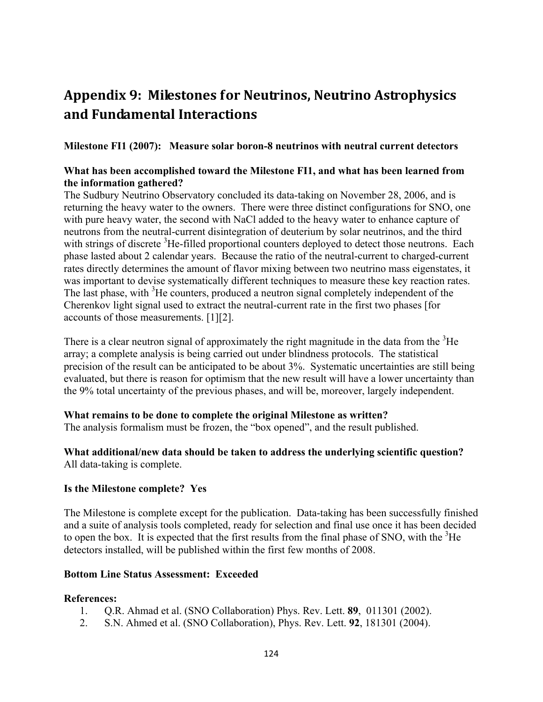# **Appendix 9: Milestones for Neutrinos, Neutrino Astrophysics and Fundamental Interactions**

**Milestone FI1 (2007): Measure solar boron-8 neutrinos with neutral current detectors** 

## **What has been accomplished toward the Milestone FI1, and what has been learned from the information gathered?**

The Sudbury Neutrino Observatory concluded its data-taking on November 28, 2006, and is returning the heavy water to the owners. There were three distinct configurations for SNO, one with pure heavy water, the second with NaCl added to the heavy water to enhance capture of neutrons from the neutral-current disintegration of deuterium by solar neutrinos, and the third with strings of discrete <sup>3</sup>He-filled proportional counters deployed to detect those neutrons. Each phase lasted about 2 calendar years. Because the ratio of the neutral-current to charged-current rates directly determines the amount of flavor mixing between two neutrino mass eigenstates, it was important to devise systematically different techniques to measure these key reaction rates. The last phase, with <sup>3</sup>He counters, produced a neutron signal completely independent of the Cherenkov light signal used to extract the neutral-current rate in the first two phases [for accounts of those measurements. [1][2].

There is a clear neutron signal of approximately the right magnitude in the data from the  ${}^{3}$ He array; a complete analysis is being carried out under blindness protocols. The statistical precision of the result can be anticipated to be about 3%. Systematic uncertainties are still being evaluated, but there is reason for optimism that the new result will have a lower uncertainty than the 9% total uncertainty of the previous phases, and will be, moreover, largely independent.

#### **What remains to be done to complete the original Milestone as written?**

The analysis formalism must be frozen, the "box opened", and the result published.

# **What additional/new data should be taken to address the underlying scientific question?**  All data-taking is complete.

#### **Is the Milestone complete? Yes**

The Milestone is complete except for the publication. Data-taking has been successfully finished and a suite of analysis tools completed, ready for selection and final use once it has been decided to open the box. It is expected that the first results from the final phase of SNO, with the  ${}^{3}$ He detectors installed, will be published within the first few months of 2008.

#### **Bottom Line Status Assessment: Exceeded**

- 1. Q.R. Ahmad et al. (SNO Collaboration) Phys. Rev. Lett. **89**, 011301 (2002).
- 2. S.N. Ahmed et al. (SNO Collaboration), Phys. Rev. Lett. **92**, 181301 (2004).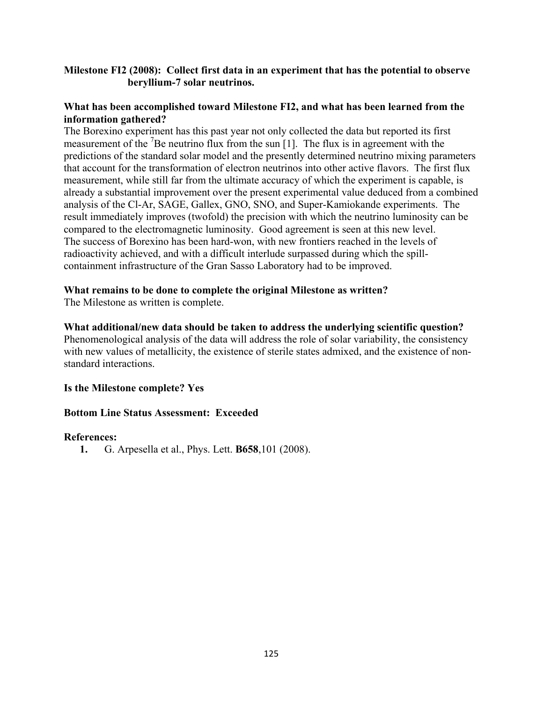# **Milestone FI2 (2008): Collect first data in an experiment that has the potential to observe beryllium-7 solar neutrinos.**

## **What has been accomplished toward Milestone FI2, and what has been learned from the information gathered?**

The Borexino experiment has this past year not only collected the data but reported its first measurement of the <sup>7</sup>Be neutrino flux from the sun [1]. The flux is in agreement with the predictions of the standard solar model and the presently determined neutrino mixing parameters that account for the transformation of electron neutrinos into other active flavors. The first flux measurement, while still far from the ultimate accuracy of which the experiment is capable, is already a substantial improvement over the present experimental value deduced from a combined analysis of the Cl-Ar, SAGE, Gallex, GNO, SNO, and Super-Kamiokande experiments. The result immediately improves (twofold) the precision with which the neutrino luminosity can be compared to the electromagnetic luminosity. Good agreement is seen at this new level. The success of Borexino has been hard-won, with new frontiers reached in the levels of radioactivity achieved, and with a difficult interlude surpassed during which the spillcontainment infrastructure of the Gran Sasso Laboratory had to be improved.

# **What remains to be done to complete the original Milestone as written?**

The Milestone as written is complete.

# **What additional/new data should be taken to address the underlying scientific question?**

Phenomenological analysis of the data will address the role of solar variability, the consistency with new values of metallicity, the existence of sterile states admixed, and the existence of nonstandard interactions.

#### **Is the Milestone complete? Yes**

#### **Bottom Line Status Assessment: Exceeded**

#### **References:**

**1.** G. Arpesella et al., Phys. Lett. **B658**,101 (2008).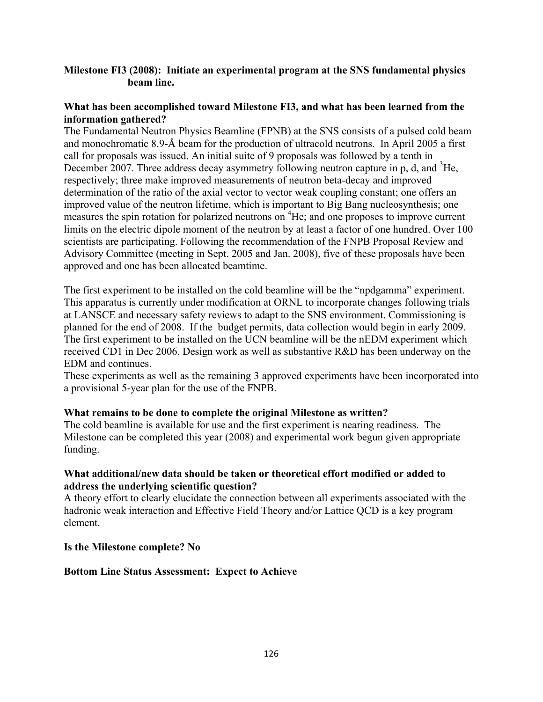# **Milestone FI3 (2008): Initiate an experimental program at the SNS fundamental physics beam line.**

## **What has been accomplished toward Milestone FI3, and what has been learned from the information gathered?**

The Fundamental Neutron Physics Beamline (FPNB) at the SNS consists of a pulsed cold beam and monochromatic 8.9-Å beam for the production of ultracold neutrons. In April 2005 a first call for proposals was issued. An initial suite of 9 proposals was followed by a tenth in December 2007. Three address decay asymmetry following neutron capture in p, d, and <sup>3</sup>He, respectively; three make improved measurements of neutron beta-decay and improved determination of the ratio of the axial vector to vector weak coupling constant; one offers an improved value of the neutron lifetime, which is important to Big Bang nucleosynthesis; one measures the spin rotation for polarized neutrons on <sup>4</sup>He; and one proposes to improve current limits on the electric dipole moment of the neutron by at least a factor of one hundred. Over 100 scientists are participating. Following the recommendation of the FNPB Proposal Review and Advisory Committee (meeting in Sept. 2005 and Jan. 2008), five of these proposals have been approved and one has been allocated beamtime.

The first experiment to be installed on the cold beamline will be the "npdgamma" experiment. This apparatus is currently under modification at ORNL to incorporate changes following trials at LANSCE and necessary safety reviews to adapt to the SNS environment. Commissioning is planned for the end of 2008. If the budget permits, data collection would begin in early 2009. The first experiment to be installed on the UCN beamline will be the nEDM experiment which received CD1 in Dec 2006. Design work as well as substantive R&D has been underway on the EDM and continues.

These experiments as well as the remaining 3 approved experiments have been incorporated into a provisional 5-year plan for the use of the FNPB.

#### **What remains to be done to complete the original Milestone as written?**

The cold beamline is available for use and the first experiment is nearing readiness. The Milestone can be completed this year (2008) and experimental work begun given appropriate funding.

# **What additional/new data should be taken or theoretical effort modified or added to address the underlying scientific question?**

A theory effort to clearly elucidate the connection between all experiments associated with the hadronic weak interaction and Effective Field Theory and/or Lattice QCD is a key program element.

#### **Is the Milestone complete? No**

#### **Bottom Line Status Assessment: Expect to Achieve**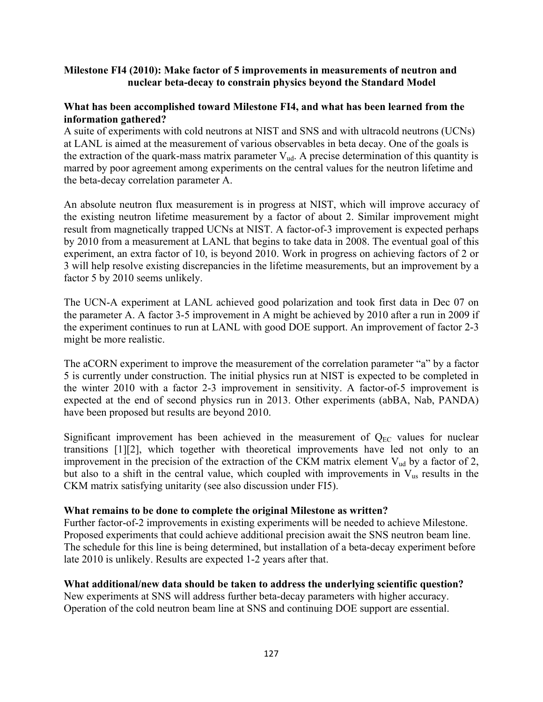# **Milestone FI4 (2010): Make factor of 5 improvements in measurements of neutron and nuclear beta-decay to constrain physics beyond the Standard Model**

## **What has been accomplished toward Milestone FI4, and what has been learned from the information gathered?**

A suite of experiments with cold neutrons at NIST and SNS and with ultracold neutrons (UCNs) at LANL is aimed at the measurement of various observables in beta decay. One of the goals is the extraction of the quark-mass matrix parameter  $V_{ud}$ . A precise determination of this quantity is marred by poor agreement among experiments on the central values for the neutron lifetime and the beta-decay correlation parameter A.

An absolute neutron flux measurement is in progress at NIST, which will improve accuracy of the existing neutron lifetime measurement by a factor of about 2. Similar improvement might result from magnetically trapped UCNs at NIST. A factor-of-3 improvement is expected perhaps by 2010 from a measurement at LANL that begins to take data in 2008. The eventual goal of this experiment, an extra factor of 10, is beyond 2010. Work in progress on achieving factors of 2 or 3 will help resolve existing discrepancies in the lifetime measurements, but an improvement by a factor 5 by 2010 seems unlikely.

The UCN-A experiment at LANL achieved good polarization and took first data in Dec 07 on the parameter A. A factor 3-5 improvement in A might be achieved by 2010 after a run in 2009 if the experiment continues to run at LANL with good DOE support. An improvement of factor 2-3 might be more realistic.

The aCORN experiment to improve the measurement of the correlation parameter "a" by a factor 5 is currently under construction. The initial physics run at NIST is expected to be completed in the winter 2010 with a factor 2-3 improvement in sensitivity. A factor-of-5 improvement is expected at the end of second physics run in 2013. Other experiments (abBA, Nab, PANDA) have been proposed but results are beyond 2010.

Significant improvement has been achieved in the measurement of  $Q_{EC}$  values for nuclear transitions [1][2], which together with theoretical improvements have led not only to an improvement in the precision of the extraction of the CKM matrix element  $V_{ud}$  by a factor of 2, but also to a shift in the central value, which coupled with improvements in  $V_{\text{us}}$  results in the CKM matrix satisfying unitarity (see also discussion under FI5).

#### **What remains to be done to complete the original Milestone as written?**

Further factor-of-2 improvements in existing experiments will be needed to achieve Milestone. Proposed experiments that could achieve additional precision await the SNS neutron beam line. The schedule for this line is being determined, but installation of a beta-decay experiment before late 2010 is unlikely. Results are expected 1-2 years after that.

# **What additional/new data should be taken to address the underlying scientific question?**

New experiments at SNS will address further beta-decay parameters with higher accuracy. Operation of the cold neutron beam line at SNS and continuing DOE support are essential.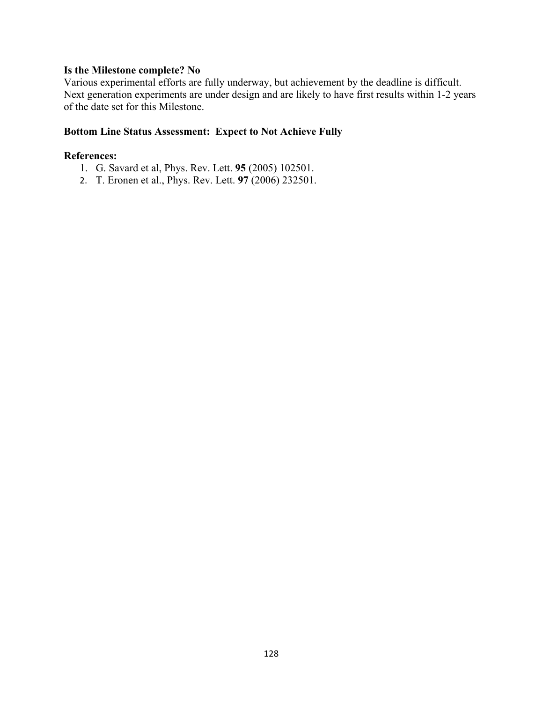#### **Is the Milestone complete? No**

Various experimental efforts are fully underway, but achievement by the deadline is difficult. Next generation experiments are under design and are likely to have first results within 1-2 years of the date set for this Milestone.

# **Bottom Line Status Assessment: Expect to Not Achieve Fully**

- 1. G. Savard et al, Phys. Rev. Lett. **95** (2005) 102501.
- 2. T. Eronen et al., Phys. Rev. Lett. **97** (2006) 232501.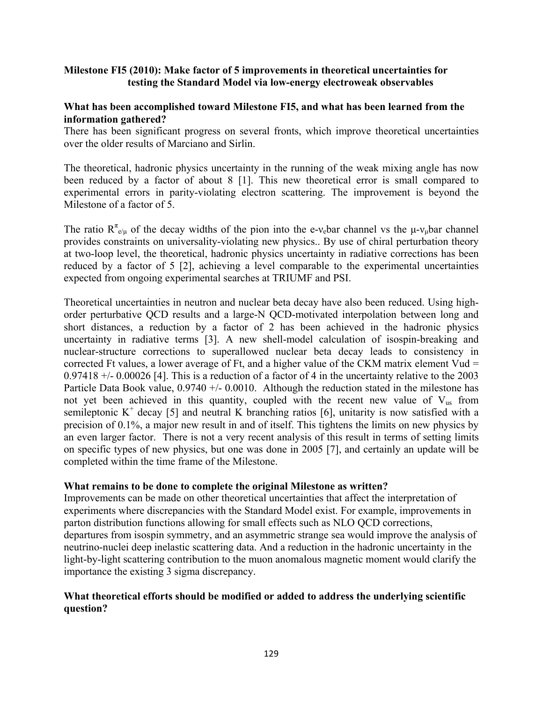# **Milestone FI5 (2010): Make factor of 5 improvements in theoretical uncertainties for testing the Standard Model via low-energy electroweak observables**

## **What has been accomplished toward Milestone FI5, and what has been learned from the information gathered?**

There has been significant progress on several fronts, which improve theoretical uncertainties over the older results of Marciano and Sirlin.

The theoretical, hadronic physics uncertainty in the running of the weak mixing angle has now been reduced by a factor of about 8 [1]. This new theoretical error is small compared to experimental errors in parity-violating electron scattering. The improvement is beyond the Milestone of a factor of 5.

The ratio  $R^{\pi}_{e/\mu}$  of the decay widths of the pion into the e-v<sub>e</sub>bar channel vs the  $\mu$ -v<sub> $\mu$ </sub>bar channel provides constraints on universality-violating new physics.. By use of chiral perturbation theory at two-loop level, the theoretical, hadronic physics uncertainty in radiative corrections has been reduced by a factor of 5 [2], achieving a level comparable to the experimental uncertainties expected from ongoing experimental searches at TRIUMF and PSI.

Theoretical uncertainties in neutron and nuclear beta decay have also been reduced. Using highorder perturbative QCD results and a large-N QCD-motivated interpolation between long and short distances, a reduction by a factor of 2 has been achieved in the hadronic physics uncertainty in radiative terms [3]. A new shell-model calculation of isospin-breaking and nuclear-structure corrections to superallowed nuclear beta decay leads to consistency in corrected Ft values, a lower average of Ft, and a higher value of the CKM matrix element Vud  $=$ 0.97418 +/- 0.00026 [4]. This is a reduction of a factor of 4 in the uncertainty relative to the 2003 Particle Data Book value,  $0.9740 +/- 0.0010$ . Although the reduction stated in the milestone has not yet been achieved in this quantity, coupled with the recent new value of  $V_{\text{us}}$  from semileptonic  $K^+$  decay [5] and neutral K branching ratios [6], unitarity is now satisfied with a precision of 0.1%, a major new result in and of itself. This tightens the limits on new physics by an even larger factor. There is not a very recent analysis of this result in terms of setting limits on specific types of new physics, but one was done in 2005 [7], and certainly an update will be completed within the time frame of the Milestone.

#### **What remains to be done to complete the original Milestone as written?**

Improvements can be made on other theoretical uncertainties that affect the interpretation of experiments where discrepancies with the Standard Model exist. For example, improvements in parton distribution functions allowing for small effects such as NLO QCD corrections, departures from isospin symmetry, and an asymmetric strange sea would improve the analysis of neutrino-nuclei deep inelastic scattering data. And a reduction in the hadronic uncertainty in the light-by-light scattering contribution to the muon anomalous magnetic moment would clarify the importance the existing 3 sigma discrepancy.

# **What theoretical efforts should be modified or added to address the underlying scientific question?**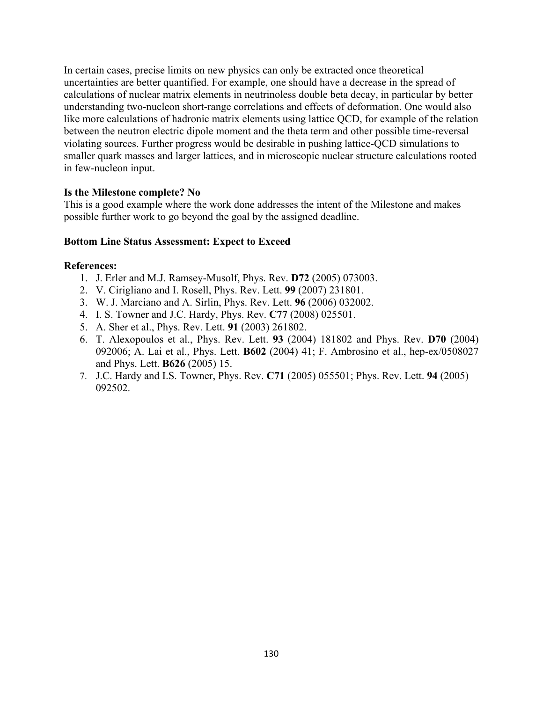In certain cases, precise limits on new physics can only be extracted once theoretical uncertainties are better quantified. For example, one should have a decrease in the spread of calculations of nuclear matrix elements in neutrinoless double beta decay, in particular by better understanding two-nucleon short-range correlations and effects of deformation. One would also like more calculations of hadronic matrix elements using lattice QCD, for example of the relation between the neutron electric dipole moment and the theta term and other possible time-reversal violating sources. Further progress would be desirable in pushing lattice-QCD simulations to smaller quark masses and larger lattices, and in microscopic nuclear structure calculations rooted in few-nucleon input.

# **Is the Milestone complete? No**

This is a good example where the work done addresses the intent of the Milestone and makes possible further work to go beyond the goal by the assigned deadline.

# **Bottom Line Status Assessment: Expect to Exceed**

- 1. J. Erler and M.J. Ramsey-Musolf, Phys. Rev. **D72** (2005) 073003.
- 2. V. Cirigliano and I. Rosell, Phys. Rev. Lett. **99** (2007) 231801.
- 3. W. J. Marciano and A. Sirlin, Phys. Rev. Lett. **96** (2006) 032002.
- 4. I. S. Towner and J.C. Hardy, Phys. Rev. **C77** (2008) 025501.
- 5. A. Sher et al., Phys. Rev. Lett. **91** (2003) 261802.
- 6. T. Alexopoulos et al., Phys. Rev. Lett. **93** (2004) 181802 and Phys. Rev. **D70** (2004) 092006; A. Lai et al., Phys. Lett. **B602** (2004) 41; F. Ambrosino et al., hep-ex/0508027 and Phys. Lett. **B626** (2005) 15.
- 7. J.C. Hardy and I.S. Towner, Phys. Rev. **C71** (2005) 055501; Phys. Rev. Lett. **94** (2005) 092502.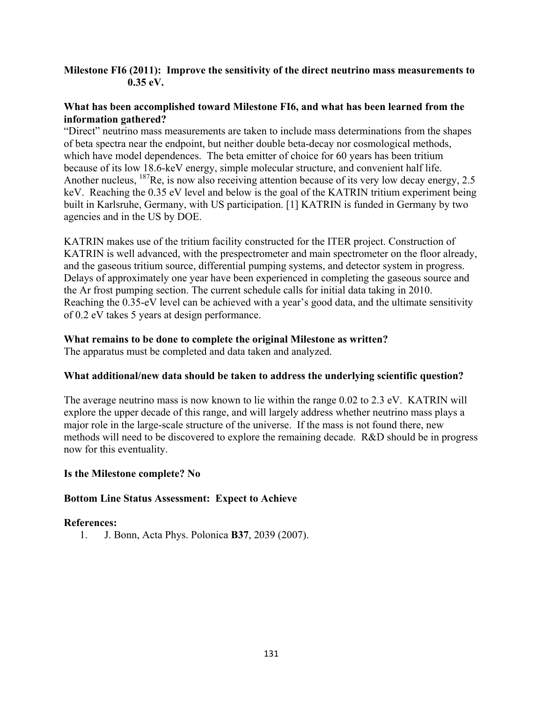# **Milestone FI6 (2011): Improve the sensitivity of the direct neutrino mass measurements to 0.35 eV.**

# **What has been accomplished toward Milestone FI6, and what has been learned from the information gathered?**

"Direct" neutrino mass measurements are taken to include mass determinations from the shapes of beta spectra near the endpoint, but neither double beta-decay nor cosmological methods, which have model dependences. The beta emitter of choice for 60 years has been tritium because of its low 18.6-keV energy, simple molecular structure, and convenient half life. Another nucleus, <sup>187</sup>Re, is now also receiving attention because of its very low decay energy, 2.5 keV. Reaching the 0.35 eV level and below is the goal of the KATRIN tritium experiment being built in Karlsruhe, Germany, with US participation. [1] KATRIN is funded in Germany by two agencies and in the US by DOE.

KATRIN makes use of the tritium facility constructed for the ITER project. Construction of KATRIN is well advanced, with the prespectrometer and main spectrometer on the floor already, and the gaseous tritium source, differential pumping systems, and detector system in progress. Delays of approximately one year have been experienced in completing the gaseous source and the Ar frost pumping section. The current schedule calls for initial data taking in 2010. Reaching the 0.35-eV level can be achieved with a year's good data, and the ultimate sensitivity of 0.2 eV takes 5 years at design performance.

# **What remains to be done to complete the original Milestone as written?**

The apparatus must be completed and data taken and analyzed.

# **What additional/new data should be taken to address the underlying scientific question?**

The average neutrino mass is now known to lie within the range 0.02 to 2.3 eV. KATRIN will explore the upper decade of this range, and will largely address whether neutrino mass plays a major role in the large-scale structure of the universe. If the mass is not found there, new methods will need to be discovered to explore the remaining decade. R&D should be in progress now for this eventuality.

# **Is the Milestone complete? No**

# **Bottom Line Status Assessment: Expect to Achieve**

# **References:**

1. J. Bonn, Acta Phys. Polonica **B37**, 2039 (2007).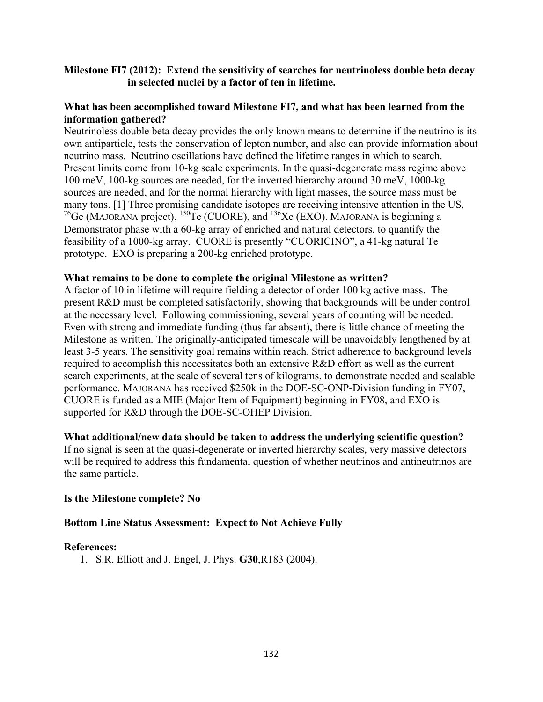# **Milestone FI7 (2012): Extend the sensitivity of searches for neutrinoless double beta decay in selected nuclei by a factor of ten in lifetime.**

## **What has been accomplished toward Milestone FI7, and what has been learned from the information gathered?**

Neutrinoless double beta decay provides the only known means to determine if the neutrino is its own antiparticle, tests the conservation of lepton number, and also can provide information about neutrino mass. Neutrino oscillations have defined the lifetime ranges in which to search. Present limits come from 10-kg scale experiments. In the quasi-degenerate mass regime above 100 meV, 100-kg sources are needed, for the inverted hierarchy around 30 meV, 1000-kg sources are needed, and for the normal hierarchy with light masses, the source mass must be many tons. [1] Three promising candidate isotopes are receiving intensive attention in the US, <sup>76</sup>Ge (MAJORANA project), <sup>130</sup>Te (CUORE), and <sup>136</sup>Xe (EXO). MAJORANA is beginning a Demonstrator phase with a 60-kg array of enriched and natural detectors, to quantify the feasibility of a 1000-kg array. CUORE is presently "CUORICINO", a 41-kg natural Te prototype. EXO is preparing a 200-kg enriched prototype.

#### **What remains to be done to complete the original Milestone as written?**

A factor of 10 in lifetime will require fielding a detector of order 100 kg active mass. The present R&D must be completed satisfactorily, showing that backgrounds will be under control at the necessary level. Following commissioning, several years of counting will be needed. Even with strong and immediate funding (thus far absent), there is little chance of meeting the Milestone as written. The originally-anticipated timescale will be unavoidably lengthened by at least 3-5 years. The sensitivity goal remains within reach. Strict adherence to background levels required to accomplish this necessitates both an extensive R&D effort as well as the current search experiments, at the scale of several tens of kilograms, to demonstrate needed and scalable performance. MAJORANA has received \$250k in the DOE-SC-ONP-Division funding in FY07, CUORE is funded as a MIE (Major Item of Equipment) beginning in FY08, and EXO is supported for R&D through the DOE-SC-OHEP Division.

#### **What additional/new data should be taken to address the underlying scientific question?**

If no signal is seen at the quasi-degenerate or inverted hierarchy scales, very massive detectors will be required to address this fundamental question of whether neutrinos and antineutrinos are the same particle.

#### **Is the Milestone complete? No**

#### **Bottom Line Status Assessment: Expect to Not Achieve Fully**

#### **References:**

1. S.R. Elliott and J. Engel, J. Phys. **G30**,R183 (2004).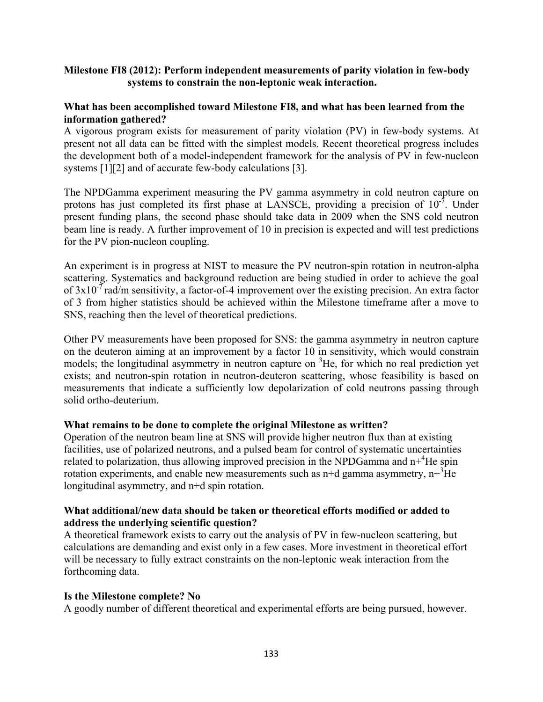## **Milestone FI8 (2012): Perform independent measurements of parity violation in few-body systems to constrain the non-leptonic weak interaction.**

## **What has been accomplished toward Milestone FI8, and what has been learned from the information gathered?**

A vigorous program exists for measurement of parity violation (PV) in few-body systems. At present not all data can be fitted with the simplest models. Recent theoretical progress includes the development both of a model-independent framework for the analysis of PV in few-nucleon systems [1][2] and of accurate few-body calculations [3].

The NPDGamma experiment measuring the PV gamma asymmetry in cold neutron capture on protons has just completed its first phase at LANSCE, providing a precision of  $10^{-7}$ . Under present funding plans, the second phase should take data in 2009 when the SNS cold neutron beam line is ready. A further improvement of 10 in precision is expected and will test predictions for the PV pion-nucleon coupling.

An experiment is in progress at NIST to measure the PV neutron-spin rotation in neutron-alpha scattering. Systematics and background reduction are being studied in order to achieve the goal of  $3x10^{-7}$  rad/m sensitivity, a factor-of-4 improvement over the existing precision. An extra factor of 3 from higher statistics should be achieved within the Milestone timeframe after a move to SNS, reaching then the level of theoretical predictions.

Other PV measurements have been proposed for SNS: the gamma asymmetry in neutron capture on the deuteron aiming at an improvement by a factor 10 in sensitivity, which would constrain models; the longitudinal asymmetry in neutron capture on <sup>3</sup>He, for which no real prediction yet exists; and neutron-spin rotation in neutron-deuteron scattering, whose feasibility is based on measurements that indicate a sufficiently low depolarization of cold neutrons passing through solid ortho-deuterium.

#### **What remains to be done to complete the original Milestone as written?**

Operation of the neutron beam line at SNS will provide higher neutron flux than at existing facilities, use of polarized neutrons, and a pulsed beam for control of systematic uncertainties related to polarization, thus allowing improved precision in the NPDGamma and  $n+4$ He spin rotation experiments, and enable new measurements such as  $n+d$  gamma asymmetry,  $n^{3}$ He longitudinal asymmetry, and n+d spin rotation.

# **What additional/new data should be taken or theoretical efforts modified or added to address the underlying scientific question?**

A theoretical framework exists to carry out the analysis of PV in few-nucleon scattering, but calculations are demanding and exist only in a few cases. More investment in theoretical effort will be necessary to fully extract constraints on the non-leptonic weak interaction from the forthcoming data.

#### **Is the Milestone complete? No**

A goodly number of different theoretical and experimental efforts are being pursued, however.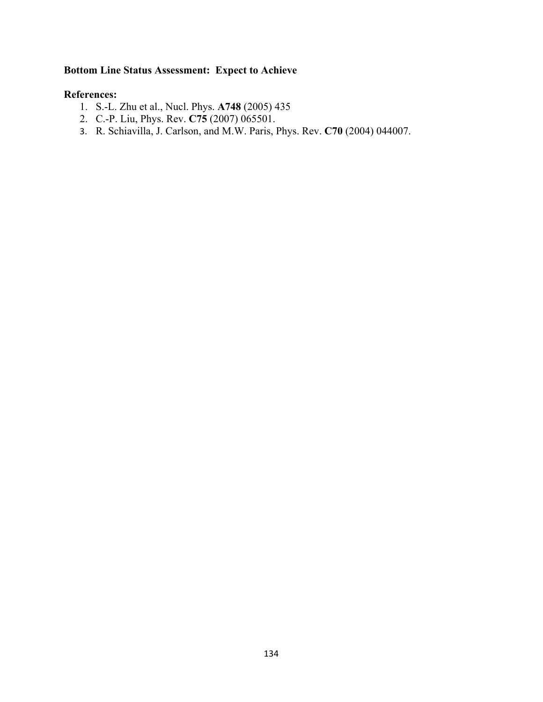# **Bottom Line Status Assessment: Expect to Achieve**

- 1. S.-L. Zhu et al., Nucl. Phys. **A748** (2005) 435
- 2. C.-P. Liu, Phys. Rev. **C75** (2007) 065501.
- 3. R. Schiavilla, J. Carlson, and M.W. Paris, Phys. Rev. **C70** (2004) 044007.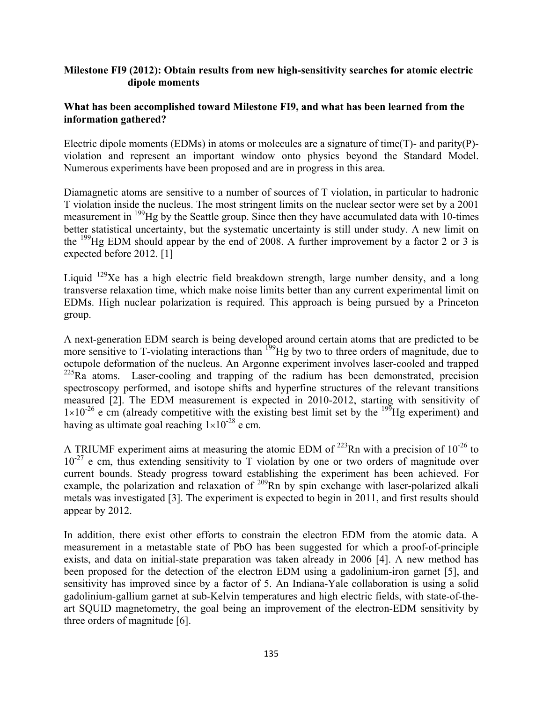# **Milestone FI9 (2012): Obtain results from new high-sensitivity searches for atomic electric dipole moments**

## **What has been accomplished toward Milestone FI9, and what has been learned from the information gathered?**

Electric dipole moments (EDMs) in atoms or molecules are a signature of time(T)- and parity(P) violation and represent an important window onto physics beyond the Standard Model. Numerous experiments have been proposed and are in progress in this area.

Diamagnetic atoms are sensitive to a number of sources of T violation, in particular to hadronic T violation inside the nucleus. The most stringent limits on the nuclear sector were set by a 2001 measurement in <sup>199</sup>Hg by the Seattle group. Since then they have accumulated data with 10-times better statistical uncertainty, but the systematic uncertainty is still under study. A new limit on the  $^{199}$ Hg EDM should appear by the end of 2008. A further improvement by a factor 2 or 3 is expected before 2012. [1]

Liquid  $129$ Xe has a high electric field breakdown strength, large number density, and a long transverse relaxation time, which make noise limits better than any current experimental limit on EDMs. High nuclear polarization is required. This approach is being pursued by a Princeton group.

A next-generation EDM search is being developed around certain atoms that are predicted to be more sensitive to T-violating interactions than <sup>199</sup>Hg by two to three orders of magnitude, due to octupole deformation of the nucleus. An Argonne experiment involves laser-cooled and trapped  $225Ra$  atoms. Laser-cooling and trapping of the radium has been demonstrated, precision spectroscopy performed, and isotope shifts and hyperfine structures of the relevant transitions measured [2]. The EDM measurement is expected in 2010-2012, starting with sensitivity of  $1\times10^{-26}$  e cm (already competitive with the existing best limit set by the <sup>199</sup>Hg experiment) and having as ultimate goal reaching  $1\times10^{-28}$  e cm.

A TRIUMF experiment aims at measuring the atomic EDM of  $^{223}$ Rn with a precision of  $10^{-26}$  to  $10^{-27}$  e cm, thus extending sensitivity to T violation by one or two orders of magnitude over current bounds. Steady progress toward establishing the experiment has been achieved. For example, the polarization and relaxation of <sup>209</sup>Rn by spin exchange with laser-polarized alkali metals was investigated [3]. The experiment is expected to begin in 2011, and first results should appear by 2012.

In addition, there exist other efforts to constrain the electron EDM from the atomic data. A measurement in a metastable state of PbO has been suggested for which a proof-of-principle exists, and data on initial-state preparation was taken already in 2006 [4]. A new method has been proposed for the detection of the electron EDM using a gadolinium-iron garnet [5], and sensitivity has improved since by a factor of 5. An Indiana-Yale collaboration is using a solid gadolinium-gallium garnet at sub-Kelvin temperatures and high electric fields, with state-of-theart SQUID magnetometry, the goal being an improvement of the electron-EDM sensitivity by three orders of magnitude [6].